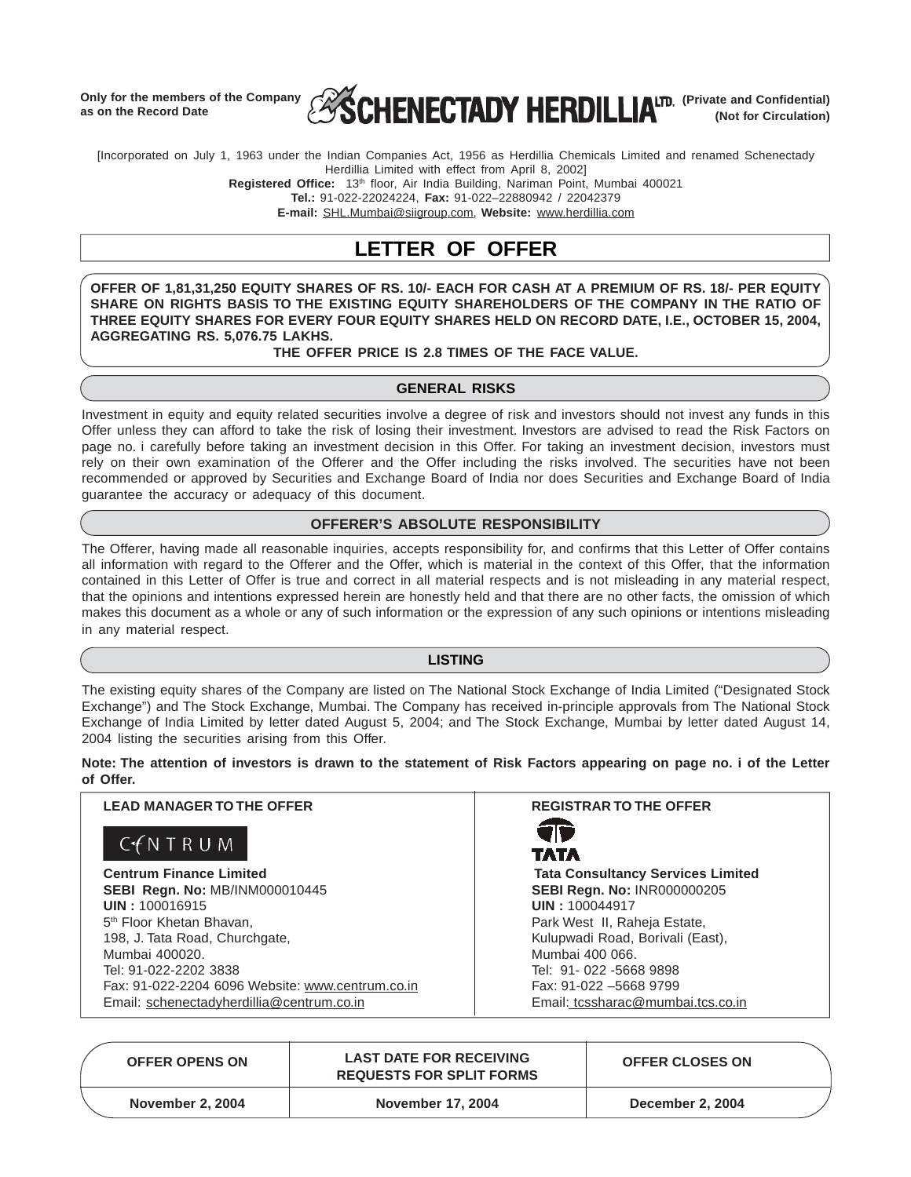**Only for the members of the Company as on the Record Date**



[Incorporated on July 1, 1963 under the Indian Companies Act, 1956 as Herdillia Chemicals Limited and renamed Schenectady Herdillia Limited with effect from April 8, 2002]

**Registered Office:** 13th floor, Air India Building, Nariman Point, Mumbai 400021

**Tel.:** 91-022-22024224, **Fax:** 91-022–22880942 / 22042379

**E-mail:** SHL.Mumbai@siigroup.com, **Website:** www.herdillia.com

## **LETTER OF OFFER**

**OFFER OF 1,81,31,250 EQUITY SHARES OF RS. 10/- EACH FOR CASH AT A PREMIUM OF RS. 18/- PER EQUITY SHARE ON RIGHTS BASIS TO THE EXISTING EQUITY SHAREHOLDERS OF THE COMPANY IN THE RATIO OF THREE EQUITY SHARES FOR EVERY FOUR EQUITY SHARES HELD ON RECORD DATE, I.E., OCTOBER 15, 2004, AGGREGATING RS. 5,076.75 LAKHS.**

### **THE OFFER PRICE IS 2.8 TIMES OF THE FACE VALUE.**

### **GENERAL RISKS**

Investment in equity and equity related securities involve a degree of risk and investors should not invest any funds in this Offer unless they can afford to take the risk of losing their investment. Investors are advised to read the Risk Factors on page no. i carefully before taking an investment decision in this Offer. For taking an investment decision, investors must rely on their own examination of the Offerer and the Offer including the risks involved. The securities have not been recommended or approved by Securities and Exchange Board of India nor does Securities and Exchange Board of India guarantee the accuracy or adequacy of this document.

### **OFFERER'S ABSOLUTE RESPONSIBILITY**

The Offerer, having made all reasonable inquiries, accepts responsibility for, and confirms that this Letter of Offer contains all information with regard to the Offerer and the Offer, which is material in the context of this Offer, that the information contained in this Letter of Offer is true and correct in all material respects and is not misleading in any material respect, that the opinions and intentions expressed herein are honestly held and that there are no other facts, the omission of which makes this document as a whole or any of such information or the expression of any such opinions or intentions misleading in any material respect.

### **LISTING**

The existing equity shares of the Company are listed on The National Stock Exchange of India Limited ("Designated Stock Exchange") and The Stock Exchange, Mumbai. The Company has received in-principle approvals from The National Stock Exchange of India Limited by letter dated August 5, 2004; and The Stock Exchange, Mumbai by letter dated August 14, 2004 listing the securities arising from this Offer.

### **Note: The attention of investors is drawn to the statement of Risk Factors appearing on page no. i of the Letter of Offer.**

| <b>LEAD MANAGER TO THE OFFER</b>                 | <b>REGISTRAR TO THE OFFER</b>            |
|--------------------------------------------------|------------------------------------------|
| C f N T R U M                                    | 70<br>TATA                               |
| <b>Centrum Finance Limited</b>                   | <b>Tata Consultancy Services Limited</b> |
| SEBI Regn. No: MB/INM000010445                   | SEBI Regn. No: INR000000205              |
| UIN: 100016915                                   | UIN: 100044917                           |
| 5 <sup>th</sup> Floor Khetan Bhavan.             | Park West II, Raheja Estate,             |
| 198, J. Tata Road, Churchgate,                   | Kulupwadi Road, Borivali (East),         |
| Mumbai 400020.                                   | Mumbai 400 066.                          |
| Tel: 91-022-2202 3838                            | Tel: 91-022 -5668 9898                   |
| Fax: 91-022-2204 6096 Website: www.centrum.co.in | Fax: 91-022 -5668 9799                   |
| Email: schenectadyherdillia@centrum.co.in        | Email: tcssharac@mumbai.tcs.co.in        |

| <b>OFFER OPENS ON</b>   | <b>LAST DATE FOR RECEIVING</b><br><b>REQUESTS FOR SPLIT FORMS</b> | <b>OFFER CLOSES ON</b>  |  |  |
|-------------------------|-------------------------------------------------------------------|-------------------------|--|--|
| <b>November 2, 2004</b> | November 17, 2004                                                 | <b>December 2, 2004</b> |  |  |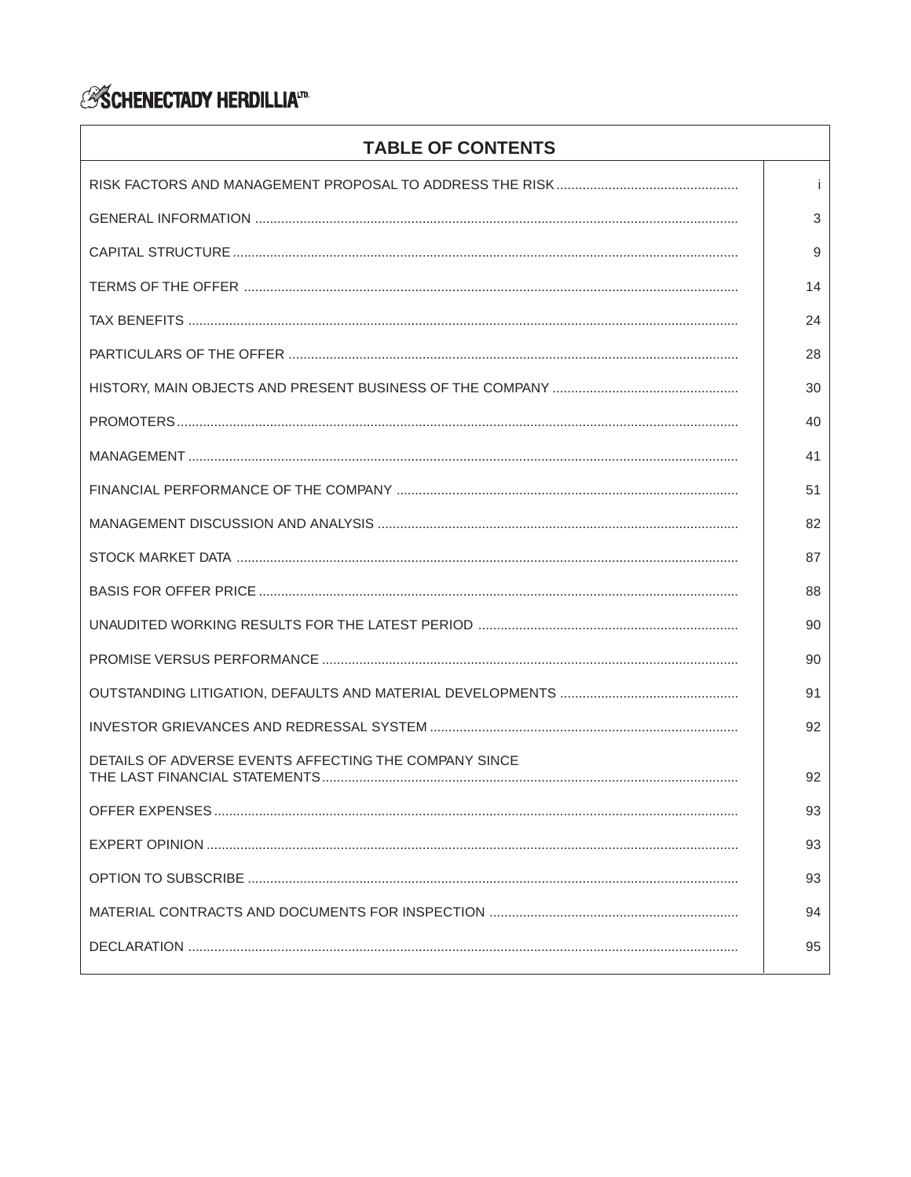# *ASCHENECTADY HERDILLIA*<sup>17</sup>

| <b>TABLE OF CONTENTS</b>                              |    |
|-------------------------------------------------------|----|
|                                                       | i. |
|                                                       | 3  |
|                                                       | 9  |
|                                                       | 14 |
|                                                       | 24 |
|                                                       | 28 |
|                                                       | 30 |
|                                                       | 40 |
|                                                       | 41 |
|                                                       | 51 |
|                                                       | 82 |
|                                                       | 87 |
|                                                       | 88 |
|                                                       | 90 |
|                                                       | 90 |
|                                                       | 91 |
|                                                       | 92 |
| DETAILS OF ADVERSE EVENTS AFFECTING THE COMPANY SINCE | 92 |
|                                                       | 93 |
|                                                       | 93 |
|                                                       | 93 |
|                                                       | 94 |
|                                                       | 95 |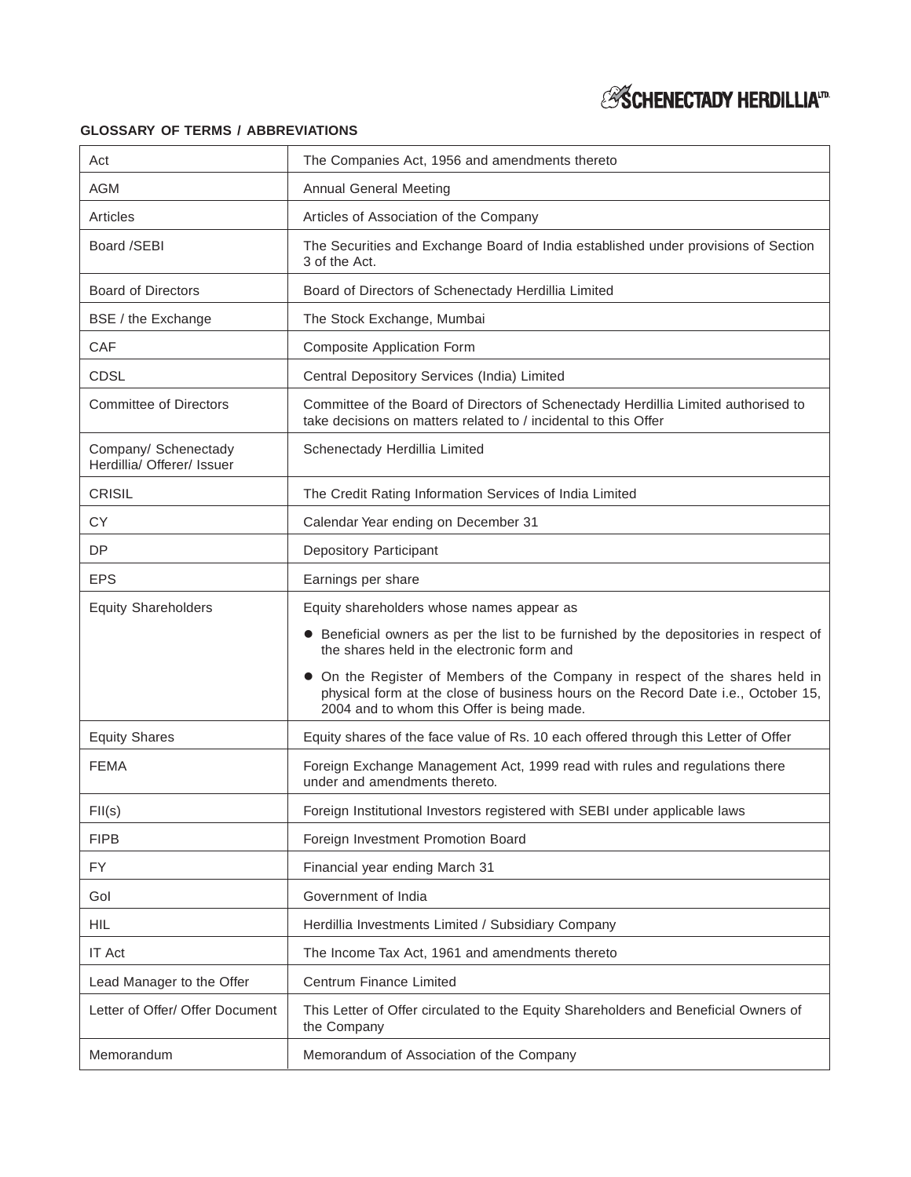# *ESCHENECTADY HERDILLIA<sup>ID</sup>*

## **GLOSSARY OF TERMS / ABBREVIATIONS**

| Act                                                | The Companies Act, 1956 and amendments thereto                                                                                                                                                                |
|----------------------------------------------------|---------------------------------------------------------------------------------------------------------------------------------------------------------------------------------------------------------------|
| <b>AGM</b>                                         | <b>Annual General Meeting</b>                                                                                                                                                                                 |
| Articles                                           | Articles of Association of the Company                                                                                                                                                                        |
| Board /SEBI                                        | The Securities and Exchange Board of India established under provisions of Section<br>3 of the Act.                                                                                                           |
| <b>Board of Directors</b>                          | Board of Directors of Schenectady Herdillia Limited                                                                                                                                                           |
| BSE / the Exchange                                 | The Stock Exchange, Mumbai                                                                                                                                                                                    |
| CAF                                                | Composite Application Form                                                                                                                                                                                    |
| <b>CDSL</b>                                        | Central Depository Services (India) Limited                                                                                                                                                                   |
| <b>Committee of Directors</b>                      | Committee of the Board of Directors of Schenectady Herdillia Limited authorised to<br>take decisions on matters related to / incidental to this Offer                                                         |
| Company/ Schenectady<br>Herdillia/ Offerer/ Issuer | Schenectady Herdillia Limited                                                                                                                                                                                 |
| <b>CRISIL</b>                                      | The Credit Rating Information Services of India Limited                                                                                                                                                       |
| <b>CY</b>                                          | Calendar Year ending on December 31                                                                                                                                                                           |
| <b>DP</b>                                          | <b>Depository Participant</b>                                                                                                                                                                                 |
| <b>EPS</b>                                         | Earnings per share                                                                                                                                                                                            |
| <b>Equity Shareholders</b>                         | Equity shareholders whose names appear as                                                                                                                                                                     |
|                                                    | • Beneficial owners as per the list to be furnished by the depositories in respect of<br>the shares held in the electronic form and                                                                           |
|                                                    | On the Register of Members of the Company in respect of the shares held in<br>physical form at the close of business hours on the Record Date i.e., October 15,<br>2004 and to whom this Offer is being made. |
| <b>Equity Shares</b>                               | Equity shares of the face value of Rs. 10 each offered through this Letter of Offer                                                                                                                           |
| <b>FEMA</b>                                        | Foreign Exchange Management Act, 1999 read with rules and regulations there<br>under and amendments thereto.                                                                                                  |
| FI(s)                                              | Foreign Institutional Investors registered with SEBI under applicable laws                                                                                                                                    |
| <b>FIPB</b>                                        | Foreign Investment Promotion Board                                                                                                                                                                            |
| FY                                                 | Financial year ending March 31                                                                                                                                                                                |
| Gol                                                | Government of India                                                                                                                                                                                           |
| <b>HIL</b>                                         | Herdillia Investments Limited / Subsidiary Company                                                                                                                                                            |
| <b>IT Act</b>                                      | The Income Tax Act, 1961 and amendments thereto                                                                                                                                                               |
| Lead Manager to the Offer                          | Centrum Finance Limited                                                                                                                                                                                       |
| Letter of Offer/ Offer Document                    | This Letter of Offer circulated to the Equity Shareholders and Beneficial Owners of<br>the Company                                                                                                            |
| Memorandum                                         | Memorandum of Association of the Company                                                                                                                                                                      |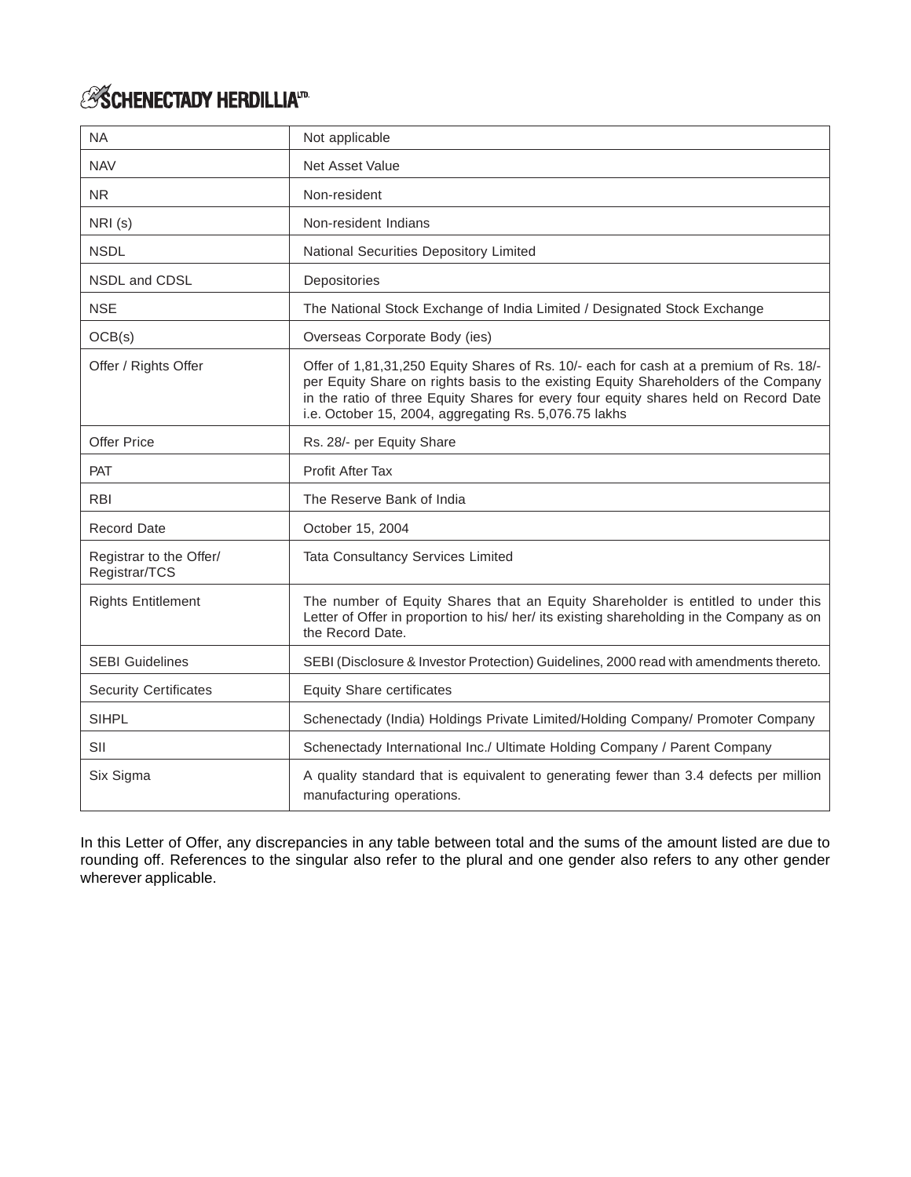# *ESCHENECTADY HERDILLIA*<sup>m.</sup>

| <b>NA</b>                                | Not applicable                                                                                                                                                                                                                                                                                                                |
|------------------------------------------|-------------------------------------------------------------------------------------------------------------------------------------------------------------------------------------------------------------------------------------------------------------------------------------------------------------------------------|
| <b>NAV</b>                               | Net Asset Value                                                                                                                                                                                                                                                                                                               |
| <b>NR</b>                                | Non-resident                                                                                                                                                                                                                                                                                                                  |
| NRI(s)                                   | Non-resident Indians                                                                                                                                                                                                                                                                                                          |
| <b>NSDL</b>                              | National Securities Depository Limited                                                                                                                                                                                                                                                                                        |
| NSDL and CDSL                            | Depositories                                                                                                                                                                                                                                                                                                                  |
| <b>NSE</b>                               | The National Stock Exchange of India Limited / Designated Stock Exchange                                                                                                                                                                                                                                                      |
| OCB(s)                                   | Overseas Corporate Body (ies)                                                                                                                                                                                                                                                                                                 |
| Offer / Rights Offer                     | Offer of 1,81,31,250 Equity Shares of Rs. 10/- each for cash at a premium of Rs. 18/-<br>per Equity Share on rights basis to the existing Equity Shareholders of the Company<br>in the ratio of three Equity Shares for every four equity shares held on Record Date<br>i.e. October 15, 2004, aggregating Rs. 5,076.75 lakhs |
| <b>Offer Price</b>                       | Rs. 28/- per Equity Share                                                                                                                                                                                                                                                                                                     |
| PAT                                      | Profit After Tax                                                                                                                                                                                                                                                                                                              |
| <b>RBI</b>                               | The Reserve Bank of India                                                                                                                                                                                                                                                                                                     |
| <b>Record Date</b>                       | October 15, 2004                                                                                                                                                                                                                                                                                                              |
| Registrar to the Offer/<br>Registrar/TCS | <b>Tata Consultancy Services Limited</b>                                                                                                                                                                                                                                                                                      |
| <b>Rights Entitlement</b>                | The number of Equity Shares that an Equity Shareholder is entitled to under this<br>Letter of Offer in proportion to his/her/its existing shareholding in the Company as on<br>the Record Date.                                                                                                                               |
| <b>SEBI Guidelines</b>                   | SEBI (Disclosure & Investor Protection) Guidelines, 2000 read with amendments thereto.                                                                                                                                                                                                                                        |
| <b>Security Certificates</b>             | <b>Equity Share certificates</b>                                                                                                                                                                                                                                                                                              |
| <b>SIHPL</b>                             | Schenectady (India) Holdings Private Limited/Holding Company/ Promoter Company                                                                                                                                                                                                                                                |
| SII                                      | Schenectady International Inc./ Ultimate Holding Company / Parent Company                                                                                                                                                                                                                                                     |
| Six Sigma                                | A quality standard that is equivalent to generating fewer than 3.4 defects per million<br>manufacturing operations.                                                                                                                                                                                                           |

In this Letter of Offer, any discrepancies in any table between total and the sums of the amount listed are due to rounding off. References to the singular also refer to the plural and one gender also refers to any other gender wherever applicable.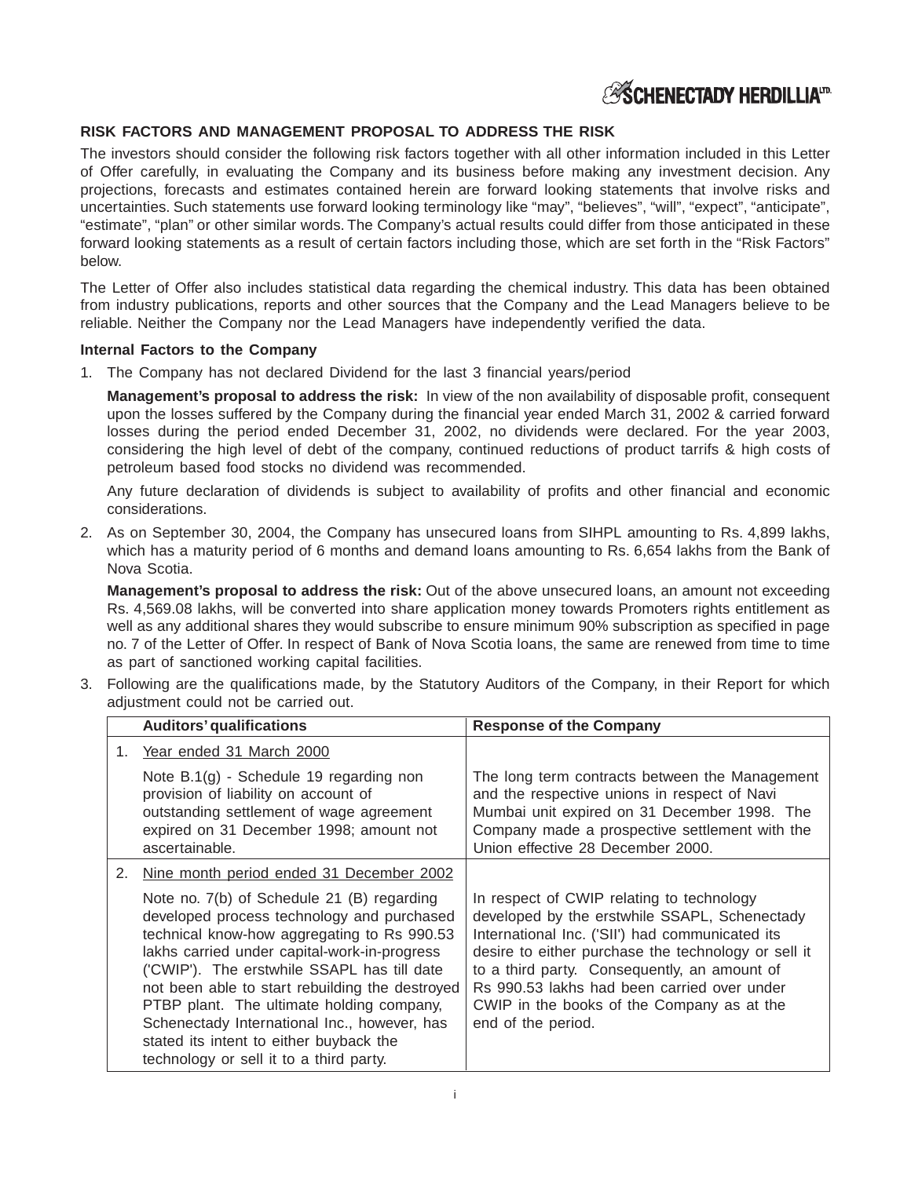## **ESCHENECTADY HERDILLIAID**

## **RISK FACTORS AND MANAGEMENT PROPOSAL TO ADDRESS THE RISK**

The investors should consider the following risk factors together with all other information included in this Letter of Offer carefully, in evaluating the Company and its business before making any investment decision. Any projections, forecasts and estimates contained herein are forward looking statements that involve risks and uncertainties. Such statements use forward looking terminology like "may", "believes", "will", "expect", "anticipate", "estimate", "plan" or other similar words. The Company's actual results could differ from those anticipated in these forward looking statements as a result of certain factors including those, which are set forth in the "Risk Factors" below.

The Letter of Offer also includes statistical data regarding the chemical industry. This data has been obtained from industry publications, reports and other sources that the Company and the Lead Managers believe to be reliable. Neither the Company nor the Lead Managers have independently verified the data.

### **Internal Factors to the Company**

1. The Company has not declared Dividend for the last 3 financial years/period

**Management's proposal to address the risk:** In view of the non availability of disposable profit, consequent upon the losses suffered by the Company during the financial year ended March 31, 2002 & carried forward losses during the period ended December 31, 2002, no dividends were declared. For the year 2003, considering the high level of debt of the company, continued reductions of product tarrifs & high costs of petroleum based food stocks no dividend was recommended.

Any future declaration of dividends is subject to availability of profits and other financial and economic considerations.

2. As on September 30, 2004, the Company has unsecured loans from SIHPL amounting to Rs. 4,899 lakhs, which has a maturity period of 6 months and demand loans amounting to Rs. 6,654 lakhs from the Bank of Nova Scotia.

**Management's proposal to address the risk:** Out of the above unsecured loans, an amount not exceeding Rs. 4,569.08 lakhs, will be converted into share application money towards Promoters rights entitlement as well as any additional shares they would subscribe to ensure minimum 90% subscription as specified in page no. 7 of the Letter of Offer. In respect of Bank of Nova Scotia loans, the same are renewed from time to time as part of sanctioned working capital facilities.

3. Following are the qualifications made, by the Statutory Auditors of the Company, in their Report for which adjustment could not be carried out.

|    | <b>Auditors' qualifications</b>                                                                                                                                                                                                                                                                                                                                                                                                                                              | <b>Response of the Company</b>                                                                                                                                                                                                                                                                                                                                          |  |  |  |
|----|------------------------------------------------------------------------------------------------------------------------------------------------------------------------------------------------------------------------------------------------------------------------------------------------------------------------------------------------------------------------------------------------------------------------------------------------------------------------------|-------------------------------------------------------------------------------------------------------------------------------------------------------------------------------------------------------------------------------------------------------------------------------------------------------------------------------------------------------------------------|--|--|--|
|    | 1. Year ended 31 March 2000                                                                                                                                                                                                                                                                                                                                                                                                                                                  |                                                                                                                                                                                                                                                                                                                                                                         |  |  |  |
|    | Note B.1(g) - Schedule 19 regarding non<br>provision of liability on account of<br>outstanding settlement of wage agreement<br>expired on 31 December 1998; amount not<br>ascertainable.                                                                                                                                                                                                                                                                                     | The long term contracts between the Management<br>and the respective unions in respect of Navi<br>Mumbai unit expired on 31 December 1998. The<br>Company made a prospective settlement with the<br>Union effective 28 December 2000.                                                                                                                                   |  |  |  |
| 2. | Nine month period ended 31 December 2002                                                                                                                                                                                                                                                                                                                                                                                                                                     |                                                                                                                                                                                                                                                                                                                                                                         |  |  |  |
|    | Note no. 7(b) of Schedule 21 (B) regarding<br>developed process technology and purchased<br>technical know-how aggregating to Rs 990.53<br>lakhs carried under capital-work-in-progress<br>('CWIP'). The erstwhile SSAPL has till date<br>not been able to start rebuilding the destroyed<br>PTBP plant. The ultimate holding company,<br>Schenectady International Inc., however, has<br>stated its intent to either buyback the<br>technology or sell it to a third party. | In respect of CWIP relating to technology<br>developed by the erstwhile SSAPL, Schenectady<br>International Inc. ('SII') had communicated its<br>desire to either purchase the technology or sell it<br>to a third party. Consequently, an amount of<br>Rs 990.53 lakhs had been carried over under<br>CWIP in the books of the Company as at the<br>end of the period. |  |  |  |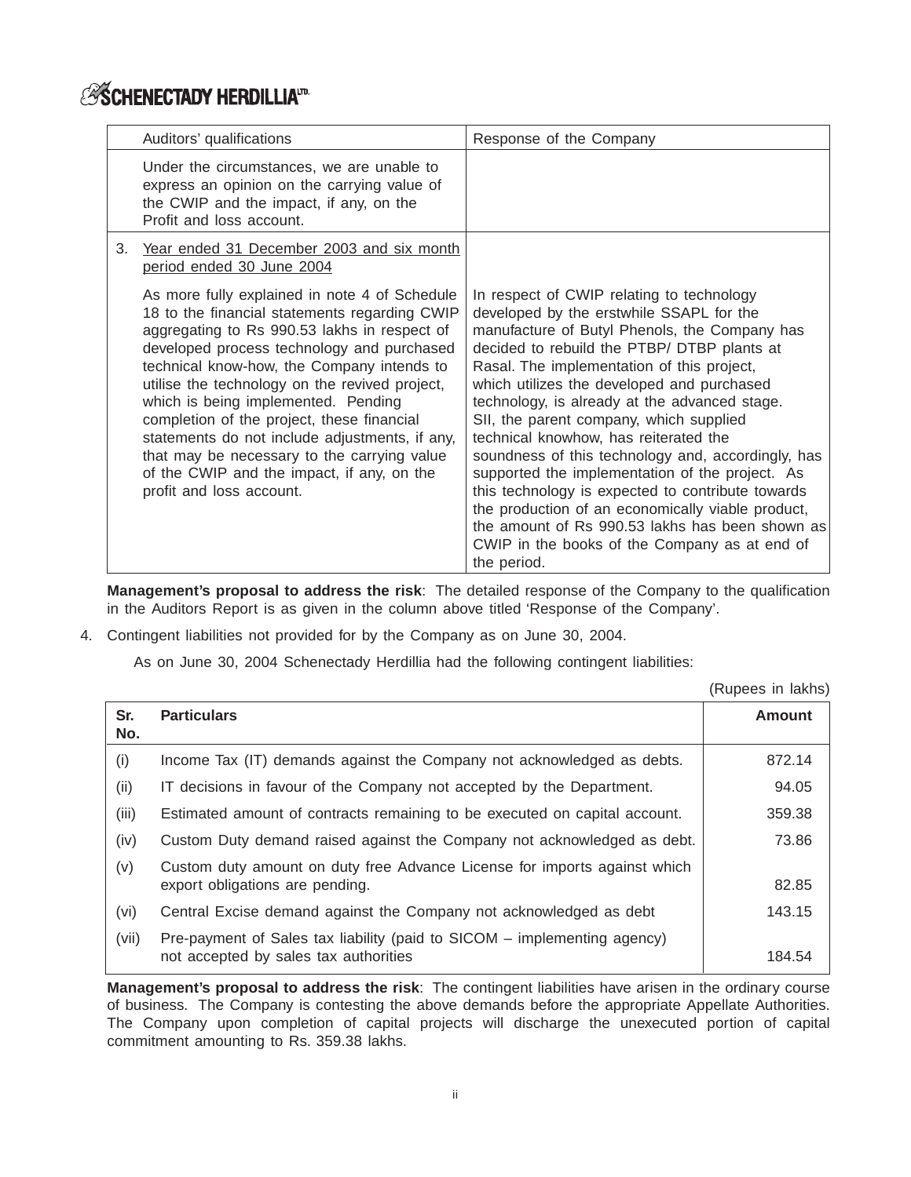# **ESCHENECTADY HERDILLIAID**

|    | Auditors' qualifications                                                                                                                                                                                                                                                                                                                                                                                                                                                                                                                                     | Response of the Company                                                                                                                                                                                                                                                                                                                                                                                                                                                                                                                                                                                                                                                                                                                                      |
|----|--------------------------------------------------------------------------------------------------------------------------------------------------------------------------------------------------------------------------------------------------------------------------------------------------------------------------------------------------------------------------------------------------------------------------------------------------------------------------------------------------------------------------------------------------------------|--------------------------------------------------------------------------------------------------------------------------------------------------------------------------------------------------------------------------------------------------------------------------------------------------------------------------------------------------------------------------------------------------------------------------------------------------------------------------------------------------------------------------------------------------------------------------------------------------------------------------------------------------------------------------------------------------------------------------------------------------------------|
|    | Under the circumstances, we are unable to<br>express an opinion on the carrying value of<br>the CWIP and the impact, if any, on the<br>Profit and loss account.                                                                                                                                                                                                                                                                                                                                                                                              |                                                                                                                                                                                                                                                                                                                                                                                                                                                                                                                                                                                                                                                                                                                                                              |
| 3. | Year ended 31 December 2003 and six month<br>period ended 30 June 2004                                                                                                                                                                                                                                                                                                                                                                                                                                                                                       |                                                                                                                                                                                                                                                                                                                                                                                                                                                                                                                                                                                                                                                                                                                                                              |
|    | As more fully explained in note 4 of Schedule<br>18 to the financial statements regarding CWIP<br>aggregating to Rs 990.53 lakhs in respect of<br>developed process technology and purchased<br>technical know-how, the Company intends to<br>utilise the technology on the revived project,<br>which is being implemented. Pending<br>completion of the project, these financial<br>statements do not include adjustments, if any,<br>that may be necessary to the carrying value<br>of the CWIP and the impact, if any, on the<br>profit and loss account. | In respect of CWIP relating to technology<br>developed by the erstwhile SSAPL for the<br>manufacture of Butyl Phenols, the Company has<br>decided to rebuild the PTBP/ DTBP plants at<br>Rasal. The implementation of this project,<br>which utilizes the developed and purchased<br>technology, is already at the advanced stage.<br>SII, the parent company, which supplied<br>technical knowhow, has reiterated the<br>soundness of this technology and, accordingly, has<br>supported the implementation of the project. As<br>this technology is expected to contribute towards<br>the production of an economically viable product,<br>the amount of Rs 990.53 lakhs has been shown as<br>CWIP in the books of the Company as at end of<br>the period. |

**Management's proposal to address the risk**: The detailed response of the Company to the qualification in the Auditors Report is as given in the column above titled 'Response of the Company'.

4. Contingent liabilities not provided for by the Company as on June 30, 2004.

As on June 30, 2004 Schenectady Herdillia had the following contingent liabilities:

(Rupees in lakhs)

| Sr.<br>No. | <b>Particulars</b>                                                                                                | <b>Amount</b> |
|------------|-------------------------------------------------------------------------------------------------------------------|---------------|
| (i)        | Income Tax (IT) demands against the Company not acknowledged as debts.                                            | 872.14        |
| (ii)       | IT decisions in favour of the Company not accepted by the Department.                                             | 94.05         |
| (iii)      | Estimated amount of contracts remaining to be executed on capital account.                                        | 359.38        |
| (iv)       | Custom Duty demand raised against the Company not acknowledged as debt.                                           | 73.86         |
| (v)        | Custom duty amount on duty free Advance License for imports against which<br>export obligations are pending.      | 82.85         |
| (vi)       | Central Excise demand against the Company not acknowledged as debt                                                | 143.15        |
| (vii)      | Pre-payment of Sales tax liability (paid to SICOM - implementing agency)<br>not accepted by sales tax authorities | 184.54        |

**Management's proposal to address the risk**: The contingent liabilities have arisen in the ordinary course of business. The Company is contesting the above demands before the appropriate Appellate Authorities. The Company upon completion of capital projects will discharge the unexecuted portion of capital commitment amounting to Rs. 359.38 lakhs.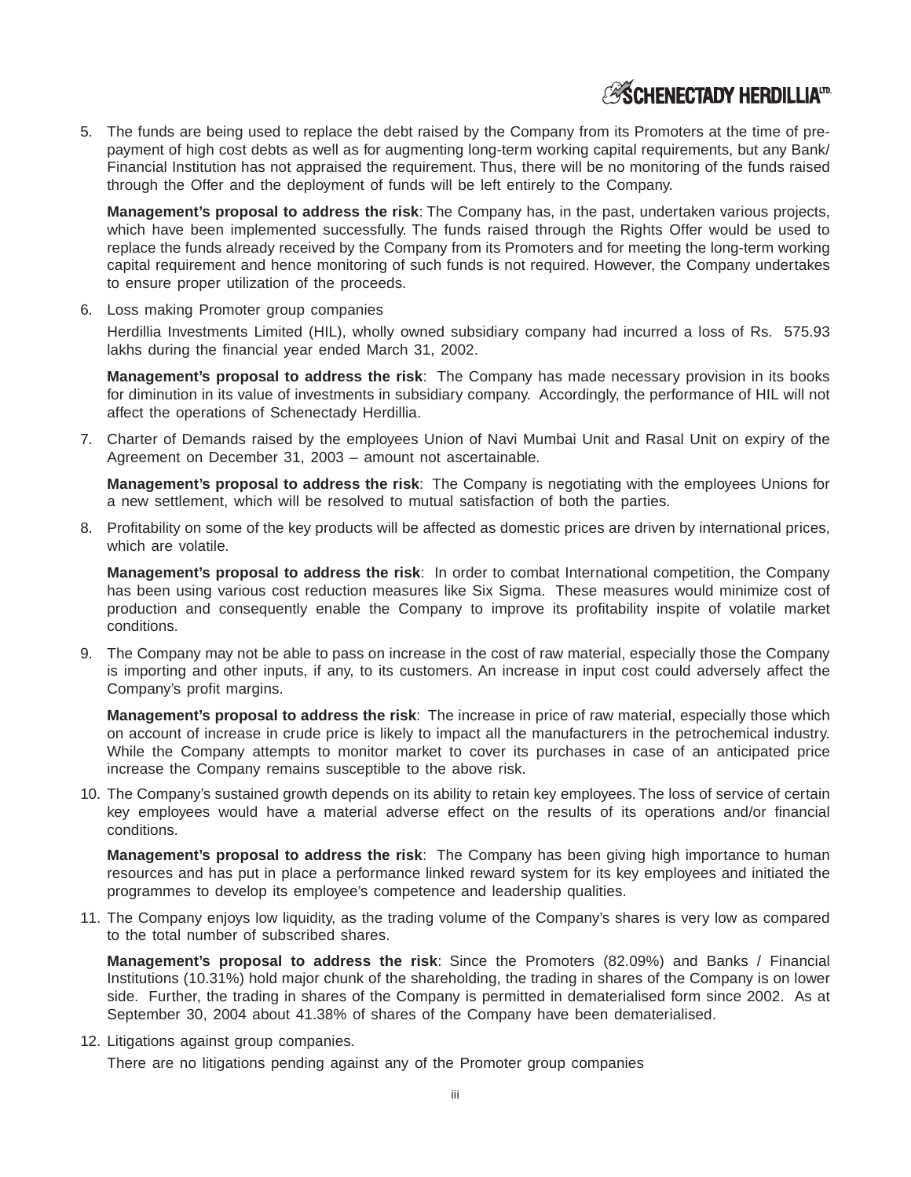## **ESCHENECTADY HERDILLIATD**

5. The funds are being used to replace the debt raised by the Company from its Promoters at the time of prepayment of high cost debts as well as for augmenting long-term working capital requirements, but any Bank/ Financial Institution has not appraised the requirement. Thus, there will be no monitoring of the funds raised through the Offer and the deployment of funds will be left entirely to the Company.

**Management's proposal to address the risk**: The Company has, in the past, undertaken various projects, which have been implemented successfully. The funds raised through the Rights Offer would be used to replace the funds already received by the Company from its Promoters and for meeting the long-term working capital requirement and hence monitoring of such funds is not required. However, the Company undertakes to ensure proper utilization of the proceeds.

6. Loss making Promoter group companies

Herdillia Investments Limited (HIL), wholly owned subsidiary company had incurred a loss of Rs. 575.93 lakhs during the financial year ended March 31, 2002.

**Management's proposal to address the risk**: The Company has made necessary provision in its books for diminution in its value of investments in subsidiary company. Accordingly, the performance of HIL will not affect the operations of Schenectady Herdillia.

7. Charter of Demands raised by the employees Union of Navi Mumbai Unit and Rasal Unit on expiry of the Agreement on December 31, 2003 – amount not ascertainable.

**Management's proposal to address the risk**: The Company is negotiating with the employees Unions for a new settlement, which will be resolved to mutual satisfaction of both the parties.

8. Profitability on some of the key products will be affected as domestic prices are driven by international prices, which are volatile.

**Management's proposal to address the risk**: In order to combat International competition, the Company has been using various cost reduction measures like Six Sigma. These measures would minimize cost of production and consequently enable the Company to improve its profitability inspite of volatile market conditions.

9. The Company may not be able to pass on increase in the cost of raw material, especially those the Company is importing and other inputs, if any, to its customers. An increase in input cost could adversely affect the Company's profit margins.

**Management's proposal to address the risk**: The increase in price of raw material, especially those which on account of increase in crude price is likely to impact all the manufacturers in the petrochemical industry. While the Company attempts to monitor market to cover its purchases in case of an anticipated price increase the Company remains susceptible to the above risk.

10. The Company's sustained growth depends on its ability to retain key employees. The loss of service of certain key employees would have a material adverse effect on the results of its operations and/or financial conditions.

**Management's proposal to address the risk**: The Company has been giving high importance to human resources and has put in place a performance linked reward system for its key employees and initiated the programmes to develop its employee's competence and leadership qualities.

11. The Company enjoys low liquidity, as the trading volume of the Company's shares is very low as compared to the total number of subscribed shares.

**Management's proposal to address the risk**: Since the Promoters (82.09%) and Banks / Financial Institutions (10.31%) hold major chunk of the shareholding, the trading in shares of the Company is on lower side. Further, the trading in shares of the Company is permitted in dematerialised form since 2002. As at September 30, 2004 about 41.38% of shares of the Company have been dematerialised.

12. Litigations against group companies.

There are no litigations pending against any of the Promoter group companies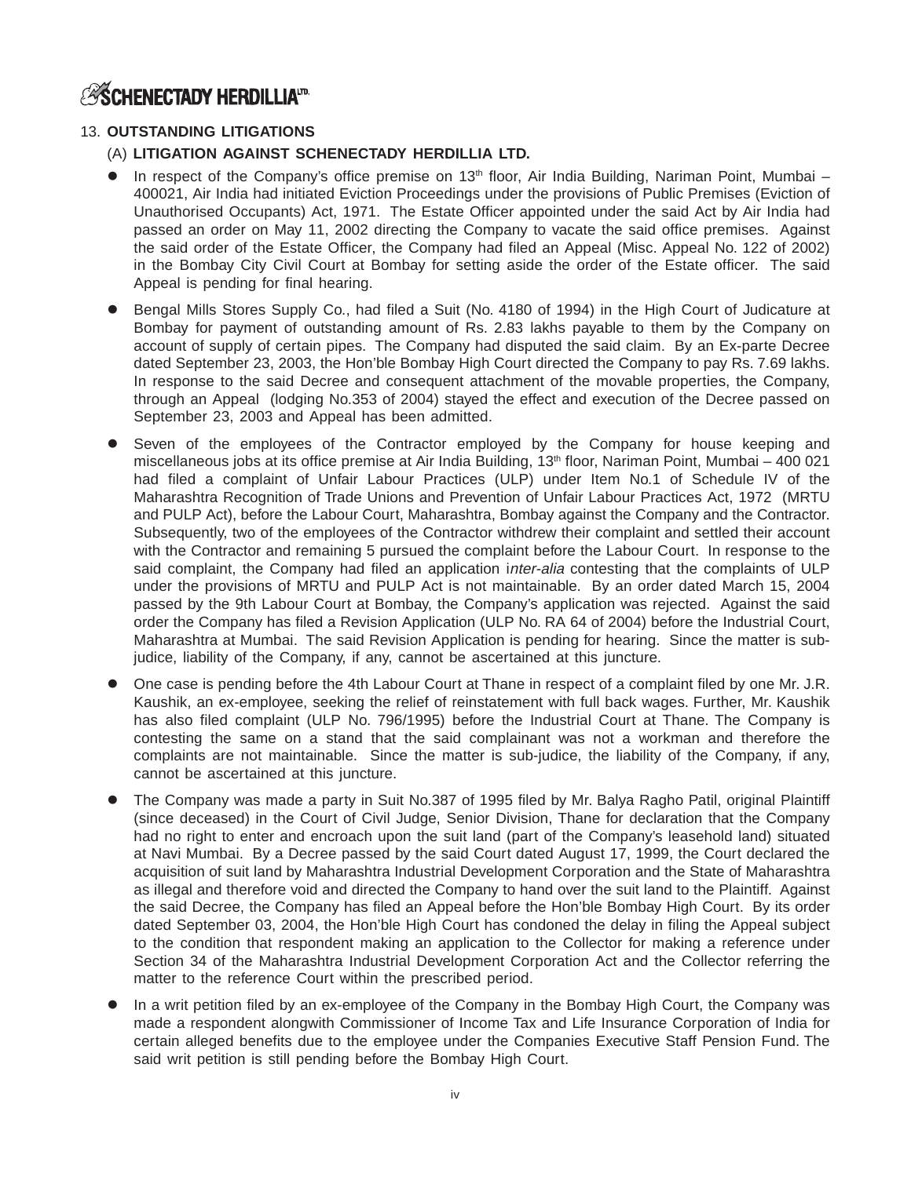## **ASCHENECTADY HERDILLIATD.**

## 13. **OUTSTANDING LITIGATIONS**

- (A) **LITIGATION AGAINST SCHENECTADY HERDILLIA LTD.**
- $\bullet$ In respect of the Company's office premise on  $13<sup>th</sup>$  floor, Air India Building, Nariman Point, Mumbai – 400021, Air India had initiated Eviction Proceedings under the provisions of Public Premises (Eviction of Unauthorised Occupants) Act, 1971. The Estate Officer appointed under the said Act by Air India had passed an order on May 11, 2002 directing the Company to vacate the said office premises. Against the said order of the Estate Officer, the Company had filed an Appeal (Misc. Appeal No. 122 of 2002) in the Bombay City Civil Court at Bombay for setting aside the order of the Estate officer. The said Appeal is pending for final hearing.
- $\bullet$  Bengal Mills Stores Supply Co., had filed a Suit (No. 4180 of 1994) in the High Court of Judicature at Bombay for payment of outstanding amount of Rs. 2.83 lakhs payable to them by the Company on account of supply of certain pipes. The Company had disputed the said claim. By an Ex-parte Decree dated September 23, 2003, the Hon'ble Bombay High Court directed the Company to pay Rs. 7.69 lakhs. In response to the said Decree and consequent attachment of the movable properties, the Company, through an Appeal (lodging No.353 of 2004) stayed the effect and execution of the Decree passed on September 23, 2003 and Appeal has been admitted.
- $\bullet$  Seven of the employees of the Contractor employed by the Company for house keeping and miscellaneous jobs at its office premise at Air India Building, 13<sup>th</sup> floor, Nariman Point, Mumbai – 400 021 had filed a complaint of Unfair Labour Practices (ULP) under Item No.1 of Schedule IV of the Maharashtra Recognition of Trade Unions and Prevention of Unfair Labour Practices Act, 1972 (MRTU and PULP Act), before the Labour Court, Maharashtra, Bombay against the Company and the Contractor. Subsequently, two of the employees of the Contractor withdrew their complaint and settled their account with the Contractor and remaining 5 pursued the complaint before the Labour Court. In response to the said complaint, the Company had filed an application inter-alia contesting that the complaints of ULP under the provisions of MRTU and PULP Act is not maintainable. By an order dated March 15, 2004 passed by the 9th Labour Court at Bombay, the Company's application was rejected. Against the said order the Company has filed a Revision Application (ULP No. RA 64 of 2004) before the Industrial Court, Maharashtra at Mumbai. The said Revision Application is pending for hearing. Since the matter is subjudice, liability of the Company, if any, cannot be ascertained at this juncture.
- $\bullet$  One case is pending before the 4th Labour Court at Thane in respect of a complaint filed by one Mr. J.R. Kaushik, an ex-employee, seeking the relief of reinstatement with full back wages. Further, Mr. Kaushik has also filed complaint (ULP No. 796/1995) before the Industrial Court at Thane. The Company is contesting the same on a stand that the said complainant was not a workman and therefore the complaints are not maintainable. Since the matter is sub-judice, the liability of the Company, if any, cannot be ascertained at this juncture.
- $\bullet$  The Company was made a party in Suit No.387 of 1995 filed by Mr. Balya Ragho Patil, original Plaintiff (since deceased) in the Court of Civil Judge, Senior Division, Thane for declaration that the Company had no right to enter and encroach upon the suit land (part of the Company's leasehold land) situated at Navi Mumbai. By a Decree passed by the said Court dated August 17, 1999, the Court declared the acquisition of suit land by Maharashtra Industrial Development Corporation and the State of Maharashtra as illegal and therefore void and directed the Company to hand over the suit land to the Plaintiff. Against the said Decree, the Company has filed an Appeal before the Hon'ble Bombay High Court. By its order dated September 03, 2004, the Hon'ble High Court has condoned the delay in filing the Appeal subject to the condition that respondent making an application to the Collector for making a reference under Section 34 of the Maharashtra Industrial Development Corporation Act and the Collector referring the matter to the reference Court within the prescribed period.
- $\bullet$  In a writ petition filed by an ex-employee of the Company in the Bombay High Court, the Company was made a respondent alongwith Commissioner of Income Tax and Life Insurance Corporation of India for certain alleged benefits due to the employee under the Companies Executive Staff Pension Fund. The said writ petition is still pending before the Bombay High Court.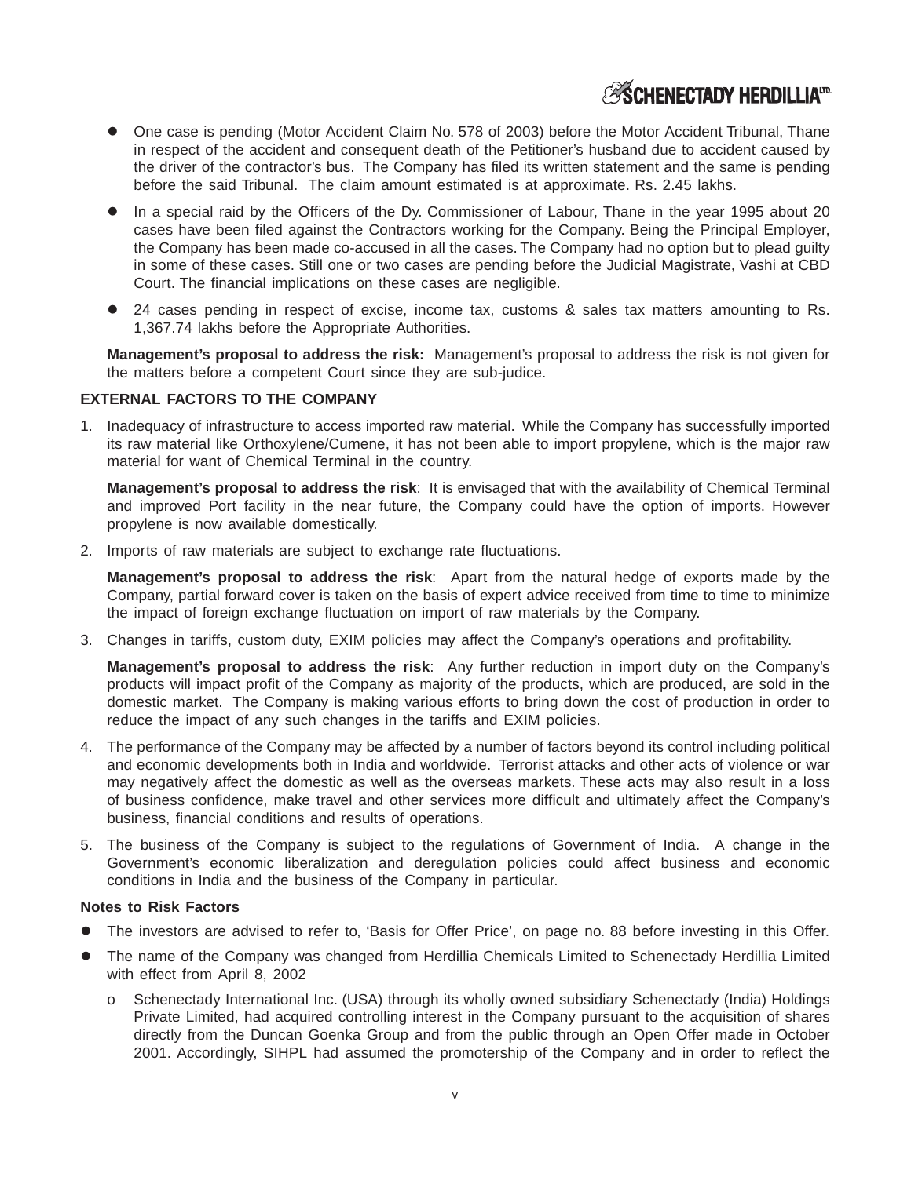## **ESCHENECTADY HERDILLIAID**

- $\bullet$  One case is pending (Motor Accident Claim No. 578 of 2003) before the Motor Accident Tribunal, Thane in respect of the accident and consequent death of the Petitioner's husband due to accident caused by the driver of the contractor's bus. The Company has filed its written statement and the same is pending before the said Tribunal. The claim amount estimated is at approximate. Rs. 2.45 lakhs.
- In a special raid by the Officers of the Dy. Commissioner of Labour, Thane in the year 1995 about 20 cases have been filed against the Contractors working for the Company. Being the Principal Employer, the Company has been made co-accused in all the cases. The Company had no option but to plead guilty in some of these cases. Still one or two cases are pending before the Judicial Magistrate, Vashi at CBD Court. The financial implications on these cases are negligible.
- $\bullet$  24 cases pending in respect of excise, income tax, customs & sales tax matters amounting to Rs. 1,367.74 lakhs before the Appropriate Authorities.

**Management's proposal to address the risk:** Management's proposal to address the risk is not given for the matters before a competent Court since they are sub-judice.

### **EXTERNAL FACTORS TO THE COMPANY**

1. Inadequacy of infrastructure to access imported raw material. While the Company has successfully imported its raw material like Orthoxylene/Cumene, it has not been able to import propylene, which is the major raw material for want of Chemical Terminal in the country.

**Management's proposal to address the risk**: It is envisaged that with the availability of Chemical Terminal and improved Port facility in the near future, the Company could have the option of imports. However propylene is now available domestically.

2. Imports of raw materials are subject to exchange rate fluctuations.

**Management's proposal to address the risk**: Apart from the natural hedge of exports made by the Company, partial forward cover is taken on the basis of expert advice received from time to time to minimize the impact of foreign exchange fluctuation on import of raw materials by the Company.

3. Changes in tariffs, custom duty, EXIM policies may affect the Company's operations and profitability.

**Management's proposal to address the risk**: Any further reduction in import duty on the Company's products will impact profit of the Company as majority of the products, which are produced, are sold in the domestic market. The Company is making various efforts to bring down the cost of production in order to reduce the impact of any such changes in the tariffs and EXIM policies.

- 4. The performance of the Company may be affected by a number of factors beyond its control including political and economic developments both in India and worldwide. Terrorist attacks and other acts of violence or war may negatively affect the domestic as well as the overseas markets. These acts may also result in a loss of business confidence, make travel and other services more difficult and ultimately affect the Company's business, financial conditions and results of operations.
- 5. The business of the Company is subject to the regulations of Government of India. A change in the Government's economic liberalization and deregulation policies could affect business and economic conditions in India and the business of the Company in particular.

### **Notes to Risk Factors**

- $\bullet$ The investors are advised to refer to, 'Basis for Offer Price', on page no. 88 before investing in this Offer.
- $\bullet$  The name of the Company was changed from Herdillia Chemicals Limited to Schenectady Herdillia Limited with effect from April 8, 2002
	- o Schenectady International Inc. (USA) through its wholly owned subsidiary Schenectady (India) Holdings Private Limited, had acquired controlling interest in the Company pursuant to the acquisition of shares directly from the Duncan Goenka Group and from the public through an Open Offer made in October 2001. Accordingly, SIHPL had assumed the promotership of the Company and in order to reflect the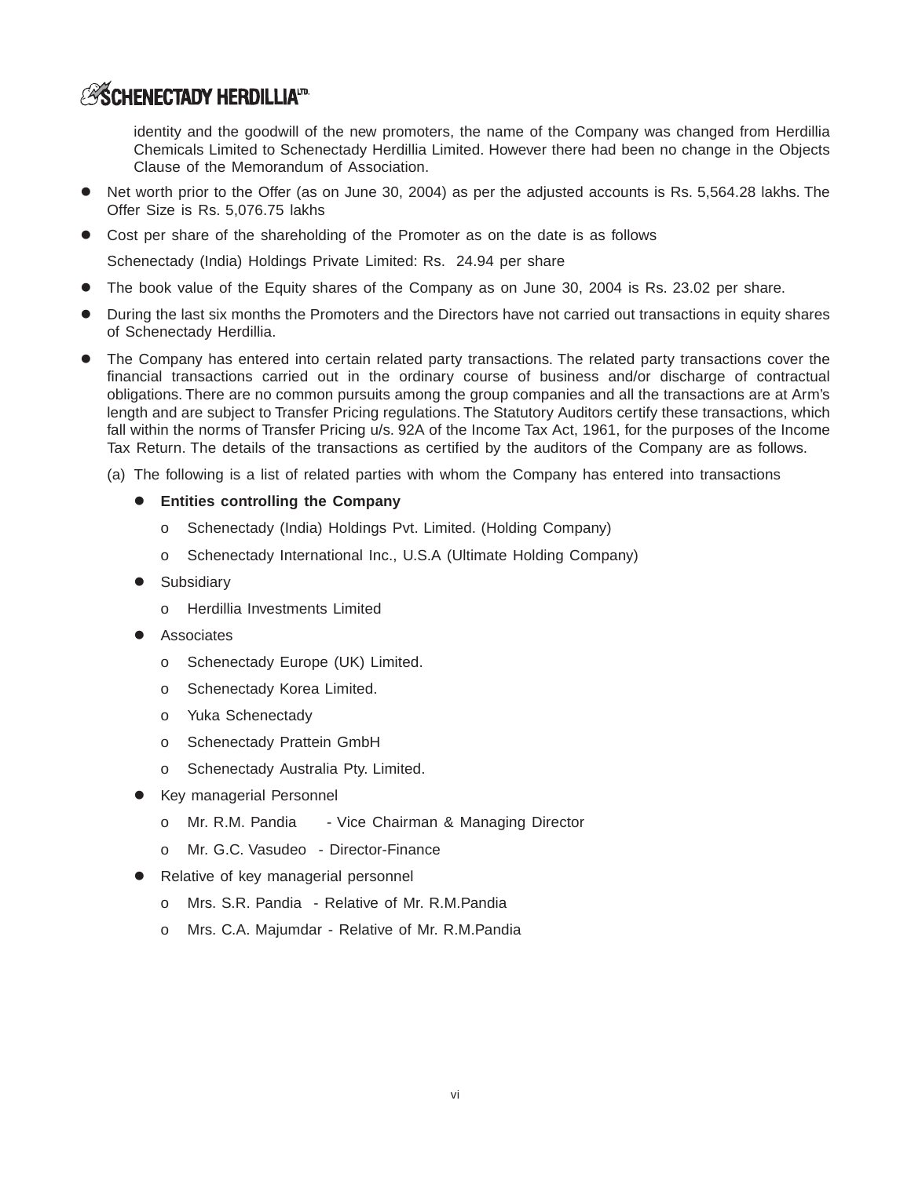## **ASCHENECTADY HERDILLIATD**

identity and the goodwill of the new promoters, the name of the Company was changed from Herdillia Chemicals Limited to Schenectady Herdillia Limited. However there had been no change in the Objects Clause of the Memorandum of Association.

- $\bullet$  Net worth prior to the Offer (as on June 30, 2004) as per the adjusted accounts is Rs. 5,564.28 lakhs. The Offer Size is Rs. 5,076.75 lakhs
- Cost per share of the shareholding of the Promoter as on the date is as follows

Schenectady (India) Holdings Private Limited: Rs. 24.94 per share

- $\bullet$ The book value of the Equity shares of the Company as on June 30, 2004 is Rs. 23.02 per share.
- $\bullet$  During the last six months the Promoters and the Directors have not carried out transactions in equity shares of Schenectady Herdillia.
- $\bullet$  The Company has entered into certain related party transactions. The related party transactions cover the financial transactions carried out in the ordinary course of business and/or discharge of contractual obligations. There are no common pursuits among the group companies and all the transactions are at Arm's length and are subject to Transfer Pricing regulations. The Statutory Auditors certify these transactions, which fall within the norms of Transfer Pricing u/s. 92A of the Income Tax Act, 1961, for the purposes of the Income Tax Return. The details of the transactions as certified by the auditors of the Company are as follows.
	- (a) The following is a list of related parties with whom the Company has entered into transactions
		- **Entities controlling the Company**
			- o Schenectady (India) Holdings Pvt. Limited. (Holding Company)
			- o Schenectady International Inc., U.S.A (Ultimate Holding Company)
		- **•** Subsidiary
			- o Herdillia Investments Limited
		- **•** Associates
			- o Schenectady Europe (UK) Limited.
			- o Schenectady Korea Limited.
			- o Yuka Schenectady
			- o Schenectady Prattein GmbH
			- o Schenectady Australia Pty. Limited.
		- $\bullet$  Key managerial Personnel
			- o Mr. R.M. Pandia Vice Chairman & Managing Director
			- o Mr. G.C. Vasudeo Director-Finance
		- $\bullet$  Relative of key managerial personnel
			- o Mrs. S.R. Pandia Relative of Mr. R.M.Pandia
			- o Mrs. C.A. Majumdar Relative of Mr. R.M.Pandia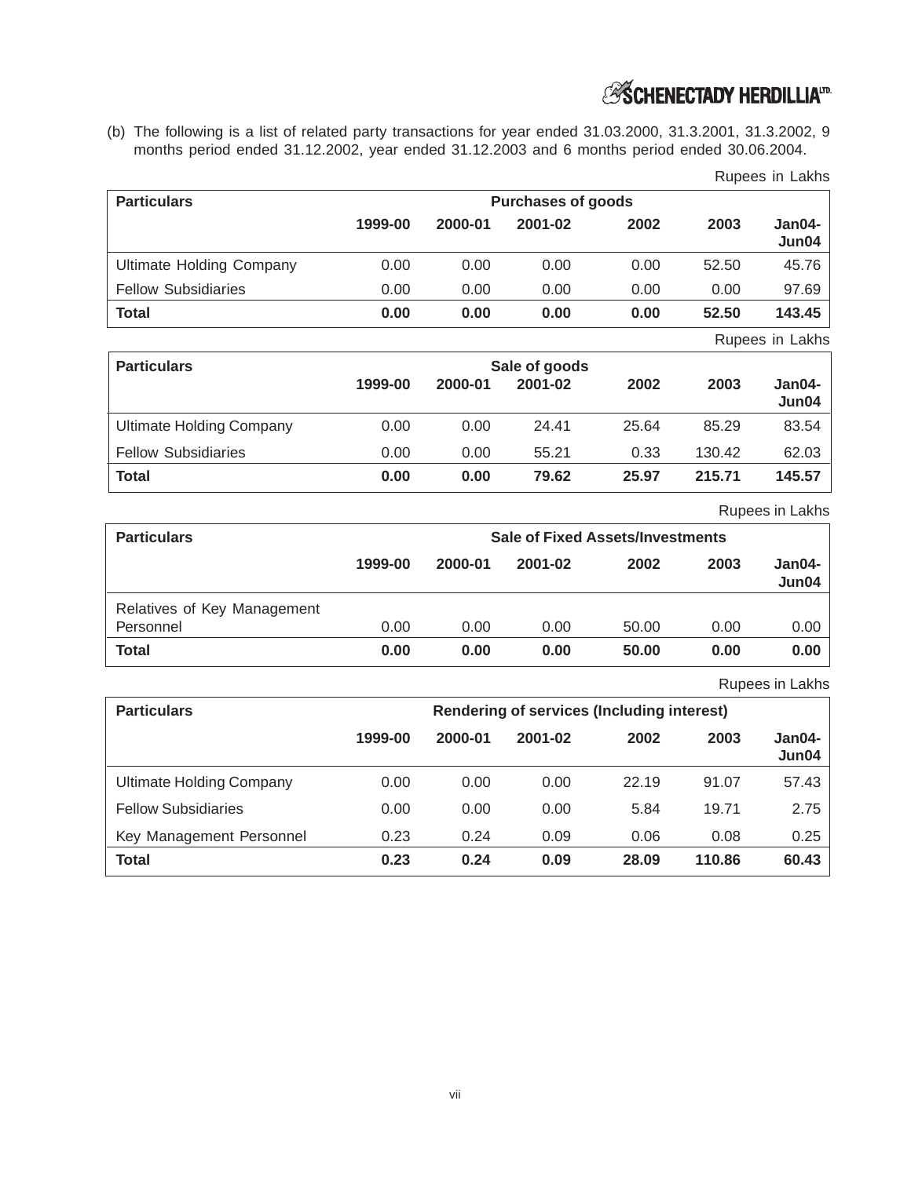## *ES* SCHENECTADY HERDILLIA<sup>ID</sup>

(b) The following is a list of related party transactions for year ended 31.03.2000, 31.3.2001, 31.3.2002, 9 months period ended 31.12.2002, year ended 31.12.2003 and 6 months period ended 30.06.2004.

| <b>Particulars</b>              | <b>Purchases of goods</b> |         |         |      |                          |                   |
|---------------------------------|---------------------------|---------|---------|------|--------------------------|-------------------|
|                                 | 1999-00                   | 2000-01 | 2001-02 | 2002 | 2003                     | $Jan04-$<br>Jun04 |
| <b>Ultimate Holding Company</b> | 0.00                      | 0.00    | 0.00    | 0.00 | 52.50                    | 45.76             |
| <b>Fellow Subsidiaries</b>      | 0.00                      | 0.00    | 0.00    | 0.00 | 0.00                     | 97.69             |
| Total                           | 0.00                      | 0.00    | 0.00    | 0.00 | 52.50                    | 143.45            |
|                                 |                           |         |         |      | $\overline{\phantom{a}}$ | .                 |

Rupees in Lakhs

Rupees in Lakhs

| <b>Particulars</b>              | Sale of goods |         |         |       |        |                   |
|---------------------------------|---------------|---------|---------|-------|--------|-------------------|
|                                 | 1999-00       | 2000-01 | 2001-02 | 2002  | 2003   | $Jan04-$<br>Jun04 |
| <b>Ultimate Holding Company</b> | 0.00          | 0.00    | 24.41   | 25.64 | 85.29  | 83.54             |
| <b>Fellow Subsidiaries</b>      | 0.00          | 0.00    | 55.21   | 0.33  | 130.42 | 62.03             |
| <b>Total</b>                    | 0.00          | 0.00    | 79.62   | 25.97 | 215.71 | 145.57            |

Rupees in Lakhs

| <b>Particulars</b>          | <b>Sale of Fixed Assets/Investments</b> |         |         |       |      |                   |
|-----------------------------|-----------------------------------------|---------|---------|-------|------|-------------------|
|                             | 1999-00                                 | 2000-01 | 2001-02 | 2002  | 2003 | $Jan04-$<br>Jun04 |
| Relatives of Key Management |                                         |         |         |       |      |                   |
| Personnel                   | 0.00                                    | 0.00    | 0.00    | 50.00 | 0.00 | 0.00              |
| <b>Total</b>                | 0.00                                    | 0.00    | 0.00    | 50.00 | 0.00 | 0.00              |

Rupees in Lakhs

| <b>Particulars</b>              | <b>Rendering of services (Including interest)</b> |         |         |       |        |                   |
|---------------------------------|---------------------------------------------------|---------|---------|-------|--------|-------------------|
|                                 | 1999-00                                           | 2000-01 | 2001-02 | 2002  | 2003   | $Jan04-$<br>Jun04 |
| <b>Ultimate Holding Company</b> | 0.00                                              | 0.00    | 0.00    | 22.19 | 91.07  | 57.43             |
| <b>Fellow Subsidiaries</b>      | 0.00                                              | 0.00    | 0.00    | 5.84  | 19.71  | 2.75              |
| Key Management Personnel        | 0.23                                              | 0.24    | 0.09    | 0.06  | 0.08   | 0.25              |
| Total                           | 0.23                                              | 0.24    | 0.09    | 28.09 | 110.86 | 60.43             |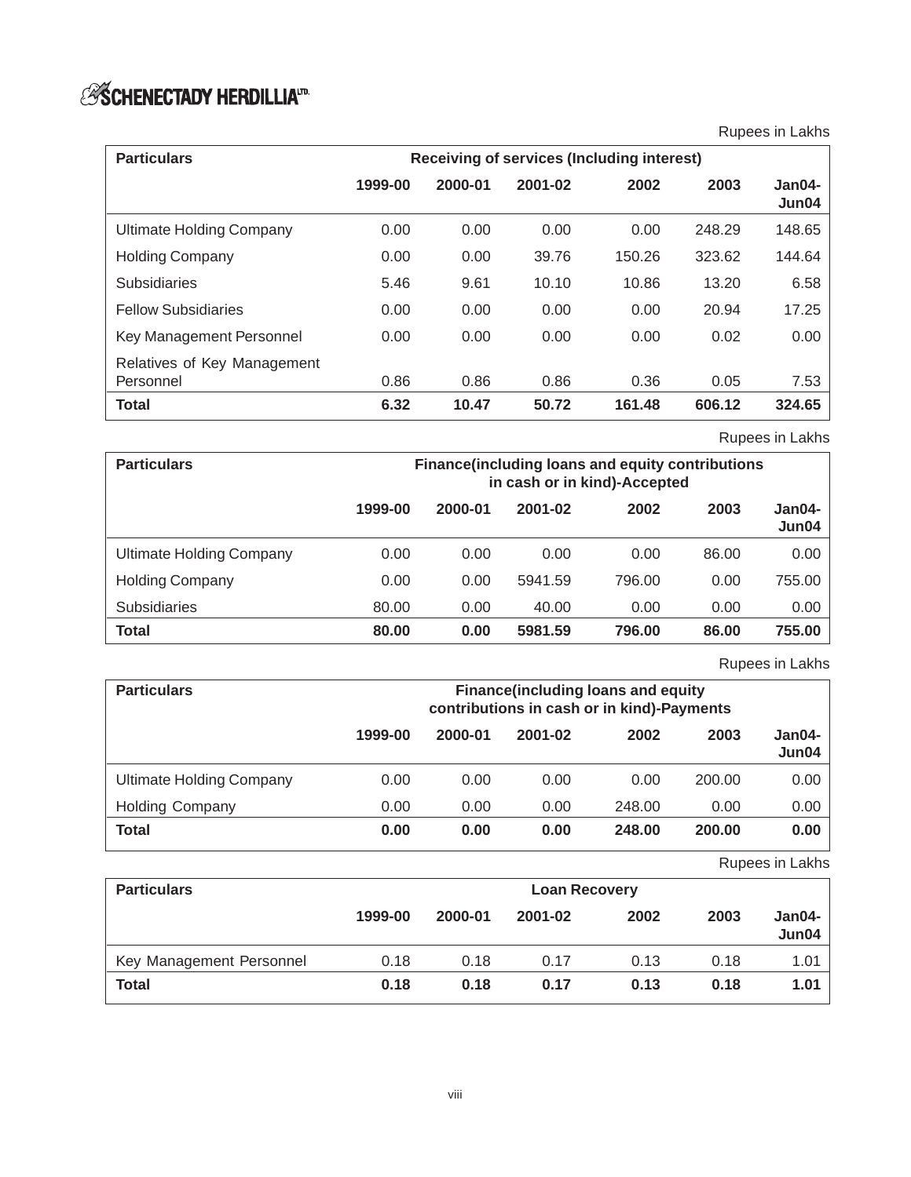# *S* **SCHENECTADY HERDILLIA**<sup>17.</sup>

Rupees in Lakhs

| <b>Particulars</b>                       | <b>Receiving of services (Including interest)</b> |         |         |        |        |                 |
|------------------------------------------|---------------------------------------------------|---------|---------|--------|--------|-----------------|
|                                          | 1999-00                                           | 2000-01 | 2001-02 | 2002   | 2003   | Jan04-<br>Jun04 |
| <b>Ultimate Holding Company</b>          | 0.00                                              | 0.00    | 0.00    | 0.00   | 248.29 | 148.65          |
| <b>Holding Company</b>                   | 0.00                                              | 0.00    | 39.76   | 150.26 | 323.62 | 144.64          |
| <b>Subsidiaries</b>                      | 5.46                                              | 9.61    | 10.10   | 10.86  | 13.20  | 6.58            |
| <b>Fellow Subsidiaries</b>               | 0.00                                              | 0.00    | 0.00    | 0.00   | 20.94  | 17.25           |
| Key Management Personnel                 | 0.00                                              | 0.00    | 0.00    | 0.00   | 0.02   | 0.00            |
| Relatives of Key Management<br>Personnel | 0.86                                              | 0.86    | 0.86    | 0.36   | 0.05   | 7.53            |
| <b>Total</b>                             | 6.32                                              | 10.47   | 50.72   | 161.48 | 606.12 | 324.65          |

Rupees in Lakhs

| <b>Particulars</b>       | <b>Finance (including loans and equity contributions)</b><br>in cash or in kind)-Accepted |         |         |        |       |                   |
|--------------------------|-------------------------------------------------------------------------------------------|---------|---------|--------|-------|-------------------|
|                          | 1999-00                                                                                   | 2000-01 | 2001-02 | 2002   | 2003  | $Jan04-$<br>Jun04 |
| Ultimate Holding Company | 0.00                                                                                      | 0.00    | 0.00    | 0.00   | 86.00 | 0.00              |
| <b>Holding Company</b>   | 0.00                                                                                      | 0.00    | 5941.59 | 796.00 | 0.00  | 755.00            |
| <b>Subsidiaries</b>      | 80.00                                                                                     | 0.00    | 40.00   | 0.00   | 0.00  | 0.00              |
| <b>Total</b>             | 80.00                                                                                     | 0.00    | 5981.59 | 796.00 | 86.00 | 755.00            |

Rupees in Lakhs

| <b>Particulars</b>       | <b>Finance (including loans and equity</b><br>contributions in cash or in kind)-Payments |         |         |        |        |                 |
|--------------------------|------------------------------------------------------------------------------------------|---------|---------|--------|--------|-----------------|
|                          | 1999-00                                                                                  | 2000-01 | 2001-02 | 2002   | 2003   | Jan04-<br>Jun04 |
| Ultimate Holding Company | 0.00                                                                                     | 0.00    | 0.00    | 0.00   | 200.00 | 0.00            |
| <b>Holding Company</b>   | 0.00                                                                                     | 0.00    | 0.00    | 248.00 | 0.00   | 0.00            |
| <b>Total</b>             | 0.00                                                                                     | 0.00    | 0.00    | 248.00 | 200.00 | 0.00            |

Rupees in Lakhs

| <b>Particulars</b>       | <b>Loan Recovery</b> |         |         |      |      |                 |
|--------------------------|----------------------|---------|---------|------|------|-----------------|
|                          | 1999-00              | 2000-01 | 2001-02 | 2002 | 2003 | Jan04-<br>Jun04 |
| Key Management Personnel | 0.18                 | 0.18    | 0.17    | 0.13 | 0.18 | 1.01            |
| Total                    | 0.18                 | 0.18    | 0.17    | 0.13 | 0.18 | 1.01            |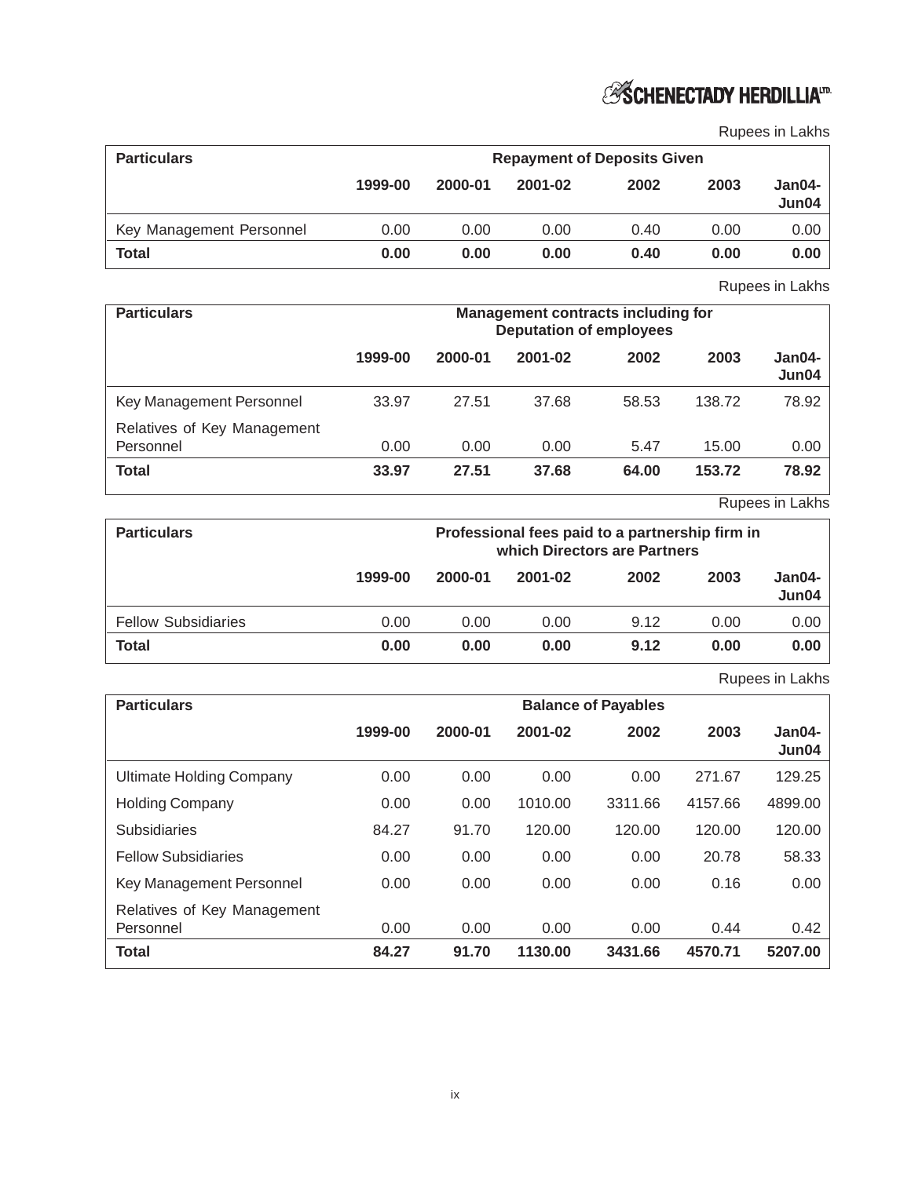

Rupees in Lakhs

| <b>Particulars</b>       | <b>Repayment of Deposits Given</b> |         |         |      |      |                 |
|--------------------------|------------------------------------|---------|---------|------|------|-----------------|
|                          | 1999-00                            | 2000-01 | 2001-02 | 2002 | 2003 | Jan04-<br>Jun04 |
| Key Management Personnel | 0.00                               | 0.00    | 0.00    | 0.40 | 0.00 | 0.00            |
| <b>Total</b>             | 0.00                               | 0.00    | 0.00    | 0.40 | 0.00 | 0.00            |

Rupees in Lakhs

| <b>Particulars</b>                       |         |         |         | <b>Management contracts including for</b><br><b>Deputation of employees</b> |        |                 |  |
|------------------------------------------|---------|---------|---------|-----------------------------------------------------------------------------|--------|-----------------|--|
|                                          | 1999-00 | 2000-01 | 2001-02 | 2002                                                                        | 2003   | Jan04-<br>Jun04 |  |
| Key Management Personnel                 | 33.97   | 27.51   | 37.68   | 58.53                                                                       | 138.72 | 78.92           |  |
| Relatives of Key Management<br>Personnel | 0.00    | 0.00    | 0.00    | 5.47                                                                        | 15.00  | 0.00            |  |
| Total                                    | 33.97   | 27.51   | 37.68   | 64.00                                                                       | 153.72 | 78.92           |  |

Rupees in Lakhs

| <b>Particulars</b>         |         | Professional fees paid to a partnership firm in<br>which Directors are Partners |         |      |      |                 |
|----------------------------|---------|---------------------------------------------------------------------------------|---------|------|------|-----------------|
|                            | 1999-00 | 2000-01                                                                         | 2001-02 | 2002 | 2003 | Jan04-<br>Jun04 |
| <b>Fellow Subsidiaries</b> | 0.00    | 0.00                                                                            | 0.00    | 9.12 | 0.00 | 0.00            |
| Total                      | 0.00    | 0.00                                                                            | 0.00    | 9.12 | 0.00 | 0.00            |

Rupees in Lakhs

| <b>Particulars</b>                       | <b>Balance of Payables</b> |         |         |         |         |                 |  |  |
|------------------------------------------|----------------------------|---------|---------|---------|---------|-----------------|--|--|
|                                          | 1999-00                    | 2000-01 | 2001-02 | 2002    | 2003    | Jan04-<br>Jun04 |  |  |
| <b>Ultimate Holding Company</b>          | 0.00                       | 0.00    | 0.00    | 0.00    | 271.67  | 129.25          |  |  |
| <b>Holding Company</b>                   | 0.00                       | 0.00    | 1010.00 | 3311.66 | 4157.66 | 4899.00         |  |  |
| <b>Subsidiaries</b>                      | 84.27                      | 91.70   | 120.00  | 120.00  | 120.00  | 120.00          |  |  |
| <b>Fellow Subsidiaries</b>               | 0.00                       | 0.00    | 0.00    | 0.00    | 20.78   | 58.33           |  |  |
| Key Management Personnel                 | 0.00                       | 0.00    | 0.00    | 0.00    | 0.16    | 0.00            |  |  |
| Relatives of Key Management<br>Personnel | 0.00                       | 0.00    | 0.00    | 0.00    | 0.44    | 0.42            |  |  |
| <b>Total</b>                             | 84.27                      | 91.70   | 1130.00 | 3431.66 | 4570.71 | 5207.00         |  |  |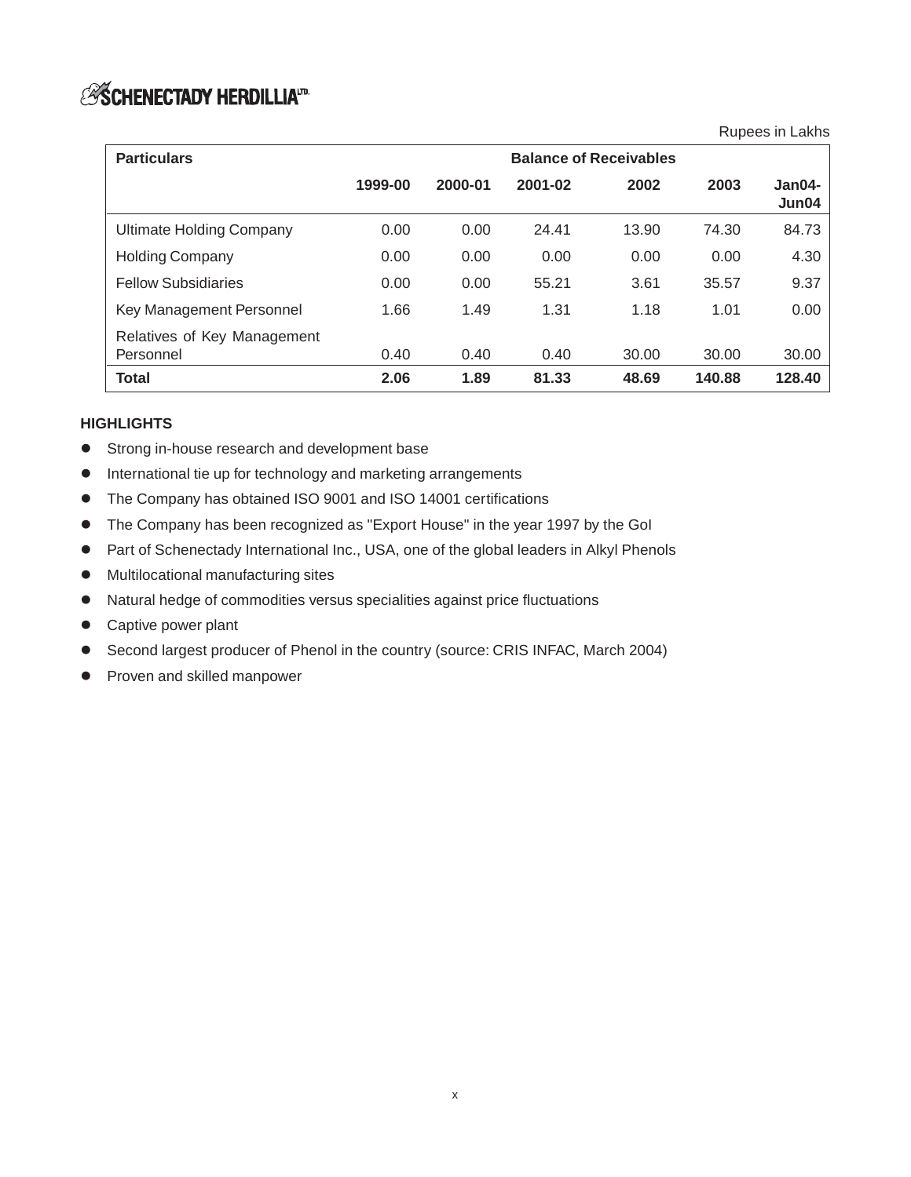# **ESCHENECTADY HERDILLIAID**

Rupees in Lakhs

| <b>Particulars</b>                       | <b>Balance of Receivables</b> |         |         |       |        |                 |
|------------------------------------------|-------------------------------|---------|---------|-------|--------|-----------------|
|                                          | 1999-00                       | 2000-01 | 2001-02 | 2002  | 2003   | Jan04-<br>Jun04 |
| Ultimate Holding Company                 | 0.00                          | 0.00    | 24.41   | 13.90 | 74.30  | 84.73           |
| <b>Holding Company</b>                   | 0.00                          | 0.00    | 0.00    | 0.00  | 0.00   | 4.30            |
| <b>Fellow Subsidiaries</b>               | 0.00                          | 0.00    | 55.21   | 3.61  | 35.57  | 9.37            |
| Key Management Personnel                 | 1.66                          | 1.49    | 1.31    | 1.18  | 1.01   | 0.00            |
| Relatives of Key Management<br>Personnel | 0.40                          | 0.40    | 0.40    | 30.00 | 30.00  | 30.00           |
| <b>Total</b>                             | 2.06                          | 1.89    | 81.33   | 48.69 | 140.88 | 128.40          |

## **HIGHLIGHTS**

- $\bullet$ Strong in-house research and development base
- $\bullet$ International tie up for technology and marketing arrangements
- $\bullet$ The Company has obtained ISO 9001 and ISO 14001 certifications
- $\bullet$ The Company has been recognized as "Export House" in the year 1997 by the GoI
- $\bullet$ Part of Schenectady International Inc., USA, one of the global leaders in Alkyl Phenols
- $\bullet$ Multilocational manufacturing sites
- $\bullet$ Natural hedge of commodities versus specialities against price fluctuations
- Captive power plant
- $\bullet$ Second largest producer of Phenol in the country (source: CRIS INFAC, March 2004)
- **•** Proven and skilled manpower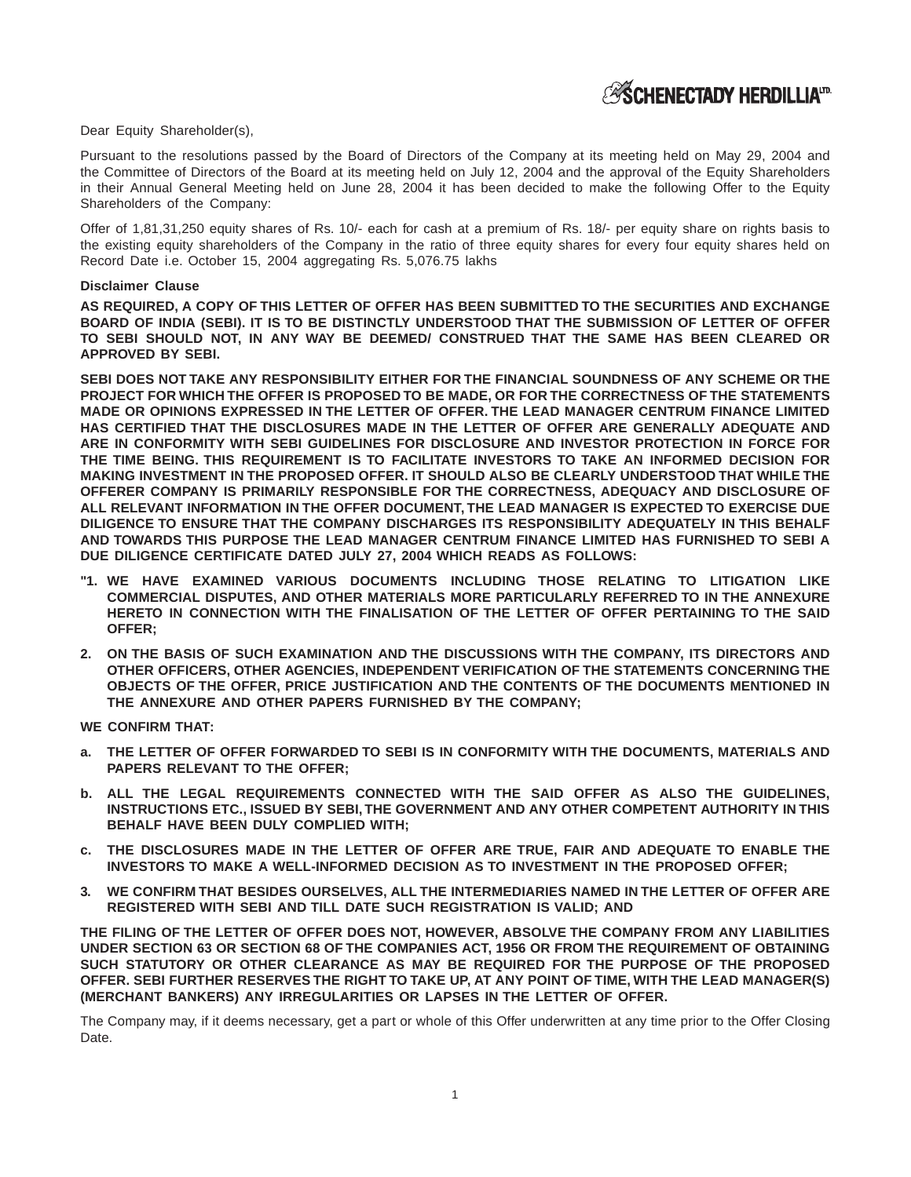Dear Equity Shareholder(s),

Pursuant to the resolutions passed by the Board of Directors of the Company at its meeting held on May 29, 2004 and the Committee of Directors of the Board at its meeting held on July 12, 2004 and the approval of the Equity Shareholders in their Annual General Meeting held on June 28, 2004 it has been decided to make the following Offer to the Equity Shareholders of the Company:

Offer of 1,81,31,250 equity shares of Rs. 10/- each for cash at a premium of Rs. 18/- per equity share on rights basis to the existing equity shareholders of the Company in the ratio of three equity shares for every four equity shares held on Record Date i.e. October 15, 2004 aggregating Rs. 5,076.75 lakhs

#### **Disclaimer Clause**

**AS REQUIRED, A COPY OF THIS LETTER OF OFFER HAS BEEN SUBMITTED TO THE SECURITIES AND EXCHANGE BOARD OF INDIA (SEBI). IT IS TO BE DISTINCTLY UNDERSTOOD THAT THE SUBMISSION OF LETTER OF OFFER TO SEBI SHOULD NOT, IN ANY WAY BE DEEMED/ CONSTRUED THAT THE SAME HAS BEEN CLEARED OR APPROVED BY SEBI.**

**SEBI DOES NOT TAKE ANY RESPONSIBILITY EITHER FOR THE FINANCIAL SOUNDNESS OF ANY SCHEME OR THE PROJECT FOR WHICH THE OFFER IS PROPOSED TO BE MADE, OR FOR THE CORRECTNESS OF THE STATEMENTS MADE OR OPINIONS EXPRESSED IN THE LETTER OF OFFER. THE LEAD MANAGER CENTRUM FINANCE LIMITED HAS CERTIFIED THAT THE DISCLOSURES MADE IN THE LETTER OF OFFER ARE GENERALLY ADEQUATE AND ARE IN CONFORMITY WITH SEBI GUIDELINES FOR DISCLOSURE AND INVESTOR PROTECTION IN FORCE FOR THE TIME BEING. THIS REQUIREMENT IS TO FACILITATE INVESTORS TO TAKE AN INFORMED DECISION FOR MAKING INVESTMENT IN THE PROPOSED OFFER. IT SHOULD ALSO BE CLEARLY UNDERSTOOD THAT WHILE THE OFFERER COMPANY IS PRIMARILY RESPONSIBLE FOR THE CORRECTNESS, ADEQUACY AND DISCLOSURE OF ALL RELEVANT INFORMATION IN THE OFFER DOCUMENT, THE LEAD MANAGER IS EXPECTED TO EXERCISE DUE DILIGENCE TO ENSURE THAT THE COMPANY DISCHARGES ITS RESPONSIBILITY ADEQUATELY IN THIS BEHALF AND TOWARDS THIS PURPOSE THE LEAD MANAGER CENTRUM FINANCE LIMITED HAS FURNISHED TO SEBI A DUE DILIGENCE CERTIFICATE DATED JULY 27, 2004 WHICH READS AS FOLLOWS:**

- **"1. WE HAVE EXAMINED VARIOUS DOCUMENTS INCLUDING THOSE RELATING TO LITIGATION LIKE COMMERCIAL DISPUTES, AND OTHER MATERIALS MORE PARTICULARLY REFERRED TO IN THE ANNEXURE HERETO IN CONNECTION WITH THE FINALISATION OF THE LETTER OF OFFER PERTAINING TO THE SAID OFFER;**
- **2. ON THE BASIS OF SUCH EXAMINATION AND THE DISCUSSIONS WITH THE COMPANY, ITS DIRECTORS AND OTHER OFFICERS, OTHER AGENCIES, INDEPENDENT VERIFICATION OF THE STATEMENTS CONCERNING THE OBJECTS OF THE OFFER, PRICE JUSTIFICATION AND THE CONTENTS OF THE DOCUMENTS MENTIONED IN THE ANNEXURE AND OTHER PAPERS FURNISHED BY THE COMPANY;**

**WE CONFIRM THAT:**

- THE LETTER OF OFFER FORWARDED TO SEBI IS IN CONFORMITY WITH THE DOCUMENTS, MATERIALS AND **PAPERS RELEVANT TO THE OFFER;**
- **b. ALL THE LEGAL REQUIREMENTS CONNECTED WITH THE SAID OFFER AS ALSO THE GUIDELINES, INSTRUCTIONS ETC., ISSUED BY SEBI, THE GOVERNMENT AND ANY OTHER COMPETENT AUTHORITY IN THIS BEHALF HAVE BEEN DULY COMPLIED WITH;**
- **c. THE DISCLOSURES MADE IN THE LETTER OF OFFER ARE TRUE, FAIR AND ADEQUATE TO ENABLE THE INVESTORS TO MAKE A WELL-INFORMED DECISION AS TO INVESTMENT IN THE PROPOSED OFFER;**
- **3. WE CONFIRM THAT BESIDES OURSELVES, ALL THE INTERMEDIARIES NAMED IN THE LETTER OF OFFER ARE REGISTERED WITH SEBI AND TILL DATE SUCH REGISTRATION IS VALID; AND**

**THE FILING OF THE LETTER OF OFFER DOES NOT, HOWEVER, ABSOLVE THE COMPANY FROM ANY LIABILITIES UNDER SECTION 63 OR SECTION 68 OF THE COMPANIES ACT, 1956 OR FROM THE REQUIREMENT OF OBTAINING SUCH STATUTORY OR OTHER CLEARANCE AS MAY BE REQUIRED FOR THE PURPOSE OF THE PROPOSED OFFER. SEBI FURTHER RESERVES THE RIGHT TO TAKE UP, AT ANY POINT OF TIME, WITH THE LEAD MANAGER(S) (MERCHANT BANKERS) ANY IRREGULARITIES OR LAPSES IN THE LETTER OF OFFER.**

The Company may, if it deems necessary, get a part or whole of this Offer underwritten at any time prior to the Offer Closing Date.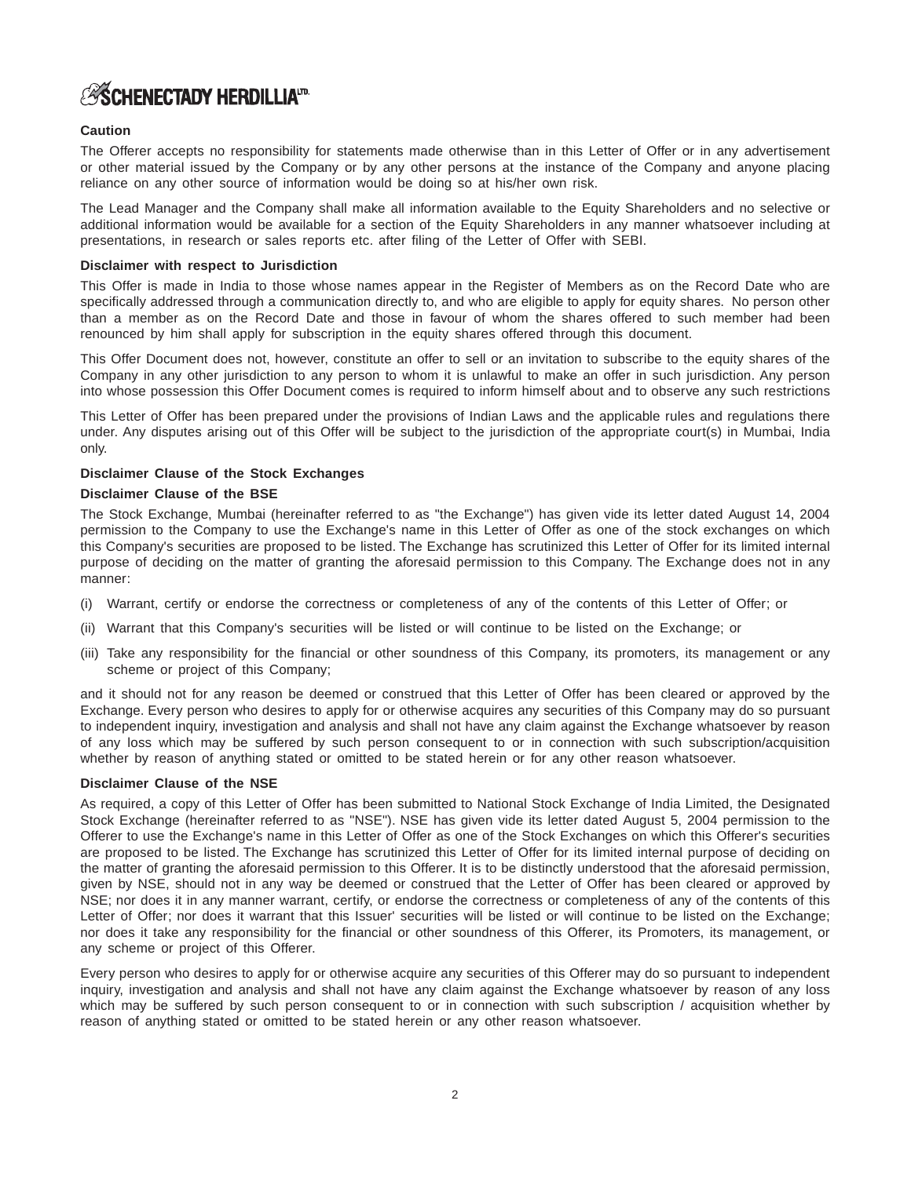## **ASCHENECTADY HERDILLIATD**

### **Caution**

The Offerer accepts no responsibility for statements made otherwise than in this Letter of Offer or in any advertisement or other material issued by the Company or by any other persons at the instance of the Company and anyone placing reliance on any other source of information would be doing so at his/her own risk.

The Lead Manager and the Company shall make all information available to the Equity Shareholders and no selective or additional information would be available for a section of the Equity Shareholders in any manner whatsoever including at presentations, in research or sales reports etc. after filing of the Letter of Offer with SEBI.

### **Disclaimer with respect to Jurisdiction**

This Offer is made in India to those whose names appear in the Register of Members as on the Record Date who are specifically addressed through a communication directly to, and who are eligible to apply for equity shares. No person other than a member as on the Record Date and those in favour of whom the shares offered to such member had been renounced by him shall apply for subscription in the equity shares offered through this document.

This Offer Document does not, however, constitute an offer to sell or an invitation to subscribe to the equity shares of the Company in any other jurisdiction to any person to whom it is unlawful to make an offer in such jurisdiction. Any person into whose possession this Offer Document comes is required to inform himself about and to observe any such restrictions

This Letter of Offer has been prepared under the provisions of Indian Laws and the applicable rules and regulations there under. Any disputes arising out of this Offer will be subject to the jurisdiction of the appropriate court(s) in Mumbai, India only.

### **Disclaimer Clause of the Stock Exchanges**

### **Disclaimer Clause of the BSE**

The Stock Exchange, Mumbai (hereinafter referred to as "the Exchange") has given vide its letter dated August 14, 2004 permission to the Company to use the Exchange's name in this Letter of Offer as one of the stock exchanges on which this Company's securities are proposed to be listed. The Exchange has scrutinized this Letter of Offer for its limited internal purpose of deciding on the matter of granting the aforesaid permission to this Company. The Exchange does not in any manner:

- (i) Warrant, certify or endorse the correctness or completeness of any of the contents of this Letter of Offer; or
- (ii) Warrant that this Company's securities will be listed or will continue to be listed on the Exchange; or
- (iii) Take any responsibility for the financial or other soundness of this Company, its promoters, its management or any scheme or project of this Company;

and it should not for any reason be deemed or construed that this Letter of Offer has been cleared or approved by the Exchange. Every person who desires to apply for or otherwise acquires any securities of this Company may do so pursuant to independent inquiry, investigation and analysis and shall not have any claim against the Exchange whatsoever by reason of any loss which may be suffered by such person consequent to or in connection with such subscription/acquisition whether by reason of anything stated or omitted to be stated herein or for any other reason whatsoever.

### **Disclaimer Clause of the NSE**

As required, a copy of this Letter of Offer has been submitted to National Stock Exchange of India Limited, the Designated Stock Exchange (hereinafter referred to as "NSE"). NSE has given vide its letter dated August 5, 2004 permission to the Offerer to use the Exchange's name in this Letter of Offer as one of the Stock Exchanges on which this Offerer's securities are proposed to be listed. The Exchange has scrutinized this Letter of Offer for its limited internal purpose of deciding on the matter of granting the aforesaid permission to this Offerer. It is to be distinctly understood that the aforesaid permission, given by NSE, should not in any way be deemed or construed that the Letter of Offer has been cleared or approved by NSE; nor does it in any manner warrant, certify, or endorse the correctness or completeness of any of the contents of this Letter of Offer; nor does it warrant that this Issuer' securities will be listed or will continue to be listed on the Exchange; nor does it take any responsibility for the financial or other soundness of this Offerer, its Promoters, its management, or any scheme or project of this Offerer.

Every person who desires to apply for or otherwise acquire any securities of this Offerer may do so pursuant to independent inquiry, investigation and analysis and shall not have any claim against the Exchange whatsoever by reason of any loss which may be suffered by such person consequent to or in connection with such subscription / acquisition whether by reason of anything stated or omitted to be stated herein or any other reason whatsoever.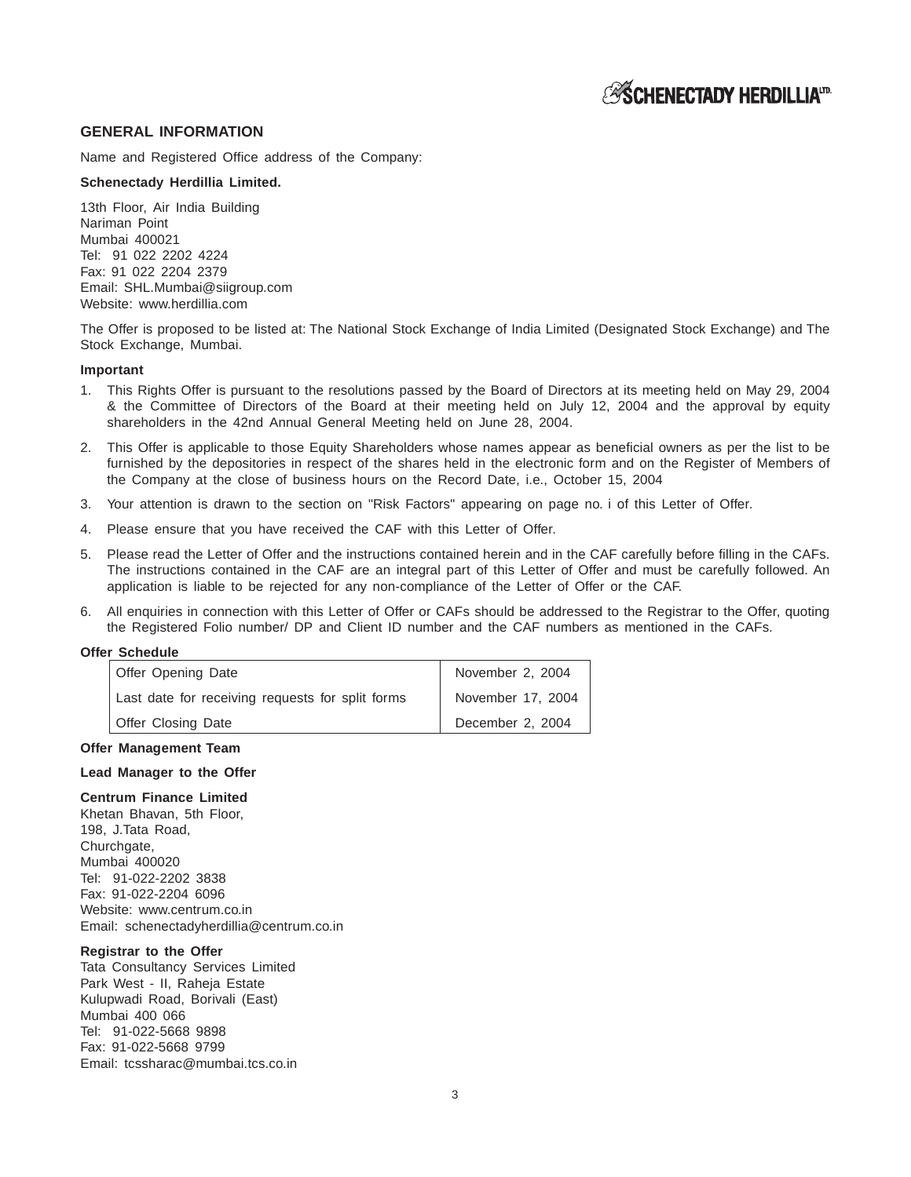### **GENERAL INFORMATION**

Name and Registered Office address of the Company:

#### **Schenectady Herdillia Limited.**

13th Floor, Air India Building Nariman Point Mumbai 400021 Tel: 91 022 2202 4224 Fax: 91 022 2204 2379 Email: SHL.Mumbai@siigroup.com Website: www.herdillia.com

The Offer is proposed to be listed at: The National Stock Exchange of India Limited (Designated Stock Exchange) and The Stock Exchange, Mumbai.

### **Important**

- 1. This Rights Offer is pursuant to the resolutions passed by the Board of Directors at its meeting held on May 29, 2004 & the Committee of Directors of the Board at their meeting held on July 12, 2004 and the approval by equity shareholders in the 42nd Annual General Meeting held on June 28, 2004.
- 2. This Offer is applicable to those Equity Shareholders whose names appear as beneficial owners as per the list to be furnished by the depositories in respect of the shares held in the electronic form and on the Register of Members of the Company at the close of business hours on the Record Date, i.e., October 15, 2004
- 3. Your attention is drawn to the section on "Risk Factors" appearing on page no. i of this Letter of Offer.
- 4. Please ensure that you have received the CAF with this Letter of Offer.
- 5. Please read the Letter of Offer and the instructions contained herein and in the CAF carefully before filling in the CAFs. The instructions contained in the CAF are an integral part of this Letter of Offer and must be carefully followed. An application is liable to be rejected for any non-compliance of the Letter of Offer or the CAF.
- 6. All enquiries in connection with this Letter of Offer or CAFs should be addressed to the Registrar to the Offer, quoting the Registered Folio number/ DP and Client ID number and the CAF numbers as mentioned in the CAFs.

### **Offer Schedule**

| Offer Opening Date                               | November 2, 2004  |
|--------------------------------------------------|-------------------|
| Last date for receiving requests for split forms | November 17, 2004 |
| Offer Closing Date                               | December 2, 2004  |

#### **Offer Management Team**

#### **Lead Manager to the Offer**

#### **Centrum Finance Limited**

Khetan Bhavan, 5th Floor, 198, J.Tata Road, Churchgate, Mumbai 400020 Tel: 91-022-2202 3838 Fax: 91-022-2204 6096 Website: www.centrum.co.in Email: schenectadyherdillia@centrum.co.in

#### **Registrar to the Offer**

Tata Consultancy Services Limited Park West - II, Raheja Estate Kulupwadi Road, Borivali (East) Mumbai 400 066 Tel: 91-022-5668 9898 Fax: 91-022-5668 9799 Email: tcssharac@mumbai.tcs.co.in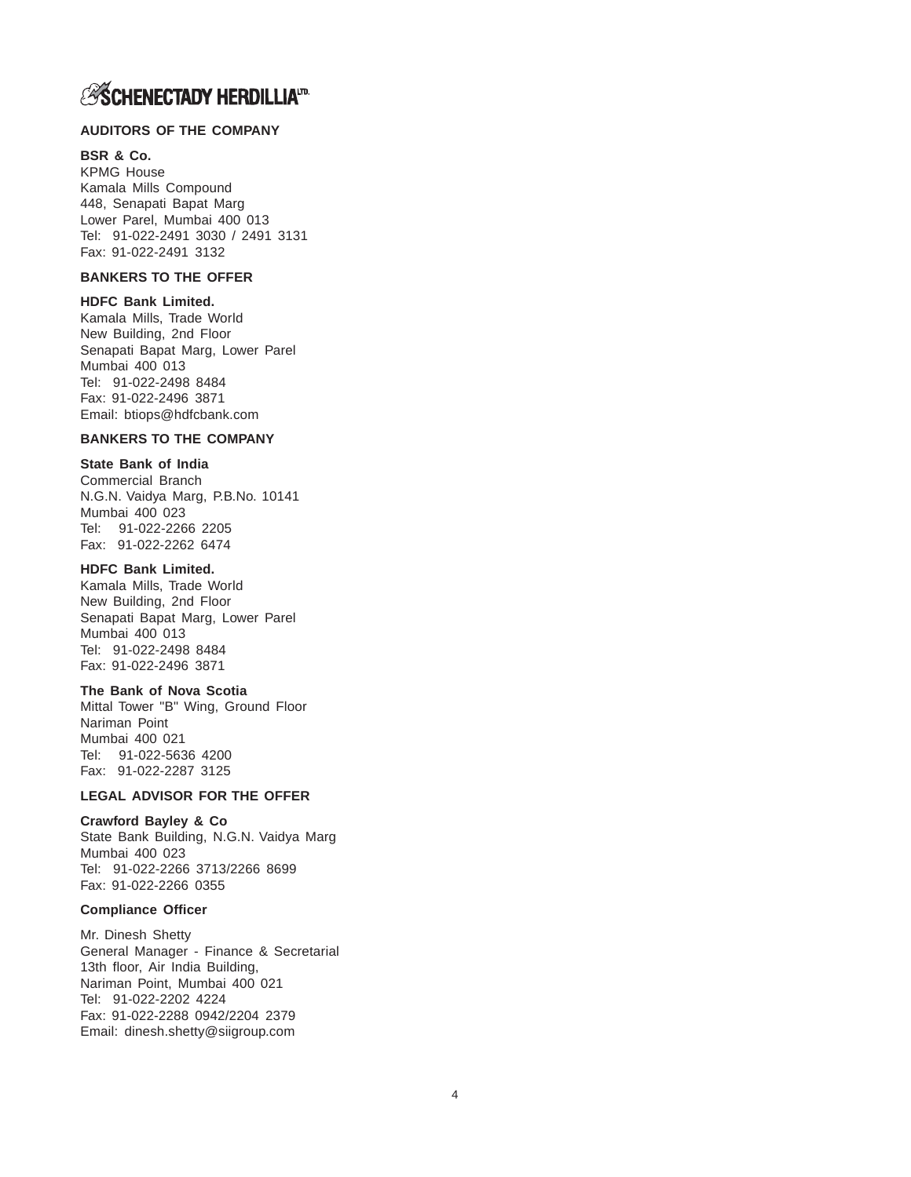## **ASCHENECTADY HERDILLIATD.**

### **AUDITORS OF THE COMPANY**

### **BSR & Co.**

KPMG House Kamala Mills Compound 448, Senapati Bapat Marg Lower Parel, Mumbai 400 013 Tel: 91-022-2491 3030 / 2491 3131 Fax: 91-022-2491 3132

### **BANKERS TO THE OFFER**

### **HDFC Bank Limited.**

Kamala Mills, Trade World New Building, 2nd Floor Senapati Bapat Marg, Lower Parel Mumbai 400 013 Tel: 91-022-2498 8484 Fax: 91-022-2496 3871 Email: btiops@hdfcbank.com

### **BANKERS TO THE COMPANY**

## **State Bank of India**

Commercial Branch N.G.N. Vaidya Marg, P.B.No. 10141 Mumbai 400 023 Tel: 91-022-2266 2205 Fax: 91-022-2262 6474

### **HDFC Bank Limited.**

Kamala Mills, Trade World New Building, 2nd Floor Senapati Bapat Marg, Lower Parel Mumbai 400 013 Tel: 91-022-2498 8484 Fax: 91-022-2496 3871

#### **The Bank of Nova Scotia**

Mittal Tower "B" Wing, Ground Floor Nariman Point Mumbai 400 021 Tel: 91-022-5636 4200 Fax: 91-022-2287 3125

### **LEGAL ADVISOR FOR THE OFFER**

### **Crawford Bayley & Co**

State Bank Building, N.G.N. Vaidya Marg Mumbai 400 023 Tel: 91-022-2266 3713/2266 8699 Fax: 91-022-2266 0355

#### **Compliance Officer**

Mr. Dinesh Shetty General Manager - Finance & Secretarial 13th floor, Air India Building, Nariman Point, Mumbai 400 021 Tel: 91-022-2202 4224 Fax: 91-022-2288 0942/2204 2379 Email: dinesh.shetty@siigroup.com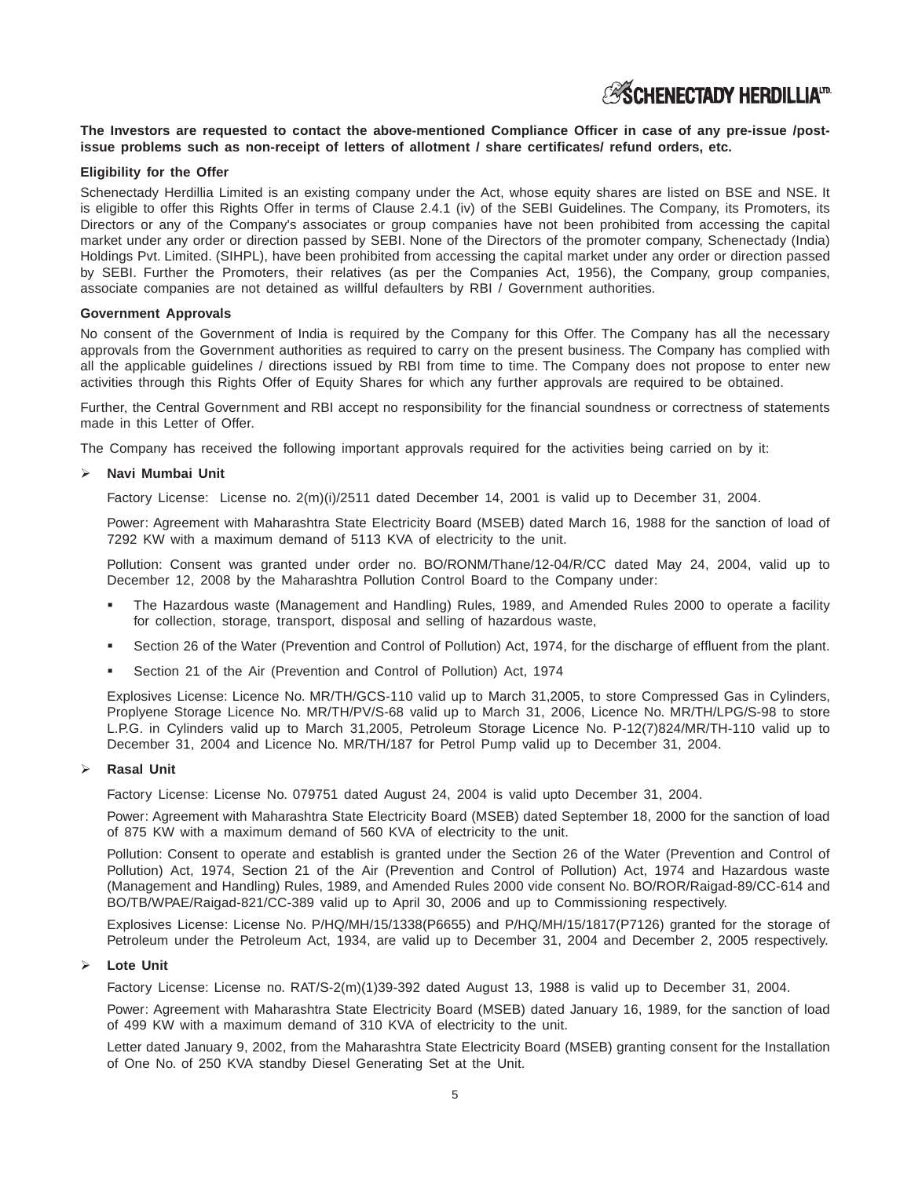## **ESCHENECTADY HERDILLIAID**

### **The Investors are requested to contact the above-mentioned Compliance Officer in case of any pre-issue /postissue problems such as non-receipt of letters of allotment / share certificates/ refund orders, etc.**

### **Eligibility for the Offer**

Schenectady Herdillia Limited is an existing company under the Act, whose equity shares are listed on BSE and NSE. It is eligible to offer this Rights Offer in terms of Clause 2.4.1 (iv) of the SEBI Guidelines. The Company, its Promoters, its Directors or any of the Company's associates or group companies have not been prohibited from accessing the capital market under any order or direction passed by SEBI. None of the Directors of the promoter company, Schenectady (India) Holdings Pvt. Limited. (SIHPL), have been prohibited from accessing the capital market under any order or direction passed by SEBI. Further the Promoters, their relatives (as per the Companies Act, 1956), the Company, group companies, associate companies are not detained as willful defaulters by RBI / Government authorities.

#### **Government Approvals**

No consent of the Government of India is required by the Company for this Offer. The Company has all the necessary approvals from the Government authorities as required to carry on the present business. The Company has complied with all the applicable guidelines / directions issued by RBI from time to time. The Company does not propose to enter new activities through this Rights Offer of Equity Shares for which any further approvals are required to be obtained.

Further, the Central Government and RBI accept no responsibility for the financial soundness or correctness of statements made in this Letter of Offer.

The Company has received the following important approvals required for the activities being carried on by it:

### **Navi Mumbai Unit**

Factory License: License no. 2(m)(i)/2511 dated December 14, 2001 is valid up to December 31, 2004.

Power: Agreement with Maharashtra State Electricity Board (MSEB) dated March 16, 1988 for the sanction of load of 7292 KW with a maximum demand of 5113 KVA of electricity to the unit.

Pollution: Consent was granted under order no. BO/RONM/Thane/12-04/R/CC dated May 24, 2004, valid up to December 12, 2008 by the Maharashtra Pollution Control Board to the Company under:

- - The Hazardous waste (Management and Handling) Rules, 1989, and Amended Rules 2000 to operate a facility for collection, storage, transport, disposal and selling of hazardous waste,
- -Section 26 of the Water (Prevention and Control of Pollution) Act, 1974, for the discharge of effluent from the plant.
- -Section 21 of the Air (Prevention and Control of Pollution) Act, 1974

Explosives License: Licence No. MR/TH/GCS-110 valid up to March 31,2005, to store Compressed Gas in Cylinders, Proplyene Storage Licence No. MR/TH/PV/S-68 valid up to March 31, 2006, Licence No. MR/TH/LPG/S-98 to store L.P.G. in Cylinders valid up to March 31,2005, Petroleum Storage Licence No. P-12(7)824/MR/TH-110 valid up to December 31, 2004 and Licence No. MR/TH/187 for Petrol Pump valid up to December 31, 2004.

#### **Rasal Unit**

Factory License: License No. 079751 dated August 24, 2004 is valid upto December 31, 2004.

Power: Agreement with Maharashtra State Electricity Board (MSEB) dated September 18, 2000 for the sanction of load of 875 KW with a maximum demand of 560 KVA of electricity to the unit.

Pollution: Consent to operate and establish is granted under the Section 26 of the Water (Prevention and Control of Pollution) Act, 1974, Section 21 of the Air (Prevention and Control of Pollution) Act, 1974 and Hazardous waste (Management and Handling) Rules, 1989, and Amended Rules 2000 vide consent No. BO/ROR/Raigad-89/CC-614 and BO/TB/WPAE/Raigad-821/CC-389 valid up to April 30, 2006 and up to Commissioning respectively.

Explosives License: License No. P/HQ/MH/15/1338(P6655) and P/HQ/MH/15/1817(P7126) granted for the storage of Petroleum under the Petroleum Act, 1934, are valid up to December 31, 2004 and December 2, 2005 respectively.

### **Lote Unit**

Factory License: License no. RAT/S-2(m)(1)39-392 dated August 13, 1988 is valid up to December 31, 2004.

Power: Agreement with Maharashtra State Electricity Board (MSEB) dated January 16, 1989, for the sanction of load of 499 KW with a maximum demand of 310 KVA of electricity to the unit.

Letter dated January 9, 2002, from the Maharashtra State Electricity Board (MSEB) granting consent for the Installation of One No. of 250 KVA standby Diesel Generating Set at the Unit.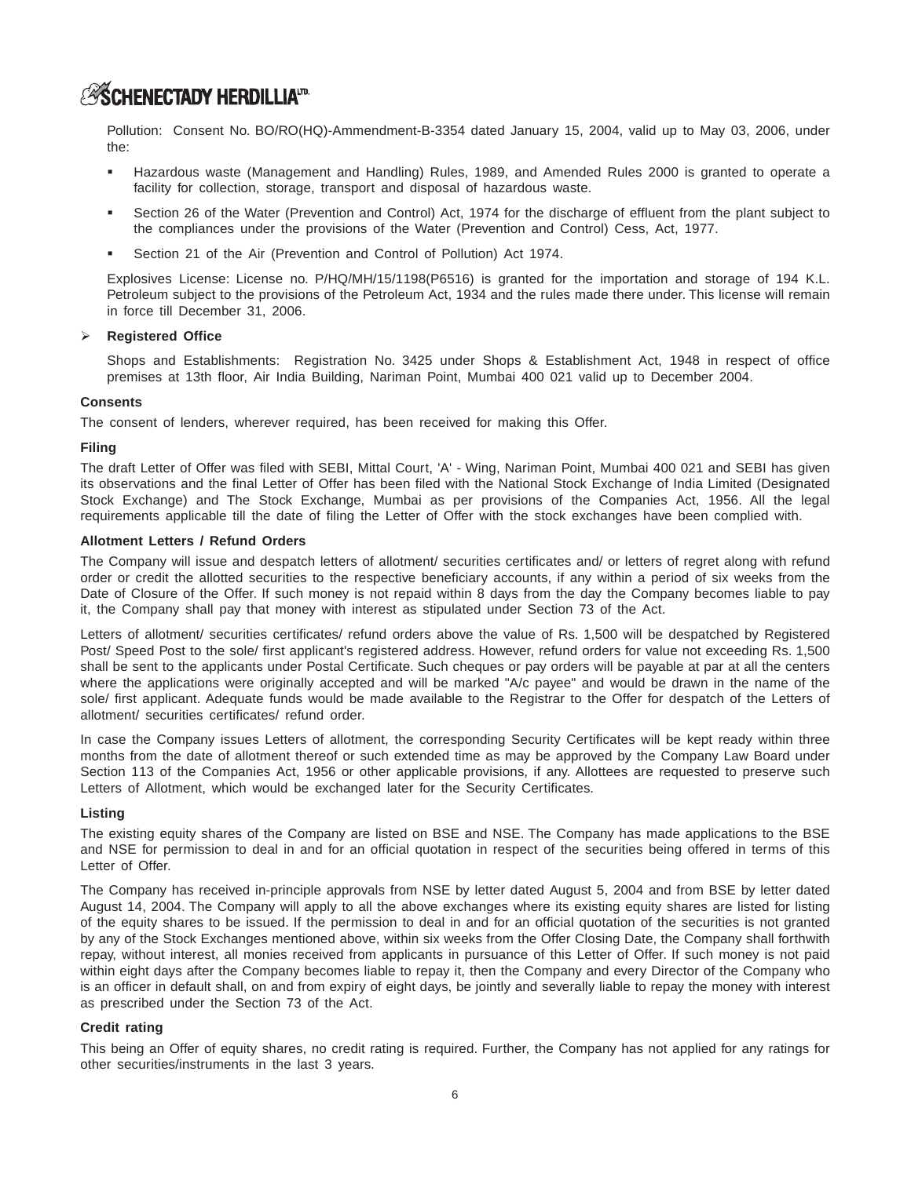## **ASCHENECTADY HERDILLIATD.**

Pollution: Consent No. BO/RO(HQ)-Ammendment-B-3354 dated January 15, 2004, valid up to May 03, 2006, under the:

- - Hazardous waste (Management and Handling) Rules, 1989, and Amended Rules 2000 is granted to operate a facility for collection, storage, transport and disposal of hazardous waste.
- - Section 26 of the Water (Prevention and Control) Act, 1974 for the discharge of effluent from the plant subject to the compliances under the provisions of the Water (Prevention and Control) Cess, Act, 1977.
- -Section 21 of the Air (Prevention and Control of Pollution) Act 1974.

Explosives License: License no. P/HQ/MH/15/1198(P6516) is granted for the importation and storage of 194 K.L. Petroleum subject to the provisions of the Petroleum Act, 1934 and the rules made there under. This license will remain in force till December 31, 2006.

### **Registered Office**

Shops and Establishments: Registration No. 3425 under Shops & Establishment Act, 1948 in respect of office premises at 13th floor, Air India Building, Nariman Point, Mumbai 400 021 valid up to December 2004.

### **Consents**

The consent of lenders, wherever required, has been received for making this Offer.

### **Filing**

The draft Letter of Offer was filed with SEBI, Mittal Court, 'A' - Wing, Nariman Point, Mumbai 400 021 and SEBI has given its observations and the final Letter of Offer has been filed with the National Stock Exchange of India Limited (Designated Stock Exchange) and The Stock Exchange, Mumbai as per provisions of the Companies Act, 1956. All the legal requirements applicable till the date of filing the Letter of Offer with the stock exchanges have been complied with.

### **Allotment Letters / Refund Orders**

The Company will issue and despatch letters of allotment/ securities certificates and/ or letters of regret along with refund order or credit the allotted securities to the respective beneficiary accounts, if any within a period of six weeks from the Date of Closure of the Offer. If such money is not repaid within 8 days from the day the Company becomes liable to pay it, the Company shall pay that money with interest as stipulated under Section 73 of the Act.

Letters of allotment/ securities certificates/ refund orders above the value of Rs. 1,500 will be despatched by Registered Post/ Speed Post to the sole/ first applicant's registered address. However, refund orders for value not exceeding Rs. 1,500 shall be sent to the applicants under Postal Certificate. Such cheques or pay orders will be payable at par at all the centers where the applications were originally accepted and will be marked "A/c payee" and would be drawn in the name of the sole/ first applicant. Adequate funds would be made available to the Registrar to the Offer for despatch of the Letters of allotment/ securities certificates/ refund order.

In case the Company issues Letters of allotment, the corresponding Security Certificates will be kept ready within three months from the date of allotment thereof or such extended time as may be approved by the Company Law Board under Section 113 of the Companies Act, 1956 or other applicable provisions, if any. Allottees are requested to preserve such Letters of Allotment, which would be exchanged later for the Security Certificates.

### **Listing**

The existing equity shares of the Company are listed on BSE and NSE. The Company has made applications to the BSE and NSE for permission to deal in and for an official quotation in respect of the securities being offered in terms of this Letter of Offer.

The Company has received in-principle approvals from NSE by letter dated August 5, 2004 and from BSE by letter dated August 14, 2004. The Company will apply to all the above exchanges where its existing equity shares are listed for listing of the equity shares to be issued. If the permission to deal in and for an official quotation of the securities is not granted by any of the Stock Exchanges mentioned above, within six weeks from the Offer Closing Date, the Company shall forthwith repay, without interest, all monies received from applicants in pursuance of this Letter of Offer. If such money is not paid within eight days after the Company becomes liable to repay it, then the Company and every Director of the Company who is an officer in default shall, on and from expiry of eight days, be jointly and severally liable to repay the money with interest as prescribed under the Section 73 of the Act.

### **Credit rating**

This being an Offer of equity shares, no credit rating is required. Further, the Company has not applied for any ratings for other securities/instruments in the last 3 years.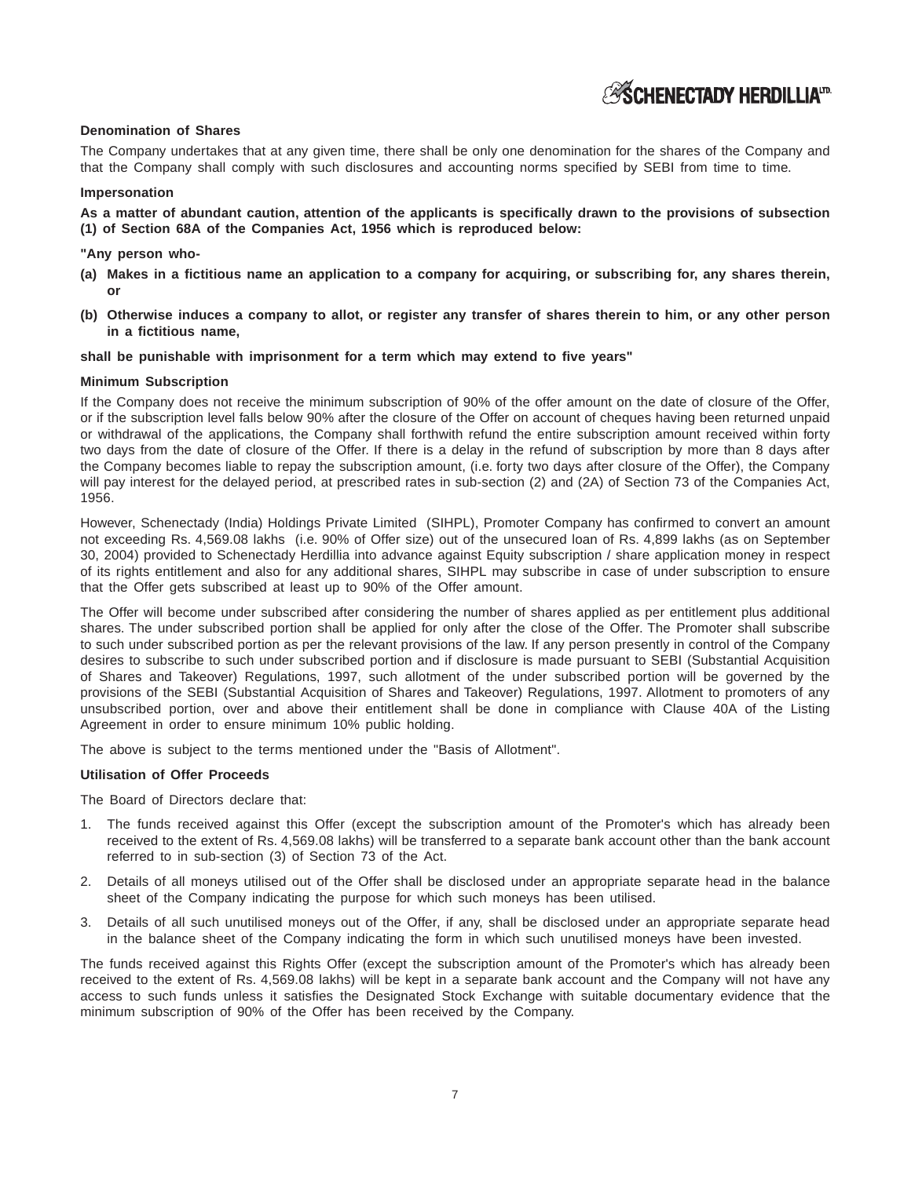**ASCHENECTADY HERDILLIATD** 

### **Denomination of Shares**

The Company undertakes that at any given time, there shall be only one denomination for the shares of the Company and that the Company shall comply with such disclosures and accounting norms specified by SEBI from time to time.

#### **Impersonation**

**As a matter of abundant caution, attention of the applicants is specifically drawn to the provisions of subsection (1) of Section 68A of the Companies Act, 1956 which is reproduced below:**

#### **"Any person who-**

- **(a) Makes in a fictitious name an application to a company for acquiring, or subscribing for, any shares therein, or**
- **(b) Otherwise induces a company to allot, or register any transfer of shares therein to him, or any other person in a fictitious name,**

#### **shall be punishable with imprisonment for a term which may extend to five years"**

#### **Minimum Subscription**

If the Company does not receive the minimum subscription of 90% of the offer amount on the date of closure of the Offer, or if the subscription level falls below 90% after the closure of the Offer on account of cheques having been returned unpaid or withdrawal of the applications, the Company shall forthwith refund the entire subscription amount received within forty two days from the date of closure of the Offer. If there is a delay in the refund of subscription by more than 8 days after the Company becomes liable to repay the subscription amount, (i.e. forty two days after closure of the Offer), the Company will pay interest for the delayed period, at prescribed rates in sub-section (2) and (2A) of Section 73 of the Companies Act, 1956.

However, Schenectady (India) Holdings Private Limited (SIHPL), Promoter Company has confirmed to convert an amount not exceeding Rs. 4,569.08 lakhs (i.e. 90% of Offer size) out of the unsecured loan of Rs. 4,899 lakhs (as on September 30, 2004) provided to Schenectady Herdillia into advance against Equity subscription / share application money in respect of its rights entitlement and also for any additional shares, SIHPL may subscribe in case of under subscription to ensure that the Offer gets subscribed at least up to 90% of the Offer amount.

The Offer will become under subscribed after considering the number of shares applied as per entitlement plus additional shares. The under subscribed portion shall be applied for only after the close of the Offer. The Promoter shall subscribe to such under subscribed portion as per the relevant provisions of the law. If any person presently in control of the Company desires to subscribe to such under subscribed portion and if disclosure is made pursuant to SEBI (Substantial Acquisition of Shares and Takeover) Regulations, 1997, such allotment of the under subscribed portion will be governed by the provisions of the SEBI (Substantial Acquisition of Shares and Takeover) Regulations, 1997. Allotment to promoters of any unsubscribed portion, over and above their entitlement shall be done in compliance with Clause 40A of the Listing Agreement in order to ensure minimum 10% public holding.

The above is subject to the terms mentioned under the "Basis of Allotment".

#### **Utilisation of Offer Proceeds**

The Board of Directors declare that:

- 1. The funds received against this Offer (except the subscription amount of the Promoter's which has already been received to the extent of Rs. 4,569.08 lakhs) will be transferred to a separate bank account other than the bank account referred to in sub-section (3) of Section 73 of the Act.
- 2. Details of all moneys utilised out of the Offer shall be disclosed under an appropriate separate head in the balance sheet of the Company indicating the purpose for which such moneys has been utilised.
- 3. Details of all such unutilised moneys out of the Offer, if any, shall be disclosed under an appropriate separate head in the balance sheet of the Company indicating the form in which such unutilised moneys have been invested.

The funds received against this Rights Offer (except the subscription amount of the Promoter's which has already been received to the extent of Rs. 4,569.08 lakhs) will be kept in a separate bank account and the Company will not have any access to such funds unless it satisfies the Designated Stock Exchange with suitable documentary evidence that the minimum subscription of 90% of the Offer has been received by the Company.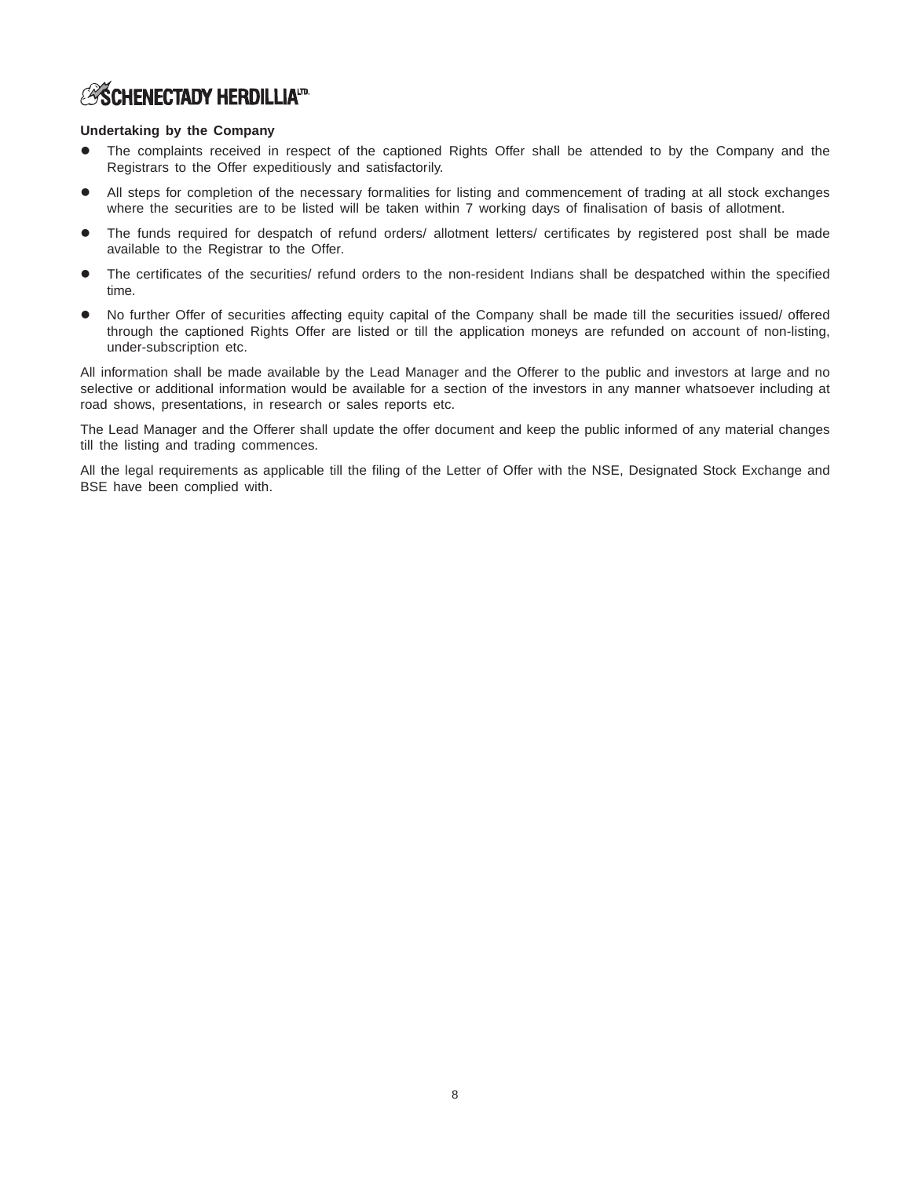## **ESCHENECTADY HERDILLIATD**

### **Undertaking by the Company**

- The complaints received in respect of the captioned Rights Offer shall be attended to by the Company and the Registrars to the Offer expeditiously and satisfactorily.
- All steps for completion of the necessary formalities for listing and commencement of trading at all stock exchanges where the securities are to be listed will be taken within 7 working days of finalisation of basis of allotment.
- The funds required for despatch of refund orders/ allotment letters/ certificates by registered post shall be made available to the Registrar to the Offer.
- The certificates of the securities/ refund orders to the non-resident Indians shall be despatched within the specified time.
- No further Offer of securities affecting equity capital of the Company shall be made till the securities issued/ offered through the captioned Rights Offer are listed or till the application moneys are refunded on account of non-listing, under-subscription etc.

All information shall be made available by the Lead Manager and the Offerer to the public and investors at large and no selective or additional information would be available for a section of the investors in any manner whatsoever including at road shows, presentations, in research or sales reports etc.

The Lead Manager and the Offerer shall update the offer document and keep the public informed of any material changes till the listing and trading commences.

All the legal requirements as applicable till the filing of the Letter of Offer with the NSE, Designated Stock Exchange and BSE have been complied with.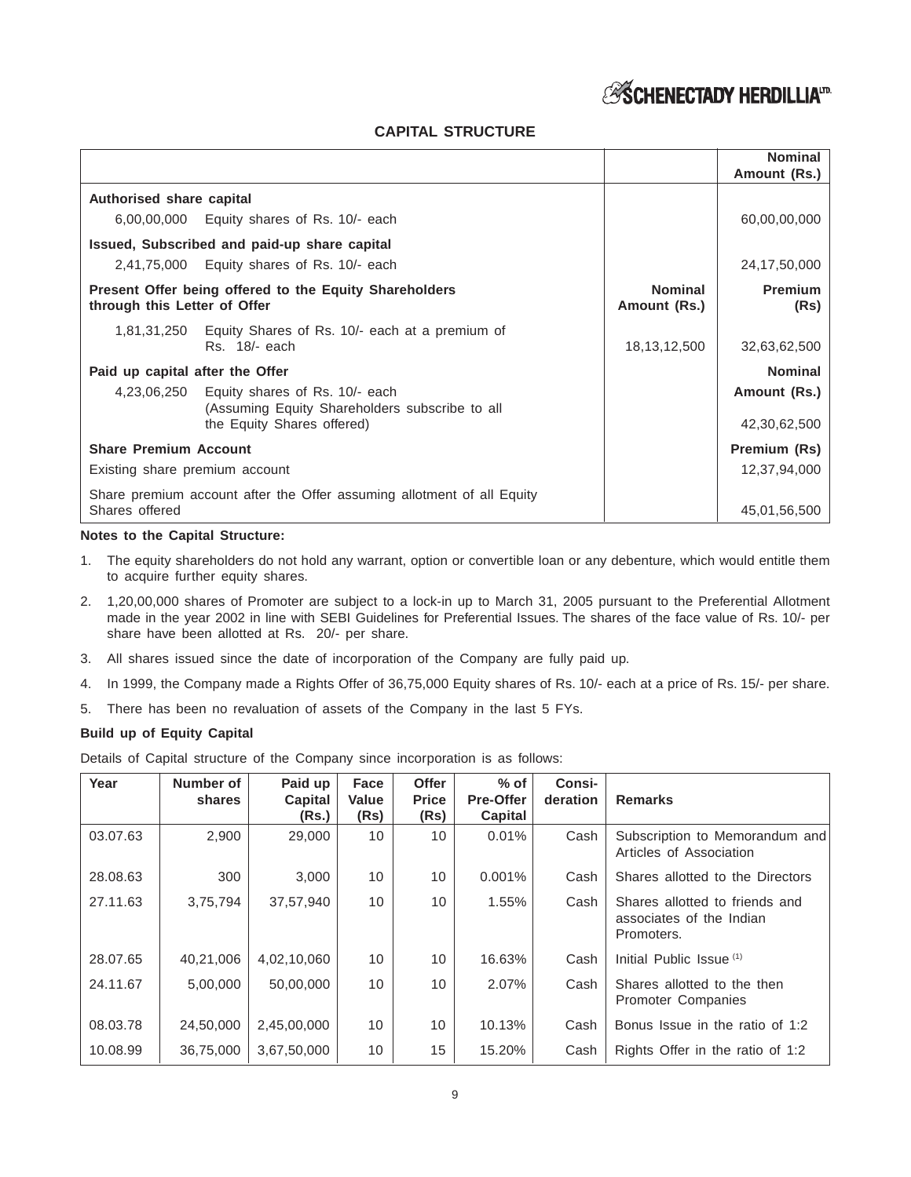## *ESCHENECTADY HERDILLIA<sup>ID</sup>*

## **CAPITAL STRUCTURE**

|                                 |                                                                                              |                                | <b>Nominal</b><br>Amount (Rs.) |
|---------------------------------|----------------------------------------------------------------------------------------------|--------------------------------|--------------------------------|
| Authorised share capital        |                                                                                              |                                |                                |
|                                 | 6,00,00,000 Equity shares of Rs. 10/- each                                                   |                                | 60,00,00,000                   |
|                                 | Issued, Subscribed and paid-up share capital                                                 |                                |                                |
|                                 | $2,41,75,000$ Equity shares of Rs. 10/- each                                                 |                                | 24,17,50,000                   |
| through this Letter of Offer    | Present Offer being offered to the Equity Shareholders                                       | <b>Nominal</b><br>Amount (Rs.) | <b>Premium</b><br>(Rs)         |
|                                 | 1,81,31,250 Equity Shares of Rs. 10/- each at a premium of<br>Rs. 18/- each                  | 18, 13, 12, 500                | 32,63,62,500                   |
| Paid up capital after the Offer |                                                                                              |                                | <b>Nominal</b>                 |
|                                 | 4,23,06,250 Equity shares of Rs. 10/- each<br>(Assuming Equity Shareholders subscribe to all |                                | Amount (Rs.)                   |
|                                 | the Equity Shares offered)                                                                   |                                | 42,30,62,500                   |
| <b>Share Premium Account</b>    |                                                                                              |                                | Premium (Rs)                   |
| Existing share premium account  |                                                                                              |                                | 12,37,94,000                   |
| Shares offered                  | Share premium account after the Offer assuming allotment of all Equity                       |                                | 45,01,56,500                   |

### **Notes to the Capital Structure:**

- 1. The equity shareholders do not hold any warrant, option or convertible loan or any debenture, which would entitle them to acquire further equity shares.
- 2. 1,20,00,000 shares of Promoter are subject to a lock-in up to March 31, 2005 pursuant to the Preferential Allotment made in the year 2002 in line with SEBI Guidelines for Preferential Issues. The shares of the face value of Rs. 10/- per share have been allotted at Rs. 20/- per share.
- 3. All shares issued since the date of incorporation of the Company are fully paid up.
- 4. In 1999, the Company made a Rights Offer of 36,75,000 Equity shares of Rs. 10/- each at a price of Rs. 15/- per share.
- 5. There has been no revaluation of assets of the Company in the last 5 FYs.

### **Build up of Equity Capital**

Details of Capital structure of the Company since incorporation is as follows:

| Year     | Number of<br><b>shares</b> | Paid up<br>Capital<br>(Rs.) | Face<br>Value<br>(Rs) | <b>Offer</b><br><b>Price</b><br>(Rs) | $%$ of<br><b>Pre-Offer</b><br>Capital | <b>Consi-</b><br>deration | <b>Remarks</b>                                                           |
|----------|----------------------------|-----------------------------|-----------------------|--------------------------------------|---------------------------------------|---------------------------|--------------------------------------------------------------------------|
| 03.07.63 | 2,900                      | 29,000                      | 10                    | 10                                   | 0.01%                                 | Cash                      | Subscription to Memorandum and<br>Articles of Association                |
| 28.08.63 | 300                        | 3.000                       | 10 <sup>1</sup>       | 10                                   | 0.001%                                | Cash                      | Shares allotted to the Directors                                         |
| 27.11.63 | 3,75,794                   | 37,57,940                   | 10                    | 10                                   | 1.55%                                 | Cash                      | Shares allotted to friends and<br>associates of the Indian<br>Promoters. |
| 28.07.65 | 40,21,006                  | 4,02,10,060                 | 10                    | 10                                   | 16.63%                                | Cash                      | Initial Public Issue <sup>(1)</sup>                                      |
| 24.11.67 | 5,00,000                   | 50,00,000                   | 10                    | 10                                   | 2.07%                                 | Cash                      | Shares allotted to the then<br>Promoter Companies                        |
| 08.03.78 | 24,50,000                  | 2,45,00,000                 | 10                    | 10                                   | 10.13%                                | Cash                      | Bonus Issue in the ratio of 1:2                                          |
| 10.08.99 | 36,75,000                  | 3,67,50,000                 | 10 <sup>1</sup>       | 15                                   | 15.20%                                | Cash                      | Rights Offer in the ratio of 1:2                                         |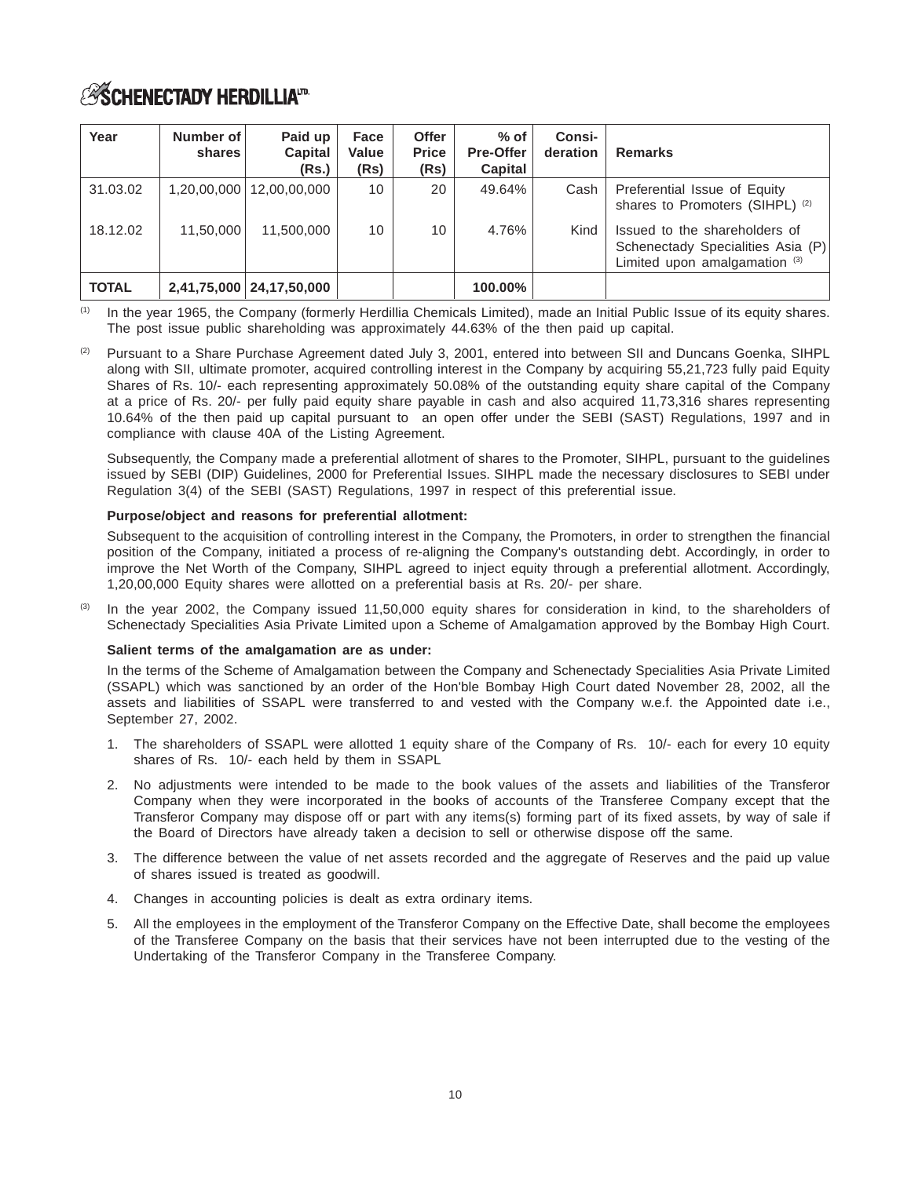# **ASCHENECTADY HERDILLIATD**

| Year         | Number of<br>shares | Paid up<br>Capital<br>(Rs.) | Face<br>Value<br>(Rs) | <b>Offer</b><br><b>Price</b><br>(Rs) | % of<br><b>Pre-Offer</b><br>Capital | <b>Consi-</b><br>deration | <b>Remarks</b>                                                                                      |
|--------------|---------------------|-----------------------------|-----------------------|--------------------------------------|-------------------------------------|---------------------------|-----------------------------------------------------------------------------------------------------|
| 31.03.02     | 1,20,00,000         | 12,00,00,000                | 10                    | 20                                   | 49.64%                              | Cash                      | Preferential Issue of Equity<br>shares to Promoters (SIHPL) (2)                                     |
| 18.12.02     | 11,50,000           | 11.500.000                  | 10                    | 10                                   | 4.76%                               | Kind                      | Issued to the shareholders of<br>Schenectady Specialities Asia (P)<br>Limited upon amalgamation (3) |
| <b>TOTAL</b> |                     | 2,41,75,000   24,17,50,000  |                       |                                      | 100.00%                             |                           |                                                                                                     |

In the year 1965, the Company (formerly Herdillia Chemicals Limited), made an Initial Public Issue of its equity shares. The post issue public shareholding was approximately 44.63% of the then paid up capital.

(2) Pursuant to a Share Purchase Agreement dated July 3, 2001, entered into between SII and Duncans Goenka, SIHPL along with SII, ultimate promoter, acquired controlling interest in the Company by acquiring 55,21,723 fully paid Equity Shares of Rs. 10/- each representing approximately 50.08% of the outstanding equity share capital of the Company at a price of Rs. 20/- per fully paid equity share payable in cash and also acquired 11,73,316 shares representing 10.64% of the then paid up capital pursuant to an open offer under the SEBI (SAST) Regulations, 1997 and in compliance with clause 40A of the Listing Agreement.

Subsequently, the Company made a preferential allotment of shares to the Promoter, SIHPL, pursuant to the guidelines issued by SEBI (DIP) Guidelines, 2000 for Preferential Issues. SIHPL made the necessary disclosures to SEBI under Regulation 3(4) of the SEBI (SAST) Regulations, 1997 in respect of this preferential issue.

### **Purpose/object and reasons for preferential allotment:**

Subsequent to the acquisition of controlling interest in the Company, the Promoters, in order to strengthen the financial position of the Company, initiated a process of re-aligning the Company's outstanding debt. Accordingly, in order to improve the Net Worth of the Company, SIHPL agreed to inject equity through a preferential allotment. Accordingly, 1,20,00,000 Equity shares were allotted on a preferential basis at Rs. 20/- per share.

In the year 2002, the Company issued 11,50,000 equity shares for consideration in kind, to the shareholders of Schenectady Specialities Asia Private Limited upon a Scheme of Amalgamation approved by the Bombay High Court.

### **Salient terms of the amalgamation are as under:**

In the terms of the Scheme of Amalgamation between the Company and Schenectady Specialities Asia Private Limited (SSAPL) which was sanctioned by an order of the Hon'ble Bombay High Court dated November 28, 2002, all the assets and liabilities of SSAPL were transferred to and vested with the Company w.e.f. the Appointed date i.e., September 27, 2002.

- 1. The shareholders of SSAPL were allotted 1 equity share of the Company of Rs. 10/- each for every 10 equity shares of Rs. 10/- each held by them in SSAPL
- 2. No adjustments were intended to be made to the book values of the assets and liabilities of the Transferor Company when they were incorporated in the books of accounts of the Transferee Company except that the Transferor Company may dispose off or part with any items(s) forming part of its fixed assets, by way of sale if the Board of Directors have already taken a decision to sell or otherwise dispose off the same.
- 3. The difference between the value of net assets recorded and the aggregate of Reserves and the paid up value of shares issued is treated as goodwill.
- 4. Changes in accounting policies is dealt as extra ordinary items.
- 5. All the employees in the employment of the Transferor Company on the Effective Date, shall become the employees of the Transferee Company on the basis that their services have not been interrupted due to the vesting of the Undertaking of the Transferor Company in the Transferee Company.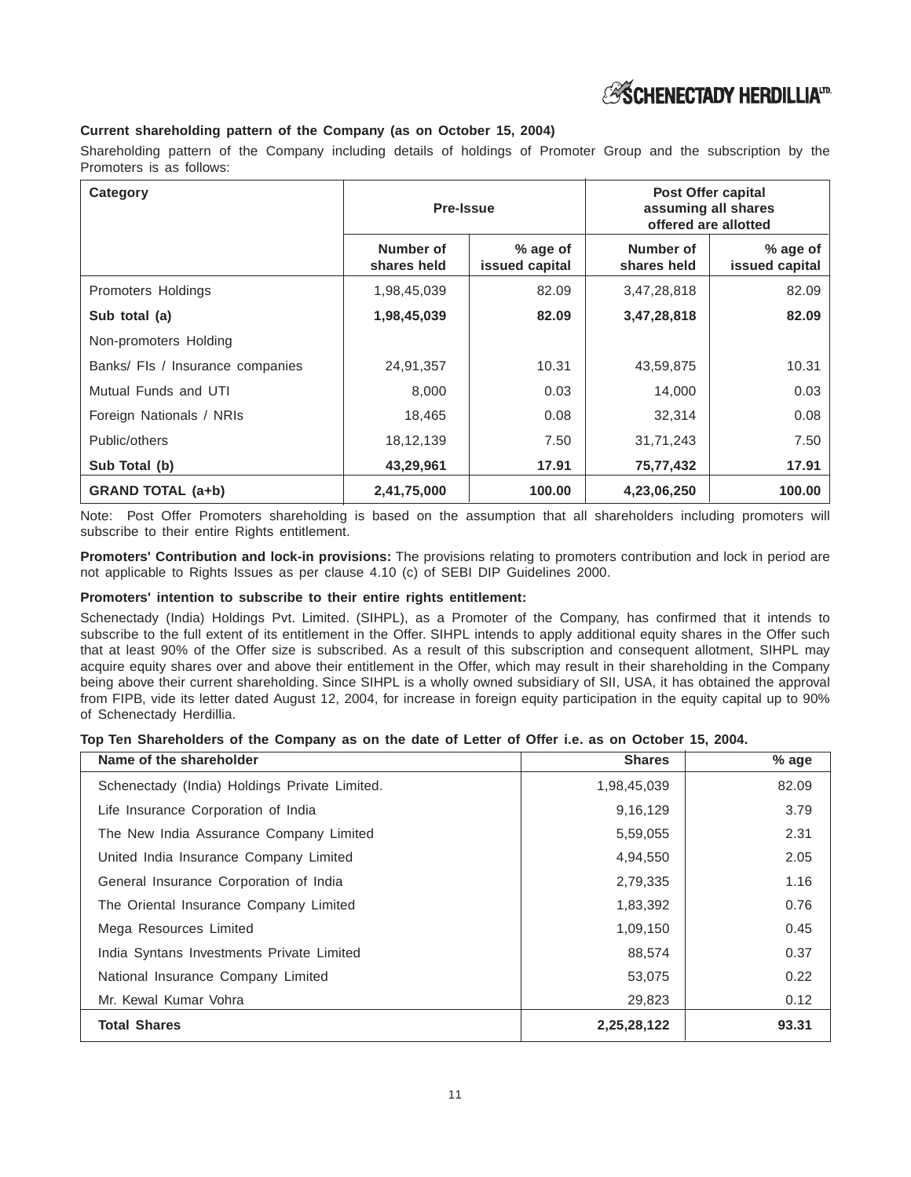

### **Current shareholding pattern of the Company (as on October 15, 2004)**

Shareholding pattern of the Company including details of holdings of Promoter Group and the subscription by the Promoters is as follows:

| Category                         | Pre-Issue                |                            | <b>Post Offer capital</b><br>assuming all shares<br>offered are allotted |                            |
|----------------------------------|--------------------------|----------------------------|--------------------------------------------------------------------------|----------------------------|
|                                  | Number of<br>shares held | % age of<br>issued capital | Number of<br>shares held                                                 | % age of<br>issued capital |
| Promoters Holdings               | 1,98,45,039              | 82.09                      | 3,47,28,818                                                              | 82.09                      |
| Sub total (a)                    | 1,98,45,039              | 82.09                      | 3,47,28,818                                                              | 82.09                      |
| Non-promoters Holding            |                          |                            |                                                                          |                            |
| Banks/ Fls / Insurance companies | 24,91,357                | 10.31                      | 43,59,875                                                                | 10.31                      |
| Mutual Funds and UTI             | 8,000                    | 0.03                       | 14,000                                                                   | 0.03                       |
| Foreign Nationals / NRIs         | 18,465                   | 0.08                       | 32,314                                                                   | 0.08                       |
| Public/others                    | 18, 12, 139              | 7.50                       | 31,71,243                                                                | 7.50                       |
| Sub Total (b)                    | 43,29,961                | 17.91                      | 75,77,432                                                                | 17.91                      |
| <b>GRAND TOTAL (a+b)</b>         | 2,41,75,000              | 100.00                     | 4,23,06,250                                                              | 100.00                     |

Note: Post Offer Promoters shareholding is based on the assumption that all shareholders including promoters will subscribe to their entire Rights entitlement.

**Promoters' Contribution and lock-in provisions:** The provisions relating to promoters contribution and lock in period are not applicable to Rights Issues as per clause 4.10 (c) of SEBI DIP Guidelines 2000.

#### **Promoters' intention to subscribe to their entire rights entitlement:**

Schenectady (India) Holdings Pvt. Limited. (SIHPL), as a Promoter of the Company, has confirmed that it intends to subscribe to the full extent of its entitlement in the Offer. SIHPL intends to apply additional equity shares in the Offer such that at least 90% of the Offer size is subscribed. As a result of this subscription and consequent allotment, SIHPL may acquire equity shares over and above their entitlement in the Offer, which may result in their shareholding in the Company being above their current shareholding. Since SIHPL is a wholly owned subsidiary of SII, USA, it has obtained the approval from FIPB, vide its letter dated August 12, 2004, for increase in foreign equity participation in the equity capital up to 90% of Schenectady Herdillia.

### **Top Ten Shareholders of the Company as on the date of Letter of Offer i.e. as on October 15, 2004.**

| Name of the shareholder                       | <b>Shares</b> | % age |
|-----------------------------------------------|---------------|-------|
| Schenectady (India) Holdings Private Limited. | 1,98,45,039   | 82.09 |
| Life Insurance Corporation of India           | 9,16,129      | 3.79  |
| The New India Assurance Company Limited       | 5,59,055      | 2.31  |
| United India Insurance Company Limited        | 4,94,550      | 2.05  |
| General Insurance Corporation of India        | 2,79,335      | 1.16  |
| The Oriental Insurance Company Limited        | 1,83,392      | 0.76  |
| Mega Resources Limited                        | 1,09,150      | 0.45  |
| India Syntans Investments Private Limited     | 88,574        | 0.37  |
| National Insurance Company Limited            | 53,075        | 0.22  |
| Mr. Kewal Kumar Vohra                         | 29,823        | 0.12  |
| <b>Total Shares</b>                           | 2,25,28,122   | 93.31 |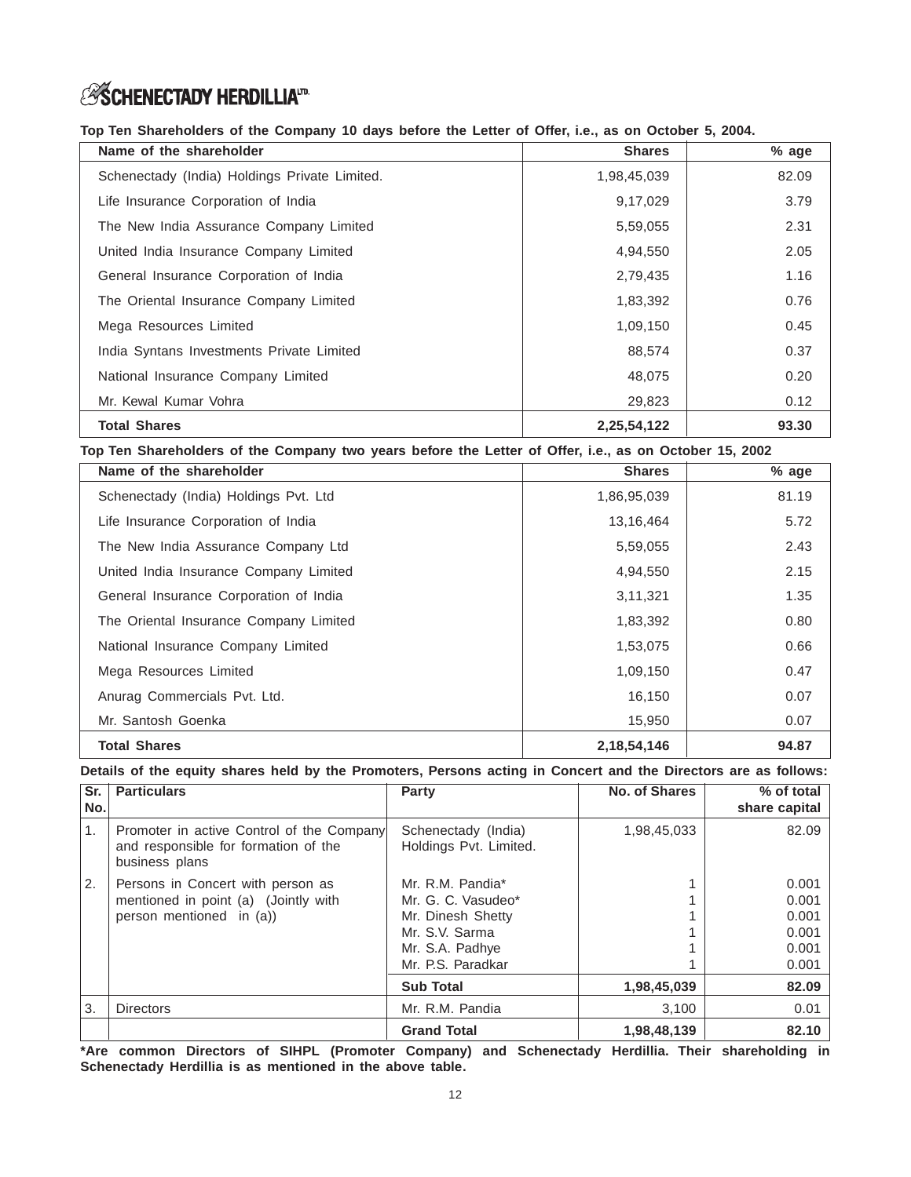## **ESCHENECTADY HERDILLIAID**

**Top Ten Shareholders of the Company 10 days before the Letter of Offer, i.e., as on October 5, 2004.**

| Name of the shareholder                       | <b>Shares</b> | % age |
|-----------------------------------------------|---------------|-------|
| Schenectady (India) Holdings Private Limited. | 1,98,45,039   | 82.09 |
| Life Insurance Corporation of India           | 9,17,029      | 3.79  |
| The New India Assurance Company Limited       | 5,59,055      | 2.31  |
| United India Insurance Company Limited        | 4,94,550      | 2.05  |
| General Insurance Corporation of India        | 2,79,435      | 1.16  |
| The Oriental Insurance Company Limited        | 1,83,392      | 0.76  |
| Mega Resources Limited                        | 1,09,150      | 0.45  |
| India Syntans Investments Private Limited     | 88,574        | 0.37  |
| National Insurance Company Limited            | 48,075        | 0.20  |
| Mr. Kewal Kumar Vohra                         | 29,823        | 0.12  |
| <b>Total Shares</b>                           | 2,25,54,122   | 93.30 |

**Top Ten Shareholders of the Company two years before the Letter of Offer, i.e., as on October 15, 2002**

| Name of the shareholder                | <b>Shares</b>  | % age |
|----------------------------------------|----------------|-------|
| Schenectady (India) Holdings Pvt. Ltd  | 1,86,95,039    | 81.19 |
| Life Insurance Corporation of India    | 13,16,464      | 5.72  |
| The New India Assurance Company Ltd    | 5,59,055       | 2.43  |
| United India Insurance Company Limited | 4,94,550       | 2.15  |
| General Insurance Corporation of India | 3,11,321       | 1.35  |
| The Oriental Insurance Company Limited | 1,83,392       | 0.80  |
| National Insurance Company Limited     | 1,53,075       | 0.66  |
| Mega Resources Limited                 | 1,09,150       | 0.47  |
| Anurag Commercials Pvt. Ltd.           | 16,150         | 0.07  |
| Mr. Santosh Goenka                     | 15,950         | 0.07  |
| <b>Total Shares</b>                    | 2, 18, 54, 146 | 94.87 |

**Details of the equity shares held by the Promoters, Persons acting in Concert and the Directors are as follows:**

| Sr.<br>No.     | <b>Particulars</b>                                                                                  | Party                                         | <b>No. of Shares</b> | % of total<br>share capital |
|----------------|-----------------------------------------------------------------------------------------------------|-----------------------------------------------|----------------------|-----------------------------|
| $\mathbf{1}$ . | Promoter in active Control of the Company<br>and responsible for formation of the<br>business plans | Schenectady (India)<br>Holdings Pvt. Limited. | 1,98,45,033          | 82.09                       |
| $^{\prime}$ 2. | Persons in Concert with person as                                                                   | Mr. R.M. Pandia*                              |                      | 0.001                       |
|                | mentioned in point (a) (Jointly with                                                                | Mr. G. C. Vasudeo*                            |                      | 0.001                       |
|                | person mentioned in (a))                                                                            | Mr. Dinesh Shetty                             |                      | 0.001                       |
|                |                                                                                                     | Mr. S.V. Sarma                                |                      | 0.001                       |
|                |                                                                                                     | Mr. S.A. Padhye                               |                      | 0.001                       |
|                |                                                                                                     | Mr. P.S. Paradkar                             |                      | 0.001                       |
|                |                                                                                                     | <b>Sub Total</b>                              | 1,98,45,039          | 82.09                       |
| 3.             | <b>Directors</b>                                                                                    | Mr. R.M. Pandia                               | 3,100                | 0.01                        |
|                |                                                                                                     | <b>Grand Total</b>                            | 1,98,48,139          | 82.10                       |

**\*Are common Directors of SIHPL (Promoter Company) and Schenectady Herdillia. Their shareholding in Schenectady Herdillia is as mentioned in the above table.**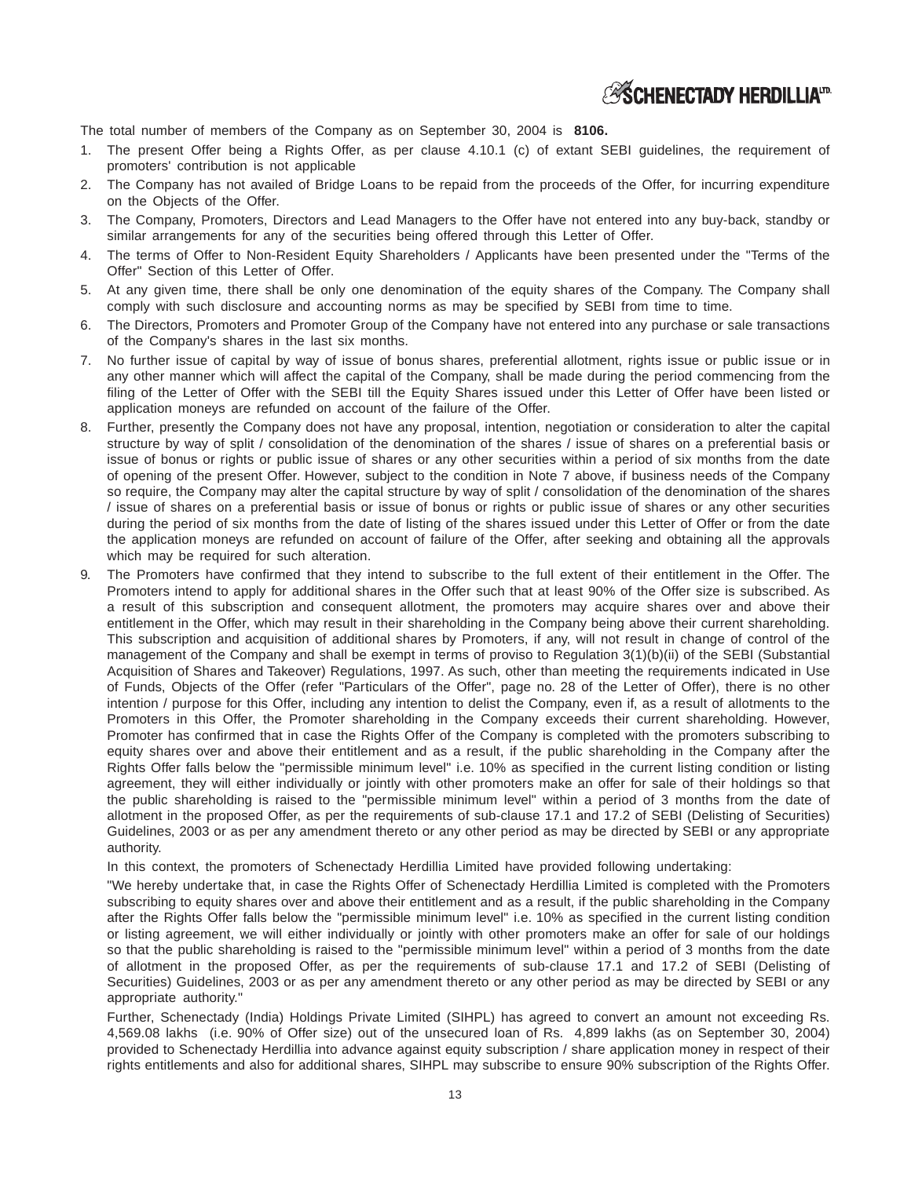

The total number of members of the Company as on September 30, 2004 is **8106.**

- 1. The present Offer being a Rights Offer, as per clause 4.10.1 (c) of extant SEBI guidelines, the requirement of promoters' contribution is not applicable
- 2. The Company has not availed of Bridge Loans to be repaid from the proceeds of the Offer, for incurring expenditure on the Objects of the Offer.
- 3. The Company, Promoters, Directors and Lead Managers to the Offer have not entered into any buy-back, standby or similar arrangements for any of the securities being offered through this Letter of Offer.
- 4. The terms of Offer to Non-Resident Equity Shareholders / Applicants have been presented under the "Terms of the Offer" Section of this Letter of Offer.
- 5. At any given time, there shall be only one denomination of the equity shares of the Company. The Company shall comply with such disclosure and accounting norms as may be specified by SEBI from time to time.
- 6. The Directors, Promoters and Promoter Group of the Company have not entered into any purchase or sale transactions of the Company's shares in the last six months.
- 7. No further issue of capital by way of issue of bonus shares, preferential allotment, rights issue or public issue or in any other manner which will affect the capital of the Company, shall be made during the period commencing from the filing of the Letter of Offer with the SEBI till the Equity Shares issued under this Letter of Offer have been listed or application moneys are refunded on account of the failure of the Offer.
- 8. Further, presently the Company does not have any proposal, intention, negotiation or consideration to alter the capital structure by way of split / consolidation of the denomination of the shares / issue of shares on a preferential basis or issue of bonus or rights or public issue of shares or any other securities within a period of six months from the date of opening of the present Offer. However, subject to the condition in Note 7 above, if business needs of the Company so require, the Company may alter the capital structure by way of split / consolidation of the denomination of the shares / issue of shares on a preferential basis or issue of bonus or rights or public issue of shares or any other securities during the period of six months from the date of listing of the shares issued under this Letter of Offer or from the date the application moneys are refunded on account of failure of the Offer, after seeking and obtaining all the approvals which may be required for such alteration.
- 9. The Promoters have confirmed that they intend to subscribe to the full extent of their entitlement in the Offer. The Promoters intend to apply for additional shares in the Offer such that at least 90% of the Offer size is subscribed. As a result of this subscription and consequent allotment, the promoters may acquire shares over and above their entitlement in the Offer, which may result in their shareholding in the Company being above their current shareholding. This subscription and acquisition of additional shares by Promoters, if any, will not result in change of control of the management of the Company and shall be exempt in terms of proviso to Regulation 3(1)(b)(ii) of the SEBI (Substantial Acquisition of Shares and Takeover) Regulations, 1997. As such, other than meeting the requirements indicated in Use of Funds, Objects of the Offer (refer "Particulars of the Offer", page no. 28 of the Letter of Offer), there is no other intention / purpose for this Offer, including any intention to delist the Company, even if, as a result of allotments to the Promoters in this Offer, the Promoter shareholding in the Company exceeds their current shareholding. However, Promoter has confirmed that in case the Rights Offer of the Company is completed with the promoters subscribing to equity shares over and above their entitlement and as a result, if the public shareholding in the Company after the Rights Offer falls below the "permissible minimum level" i.e. 10% as specified in the current listing condition or listing agreement, they will either individually or jointly with other promoters make an offer for sale of their holdings so that the public shareholding is raised to the "permissible minimum level" within a period of 3 months from the date of allotment in the proposed Offer, as per the requirements of sub-clause 17.1 and 17.2 of SEBI (Delisting of Securities) Guidelines, 2003 or as per any amendment thereto or any other period as may be directed by SEBI or any appropriate authority.

In this context, the promoters of Schenectady Herdillia Limited have provided following undertaking:

"We hereby undertake that, in case the Rights Offer of Schenectady Herdillia Limited is completed with the Promoters subscribing to equity shares over and above their entitlement and as a result, if the public shareholding in the Company after the Rights Offer falls below the "permissible minimum level" i.e. 10% as specified in the current listing condition or listing agreement, we will either individually or jointly with other promoters make an offer for sale of our holdings so that the public shareholding is raised to the "permissible minimum level" within a period of 3 months from the date of allotment in the proposed Offer, as per the requirements of sub-clause 17.1 and 17.2 of SEBI (Delisting of Securities) Guidelines, 2003 or as per any amendment thereto or any other period as may be directed by SEBI or any appropriate authority."

Further, Schenectady (India) Holdings Private Limited (SIHPL) has agreed to convert an amount not exceeding Rs. 4,569.08 lakhs (i.e. 90% of Offer size) out of the unsecured loan of Rs. 4,899 lakhs (as on September 30, 2004) provided to Schenectady Herdillia into advance against equity subscription / share application money in respect of their rights entitlements and also for additional shares, SIHPL may subscribe to ensure 90% subscription of the Rights Offer.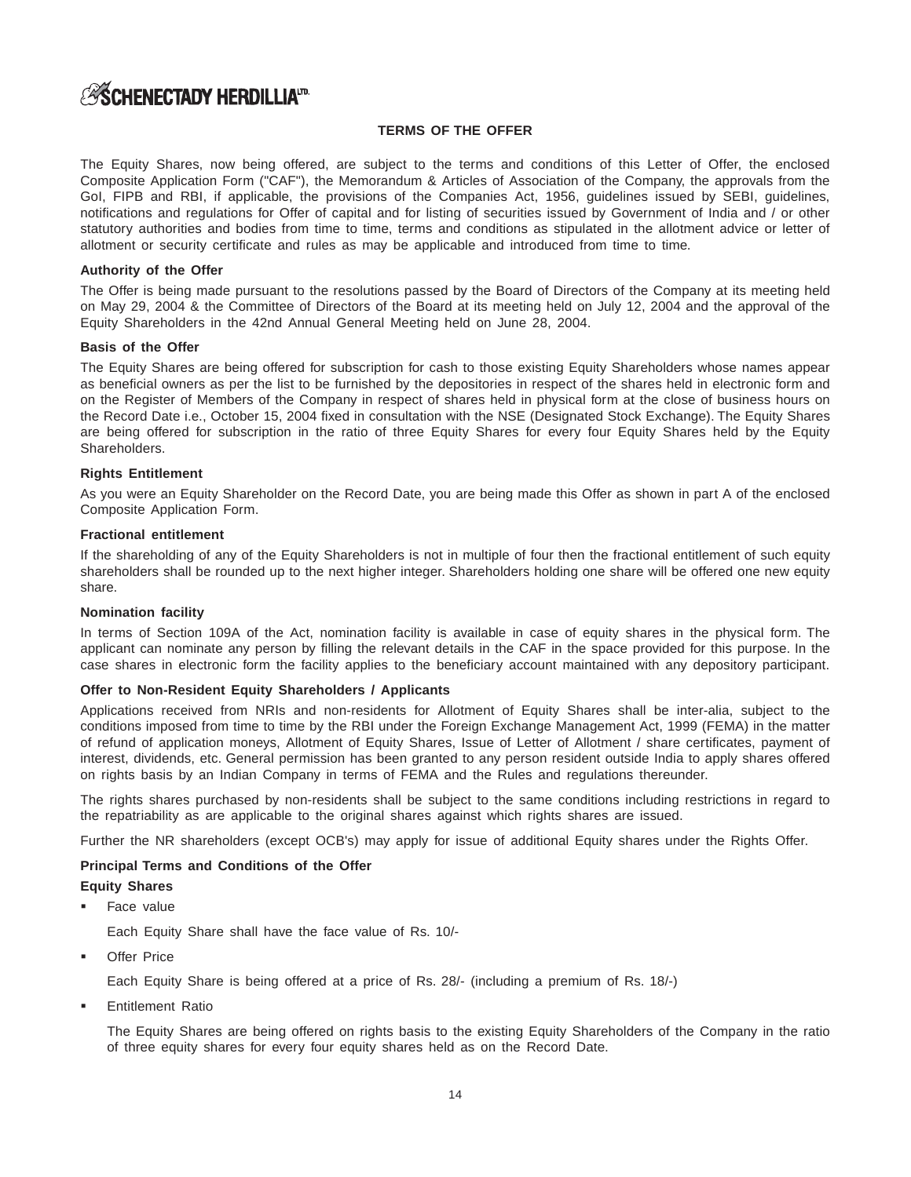## **ESCHENECTADY HERDILLIAID**

### **TERMS OF THE OFFER**

The Equity Shares, now being offered, are subject to the terms and conditions of this Letter of Offer, the enclosed Composite Application Form ("CAF"), the Memorandum & Articles of Association of the Company, the approvals from the GoI, FIPB and RBI, if applicable, the provisions of the Companies Act, 1956, guidelines issued by SEBI, guidelines, notifications and regulations for Offer of capital and for listing of securities issued by Government of India and / or other statutory authorities and bodies from time to time, terms and conditions as stipulated in the allotment advice or letter of allotment or security certificate and rules as may be applicable and introduced from time to time.

### **Authority of the Offer**

The Offer is being made pursuant to the resolutions passed by the Board of Directors of the Company at its meeting held on May 29, 2004 & the Committee of Directors of the Board at its meeting held on July 12, 2004 and the approval of the Equity Shareholders in the 42nd Annual General Meeting held on June 28, 2004.

### **Basis of the Offer**

The Equity Shares are being offered for subscription for cash to those existing Equity Shareholders whose names appear as beneficial owners as per the list to be furnished by the depositories in respect of the shares held in electronic form and on the Register of Members of the Company in respect of shares held in physical form at the close of business hours on the Record Date i.e., October 15, 2004 fixed in consultation with the NSE (Designated Stock Exchange). The Equity Shares are being offered for subscription in the ratio of three Equity Shares for every four Equity Shares held by the Equity Shareholders.

### **Rights Entitlement**

As you were an Equity Shareholder on the Record Date, you are being made this Offer as shown in part A of the enclosed Composite Application Form.

### **Fractional entitlement**

If the shareholding of any of the Equity Shareholders is not in multiple of four then the fractional entitlement of such equity shareholders shall be rounded up to the next higher integer. Shareholders holding one share will be offered one new equity share.

### **Nomination facility**

In terms of Section 109A of the Act, nomination facility is available in case of equity shares in the physical form. The applicant can nominate any person by filling the relevant details in the CAF in the space provided for this purpose. In the case shares in electronic form the facility applies to the beneficiary account maintained with any depository participant.

### **Offer to Non-Resident Equity Shareholders / Applicants**

Applications received from NRIs and non-residents for Allotment of Equity Shares shall be inter-alia, subject to the conditions imposed from time to time by the RBI under the Foreign Exchange Management Act, 1999 (FEMA) in the matter of refund of application moneys, Allotment of Equity Shares, Issue of Letter of Allotment / share certificates, payment of interest, dividends, etc. General permission has been granted to any person resident outside India to apply shares offered on rights basis by an Indian Company in terms of FEMA and the Rules and regulations thereunder.

The rights shares purchased by non-residents shall be subject to the same conditions including restrictions in regard to the repatriability as are applicable to the original shares against which rights shares are issued.

Further the NR shareholders (except OCB's) may apply for issue of additional Equity shares under the Rights Offer.

### **Principal Terms and Conditions of the Offer**

### **Equity Shares**

-Face value

Each Equity Share shall have the face value of Rs. 10/-

-Offer Price

Each Equity Share is being offered at a price of Rs. 28/- (including a premium of Rs. 18/-)

-Entitlement Ratio

> The Equity Shares are being offered on rights basis to the existing Equity Shareholders of the Company in the ratio of three equity shares for every four equity shares held as on the Record Date.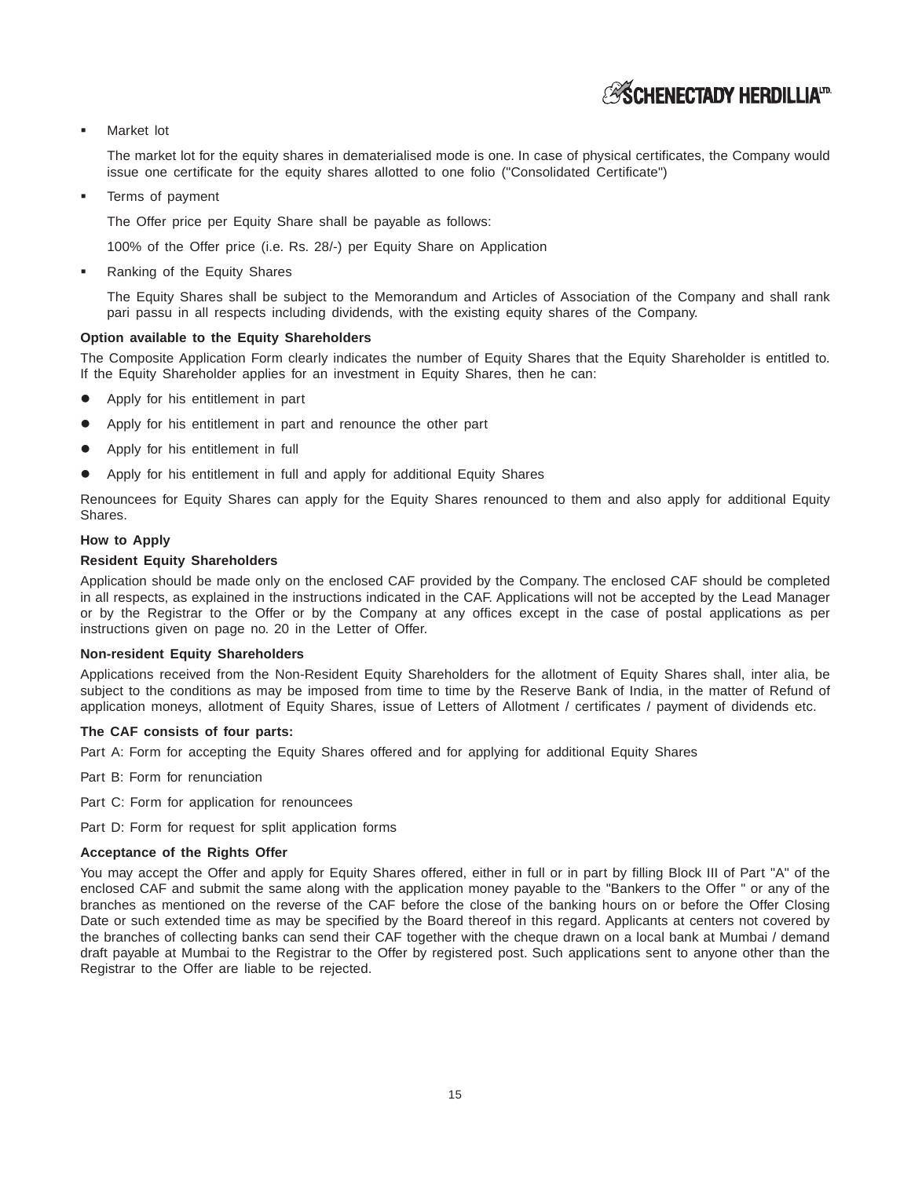## **ASCHENECTADY HERDILLIATD**

#### -Market lot

The market lot for the equity shares in dematerialised mode is one. In case of physical certificates, the Company would issue one certificate for the equity shares allotted to one folio ("Consolidated Certificate")

-Terms of payment

The Offer price per Equity Share shall be payable as follows:

100% of the Offer price (i.e. Rs. 28/-) per Equity Share on Application

-Ranking of the Equity Shares

> The Equity Shares shall be subject to the Memorandum and Articles of Association of the Company and shall rank pari passu in all respects including dividends, with the existing equity shares of the Company.

### **Option available to the Equity Shareholders**

The Composite Application Form clearly indicates the number of Equity Shares that the Equity Shareholder is entitled to. If the Equity Shareholder applies for an investment in Equity Shares, then he can:

- Apply for his entitlement in part
- Apply for his entitlement in part and renounce the other part
- Apply for his entitlement in full
- Apply for his entitlement in full and apply for additional Equity Shares

Renouncees for Equity Shares can apply for the Equity Shares renounced to them and also apply for additional Equity Shares.

### **How to Apply**

### **Resident Equity Shareholders**

Application should be made only on the enclosed CAF provided by the Company. The enclosed CAF should be completed in all respects, as explained in the instructions indicated in the CAF. Applications will not be accepted by the Lead Manager or by the Registrar to the Offer or by the Company at any offices except in the case of postal applications as per instructions given on page no. 20 in the Letter of Offer.

#### **Non-resident Equity Shareholders**

Applications received from the Non-Resident Equity Shareholders for the allotment of Equity Shares shall, inter alia, be subject to the conditions as may be imposed from time to time by the Reserve Bank of India, in the matter of Refund of application moneys, allotment of Equity Shares, issue of Letters of Allotment / certificates / payment of dividends etc.

#### **The CAF consists of four parts:**

Part A: Form for accepting the Equity Shares offered and for applying for additional Equity Shares

Part B: Form for renunciation

Part C: Form for application for renouncees

Part D: Form for request for split application forms

#### **Acceptance of the Rights Offer**

You may accept the Offer and apply for Equity Shares offered, either in full or in part by filling Block III of Part "A" of the enclosed CAF and submit the same along with the application money payable to the "Bankers to the Offer " or any of the branches as mentioned on the reverse of the CAF before the close of the banking hours on or before the Offer Closing Date or such extended time as may be specified by the Board thereof in this regard. Applicants at centers not covered by the branches of collecting banks can send their CAF together with the cheque drawn on a local bank at Mumbai / demand draft payable at Mumbai to the Registrar to the Offer by registered post. Such applications sent to anyone other than the Registrar to the Offer are liable to be rejected.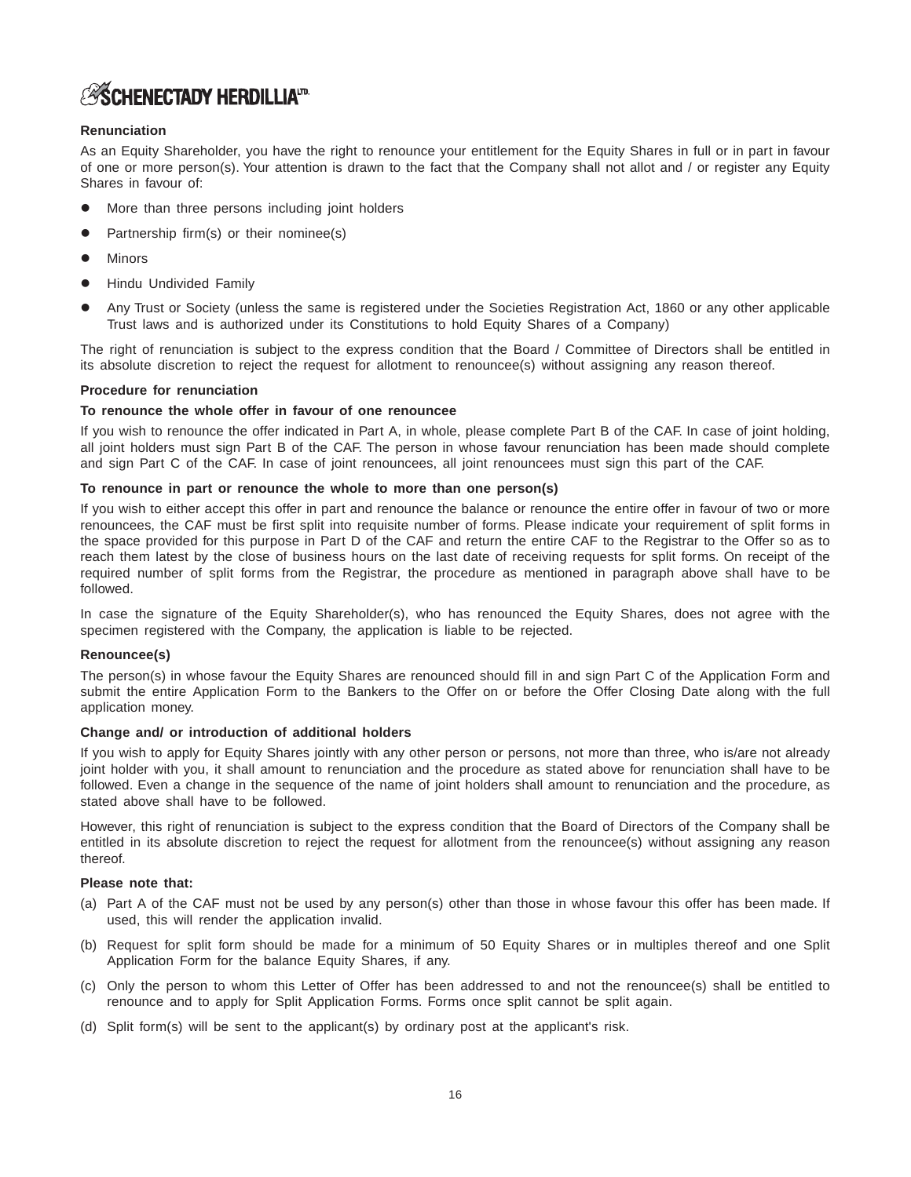## **ASCHENECTADY HERDILLIAT**

### **Renunciation**

As an Equity Shareholder, you have the right to renounce your entitlement for the Equity Shares in full or in part in favour of one or more person(s). Your attention is drawn to the fact that the Company shall not allot and / or register any Equity Shares in favour of:

- More than three persons including joint holders
- Partnership firm(s) or their nominee(s)
- Minors
- Hindu Undivided Family
- Any Trust or Society (unless the same is registered under the Societies Registration Act, 1860 or any other applicable Trust laws and is authorized under its Constitutions to hold Equity Shares of a Company)

The right of renunciation is subject to the express condition that the Board / Committee of Directors shall be entitled in its absolute discretion to reject the request for allotment to renouncee(s) without assigning any reason thereof.

### **Procedure for renunciation**

### **To renounce the whole offer in favour of one renouncee**

If you wish to renounce the offer indicated in Part A, in whole, please complete Part B of the CAF. In case of joint holding, all joint holders must sign Part B of the CAF. The person in whose favour renunciation has been made should complete and sign Part C of the CAF. In case of joint renouncees, all joint renouncees must sign this part of the CAF.

### **To renounce in part or renounce the whole to more than one person(s)**

If you wish to either accept this offer in part and renounce the balance or renounce the entire offer in favour of two or more renouncees, the CAF must be first split into requisite number of forms. Please indicate your requirement of split forms in the space provided for this purpose in Part D of the CAF and return the entire CAF to the Registrar to the Offer so as to reach them latest by the close of business hours on the last date of receiving requests for split forms. On receipt of the required number of split forms from the Registrar, the procedure as mentioned in paragraph above shall have to be followed.

In case the signature of the Equity Shareholder(s), who has renounced the Equity Shares, does not agree with the specimen registered with the Company, the application is liable to be rejected.

### **Renouncee(s)**

The person(s) in whose favour the Equity Shares are renounced should fill in and sign Part C of the Application Form and submit the entire Application Form to the Bankers to the Offer on or before the Offer Closing Date along with the full application money.

### **Change and/ or introduction of additional holders**

If you wish to apply for Equity Shares jointly with any other person or persons, not more than three, who is/are not already joint holder with you, it shall amount to renunciation and the procedure as stated above for renunciation shall have to be followed. Even a change in the sequence of the name of joint holders shall amount to renunciation and the procedure, as stated above shall have to be followed.

However, this right of renunciation is subject to the express condition that the Board of Directors of the Company shall be entitled in its absolute discretion to reject the request for allotment from the renouncee(s) without assigning any reason thereof.

### **Please note that:**

- (a) Part A of the CAF must not be used by any person(s) other than those in whose favour this offer has been made. If used, this will render the application invalid.
- (b) Request for split form should be made for a minimum of 50 Equity Shares or in multiples thereof and one Split Application Form for the balance Equity Shares, if any.
- (c) Only the person to whom this Letter of Offer has been addressed to and not the renouncee(s) shall be entitled to renounce and to apply for Split Application Forms. Forms once split cannot be split again.
- (d) Split form(s) will be sent to the applicant(s) by ordinary post at the applicant's risk.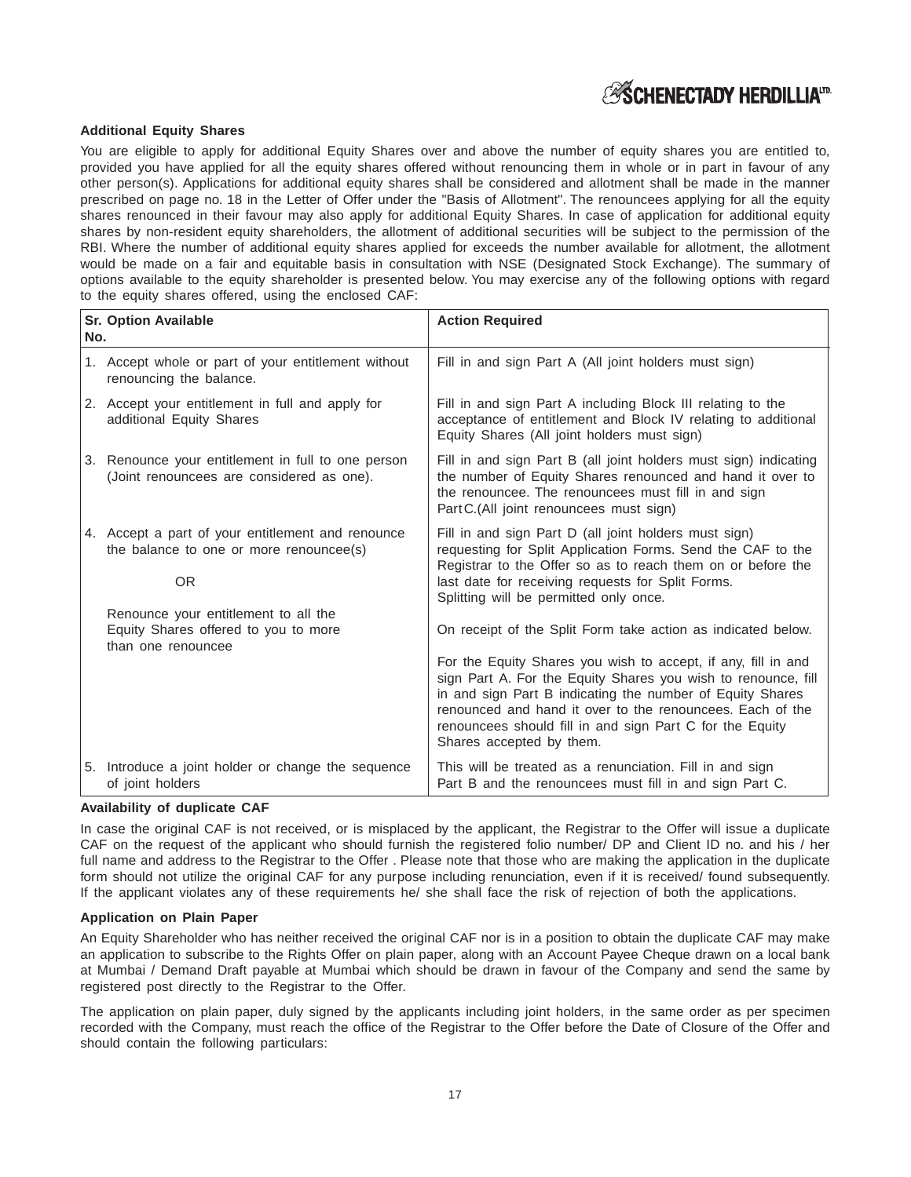## **ASCHENECTADY HERDILLIATE**

### **Additional Equity Shares**

You are eligible to apply for additional Equity Shares over and above the number of equity shares you are entitled to, provided you have applied for all the equity shares offered without renouncing them in whole or in part in favour of any other person(s). Applications for additional equity shares shall be considered and allotment shall be made in the manner prescribed on page no. 18 in the Letter of Offer under the "Basis of Allotment". The renouncees applying for all the equity shares renounced in their favour may also apply for additional Equity Shares. In case of application for additional equity shares by non-resident equity shareholders, the allotment of additional securities will be subject to the permission of the RBI. Where the number of additional equity shares applied for exceeds the number available for allotment, the allotment would be made on a fair and equitable basis in consultation with NSE (Designated Stock Exchange). The summary of options available to the equity shareholder is presented below. You may exercise any of the following options with regard to the equity shares offered, using the enclosed CAF:

| No. | <b>Sr. Option Available</b>                                                                               | <b>Action Required</b>                                                                                                                                                                                                                                                                                                                           |  |  |
|-----|-----------------------------------------------------------------------------------------------------------|--------------------------------------------------------------------------------------------------------------------------------------------------------------------------------------------------------------------------------------------------------------------------------------------------------------------------------------------------|--|--|
|     | 1. Accept whole or part of your entitlement without<br>renouncing the balance.                            | Fill in and sign Part A (All joint holders must sign)                                                                                                                                                                                                                                                                                            |  |  |
|     | 2. Accept your entitlement in full and apply for<br>additional Equity Shares                              | Fill in and sign Part A including Block III relating to the<br>acceptance of entitlement and Block IV relating to additional<br>Equity Shares (All joint holders must sign)                                                                                                                                                                      |  |  |
|     | 3. Renounce your entitlement in full to one person<br>(Joint renouncees are considered as one).           | Fill in and sign Part B (all joint holders must sign) indicating<br>the number of Equity Shares renounced and hand it over to<br>the renouncee. The renouncees must fill in and sign<br>Part C. (All joint renouncees must sign)                                                                                                                 |  |  |
|     | 4. Accept a part of your entitlement and renounce<br>the balance to one or more renouncee(s)<br><b>OR</b> | Fill in and sign Part D (all joint holders must sign)<br>requesting for Split Application Forms. Send the CAF to the<br>Registrar to the Offer so as to reach them on or before the<br>last date for receiving requests for Split Forms.<br>Splitting will be permitted only once.                                                               |  |  |
|     | Renounce your entitlement to all the<br>Equity Shares offered to you to more<br>than one renouncee        | On receipt of the Split Form take action as indicated below.                                                                                                                                                                                                                                                                                     |  |  |
|     |                                                                                                           | For the Equity Shares you wish to accept, if any, fill in and<br>sign Part A. For the Equity Shares you wish to renounce, fill<br>in and sign Part B indicating the number of Equity Shares<br>renounced and hand it over to the renouncees. Each of the<br>renouncees should fill in and sign Part C for the Equity<br>Shares accepted by them. |  |  |
|     | 5. Introduce a joint holder or change the sequence<br>of joint holders                                    | This will be treated as a renunciation. Fill in and sign<br>Part B and the renouncees must fill in and sign Part C.                                                                                                                                                                                                                              |  |  |

### **Availability of duplicate CAF**

In case the original CAF is not received, or is misplaced by the applicant, the Registrar to the Offer will issue a duplicate CAF on the request of the applicant who should furnish the registered folio number/ DP and Client ID no. and his / her full name and address to the Registrar to the Offer. Please note that those who are making the application in the duplicate form should not utilize the original CAF for any purpose including renunciation, even if it is received/ found subsequently. If the applicant violates any of these requirements he/ she shall face the risk of rejection of both the applications.

### **Application on Plain Paper**

An Equity Shareholder who has neither received the original CAF nor is in a position to obtain the duplicate CAF may make an application to subscribe to the Rights Offer on plain paper, along with an Account Payee Cheque drawn on a local bank at Mumbai / Demand Draft payable at Mumbai which should be drawn in favour of the Company and send the same by registered post directly to the Registrar to the Offer.

The application on plain paper, duly signed by the applicants including joint holders, in the same order as per specimen recorded with the Company, must reach the office of the Registrar to the Offer before the Date of Closure of the Offer and should contain the following particulars: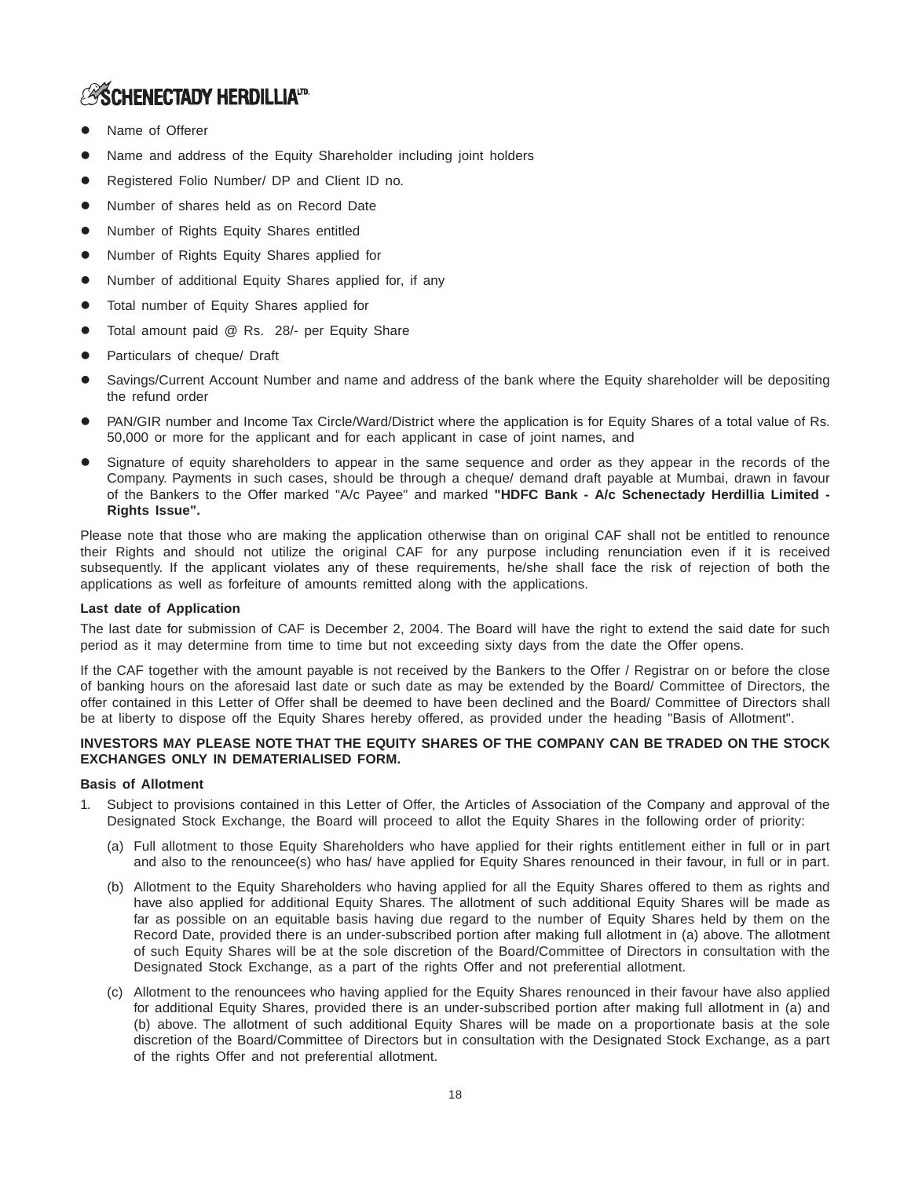## **ASCHENECTADY HERDILLIATD.**

- Name of Offerer
- Name and address of the Equity Shareholder including joint holders
- Registered Folio Number/ DP and Client ID no.
- Number of shares held as on Record Date
- Number of Rights Equity Shares entitled
- Number of Rights Equity Shares applied for
- Number of additional Equity Shares applied for, if any
- Total number of Equity Shares applied for
- Total amount paid @ Rs. 28/- per Equity Share
- Particulars of cheque/ Draft
- Savings/Current Account Number and name and address of the bank where the Equity shareholder will be depositing the refund order
- PAN/GIR number and Income Tax Circle/Ward/District where the application is for Equity Shares of a total value of Rs. 50,000 or more for the applicant and for each applicant in case of joint names, and
- Signature of equity shareholders to appear in the same sequence and order as they appear in the records of the Company. Payments in such cases, should be through a cheque/ demand draft payable at Mumbai, drawn in favour of the Bankers to the Offer marked "A/c Payee" and marked **"HDFC Bank - A/c Schenectady Herdillia Limited - Rights Issue".**

Please note that those who are making the application otherwise than on original CAF shall not be entitled to renounce their Rights and should not utilize the original CAF for any purpose including renunciation even if it is received subsequently. If the applicant violates any of these requirements, he/she shall face the risk of rejection of both the applications as well as forfeiture of amounts remitted along with the applications.

### **Last date of Application**

The last date for submission of CAF is December 2, 2004. The Board will have the right to extend the said date for such period as it may determine from time to time but not exceeding sixty days from the date the Offer opens.

If the CAF together with the amount payable is not received by the Bankers to the Offer / Registrar on or before the close of banking hours on the aforesaid last date or such date as may be extended by the Board/ Committee of Directors, the offer contained in this Letter of Offer shall be deemed to have been declined and the Board/ Committee of Directors shall be at liberty to dispose off the Equity Shares hereby offered, as provided under the heading "Basis of Allotment".

### **INVESTORS MAY PLEASE NOTE THAT THE EQUITY SHARES OF THE COMPANY CAN BE TRADED ON THE STOCK EXCHANGES ONLY IN DEMATERIALISED FORM.**

### **Basis of Allotment**

- 1. Subject to provisions contained in this Letter of Offer, the Articles of Association of the Company and approval of the Designated Stock Exchange, the Board will proceed to allot the Equity Shares in the following order of priority:
	- (a) Full allotment to those Equity Shareholders who have applied for their rights entitlement either in full or in part and also to the renouncee(s) who has/ have applied for Equity Shares renounced in their favour, in full or in part.
	- (b) Allotment to the Equity Shareholders who having applied for all the Equity Shares offered to them as rights and have also applied for additional Equity Shares. The allotment of such additional Equity Shares will be made as far as possible on an equitable basis having due regard to the number of Equity Shares held by them on the Record Date, provided there is an under-subscribed portion after making full allotment in (a) above. The allotment of such Equity Shares will be at the sole discretion of the Board/Committee of Directors in consultation with the Designated Stock Exchange, as a part of the rights Offer and not preferential allotment.
	- (c) Allotment to the renouncees who having applied for the Equity Shares renounced in their favour have also applied for additional Equity Shares, provided there is an under-subscribed portion after making full allotment in (a) and (b) above. The allotment of such additional Equity Shares will be made on a proportionate basis at the sole discretion of the Board/Committee of Directors but in consultation with the Designated Stock Exchange, as a part of the rights Offer and not preferential allotment.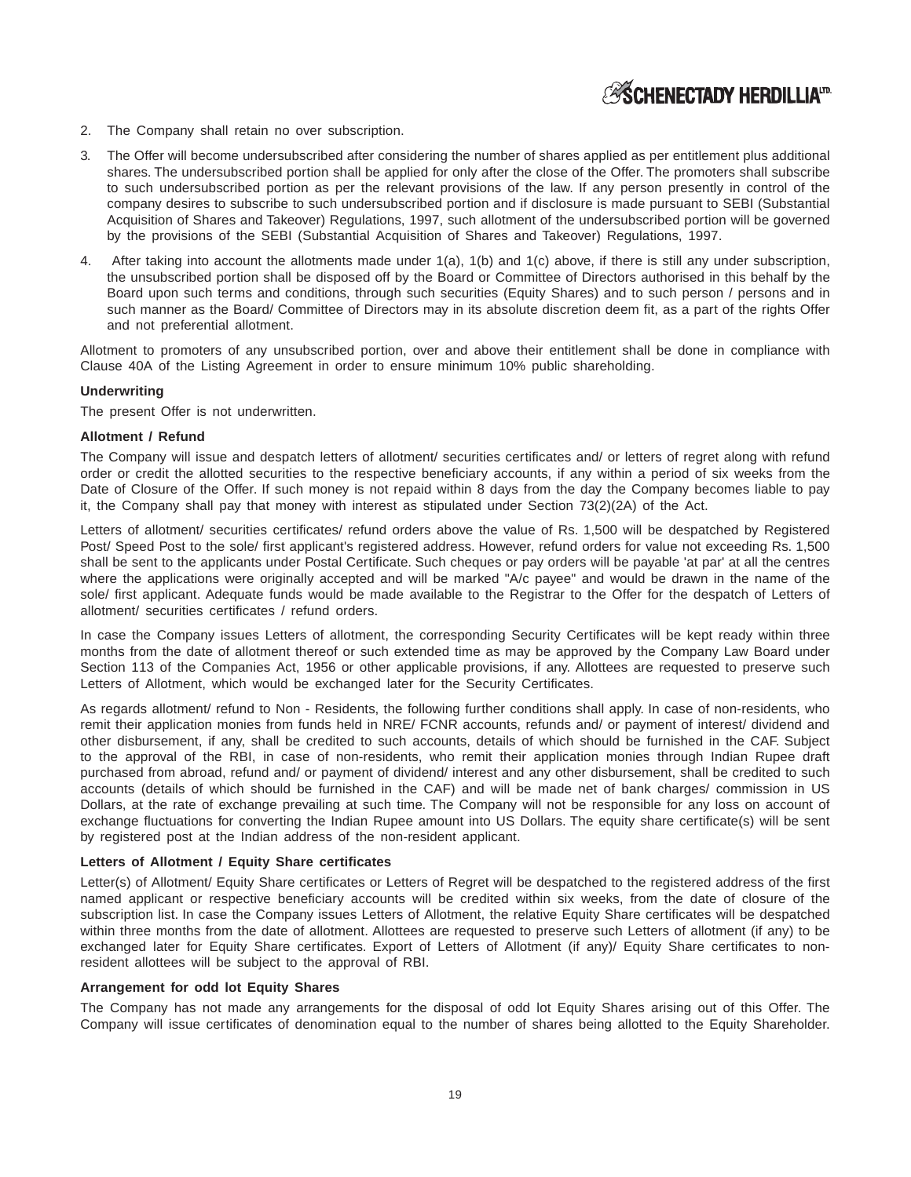## **ASCHENECTADY HERDILLIATD**

- 2. The Company shall retain no over subscription.
- 3. The Offer will become undersubscribed after considering the number of shares applied as per entitlement plus additional shares. The undersubscribed portion shall be applied for only after the close of the Offer. The promoters shall subscribe to such undersubscribed portion as per the relevant provisions of the law. If any person presently in control of the company desires to subscribe to such undersubscribed portion and if disclosure is made pursuant to SEBI (Substantial Acquisition of Shares and Takeover) Regulations, 1997, such allotment of the undersubscribed portion will be governed by the provisions of the SEBI (Substantial Acquisition of Shares and Takeover) Regulations, 1997.
- 4. After taking into account the allotments made under 1(a), 1(b) and 1(c) above, if there is still any under subscription, the unsubscribed portion shall be disposed off by the Board or Committee of Directors authorised in this behalf by the Board upon such terms and conditions, through such securities (Equity Shares) and to such person / persons and in such manner as the Board/ Committee of Directors may in its absolute discretion deem fit, as a part of the rights Offer and not preferential allotment.

Allotment to promoters of any unsubscribed portion, over and above their entitlement shall be done in compliance with Clause 40A of the Listing Agreement in order to ensure minimum 10% public shareholding.

### **Underwriting**

The present Offer is not underwritten.

#### **Allotment / Refund**

The Company will issue and despatch letters of allotment/ securities certificates and/ or letters of regret along with refund order or credit the allotted securities to the respective beneficiary accounts, if any within a period of six weeks from the Date of Closure of the Offer. If such money is not repaid within 8 days from the day the Company becomes liable to pay it, the Company shall pay that money with interest as stipulated under Section 73(2)(2A) of the Act.

Letters of allotment/ securities certificates/ refund orders above the value of Rs. 1,500 will be despatched by Registered Post/ Speed Post to the sole/ first applicant's registered address. However, refund orders for value not exceeding Rs. 1,500 shall be sent to the applicants under Postal Certificate. Such cheques or pay orders will be payable 'at par' at all the centres where the applications were originally accepted and will be marked "A/c payee" and would be drawn in the name of the sole/ first applicant. Adequate funds would be made available to the Registrar to the Offer for the despatch of Letters of allotment/ securities certificates / refund orders.

In case the Company issues Letters of allotment, the corresponding Security Certificates will be kept ready within three months from the date of allotment thereof or such extended time as may be approved by the Company Law Board under Section 113 of the Companies Act, 1956 or other applicable provisions, if any. Allottees are requested to preserve such Letters of Allotment, which would be exchanged later for the Security Certificates.

As regards allotment/ refund to Non - Residents, the following further conditions shall apply. In case of non-residents, who remit their application monies from funds held in NRE/ FCNR accounts, refunds and/ or payment of interest/ dividend and other disbursement, if any, shall be credited to such accounts, details of which should be furnished in the CAF. Subject to the approval of the RBI, in case of non-residents, who remit their application monies through Indian Rupee draft purchased from abroad, refund and/ or payment of dividend/ interest and any other disbursement, shall be credited to such accounts (details of which should be furnished in the CAF) and will be made net of bank charges/ commission in US Dollars, at the rate of exchange prevailing at such time. The Company will not be responsible for any loss on account of exchange fluctuations for converting the Indian Rupee amount into US Dollars. The equity share certificate(s) will be sent by registered post at the Indian address of the non-resident applicant.

#### **Letters of Allotment / Equity Share certificates**

Letter(s) of Allotment/ Equity Share certificates or Letters of Regret will be despatched to the registered address of the first named applicant or respective beneficiary accounts will be credited within six weeks, from the date of closure of the subscription list. In case the Company issues Letters of Allotment, the relative Equity Share certificates will be despatched within three months from the date of allotment. Allottees are requested to preserve such Letters of allotment (if any) to be exchanged later for Equity Share certificates. Export of Letters of Allotment (if any)/ Equity Share certificates to nonresident allottees will be subject to the approval of RBI.

### **Arrangement for odd lot Equity Shares**

The Company has not made any arrangements for the disposal of odd lot Equity Shares arising out of this Offer. The Company will issue certificates of denomination equal to the number of shares being allotted to the Equity Shareholder.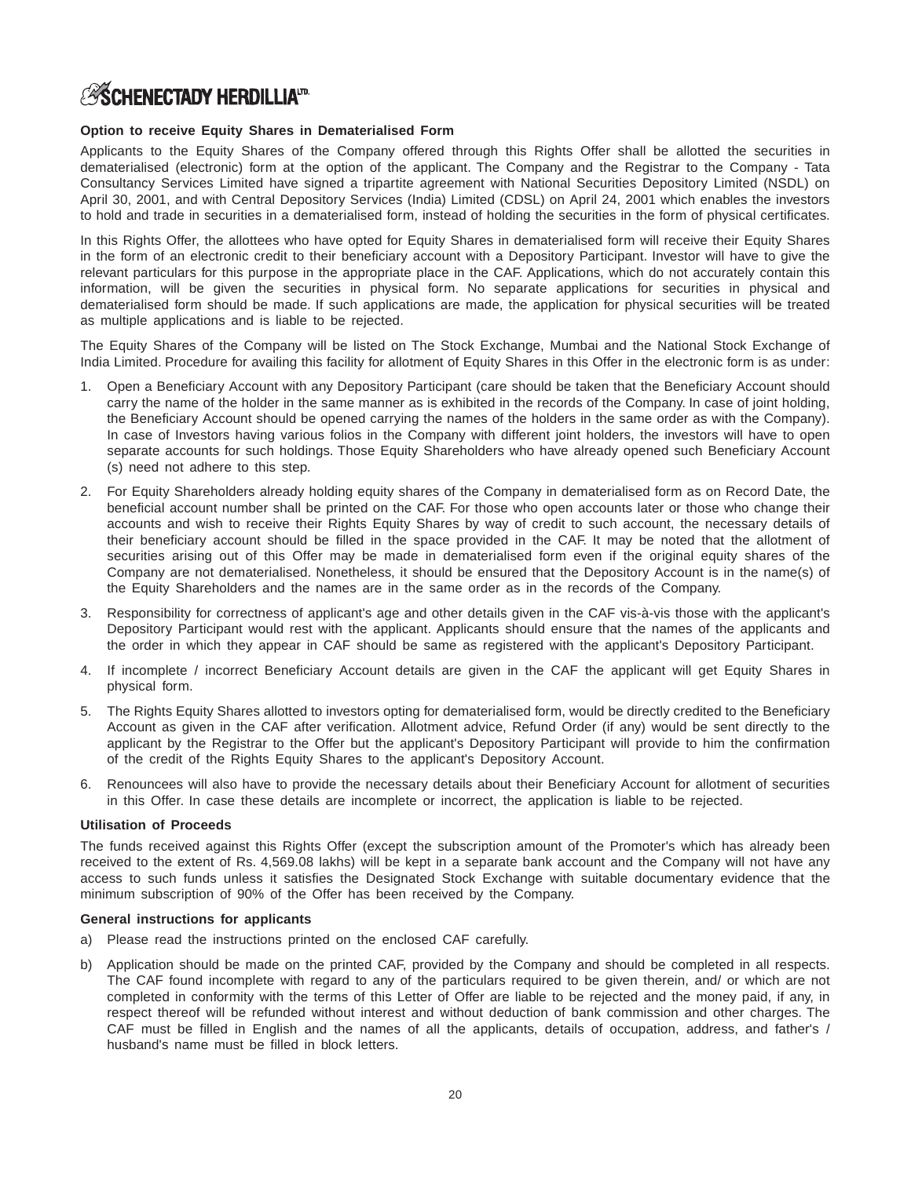## **ASCHENECTADY HERDILLIATD**

### **Option to receive Equity Shares in Dematerialised Form**

Applicants to the Equity Shares of the Company offered through this Rights Offer shall be allotted the securities in dematerialised (electronic) form at the option of the applicant. The Company and the Registrar to the Company - Tata Consultancy Services Limited have signed a tripartite agreement with National Securities Depository Limited (NSDL) on April 30, 2001, and with Central Depository Services (India) Limited (CDSL) on April 24, 2001 which enables the investors to hold and trade in securities in a dematerialised form, instead of holding the securities in the form of physical certificates.

In this Rights Offer, the allottees who have opted for Equity Shares in dematerialised form will receive their Equity Shares in the form of an electronic credit to their beneficiary account with a Depository Participant. Investor will have to give the relevant particulars for this purpose in the appropriate place in the CAF. Applications, which do not accurately contain this information, will be given the securities in physical form. No separate applications for securities in physical and dematerialised form should be made. If such applications are made, the application for physical securities will be treated as multiple applications and is liable to be rejected.

The Equity Shares of the Company will be listed on The Stock Exchange, Mumbai and the National Stock Exchange of India Limited. Procedure for availing this facility for allotment of Equity Shares in this Offer in the electronic form is as under:

- 1. Open a Beneficiary Account with any Depository Participant (care should be taken that the Beneficiary Account should carry the name of the holder in the same manner as is exhibited in the records of the Company. In case of joint holding, the Beneficiary Account should be opened carrying the names of the holders in the same order as with the Company). In case of Investors having various folios in the Company with different joint holders, the investors will have to open separate accounts for such holdings. Those Equity Shareholders who have already opened such Beneficiary Account (s) need not adhere to this step.
- 2. For Equity Shareholders already holding equity shares of the Company in dematerialised form as on Record Date, the beneficial account number shall be printed on the CAF. For those who open accounts later or those who change their accounts and wish to receive their Rights Equity Shares by way of credit to such account, the necessary details of their beneficiary account should be filled in the space provided in the CAF. It may be noted that the allotment of securities arising out of this Offer may be made in dematerialised form even if the original equity shares of the Company are not dematerialised. Nonetheless, it should be ensured that the Depository Account is in the name(s) of the Equity Shareholders and the names are in the same order as in the records of the Company.
- 3. Responsibility for correctness of applicant's age and other details given in the CAF vis-à-vis those with the applicant's Depository Participant would rest with the applicant. Applicants should ensure that the names of the applicants and the order in which they appear in CAF should be same as registered with the applicant's Depository Participant.
- 4. If incomplete / incorrect Beneficiary Account details are given in the CAF the applicant will get Equity Shares in physical form.
- 5. The Rights Equity Shares allotted to investors opting for dematerialised form, would be directly credited to the Beneficiary Account as given in the CAF after verification. Allotment advice, Refund Order (if any) would be sent directly to the applicant by the Registrar to the Offer but the applicant's Depository Participant will provide to him the confirmation of the credit of the Rights Equity Shares to the applicant's Depository Account.
- 6. Renouncees will also have to provide the necessary details about their Beneficiary Account for allotment of securities in this Offer. In case these details are incomplete or incorrect, the application is liable to be rejected.

### **Utilisation of Proceeds**

The funds received against this Rights Offer (except the subscription amount of the Promoter's which has already been received to the extent of Rs. 4,569.08 lakhs) will be kept in a separate bank account and the Company will not have any access to such funds unless it satisfies the Designated Stock Exchange with suitable documentary evidence that the minimum subscription of 90% of the Offer has been received by the Company.

### **General instructions for applicants**

- a) Please read the instructions printed on the enclosed CAF carefully.
- b) Application should be made on the printed CAF, provided by the Company and should be completed in all respects. The CAF found incomplete with regard to any of the particulars required to be given therein, and/ or which are not completed in conformity with the terms of this Letter of Offer are liable to be rejected and the money paid, if any, in respect thereof will be refunded without interest and without deduction of bank commission and other charges. The CAF must be filled in English and the names of all the applicants, details of occupation, address, and father's / husband's name must be filled in block letters.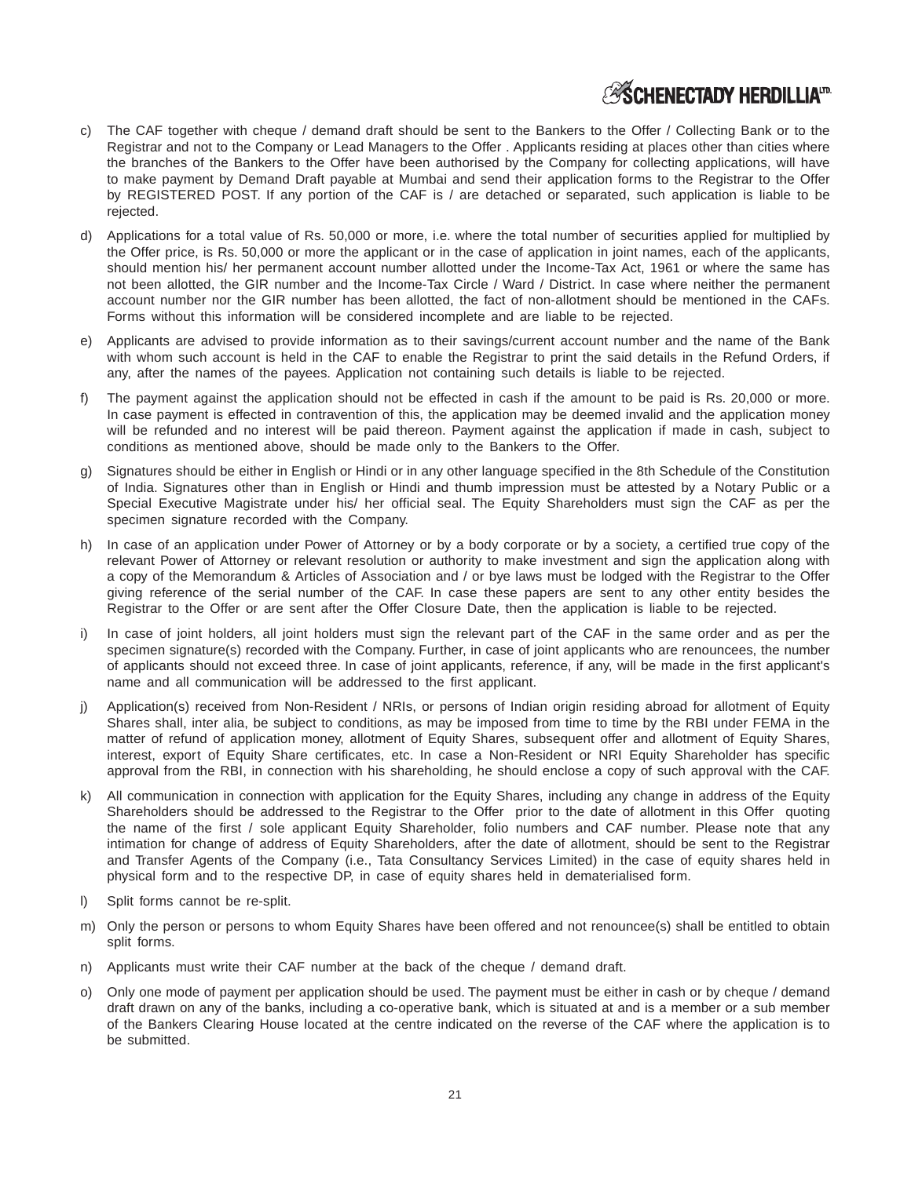## **ESCHENECTADY HERDILLIATD**

- c) The CAF together with cheque / demand draft should be sent to the Bankers to the Offer / Collecting Bank or to the Registrar and not to the Company or Lead Managers to the Offer . Applicants residing at places other than cities where the branches of the Bankers to the Offer have been authorised by the Company for collecting applications, will have to make payment by Demand Draft payable at Mumbai and send their application forms to the Registrar to the Offer by REGISTERED POST. If any portion of the CAF is / are detached or separated, such application is liable to be rejected.
- d) Applications for a total value of Rs. 50,000 or more, i.e. where the total number of securities applied for multiplied by the Offer price, is Rs. 50,000 or more the applicant or in the case of application in joint names, each of the applicants, should mention his/ her permanent account number allotted under the Income-Tax Act, 1961 or where the same has not been allotted, the GIR number and the Income-Tax Circle / Ward / District. In case where neither the permanent account number nor the GIR number has been allotted, the fact of non-allotment should be mentioned in the CAFs. Forms without this information will be considered incomplete and are liable to be rejected.
- e) Applicants are advised to provide information as to their savings/current account number and the name of the Bank with whom such account is held in the CAF to enable the Registrar to print the said details in the Refund Orders, if any, after the names of the payees. Application not containing such details is liable to be rejected.
- f) The payment against the application should not be effected in cash if the amount to be paid is Rs. 20,000 or more. In case payment is effected in contravention of this, the application may be deemed invalid and the application money will be refunded and no interest will be paid thereon. Payment against the application if made in cash, subject to conditions as mentioned above, should be made only to the Bankers to the Offer.
- g) Signatures should be either in English or Hindi or in any other language specified in the 8th Schedule of the Constitution of India. Signatures other than in English or Hindi and thumb impression must be attested by a Notary Public or a Special Executive Magistrate under his/ her official seal. The Equity Shareholders must sign the CAF as per the specimen signature recorded with the Company.
- h) In case of an application under Power of Attorney or by a body corporate or by a society, a certified true copy of the relevant Power of Attorney or relevant resolution or authority to make investment and sign the application along with a copy of the Memorandum & Articles of Association and / or bye laws must be lodged with the Registrar to the Offer giving reference of the serial number of the CAF. In case these papers are sent to any other entity besides the Registrar to the Offer or are sent after the Offer Closure Date, then the application is liable to be rejected.
- i) In case of joint holders, all joint holders must sign the relevant part of the CAF in the same order and as per the specimen signature(s) recorded with the Company. Further, in case of joint applicants who are renouncees, the number of applicants should not exceed three. In case of joint applicants, reference, if any, will be made in the first applicant's name and all communication will be addressed to the first applicant.
- j) Application(s) received from Non-Resident / NRIs, or persons of Indian origin residing abroad for allotment of Equity Shares shall, inter alia, be subject to conditions, as may be imposed from time to time by the RBI under FEMA in the matter of refund of application money, allotment of Equity Shares, subsequent offer and allotment of Equity Shares, interest, export of Equity Share certificates, etc. In case a Non-Resident or NRI Equity Shareholder has specific approval from the RBI, in connection with his shareholding, he should enclose a copy of such approval with the CAF.
- All communication in connection with application for the Equity Shares, including any change in address of the Equity Shareholders should be addressed to the Registrar to the Offer prior to the date of allotment in this Offer quoting the name of the first / sole applicant Equity Shareholder, folio numbers and CAF number. Please note that any intimation for change of address of Equity Shareholders, after the date of allotment, should be sent to the Registrar and Transfer Agents of the Company (i.e., Tata Consultancy Services Limited) in the case of equity shares held in physical form and to the respective DP, in case of equity shares held in dematerialised form.
- l) Split forms cannot be re-split.
- m) Only the person or persons to whom Equity Shares have been offered and not renouncee(s) shall be entitled to obtain split forms.
- n) Applicants must write their CAF number at the back of the cheque / demand draft.
- o) Only one mode of payment per application should be used. The payment must be either in cash or by cheque / demand draft drawn on any of the banks, including a co-operative bank, which is situated at and is a member or a sub member of the Bankers Clearing House located at the centre indicated on the reverse of the CAF where the application is to be submitted.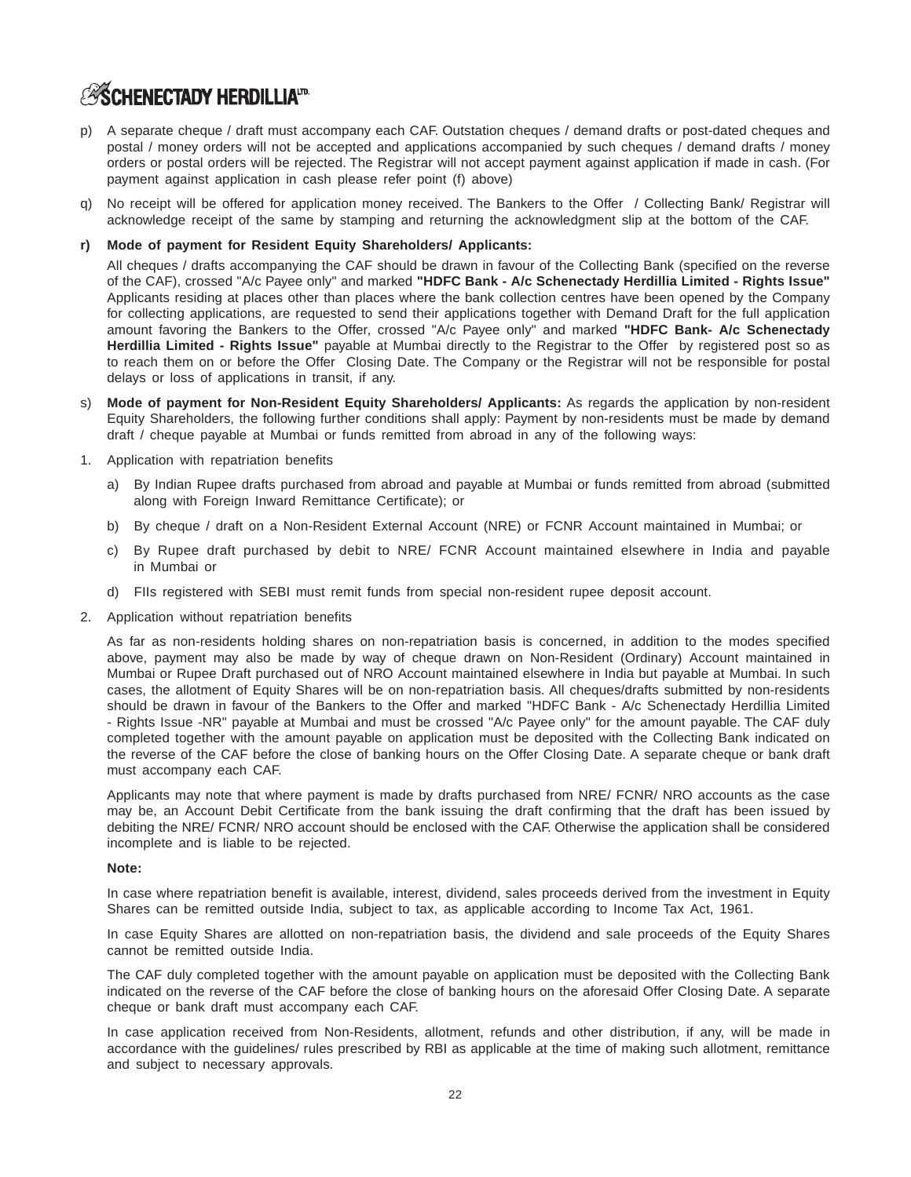## **ASCHENECTADY HERDILLIATD.**

- p) A separate cheque / draft must accompany each CAF. Outstation cheques / demand drafts or post-dated cheques and postal / money orders will not be accepted and applications accompanied by such cheques / demand drafts / money orders or postal orders will be rejected. The Registrar will not accept payment against application if made in cash. (For payment against application in cash please refer point (f) above)
- q) No receipt will be offered for application money received. The Bankers to the Offer / Collecting Bank/ Registrar will acknowledge receipt of the same by stamping and returning the acknowledgment slip at the bottom of the CAF.

### **r) Mode of payment for Resident Equity Shareholders/ Applicants:**

All cheques / drafts accompanying the CAF should be drawn in favour of the Collecting Bank (specified on the reverse of the CAF), crossed "A/c Payee only" and marked **"HDFC Bank - A/c Schenectady Herdillia Limited - Rights Issue"** Applicants residing at places other than places where the bank collection centres have been opened by the Company for collecting applications, are requested to send their applications together with Demand Draft for the full application amount favoring the Bankers to the Offer, crossed "A/c Payee only" and marked **"HDFC Bank- A/c Schenectady Herdillia Limited - Rights Issue"** payable at Mumbai directly to the Registrar to the Offer by registered post so as to reach them on or before the Offer Closing Date. The Company or the Registrar will not be responsible for postal delays or loss of applications in transit, if any.

- **Mode of payment for Non-Resident Equity Shareholders/ Applicants:** As regards the application by non-resident Equity Shareholders, the following further conditions shall apply: Payment by non-residents must be made by demand draft / cheque payable at Mumbai or funds remitted from abroad in any of the following ways:
- 1. Application with repatriation benefits
	- a) By Indian Rupee drafts purchased from abroad and payable at Mumbai or funds remitted from abroad (submitted along with Foreign Inward Remittance Certificate); or
	- b) By cheque / draft on a Non-Resident External Account (NRE) or FCNR Account maintained in Mumbai; or
	- c) By Rupee draft purchased by debit to NRE/ FCNR Account maintained elsewhere in India and payable in Mumbai or
	- d) FIIs registered with SEBI must remit funds from special non-resident rupee deposit account.
- 2. Application without repatriation benefits

As far as non-residents holding shares on non-repatriation basis is concerned, in addition to the modes specified above, payment may also be made by way of cheque drawn on Non-Resident (Ordinary) Account maintained in Mumbai or Rupee Draft purchased out of NRO Account maintained elsewhere in India but payable at Mumbai. In such cases, the allotment of Equity Shares will be on non-repatriation basis. All cheques/drafts submitted by non-residents should be drawn in favour of the Bankers to the Offer and marked "HDFC Bank - A/c Schenectady Herdillia Limited - Rights Issue -NR" payable at Mumbai and must be crossed "A/c Payee only" for the amount payable. The CAF duly completed together with the amount payable on application must be deposited with the Collecting Bank indicated on the reverse of the CAF before the close of banking hours on the Offer Closing Date. A separate cheque or bank draft must accompany each CAF.

Applicants may note that where payment is made by drafts purchased from NRE/ FCNR/ NRO accounts as the case may be, an Account Debit Certificate from the bank issuing the draft confirming that the draft has been issued by debiting the NRE/ FCNR/ NRO account should be enclosed with the CAF. Otherwise the application shall be considered incomplete and is liable to be rejected.

### **Note:**

In case where repatriation benefit is available, interest, dividend, sales proceeds derived from the investment in Equity Shares can be remitted outside India, subject to tax, as applicable according to Income Tax Act, 1961.

In case Equity Shares are allotted on non-repatriation basis, the dividend and sale proceeds of the Equity Shares cannot be remitted outside India.

The CAF duly completed together with the amount payable on application must be deposited with the Collecting Bank indicated on the reverse of the CAF before the close of banking hours on the aforesaid Offer Closing Date. A separate cheque or bank draft must accompany each CAF.

In case application received from Non-Residents, allotment, refunds and other distribution, if any, will be made in accordance with the guidelines/ rules prescribed by RBI as applicable at the time of making such allotment, remittance and subject to necessary approvals.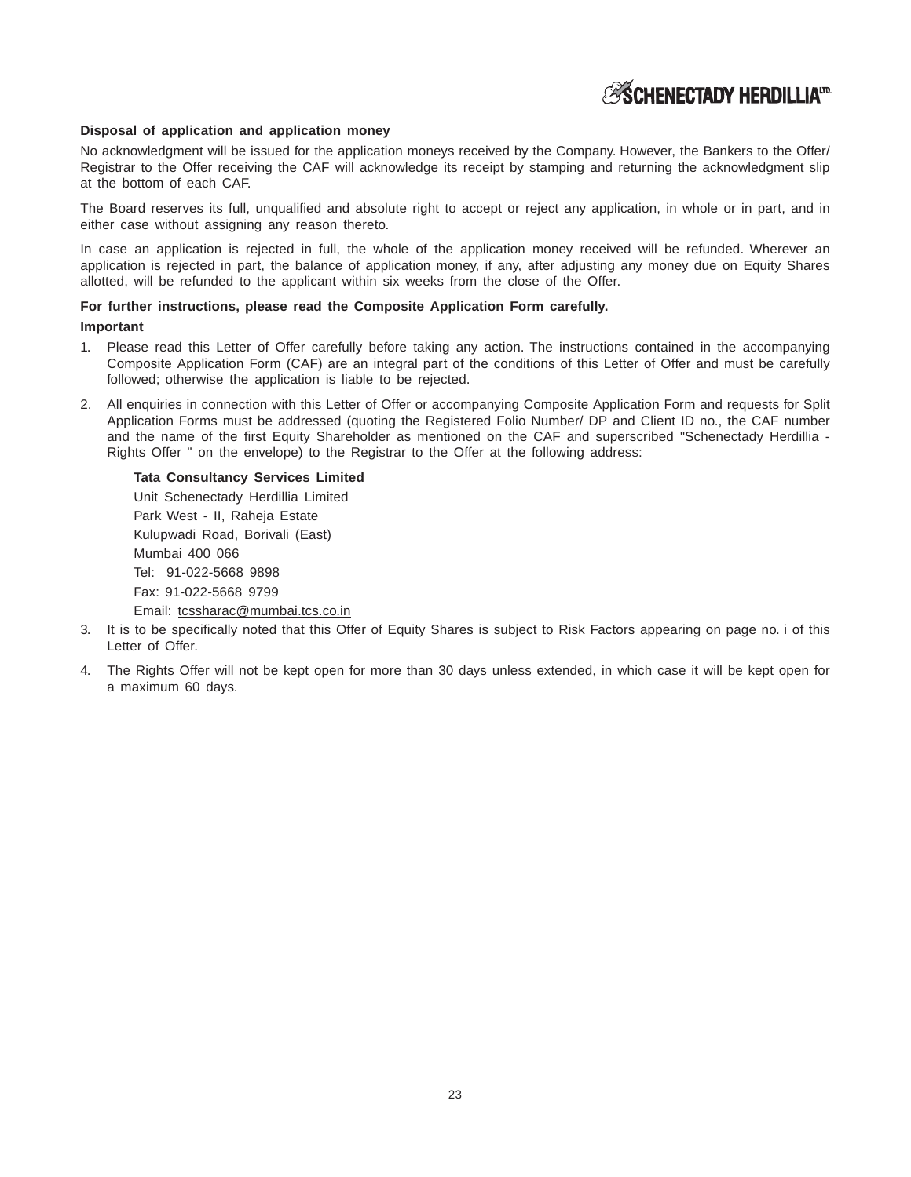# **Disposal of application and application money**

No acknowledgment will be issued for the application moneys received by the Company. However, the Bankers to the Offer/ Registrar to the Offer receiving the CAF will acknowledge its receipt by stamping and returning the acknowledgment slip at the bottom of each CAF.

The Board reserves its full, unqualified and absolute right to accept or reject any application, in whole or in part, and in either case without assigning any reason thereto.

In case an application is rejected in full, the whole of the application money received will be refunded. Wherever an application is rejected in part, the balance of application money, if any, after adjusting any money due on Equity Shares allotted, will be refunded to the applicant within six weeks from the close of the Offer.

# **For further instructions, please read the Composite Application Form carefully.**

# **Important**

- 1. Please read this Letter of Offer carefully before taking any action. The instructions contained in the accompanying Composite Application Form (CAF) are an integral part of the conditions of this Letter of Offer and must be carefully followed; otherwise the application is liable to be rejected.
- 2. All enquiries in connection with this Letter of Offer or accompanying Composite Application Form and requests for Split Application Forms must be addressed (quoting the Registered Folio Number/ DP and Client ID no., the CAF number and the name of the first Equity Shareholder as mentioned on the CAF and superscribed "Schenectady Herdillia - Rights Offer " on the envelope) to the Registrar to the Offer at the following address:

**Tata Consultancy Services Limited** Unit Schenectady Herdillia Limited Park West - II, Raheja Estate Kulupwadi Road, Borivali (East) Mumbai 400 066 Tel: 91-022-5668 9898 Fax: 91-022-5668 9799 Email: tcssharac@mumbai.tcs.co.in

- 3. It is to be specifically noted that this Offer of Equity Shares is subject to Risk Factors appearing on page no. i of this Letter of Offer.
- 4. The Rights Offer will not be kept open for more than 30 days unless extended, in which case it will be kept open for a maximum 60 days.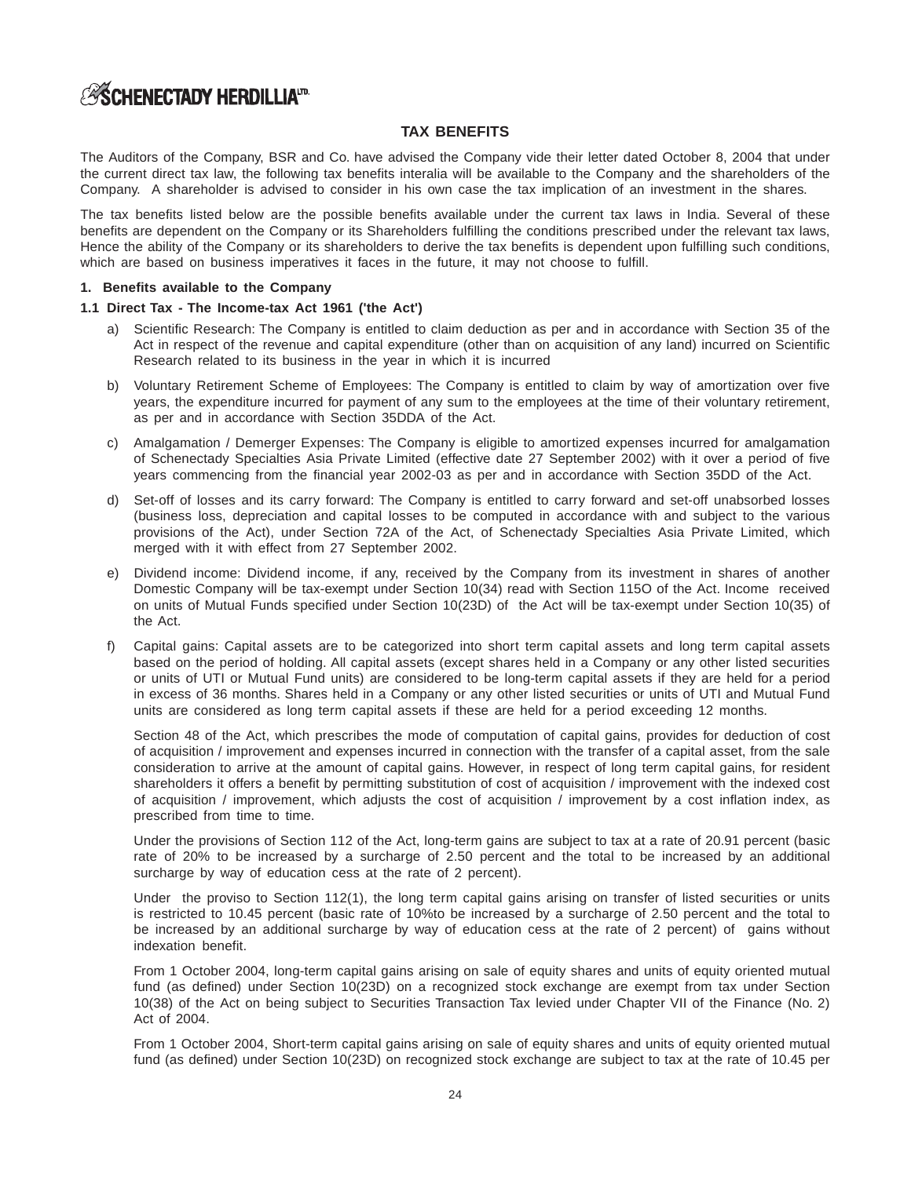# **TAX BENEFITS**

The Auditors of the Company, BSR and Co. have advised the Company vide their letter dated October 8, 2004 that under the current direct tax law, the following tax benefits interalia will be available to the Company and the shareholders of the Company. A shareholder is advised to consider in his own case the tax implication of an investment in the shares.

The tax benefits listed below are the possible benefits available under the current tax laws in India. Several of these benefits are dependent on the Company or its Shareholders fulfilling the conditions prescribed under the relevant tax laws, Hence the ability of the Company or its shareholders to derive the tax benefits is dependent upon fulfilling such conditions, which are based on business imperatives it faces in the future, it may not choose to fulfill.

### **1. Benefits available to the Company**

# **1.1 Direct Tax - The Income-tax Act 1961 ('the Act')**

- a) Scientific Research: The Company is entitled to claim deduction as per and in accordance with Section 35 of the Act in respect of the revenue and capital expenditure (other than on acquisition of any land) incurred on Scientific Research related to its business in the year in which it is incurred
- b) Voluntary Retirement Scheme of Employees: The Company is entitled to claim by way of amortization over five years, the expenditure incurred for payment of any sum to the employees at the time of their voluntary retirement, as per and in accordance with Section 35DDA of the Act.
- c) Amalgamation / Demerger Expenses: The Company is eligible to amortized expenses incurred for amalgamation of Schenectady Specialties Asia Private Limited (effective date 27 September 2002) with it over a period of five years commencing from the financial year 2002-03 as per and in accordance with Section 35DD of the Act.
- d) Set-off of losses and its carry forward: The Company is entitled to carry forward and set-off unabsorbed losses (business loss, depreciation and capital losses to be computed in accordance with and subject to the various provisions of the Act), under Section 72A of the Act, of Schenectady Specialties Asia Private Limited, which merged with it with effect from 27 September 2002.
- e) Dividend income: Dividend income, if any, received by the Company from its investment in shares of another Domestic Company will be tax-exempt under Section 10(34) read with Section 115O of the Act. Income received on units of Mutual Funds specified under Section 10(23D) of the Act will be tax-exempt under Section 10(35) of the Act.
- f) Capital gains: Capital assets are to be categorized into short term capital assets and long term capital assets based on the period of holding. All capital assets (except shares held in a Company or any other listed securities or units of UTI or Mutual Fund units) are considered to be long-term capital assets if they are held for a period in excess of 36 months. Shares held in a Company or any other listed securities or units of UTI and Mutual Fund units are considered as long term capital assets if these are held for a period exceeding 12 months.

Section 48 of the Act, which prescribes the mode of computation of capital gains, provides for deduction of cost of acquisition / improvement and expenses incurred in connection with the transfer of a capital asset, from the sale consideration to arrive at the amount of capital gains. However, in respect of long term capital gains, for resident shareholders it offers a benefit by permitting substitution of cost of acquisition / improvement with the indexed cost of acquisition / improvement, which adjusts the cost of acquisition / improvement by a cost inflation index, as prescribed from time to time.

Under the provisions of Section 112 of the Act, long-term gains are subject to tax at a rate of 20.91 percent (basic rate of 20% to be increased by a surcharge of 2.50 percent and the total to be increased by an additional surcharge by way of education cess at the rate of 2 percent).

Under the proviso to Section 112(1), the long term capital gains arising on transfer of listed securities or units is restricted to 10.45 percent (basic rate of 10%to be increased by a surcharge of 2.50 percent and the total to be increased by an additional surcharge by way of education cess at the rate of 2 percent) of gains without indexation benefit.

From 1 October 2004, long-term capital gains arising on sale of equity shares and units of equity oriented mutual fund (as defined) under Section 10(23D) on a recognized stock exchange are exempt from tax under Section 10(38) of the Act on being subject to Securities Transaction Tax levied under Chapter VII of the Finance (No. 2) Act of 2004.

From 1 October 2004, Short-term capital gains arising on sale of equity shares and units of equity oriented mutual fund (as defined) under Section 10(23D) on recognized stock exchange are subject to tax at the rate of 10.45 per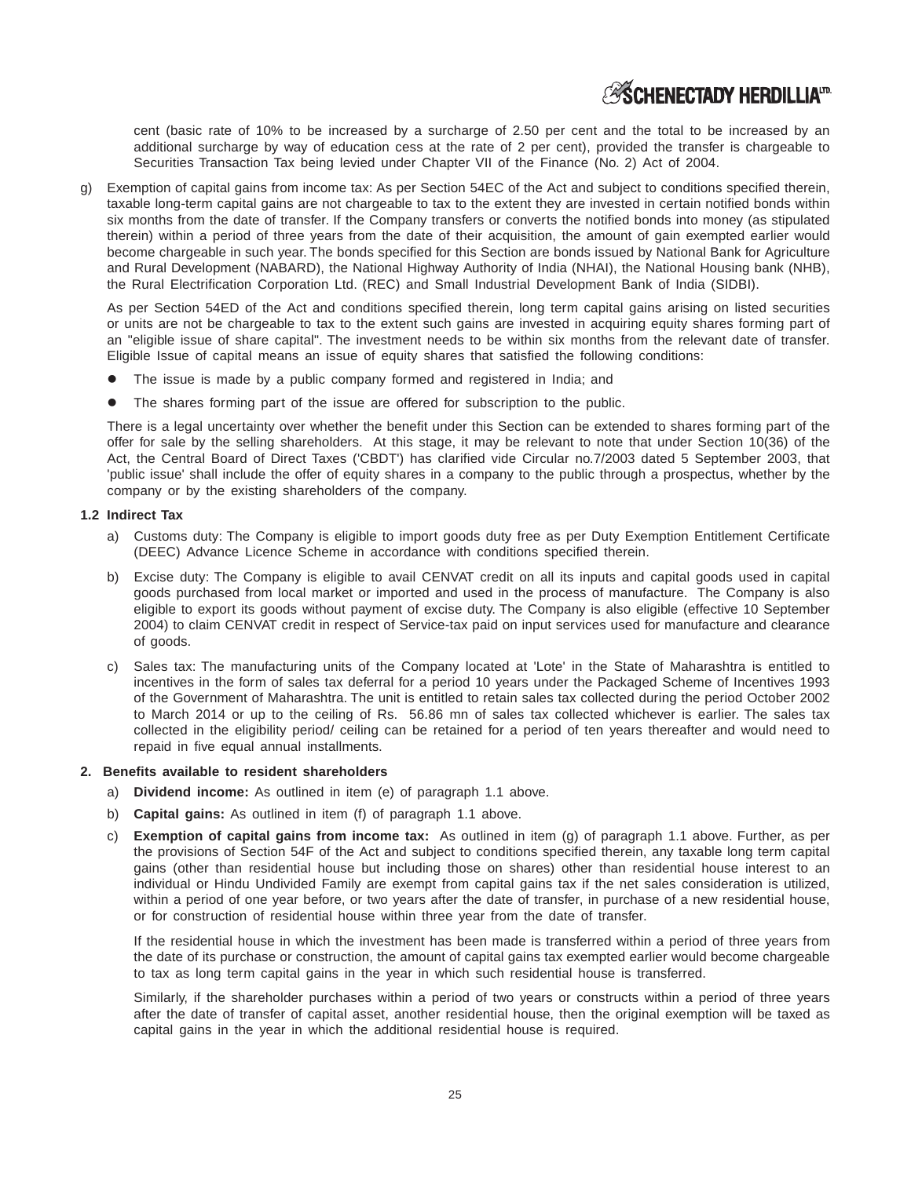# **ESCHENECTADY HERDILLIAID**

cent (basic rate of 10% to be increased by a surcharge of 2.50 per cent and the total to be increased by an additional surcharge by way of education cess at the rate of 2 per cent), provided the transfer is chargeable to Securities Transaction Tax being levied under Chapter VII of the Finance (No. 2) Act of 2004.

g) Exemption of capital gains from income tax: As per Section 54EC of the Act and subject to conditions specified therein, taxable long-term capital gains are not chargeable to tax to the extent they are invested in certain notified bonds within six months from the date of transfer. If the Company transfers or converts the notified bonds into money (as stipulated therein) within a period of three years from the date of their acquisition, the amount of gain exempted earlier would become chargeable in such year. The bonds specified for this Section are bonds issued by National Bank for Agriculture and Rural Development (NABARD), the National Highway Authority of India (NHAI), the National Housing bank (NHB), the Rural Electrification Corporation Ltd. (REC) and Small Industrial Development Bank of India (SIDBI).

As per Section 54ED of the Act and conditions specified therein, long term capital gains arising on listed securities or units are not be chargeable to tax to the extent such gains are invested in acquiring equity shares forming part of an "eligible issue of share capital". The investment needs to be within six months from the relevant date of transfer. Eligible Issue of capital means an issue of equity shares that satisfied the following conditions:

- The issue is made by a public company formed and registered in India; and
- The shares forming part of the issue are offered for subscription to the public.

There is a legal uncertainty over whether the benefit under this Section can be extended to shares forming part of the offer for sale by the selling shareholders. At this stage, it may be relevant to note that under Section 10(36) of the Act, the Central Board of Direct Taxes ('CBDT') has clarified vide Circular no.7/2003 dated 5 September 2003, that 'public issue' shall include the offer of equity shares in a company to the public through a prospectus, whether by the company or by the existing shareholders of the company.

# **1.2 Indirect Tax**

- a) Customs duty: The Company is eligible to import goods duty free as per Duty Exemption Entitlement Certificate (DEEC) Advance Licence Scheme in accordance with conditions specified therein.
- b) Excise duty: The Company is eligible to avail CENVAT credit on all its inputs and capital goods used in capital goods purchased from local market or imported and used in the process of manufacture. The Company is also eligible to export its goods without payment of excise duty. The Company is also eligible (effective 10 September 2004) to claim CENVAT credit in respect of Service-tax paid on input services used for manufacture and clearance of goods.
- c) Sales tax: The manufacturing units of the Company located at 'Lote' in the State of Maharashtra is entitled to incentives in the form of sales tax deferral for a period 10 years under the Packaged Scheme of Incentives 1993 of the Government of Maharashtra. The unit is entitled to retain sales tax collected during the period October 2002 to March 2014 or up to the ceiling of Rs. 56.86 mn of sales tax collected whichever is earlier. The sales tax collected in the eligibility period/ ceiling can be retained for a period of ten years thereafter and would need to repaid in five equal annual installments.

### **2. Benefits available to resident shareholders**

- a) **Dividend income:** As outlined in item (e) of paragraph 1.1 above.
- b) **Capital gains:** As outlined in item (f) of paragraph 1.1 above.
- c) **Exemption of capital gains from income tax:** As outlined in item (g) of paragraph 1.1 above. Further, as per the provisions of Section 54F of the Act and subject to conditions specified therein, any taxable long term capital gains (other than residential house but including those on shares) other than residential house interest to an individual or Hindu Undivided Family are exempt from capital gains tax if the net sales consideration is utilized, within a period of one year before, or two years after the date of transfer, in purchase of a new residential house, or for construction of residential house within three year from the date of transfer.

If the residential house in which the investment has been made is transferred within a period of three years from the date of its purchase or construction, the amount of capital gains tax exempted earlier would become chargeable to tax as long term capital gains in the year in which such residential house is transferred.

Similarly, if the shareholder purchases within a period of two years or constructs within a period of three years after the date of transfer of capital asset, another residential house, then the original exemption will be taxed as capital gains in the year in which the additional residential house is required.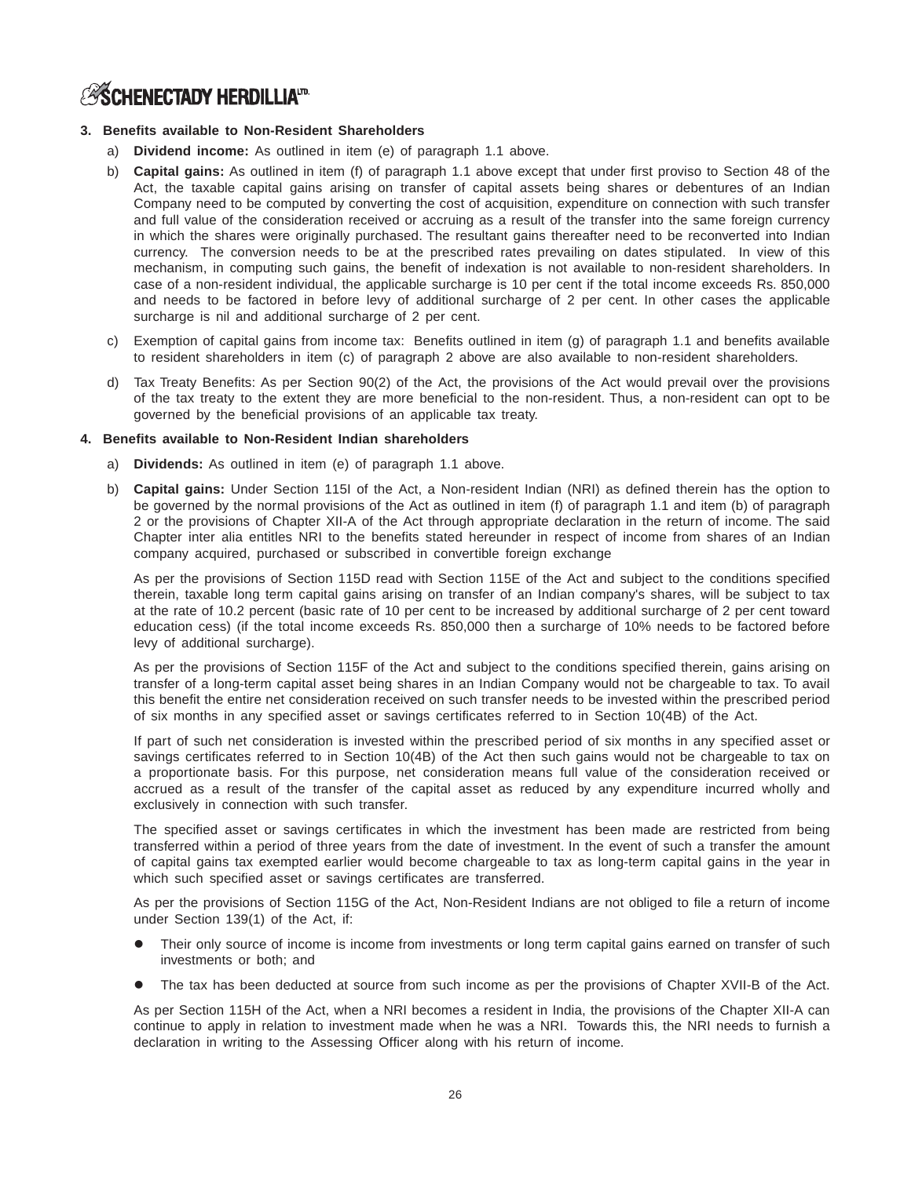# **3. Benefits available to Non-Resident Shareholders**

- a) **Dividend income:** As outlined in item (e) of paragraph 1.1 above.
- b) **Capital gains:** As outlined in item (f) of paragraph 1.1 above except that under first proviso to Section 48 of the Act, the taxable capital gains arising on transfer of capital assets being shares or debentures of an Indian Company need to be computed by converting the cost of acquisition, expenditure on connection with such transfer and full value of the consideration received or accruing as a result of the transfer into the same foreign currency in which the shares were originally purchased. The resultant gains thereafter need to be reconverted into Indian currency. The conversion needs to be at the prescribed rates prevailing on dates stipulated. In view of this mechanism, in computing such gains, the benefit of indexation is not available to non-resident shareholders. In case of a non-resident individual, the applicable surcharge is 10 per cent if the total income exceeds Rs. 850,000 and needs to be factored in before levy of additional surcharge of 2 per cent. In other cases the applicable surcharge is nil and additional surcharge of 2 per cent.
- c) Exemption of capital gains from income tax: Benefits outlined in item (g) of paragraph 1.1 and benefits available to resident shareholders in item (c) of paragraph 2 above are also available to non-resident shareholders.
- d) Tax Treaty Benefits: As per Section 90(2) of the Act, the provisions of the Act would prevail over the provisions of the tax treaty to the extent they are more beneficial to the non-resident. Thus, a non-resident can opt to be governed by the beneficial provisions of an applicable tax treaty.

# **4. Benefits available to Non-Resident Indian shareholders**

- a) **Dividends:** As outlined in item (e) of paragraph 1.1 above.
- b) **Capital gains:** Under Section 115I of the Act, a Non-resident Indian (NRI) as defined therein has the option to be governed by the normal provisions of the Act as outlined in item (f) of paragraph 1.1 and item (b) of paragraph 2 or the provisions of Chapter XII-A of the Act through appropriate declaration in the return of income. The said Chapter inter alia entitles NRI to the benefits stated hereunder in respect of income from shares of an Indian company acquired, purchased or subscribed in convertible foreign exchange

As per the provisions of Section 115D read with Section 115E of the Act and subject to the conditions specified therein, taxable long term capital gains arising on transfer of an Indian company's shares, will be subject to tax at the rate of 10.2 percent (basic rate of 10 per cent to be increased by additional surcharge of 2 per cent toward education cess) (if the total income exceeds Rs. 850,000 then a surcharge of 10% needs to be factored before levy of additional surcharge).

As per the provisions of Section 115F of the Act and subject to the conditions specified therein, gains arising on transfer of a long-term capital asset being shares in an Indian Company would not be chargeable to tax. To avail this benefit the entire net consideration received on such transfer needs to be invested within the prescribed period of six months in any specified asset or savings certificates referred to in Section 10(4B) of the Act.

If part of such net consideration is invested within the prescribed period of six months in any specified asset or savings certificates referred to in Section 10(4B) of the Act then such gains would not be chargeable to tax on a proportionate basis. For this purpose, net consideration means full value of the consideration received or accrued as a result of the transfer of the capital asset as reduced by any expenditure incurred wholly and exclusively in connection with such transfer.

The specified asset or savings certificates in which the investment has been made are restricted from being transferred within a period of three years from the date of investment. In the event of such a transfer the amount of capital gains tax exempted earlier would become chargeable to tax as long-term capital gains in the year in which such specified asset or savings certificates are transferred.

As per the provisions of Section 115G of the Act, Non-Resident Indians are not obliged to file a return of income under Section 139(1) of the Act, if:

- Their only source of income is income from investments or long term capital gains earned on transfer of such investments or both; and
- The tax has been deducted at source from such income as per the provisions of Chapter XVII-B of the Act.

As per Section 115H of the Act, when a NRI becomes a resident in India, the provisions of the Chapter XII-A can continue to apply in relation to investment made when he was a NRI. Towards this, the NRI needs to furnish a declaration in writing to the Assessing Officer along with his return of income.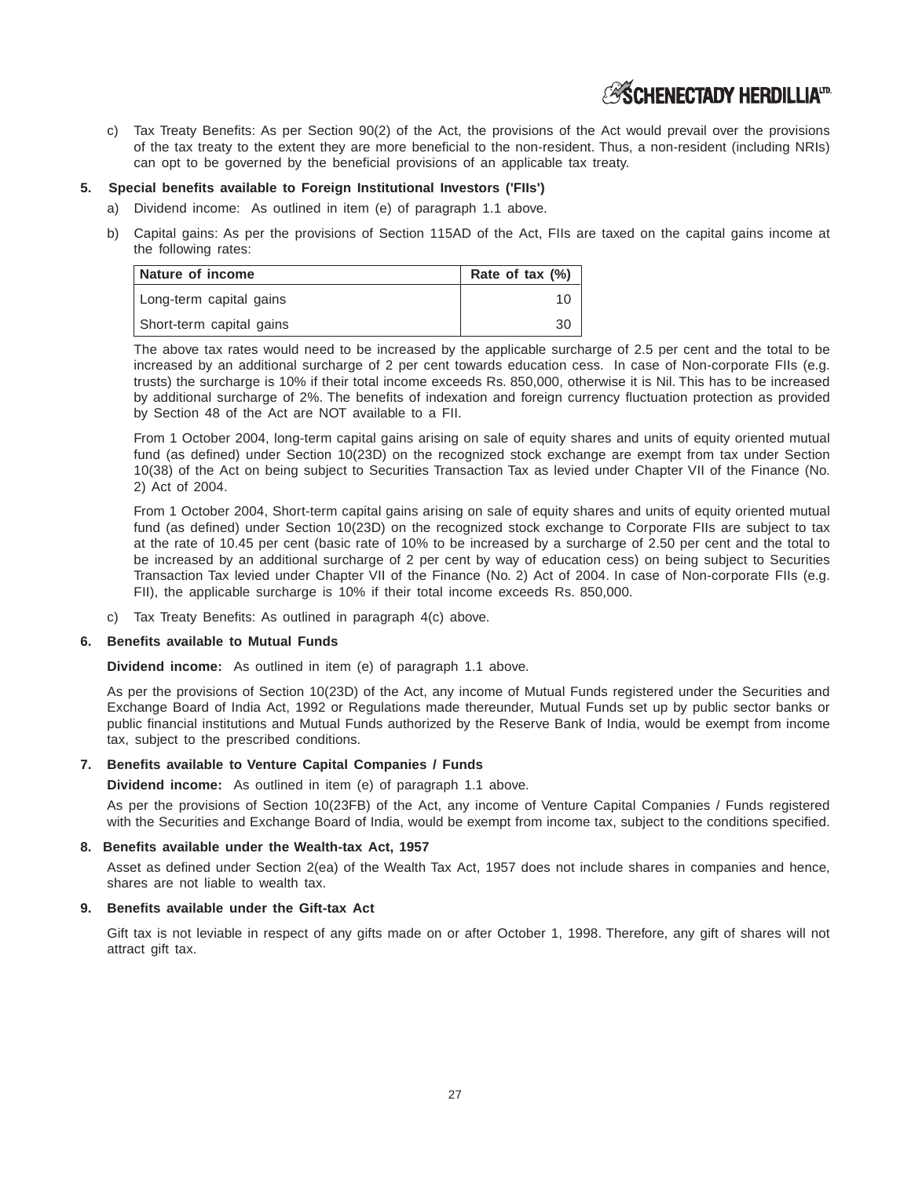c) Tax Treaty Benefits: As per Section 90(2) of the Act, the provisions of the Act would prevail over the provisions of the tax treaty to the extent they are more beneficial to the non-resident. Thus, a non-resident (including NRIs) can opt to be governed by the beneficial provisions of an applicable tax treaty.

# **5. Special benefits available to Foreign Institutional Investors ('FIIs')**

- a) Dividend income: As outlined in item (e) of paragraph 1.1 above.
- b) Capital gains: As per the provisions of Section 115AD of the Act, FIIs are taxed on the capital gains income at the following rates:

| Nature of income         | Rate of tax $(\%)$ |
|--------------------------|--------------------|
| Long-term capital gains  |                    |
| Short-term capital gains | 30                 |

The above tax rates would need to be increased by the applicable surcharge of 2.5 per cent and the total to be increased by an additional surcharge of 2 per cent towards education cess. In case of Non-corporate FIIs (e.g. trusts) the surcharge is 10% if their total income exceeds Rs. 850,000, otherwise it is Nil. This has to be increased by additional surcharge of 2%. The benefits of indexation and foreign currency fluctuation protection as provided by Section 48 of the Act are NOT available to a FII.

From 1 October 2004, long-term capital gains arising on sale of equity shares and units of equity oriented mutual fund (as defined) under Section 10(23D) on the recognized stock exchange are exempt from tax under Section 10(38) of the Act on being subject to Securities Transaction Tax as levied under Chapter VII of the Finance (No. 2) Act of 2004.

From 1 October 2004, Short-term capital gains arising on sale of equity shares and units of equity oriented mutual fund (as defined) under Section 10(23D) on the recognized stock exchange to Corporate FIIs are subject to tax at the rate of 10.45 per cent (basic rate of 10% to be increased by a surcharge of 2.50 per cent and the total to be increased by an additional surcharge of 2 per cent by way of education cess) on being subject to Securities Transaction Tax levied under Chapter VII of the Finance (No. 2) Act of 2004. In case of Non-corporate FIIs (e.g. FII), the applicable surcharge is 10% if their total income exceeds Rs. 850,000.

c) Tax Treaty Benefits: As outlined in paragraph 4(c) above.

### **6. Benefits available to Mutual Funds**

**Dividend income:** As outlined in item (e) of paragraph 1.1 above.

As per the provisions of Section 10(23D) of the Act, any income of Mutual Funds registered under the Securities and Exchange Board of India Act, 1992 or Regulations made thereunder, Mutual Funds set up by public sector banks or public financial institutions and Mutual Funds authorized by the Reserve Bank of India, would be exempt from income tax, subject to the prescribed conditions.

# **7. Benefits available to Venture Capital Companies / Funds**

**Dividend income:** As outlined in item (e) of paragraph 1.1 above.

As per the provisions of Section 10(23FB) of the Act, any income of Venture Capital Companies / Funds registered with the Securities and Exchange Board of India, would be exempt from income tax, subject to the conditions specified.

# **8. Benefits available under the Wealth-tax Act, 1957**

Asset as defined under Section 2(ea) of the Wealth Tax Act, 1957 does not include shares in companies and hence, shares are not liable to wealth tax.

# **9. Benefits available under the Gift-tax Act**

Gift tax is not leviable in respect of any gifts made on or after October 1, 1998. Therefore, any gift of shares will not attract gift tax.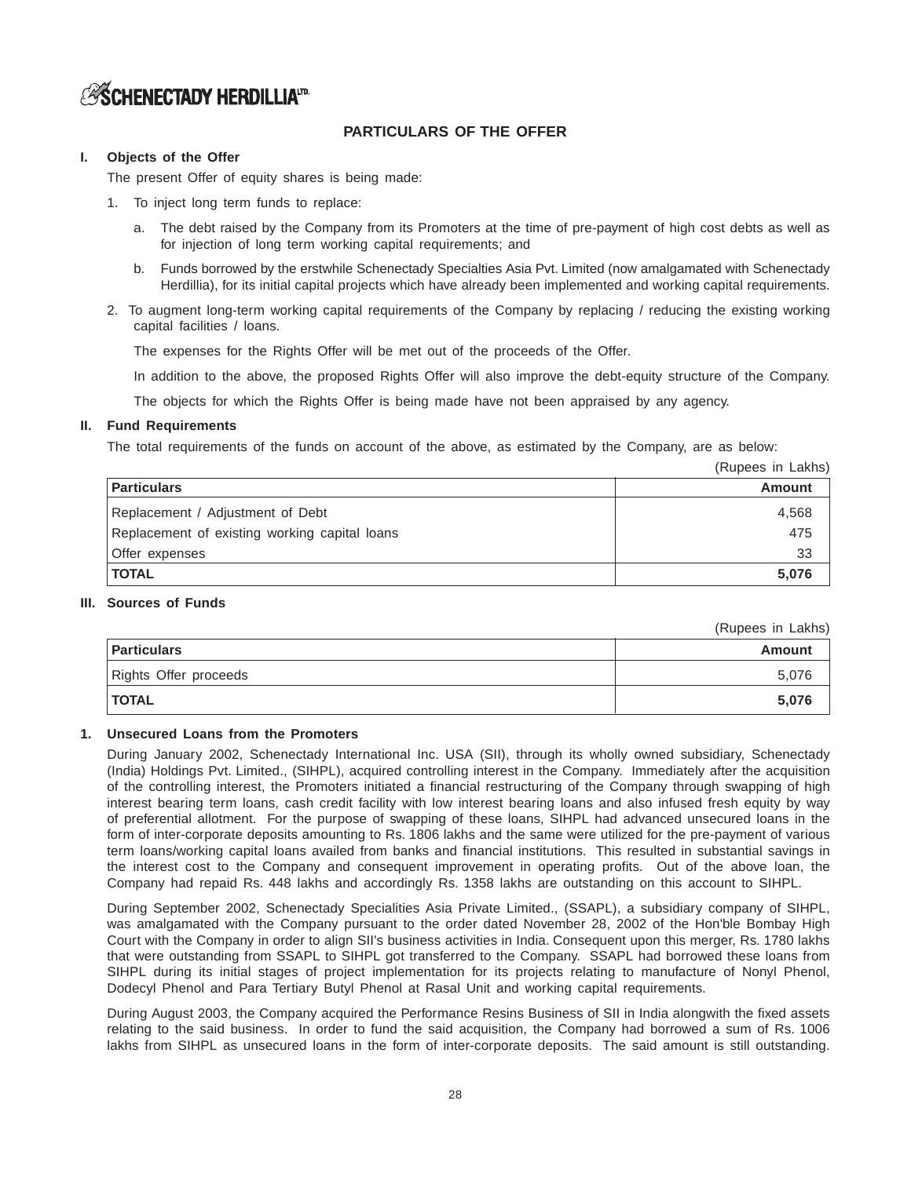# **PARTICULARS OF THE OFFER**

# **I. Objects of the Offer**

The present Offer of equity shares is being made:

- 1. To inject long term funds to replace:
	- a. The debt raised by the Company from its Promoters at the time of pre-payment of high cost debts as well as for injection of long term working capital requirements; and
	- b. Funds borrowed by the erstwhile Schenectady Specialties Asia Pvt. Limited (now amalgamated with Schenectady Herdillia), for its initial capital projects which have already been implemented and working capital requirements.
- 2. To augment long-term working capital requirements of the Company by replacing / reducing the existing working capital facilities / loans.

The expenses for the Rights Offer will be met out of the proceeds of the Offer.

In addition to the above, the proposed Rights Offer will also improve the debt-equity structure of the Company.

The objects for which the Rights Offer is being made have not been appraised by any agency.

# **II. Fund Requirements**

The total requirements of the funds on account of the above, as estimated by the Company, are as below:

(Rupees in Lakhs)

| <b>Particulars</b>                            | Amount |
|-----------------------------------------------|--------|
| Replacement / Adjustment of Debt              | 4.568  |
| Replacement of existing working capital loans | 475    |
| Offer expenses                                | 33     |
| <b>TOTAL</b>                                  | 5.076  |

# **III. Sources of Funds**

(Rupees in Lakhs)

| <b>Particulars</b>    | Amount |
|-----------------------|--------|
| Rights Offer proceeds | 5,076  |
| <b>TOTAL</b>          | 5,076  |

# **1. Unsecured Loans from the Promoters**

During January 2002, Schenectady International Inc. USA (SII), through its wholly owned subsidiary, Schenectady (India) Holdings Pvt. Limited., (SIHPL), acquired controlling interest in the Company. Immediately after the acquisition of the controlling interest, the Promoters initiated a financial restructuring of the Company through swapping of high interest bearing term loans, cash credit facility with low interest bearing loans and also infused fresh equity by way of preferential allotment. For the purpose of swapping of these loans, SIHPL had advanced unsecured loans in the form of inter-corporate deposits amounting to Rs. 1806 lakhs and the same were utilized for the pre-payment of various term loans/working capital loans availed from banks and financial institutions. This resulted in substantial savings in the interest cost to the Company and consequent improvement in operating profits. Out of the above loan, the Company had repaid Rs. 448 lakhs and accordingly Rs. 1358 lakhs are outstanding on this account to SIHPL.

During September 2002, Schenectady Specialities Asia Private Limited., (SSAPL), a subsidiary company of SIHPL, was amalgamated with the Company pursuant to the order dated November 28, 2002 of the Hon'ble Bombay High Court with the Company in order to align SII's business activities in India. Consequent upon this merger, Rs. 1780 lakhs that were outstanding from SSAPL to SIHPL got transferred to the Company. SSAPL had borrowed these loans from SIHPL during its initial stages of project implementation for its projects relating to manufacture of Nonyl Phenol, Dodecyl Phenol and Para Tertiary Butyl Phenol at Rasal Unit and working capital requirements.

During August 2003, the Company acquired the Performance Resins Business of SII in India alongwith the fixed assets relating to the said business. In order to fund the said acquisition, the Company had borrowed a sum of Rs. 1006 lakhs from SIHPL as unsecured loans in the form of inter-corporate deposits. The said amount is still outstanding.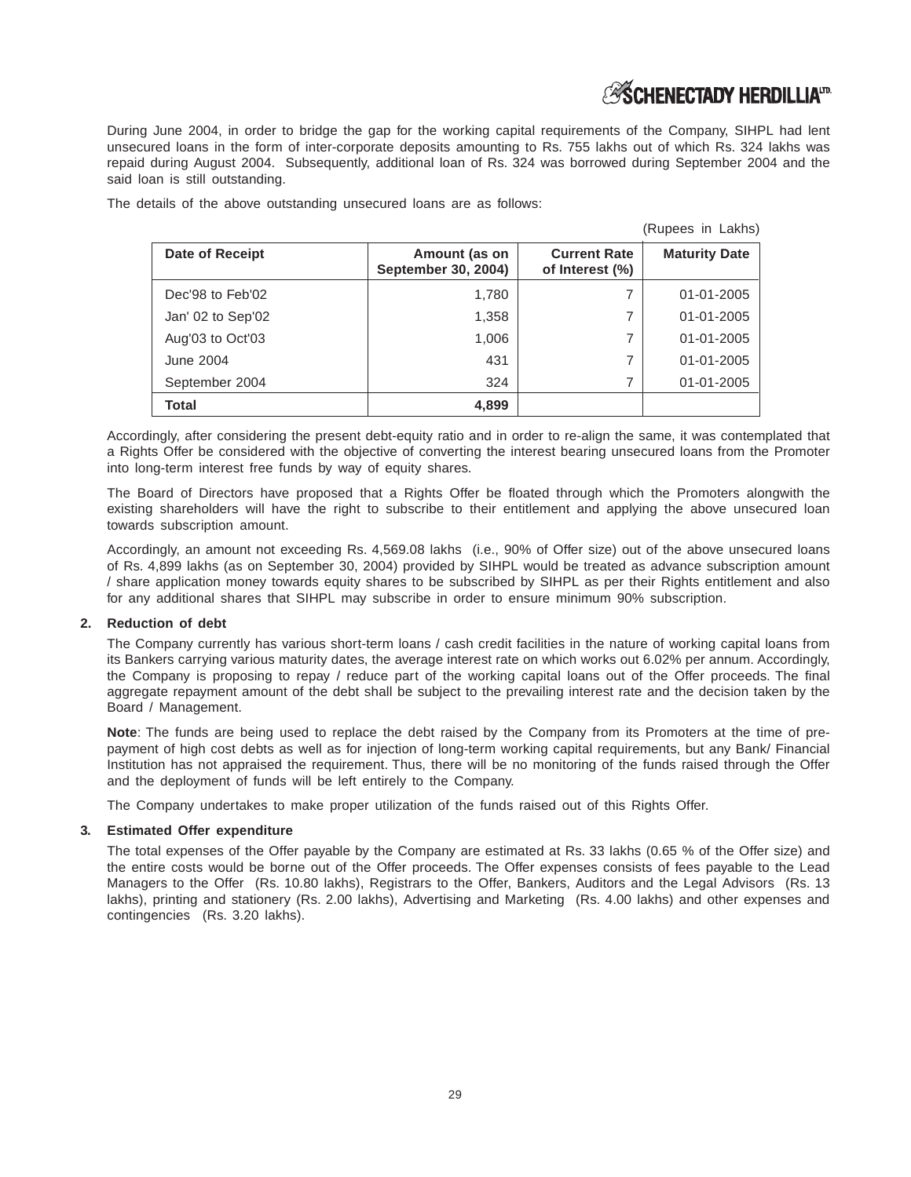During June 2004, in order to bridge the gap for the working capital requirements of the Company, SIHPL had lent unsecured loans in the form of inter-corporate deposits amounting to Rs. 755 lakhs out of which Rs. 324 lakhs was repaid during August 2004. Subsequently, additional loan of Rs. 324 was borrowed during September 2004 and the said loan is still outstanding.

The details of the above outstanding unsecured loans are as follows:

|                   |                                      |                                        | (Rupees in Lakhs)    |
|-------------------|--------------------------------------|----------------------------------------|----------------------|
| Date of Receipt   | Amount (as on<br>September 30, 2004) | <b>Current Rate</b><br>of Interest (%) | <b>Maturity Date</b> |
| Dec'98 to Feb'02  | 1,780                                | 7                                      | $01 - 01 - 2005$     |
| Jan' 02 to Sep'02 | 1,358                                | 7                                      | 01-01-2005           |
| Aug'03 to Oct'03  | 1,006                                | 7                                      | 01-01-2005           |
| June 2004         | 431                                  | 7                                      | 01-01-2005           |
| September 2004    | 324                                  | 7                                      | 01-01-2005           |
| <b>Total</b>      | 4,899                                |                                        |                      |

Accordingly, after considering the present debt-equity ratio and in order to re-align the same, it was contemplated that a Rights Offer be considered with the objective of converting the interest bearing unsecured loans from the Promoter into long-term interest free funds by way of equity shares.

The Board of Directors have proposed that a Rights Offer be floated through which the Promoters alongwith the existing shareholders will have the right to subscribe to their entitlement and applying the above unsecured loan towards subscription amount.

Accordingly, an amount not exceeding Rs. 4,569.08 lakhs (i.e., 90% of Offer size) out of the above unsecured loans of Rs. 4,899 lakhs (as on September 30, 2004) provided by SIHPL would be treated as advance subscription amount / share application money towards equity shares to be subscribed by SIHPL as per their Rights entitlement and also for any additional shares that SIHPL may subscribe in order to ensure minimum 90% subscription.

# **2. Reduction of debt**

The Company currently has various short-term loans / cash credit facilities in the nature of working capital loans from its Bankers carrying various maturity dates, the average interest rate on which works out 6.02% per annum. Accordingly, the Company is proposing to repay / reduce part of the working capital loans out of the Offer proceeds. The final aggregate repayment amount of the debt shall be subject to the prevailing interest rate and the decision taken by the Board / Management.

**Note**: The funds are being used to replace the debt raised by the Company from its Promoters at the time of prepayment of high cost debts as well as for injection of long-term working capital requirements, but any Bank/ Financial Institution has not appraised the requirement. Thus, there will be no monitoring of the funds raised through the Offer and the deployment of funds will be left entirely to the Company.

The Company undertakes to make proper utilization of the funds raised out of this Rights Offer.

### **3. Estimated Offer expenditure**

The total expenses of the Offer payable by the Company are estimated at Rs. 33 lakhs (0.65 % of the Offer size) and the entire costs would be borne out of the Offer proceeds. The Offer expenses consists of fees payable to the Lead Managers to the Offer (Rs. 10.80 lakhs), Registrars to the Offer, Bankers, Auditors and the Legal Advisors (Rs. 13 lakhs), printing and stationery (Rs. 2.00 lakhs), Advertising and Marketing (Rs. 4.00 lakhs) and other expenses and contingencies (Rs. 3.20 lakhs).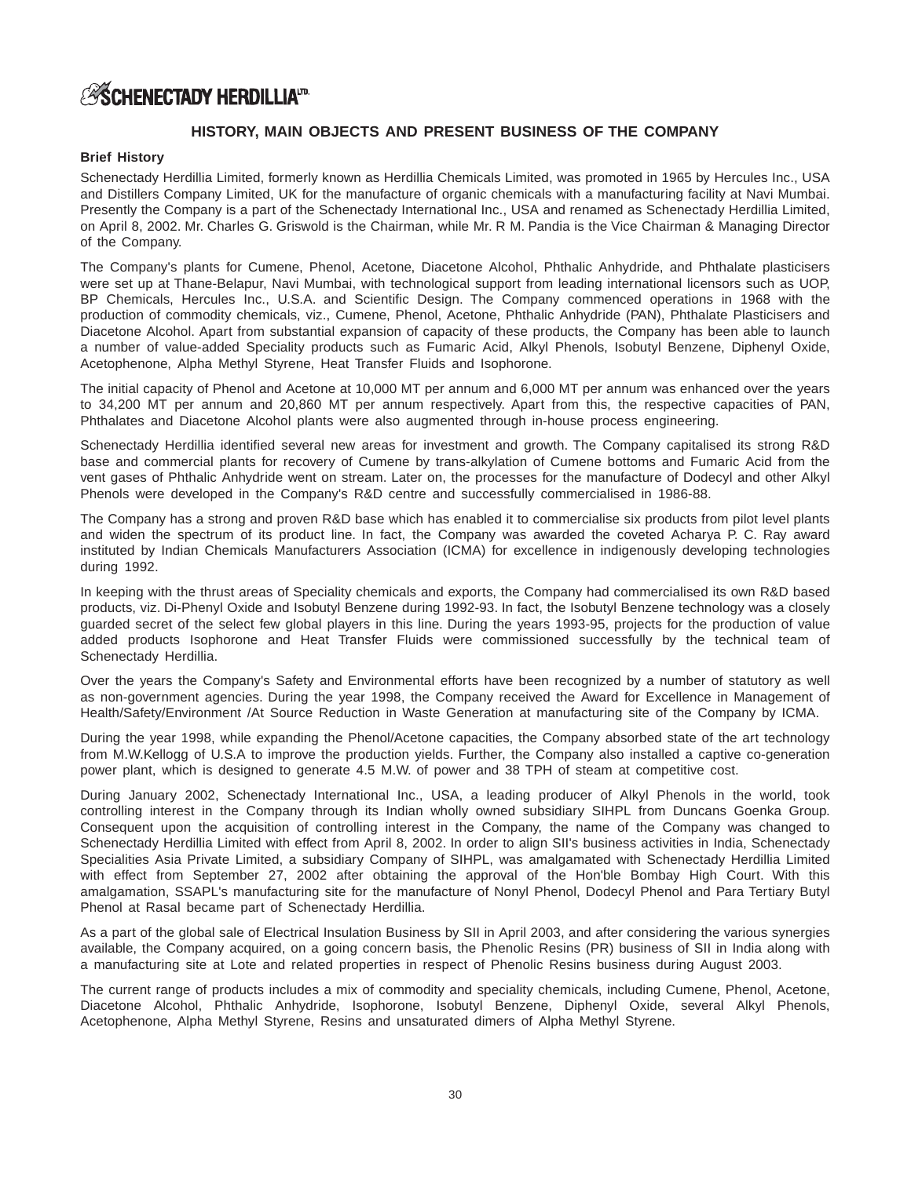# **HISTORY, MAIN OBJECTS AND PRESENT BUSINESS OF THE COMPANY**

# **Brief History**

Schenectady Herdillia Limited, formerly known as Herdillia Chemicals Limited, was promoted in 1965 by Hercules Inc., USA and Distillers Company Limited, UK for the manufacture of organic chemicals with a manufacturing facility at Navi Mumbai. Presently the Company is a part of the Schenectady International Inc., USA and renamed as Schenectady Herdillia Limited, on April 8, 2002. Mr. Charles G. Griswold is the Chairman, while Mr. R M. Pandia is the Vice Chairman & Managing Director of the Company.

The Company's plants for Cumene, Phenol, Acetone, Diacetone Alcohol, Phthalic Anhydride, and Phthalate plasticisers were set up at Thane-Belapur, Navi Mumbai, with technological support from leading international licensors such as UOP, BP Chemicals, Hercules Inc., U.S.A. and Scientific Design. The Company commenced operations in 1968 with the production of commodity chemicals, viz., Cumene, Phenol, Acetone, Phthalic Anhydride (PAN), Phthalate Plasticisers and Diacetone Alcohol. Apart from substantial expansion of capacity of these products, the Company has been able to launch a number of value-added Speciality products such as Fumaric Acid, Alkyl Phenols, Isobutyl Benzene, Diphenyl Oxide, Acetophenone, Alpha Methyl Styrene, Heat Transfer Fluids and Isophorone.

The initial capacity of Phenol and Acetone at 10,000 MT per annum and 6,000 MT per annum was enhanced over the years to 34,200 MT per annum and 20,860 MT per annum respectively. Apart from this, the respective capacities of PAN, Phthalates and Diacetone Alcohol plants were also augmented through in-house process engineering.

Schenectady Herdillia identified several new areas for investment and growth. The Company capitalised its strong R&D base and commercial plants for recovery of Cumene by trans-alkylation of Cumene bottoms and Fumaric Acid from the vent gases of Phthalic Anhydride went on stream. Later on, the processes for the manufacture of Dodecyl and other Alkyl Phenols were developed in the Company's R&D centre and successfully commercialised in 1986-88.

The Company has a strong and proven R&D base which has enabled it to commercialise six products from pilot level plants and widen the spectrum of its product line. In fact, the Company was awarded the coveted Acharya P. C. Ray award instituted by Indian Chemicals Manufacturers Association (ICMA) for excellence in indigenously developing technologies during 1992.

In keeping with the thrust areas of Speciality chemicals and exports, the Company had commercialised its own R&D based products, viz. Di-Phenyl Oxide and Isobutyl Benzene during 1992-93. In fact, the Isobutyl Benzene technology was a closely guarded secret of the select few global players in this line. During the years 1993-95, projects for the production of value added products Isophorone and Heat Transfer Fluids were commissioned successfully by the technical team of Schenectady Herdillia.

Over the years the Company's Safety and Environmental efforts have been recognized by a number of statutory as well as non-government agencies. During the year 1998, the Company received the Award for Excellence in Management of Health/Safety/Environment /At Source Reduction in Waste Generation at manufacturing site of the Company by ICMA.

During the year 1998, while expanding the Phenol/Acetone capacities, the Company absorbed state of the art technology from M.W.Kellogg of U.S.A to improve the production yields. Further, the Company also installed a captive co-generation power plant, which is designed to generate 4.5 M.W. of power and 38 TPH of steam at competitive cost.

During January 2002, Schenectady International Inc., USA, a leading producer of Alkyl Phenols in the world, took controlling interest in the Company through its Indian wholly owned subsidiary SIHPL from Duncans Goenka Group. Consequent upon the acquisition of controlling interest in the Company, the name of the Company was changed to Schenectady Herdillia Limited with effect from April 8, 2002. In order to align SII's business activities in India, Schenectady Specialities Asia Private Limited, a subsidiary Company of SIHPL, was amalgamated with Schenectady Herdillia Limited with effect from September 27, 2002 after obtaining the approval of the Hon'ble Bombay High Court. With this amalgamation, SSAPL's manufacturing site for the manufacture of Nonyl Phenol, Dodecyl Phenol and Para Tertiary Butyl Phenol at Rasal became part of Schenectady Herdillia.

As a part of the global sale of Electrical Insulation Business by SII in April 2003, and after considering the various synergies available, the Company acquired, on a going concern basis, the Phenolic Resins (PR) business of SII in India along with a manufacturing site at Lote and related properties in respect of Phenolic Resins business during August 2003.

The current range of products includes a mix of commodity and speciality chemicals, including Cumene, Phenol, Acetone, Diacetone Alcohol, Phthalic Anhydride, Isophorone, Isobutyl Benzene, Diphenyl Oxide, several Alkyl Phenols, Acetophenone, Alpha Methyl Styrene, Resins and unsaturated dimers of Alpha Methyl Styrene.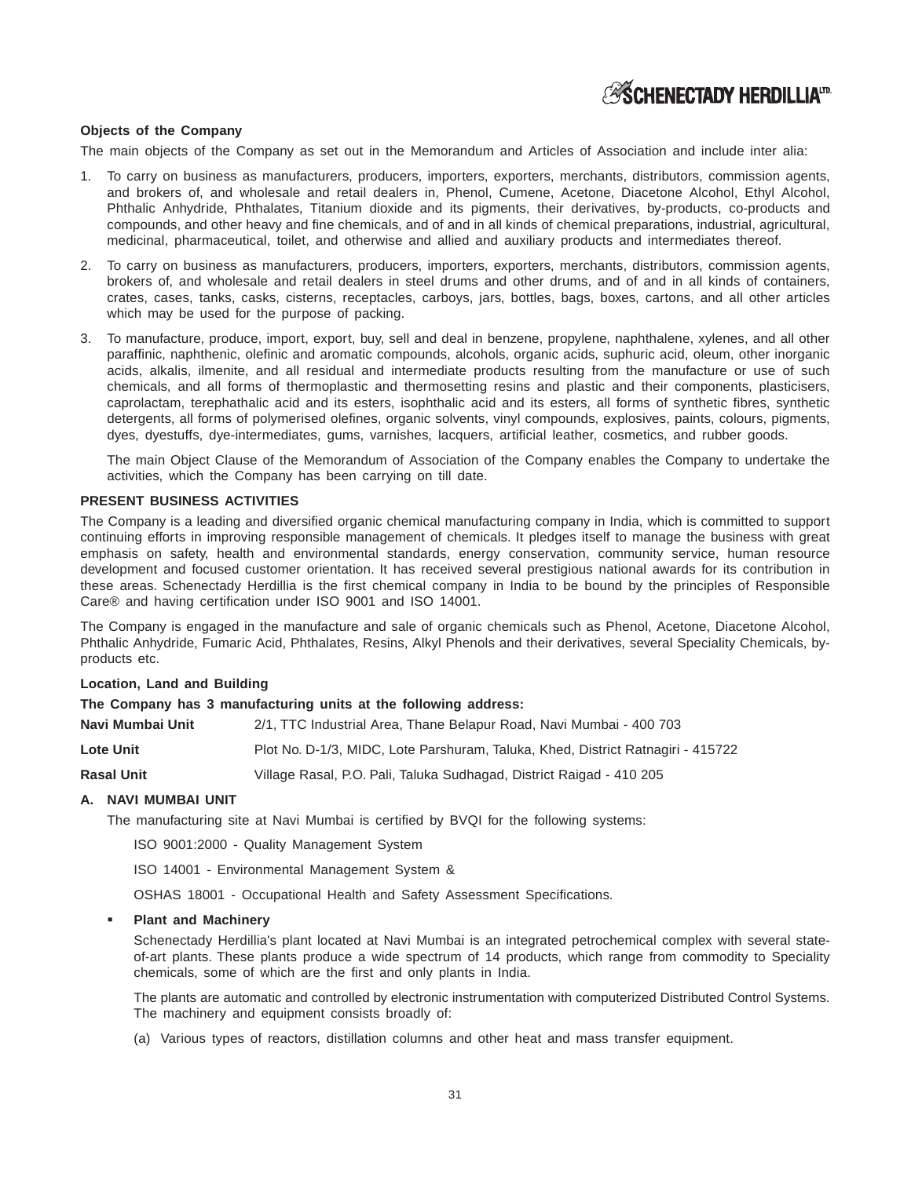

# **Objects of the Company**

The main objects of the Company as set out in the Memorandum and Articles of Association and include inter alia:

- 1. To carry on business as manufacturers, producers, importers, exporters, merchants, distributors, commission agents, and brokers of, and wholesale and retail dealers in, Phenol, Cumene, Acetone, Diacetone Alcohol, Ethyl Alcohol, Phthalic Anhydride, Phthalates, Titanium dioxide and its pigments, their derivatives, by-products, co-products and compounds, and other heavy and fine chemicals, and of and in all kinds of chemical preparations, industrial, agricultural, medicinal, pharmaceutical, toilet, and otherwise and allied and auxiliary products and intermediates thereof.
- 2. To carry on business as manufacturers, producers, importers, exporters, merchants, distributors, commission agents, brokers of, and wholesale and retail dealers in steel drums and other drums, and of and in all kinds of containers, crates, cases, tanks, casks, cisterns, receptacles, carboys, jars, bottles, bags, boxes, cartons, and all other articles which may be used for the purpose of packing.
- 3. To manufacture, produce, import, export, buy, sell and deal in benzene, propylene, naphthalene, xylenes, and all other paraffinic, naphthenic, olefinic and aromatic compounds, alcohols, organic acids, suphuric acid, oleum, other inorganic acids, alkalis, ilmenite, and all residual and intermediate products resulting from the manufacture or use of such chemicals, and all forms of thermoplastic and thermosetting resins and plastic and their components, plasticisers, caprolactam, terephathalic acid and its esters, isophthalic acid and its esters, all forms of synthetic fibres, synthetic detergents, all forms of polymerised olefines, organic solvents, vinyl compounds, explosives, paints, colours, pigments, dyes, dyestuffs, dye-intermediates, gums, varnishes, lacquers, artificial leather, cosmetics, and rubber goods.

The main Object Clause of the Memorandum of Association of the Company enables the Company to undertake the activities, which the Company has been carrying on till date.

### **PRESENT BUSINESS ACTIVITIES**

The Company is a leading and diversified organic chemical manufacturing company in India, which is committed to support continuing efforts in improving responsible management of chemicals. It pledges itself to manage the business with great emphasis on safety, health and environmental standards, energy conservation, community service, human resource development and focused customer orientation. It has received several prestigious national awards for its contribution in these areas. Schenectady Herdillia is the first chemical company in India to be bound by the principles of Responsible Care® and having certification under ISO 9001 and ISO 14001.

The Company is engaged in the manufacture and sale of organic chemicals such as Phenol, Acetone, Diacetone Alcohol, Phthalic Anhydride, Fumaric Acid, Phthalates, Resins, Alkyl Phenols and their derivatives, several Speciality Chemicals, byproducts etc.

# **Location, Land and Building**

### **The Company has 3 manufacturing units at the following address:**

| Navi Mumbai Unit  | 2/1, TTC Industrial Area, Thane Belapur Road, Navi Mumbai - 400 703             |
|-------------------|---------------------------------------------------------------------------------|
| <b>Lote Unit</b>  | Plot No. D-1/3, MIDC, Lote Parshuram, Taluka, Khed, District Ratnagiri - 415722 |
| <b>Rasal Unit</b> | Village Rasal, P.O. Pali, Taluka Sudhagad, District Raigad - 410 205            |

# **A. NAVI MUMBAI UNIT**

The manufacturing site at Navi Mumbai is certified by BVQI for the following systems:

ISO 9001:2000 - Quality Management System

ISO 14001 - Environmental Management System &

OSHAS 18001 - Occupational Health and Safety Assessment Specifications.

#### **Plant and Machinery**

Schenectady Herdillia's plant located at Navi Mumbai is an integrated petrochemical complex with several stateof-art plants. These plants produce a wide spectrum of 14 products, which range from commodity to Speciality chemicals, some of which are the first and only plants in India.

The plants are automatic and controlled by electronic instrumentation with computerized Distributed Control Systems. The machinery and equipment consists broadly of:

(a) Various types of reactors, distillation columns and other heat and mass transfer equipment.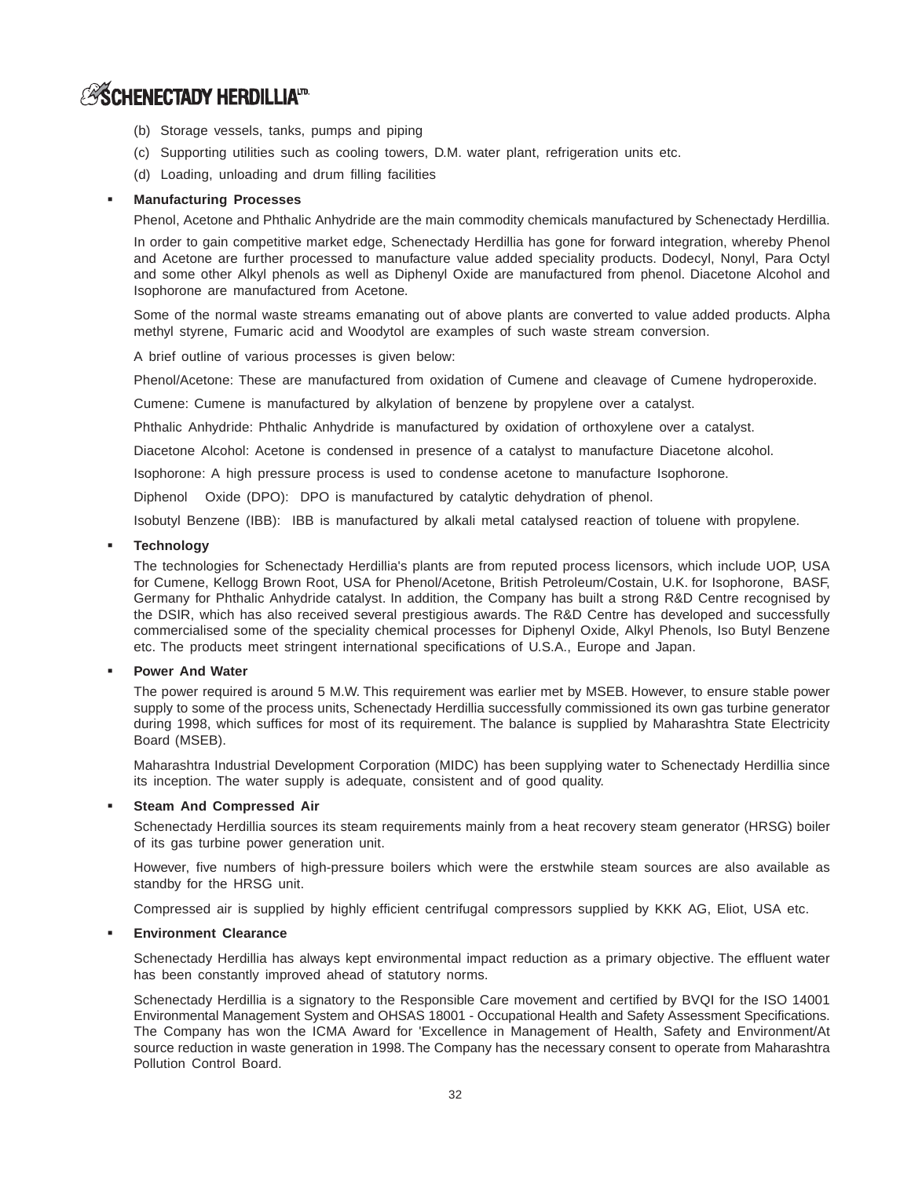- (b) Storage vessels, tanks, pumps and piping
- (c) Supporting utilities such as cooling towers, D.M. water plant, refrigeration units etc.
- (d) Loading, unloading and drum filling facilities

# **Manufacturing Processes**

Phenol, Acetone and Phthalic Anhydride are the main commodity chemicals manufactured by Schenectady Herdillia.

In order to gain competitive market edge, Schenectady Herdillia has gone for forward integration, whereby Phenol and Acetone are further processed to manufacture value added speciality products. Dodecyl, Nonyl, Para Octyl and some other Alkyl phenols as well as Diphenyl Oxide are manufactured from phenol. Diacetone Alcohol and Isophorone are manufactured from Acetone.

Some of the normal waste streams emanating out of above plants are converted to value added products. Alpha methyl styrene, Fumaric acid and Woodytol are examples of such waste stream conversion.

A brief outline of various processes is given below:

Phenol/Acetone: These are manufactured from oxidation of Cumene and cleavage of Cumene hydroperoxide.

Cumene: Cumene is manufactured by alkylation of benzene by propylene over a catalyst.

Phthalic Anhydride: Phthalic Anhydride is manufactured by oxidation of orthoxylene over a catalyst.

Diacetone Alcohol: Acetone is condensed in presence of a catalyst to manufacture Diacetone alcohol.

Isophorone: A high pressure process is used to condense acetone to manufacture Isophorone.

Diphenol Oxide (DPO): DPO is manufactured by catalytic dehydration of phenol.

Isobutyl Benzene (IBB): IBB is manufactured by alkali metal catalysed reaction of toluene with propylene.

# **Technology**

The technologies for Schenectady Herdillia's plants are from reputed process licensors, which include UOP, USA for Cumene, Kellogg Brown Root, USA for Phenol/Acetone, British Petroleum/Costain, U.K. for Isophorone, BASF, Germany for Phthalic Anhydride catalyst. In addition, the Company has built a strong R&D Centre recognised by the DSIR, which has also received several prestigious awards. The R&D Centre has developed and successfully commercialised some of the speciality chemical processes for Diphenyl Oxide, Alkyl Phenols, Iso Butyl Benzene etc. The products meet stringent international specifications of U.S.A., Europe and Japan.

### **Power And Water**

The power required is around 5 M.W. This requirement was earlier met by MSEB. However, to ensure stable power supply to some of the process units, Schenectady Herdillia successfully commissioned its own gas turbine generator during 1998, which suffices for most of its requirement. The balance is supplied by Maharashtra State Electricity Board (MSEB).

Maharashtra Industrial Development Corporation (MIDC) has been supplying water to Schenectady Herdillia since its inception. The water supply is adequate, consistent and of good quality.

### **Steam And Compressed Air**

Schenectady Herdillia sources its steam requirements mainly from a heat recovery steam generator (HRSG) boiler of its gas turbine power generation unit.

However, five numbers of high-pressure boilers which were the erstwhile steam sources are also available as standby for the HRSG unit.

Compressed air is supplied by highly efficient centrifugal compressors supplied by KKK AG, Eliot, USA etc.

### **Environment Clearance**

Schenectady Herdillia has always kept environmental impact reduction as a primary objective. The effluent water has been constantly improved ahead of statutory norms.

Schenectady Herdillia is a signatory to the Responsible Care movement and certified by BVQI for the ISO 14001 Environmental Management System and OHSAS 18001 - Occupational Health and Safety Assessment Specifications. The Company has won the ICMA Award for 'Excellence in Management of Health, Safety and Environment/At source reduction in waste generation in 1998. The Company has the necessary consent to operate from Maharashtra Pollution Control Board.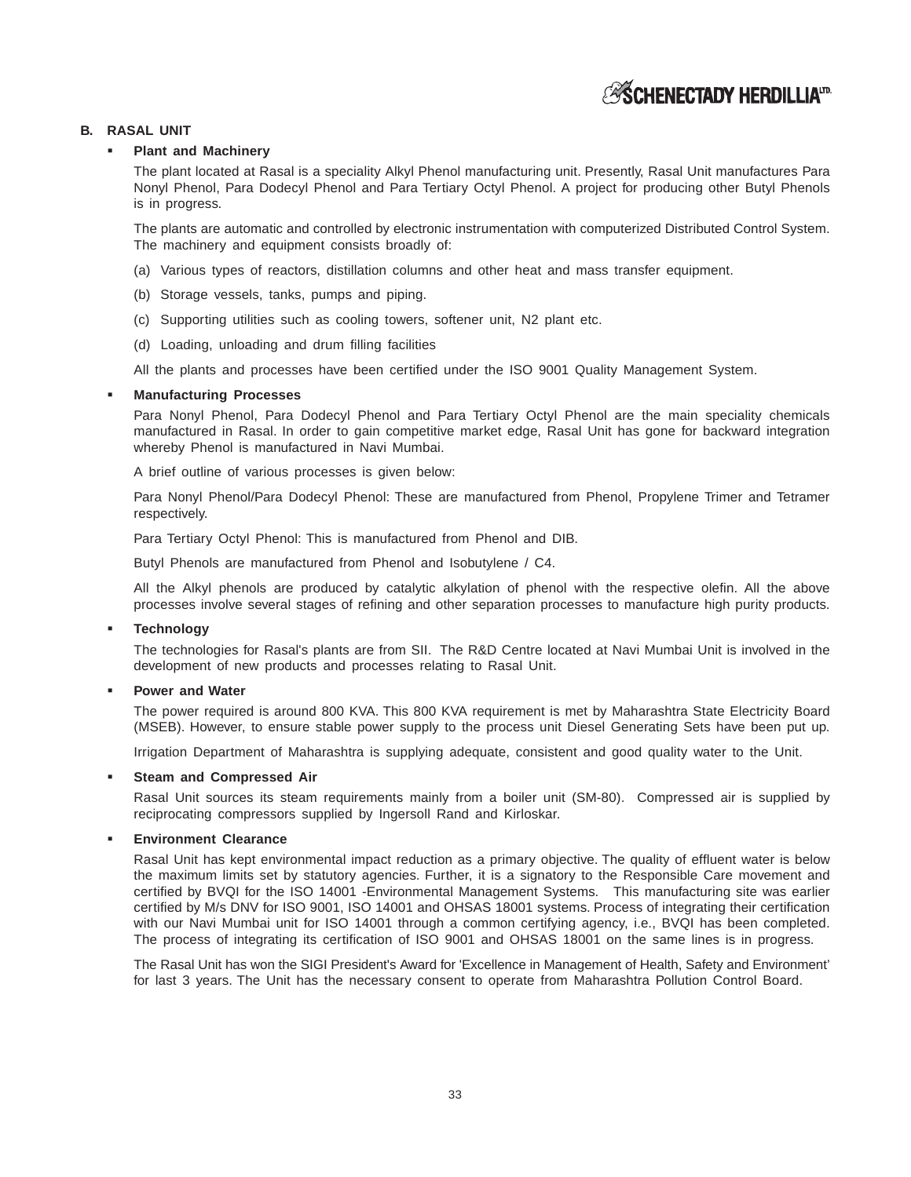# **ESCHENECTADY HERDILLIAID**

# **B. RASAL UNIT**

# **Plant and Machinery**

The plant located at Rasal is a speciality Alkyl Phenol manufacturing unit. Presently, Rasal Unit manufactures Para Nonyl Phenol, Para Dodecyl Phenol and Para Tertiary Octyl Phenol. A project for producing other Butyl Phenols is in progress.

The plants are automatic and controlled by electronic instrumentation with computerized Distributed Control System. The machinery and equipment consists broadly of:

- (a) Various types of reactors, distillation columns and other heat and mass transfer equipment.
- (b) Storage vessels, tanks, pumps and piping.
- (c) Supporting utilities such as cooling towers, softener unit, N2 plant etc.
- (d) Loading, unloading and drum filling facilities

All the plants and processes have been certified under the ISO 9001 Quality Management System.

# **Manufacturing Processes**

Para Nonyl Phenol, Para Dodecyl Phenol and Para Tertiary Octyl Phenol are the main speciality chemicals manufactured in Rasal. In order to gain competitive market edge, Rasal Unit has gone for backward integration whereby Phenol is manufactured in Navi Mumbai.

A brief outline of various processes is given below:

Para Nonyl Phenol/Para Dodecyl Phenol: These are manufactured from Phenol, Propylene Trimer and Tetramer respectively.

Para Tertiary Octyl Phenol: This is manufactured from Phenol and DIB.

Butyl Phenols are manufactured from Phenol and Isobutylene / C4.

All the Alkyl phenols are produced by catalytic alkylation of phenol with the respective olefin. All the above processes involve several stages of refining and other separation processes to manufacture high purity products.

# **Technology**

The technologies for Rasal's plants are from SII. The R&D Centre located at Navi Mumbai Unit is involved in the development of new products and processes relating to Rasal Unit.

# **Power and Water**

The power required is around 800 KVA. This 800 KVA requirement is met by Maharashtra State Electricity Board (MSEB). However, to ensure stable power supply to the process unit Diesel Generating Sets have been put up.

Irrigation Department of Maharashtra is supplying adequate, consistent and good quality water to the Unit.

### **Steam and Compressed Air**

Rasal Unit sources its steam requirements mainly from a boiler unit (SM-80). Compressed air is supplied by reciprocating compressors supplied by Ingersoll Rand and Kirloskar.

# **Environment Clearance**

Rasal Unit has kept environmental impact reduction as a primary objective. The quality of effluent water is below the maximum limits set by statutory agencies. Further, it is a signatory to the Responsible Care movement and certified by BVQI for the ISO 14001 -Environmental Management Systems. This manufacturing site was earlier certified by M/s DNV for ISO 9001, ISO 14001 and OHSAS 18001 systems. Process of integrating their certification with our Navi Mumbai unit for ISO 14001 through a common certifying agency, i.e., BVQI has been completed. The process of integrating its certification of ISO 9001 and OHSAS 18001 on the same lines is in progress.

The Rasal Unit has won the SIGI President's Award for 'Excellence in Management of Health, Safety and Environment' for last 3 years. The Unit has the necessary consent to operate from Maharashtra Pollution Control Board.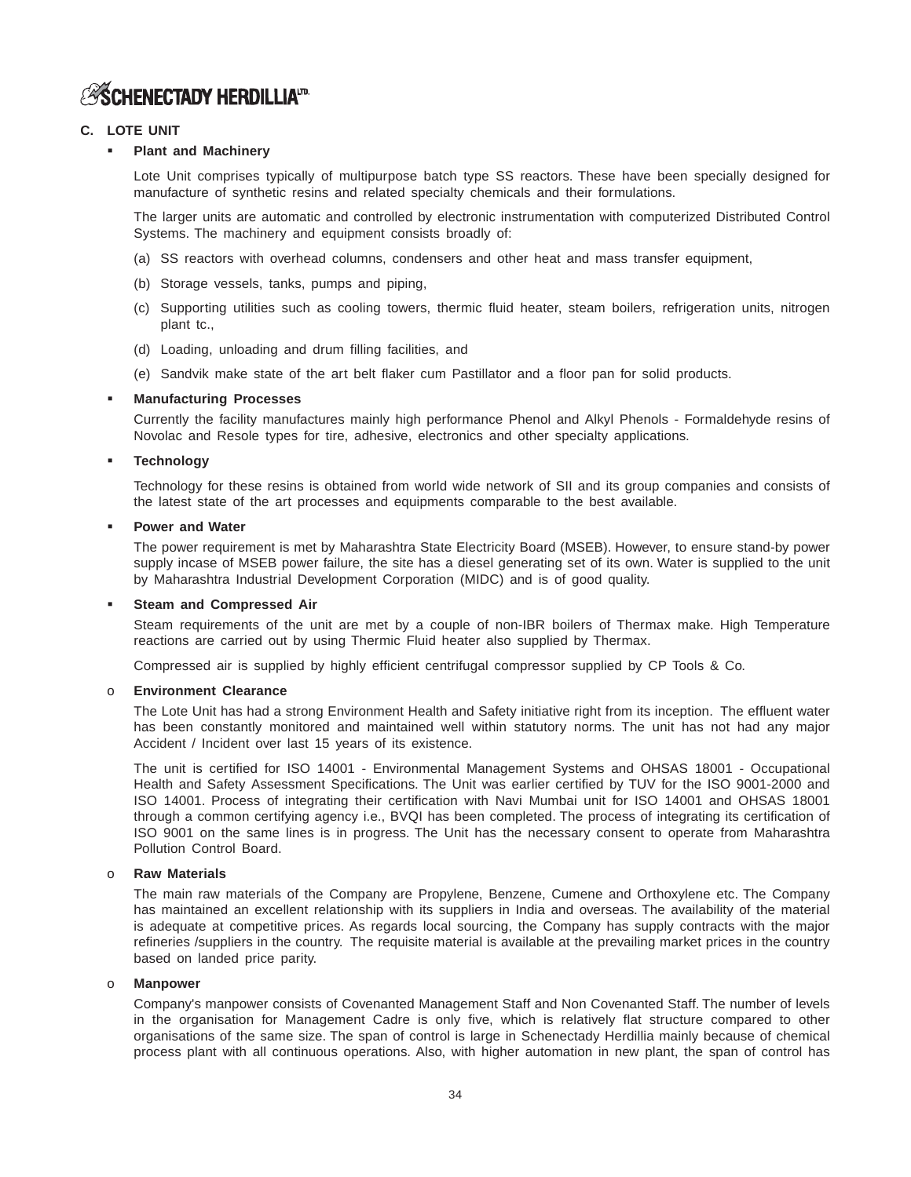# **ESCHENECTADY HERDILLIAID**

# **C. LOTE UNIT**

# **Plant and Machinery**

Lote Unit comprises typically of multipurpose batch type SS reactors. These have been specially designed for manufacture of synthetic resins and related specialty chemicals and their formulations.

The larger units are automatic and controlled by electronic instrumentation with computerized Distributed Control Systems. The machinery and equipment consists broadly of:

- (a) SS reactors with overhead columns, condensers and other heat and mass transfer equipment,
- (b) Storage vessels, tanks, pumps and piping,
- (c) Supporting utilities such as cooling towers, thermic fluid heater, steam boilers, refrigeration units, nitrogen plant tc.,
- (d) Loading, unloading and drum filling facilities, and
- (e) Sandvik make state of the art belt flaker cum Pastillator and a floor pan for solid products.

# **Manufacturing Processes**

Currently the facility manufactures mainly high performance Phenol and Alkyl Phenols - Formaldehyde resins of Novolac and Resole types for tire, adhesive, electronics and other specialty applications.

# **Technology**

Technology for these resins is obtained from world wide network of SII and its group companies and consists of the latest state of the art processes and equipments comparable to the best available.

# **Power and Water**

The power requirement is met by Maharashtra State Electricity Board (MSEB). However, to ensure stand-by power supply incase of MSEB power failure, the site has a diesel generating set of its own. Water is supplied to the unit by Maharashtra Industrial Development Corporation (MIDC) and is of good quality.

# **Steam and Compressed Air**

Steam requirements of the unit are met by a couple of non-IBR boilers of Thermax make. High Temperature reactions are carried out by using Thermic Fluid heater also supplied by Thermax.

Compressed air is supplied by highly efficient centrifugal compressor supplied by CP Tools & Co.

# o **Environment Clearance**

The Lote Unit has had a strong Environment Health and Safety initiative right from its inception. The effluent water has been constantly monitored and maintained well within statutory norms. The unit has not had any major Accident / Incident over last 15 years of its existence.

The unit is certified for ISO 14001 - Environmental Management Systems and OHSAS 18001 - Occupational Health and Safety Assessment Specifications. The Unit was earlier certified by TUV for the ISO 9001-2000 and ISO 14001. Process of integrating their certification with Navi Mumbai unit for ISO 14001 and OHSAS 18001 through a common certifying agency i.e., BVQI has been completed. The process of integrating its certification of ISO 9001 on the same lines is in progress. The Unit has the necessary consent to operate from Maharashtra Pollution Control Board.

# o **Raw Materials**

The main raw materials of the Company are Propylene, Benzene, Cumene and Orthoxylene etc. The Company has maintained an excellent relationship with its suppliers in India and overseas. The availability of the material is adequate at competitive prices. As regards local sourcing, the Company has supply contracts with the major refineries /suppliers in the country. The requisite material is available at the prevailing market prices in the country based on landed price parity.

# o **Manpower**

Company's manpower consists of Covenanted Management Staff and Non Covenanted Staff. The number of levels in the organisation for Management Cadre is only five, which is relatively flat structure compared to other organisations of the same size. The span of control is large in Schenectady Herdillia mainly because of chemical process plant with all continuous operations. Also, with higher automation in new plant, the span of control has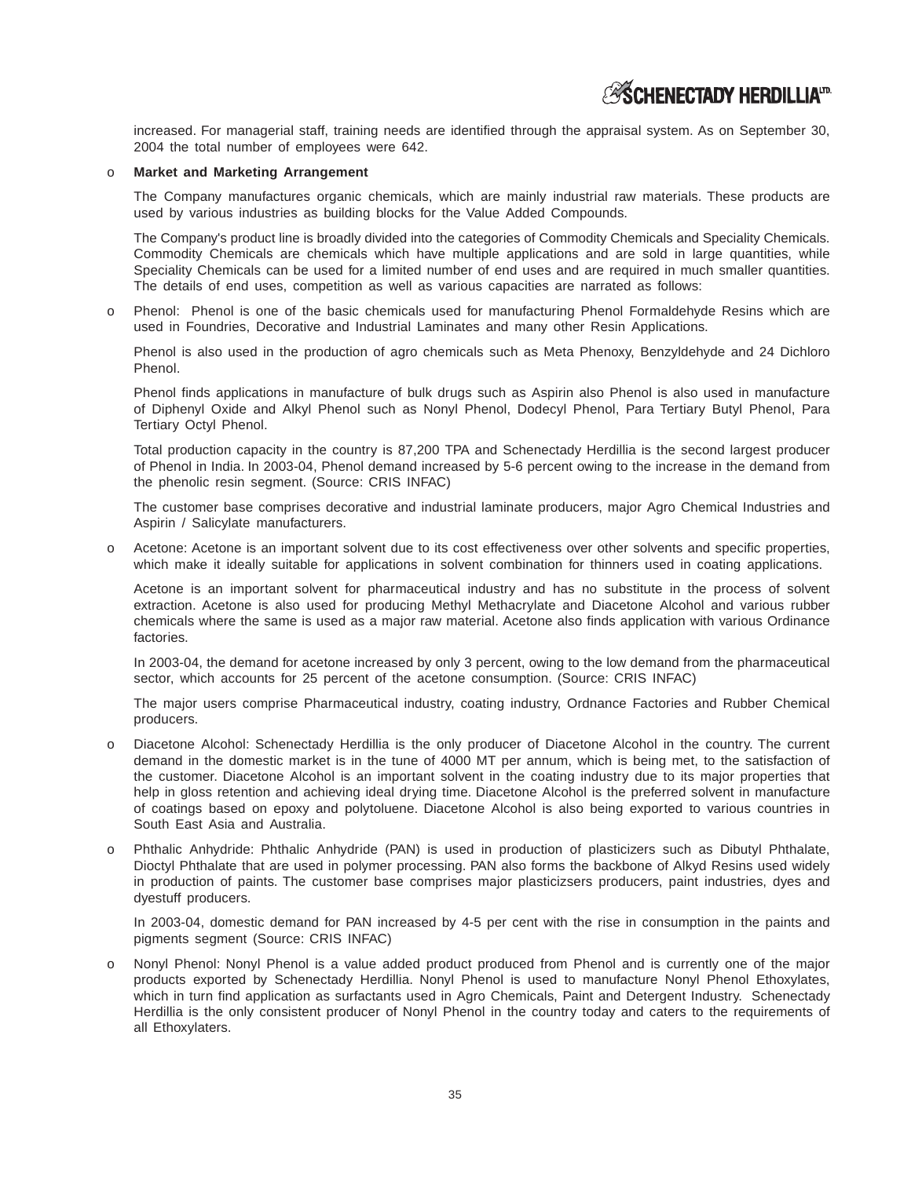increased. For managerial staff, training needs are identified through the appraisal system. As on September 30, 2004 the total number of employees were 642.

# o **Market and Marketing Arrangement**

The Company manufactures organic chemicals, which are mainly industrial raw materials. These products are used by various industries as building blocks for the Value Added Compounds.

The Company's product line is broadly divided into the categories of Commodity Chemicals and Speciality Chemicals. Commodity Chemicals are chemicals which have multiple applications and are sold in large quantities, while Speciality Chemicals can be used for a limited number of end uses and are required in much smaller quantities. The details of end uses, competition as well as various capacities are narrated as follows:

o Phenol: Phenol is one of the basic chemicals used for manufacturing Phenol Formaldehyde Resins which are used in Foundries, Decorative and Industrial Laminates and many other Resin Applications.

Phenol is also used in the production of agro chemicals such as Meta Phenoxy, Benzyldehyde and 24 Dichloro Phenol.

Phenol finds applications in manufacture of bulk drugs such as Aspirin also Phenol is also used in manufacture of Diphenyl Oxide and Alkyl Phenol such as Nonyl Phenol, Dodecyl Phenol, Para Tertiary Butyl Phenol, Para Tertiary Octyl Phenol.

Total production capacity in the country is 87,200 TPA and Schenectady Herdillia is the second largest producer of Phenol in India. In 2003-04, Phenol demand increased by 5-6 percent owing to the increase in the demand from the phenolic resin segment. (Source: CRIS INFAC)

The customer base comprises decorative and industrial laminate producers, major Agro Chemical Industries and Aspirin / Salicylate manufacturers.

o Acetone: Acetone is an important solvent due to its cost effectiveness over other solvents and specific properties, which make it ideally suitable for applications in solvent combination for thinners used in coating applications.

Acetone is an important solvent for pharmaceutical industry and has no substitute in the process of solvent extraction. Acetone is also used for producing Methyl Methacrylate and Diacetone Alcohol and various rubber chemicals where the same is used as a major raw material. Acetone also finds application with various Ordinance factories.

In 2003-04, the demand for acetone increased by only 3 percent, owing to the low demand from the pharmaceutical sector, which accounts for 25 percent of the acetone consumption. (Source: CRIS INFAC)

The major users comprise Pharmaceutical industry, coating industry, Ordnance Factories and Rubber Chemical producers.

- Diacetone Alcohol: Schenectady Herdillia is the only producer of Diacetone Alcohol in the country. The current demand in the domestic market is in the tune of 4000 MT per annum, which is being met, to the satisfaction of the customer. Diacetone Alcohol is an important solvent in the coating industry due to its major properties that help in gloss retention and achieving ideal drying time. Diacetone Alcohol is the preferred solvent in manufacture of coatings based on epoxy and polytoluene. Diacetone Alcohol is also being exported to various countries in South East Asia and Australia.
- o Phthalic Anhydride: Phthalic Anhydride (PAN) is used in production of plasticizers such as Dibutyl Phthalate, Dioctyl Phthalate that are used in polymer processing. PAN also forms the backbone of Alkyd Resins used widely in production of paints. The customer base comprises major plasticizsers producers, paint industries, dyes and dyestuff producers.

In 2003-04, domestic demand for PAN increased by 4-5 per cent with the rise in consumption in the paints and pigments segment (Source: CRIS INFAC)

Nonyl Phenol: Nonyl Phenol is a value added product produced from Phenol and is currently one of the major products exported by Schenectady Herdillia. Nonyl Phenol is used to manufacture Nonyl Phenol Ethoxylates, which in turn find application as surfactants used in Agro Chemicals, Paint and Detergent Industry. Schenectady Herdillia is the only consistent producer of Nonyl Phenol in the country today and caters to the requirements of all Ethoxylaters.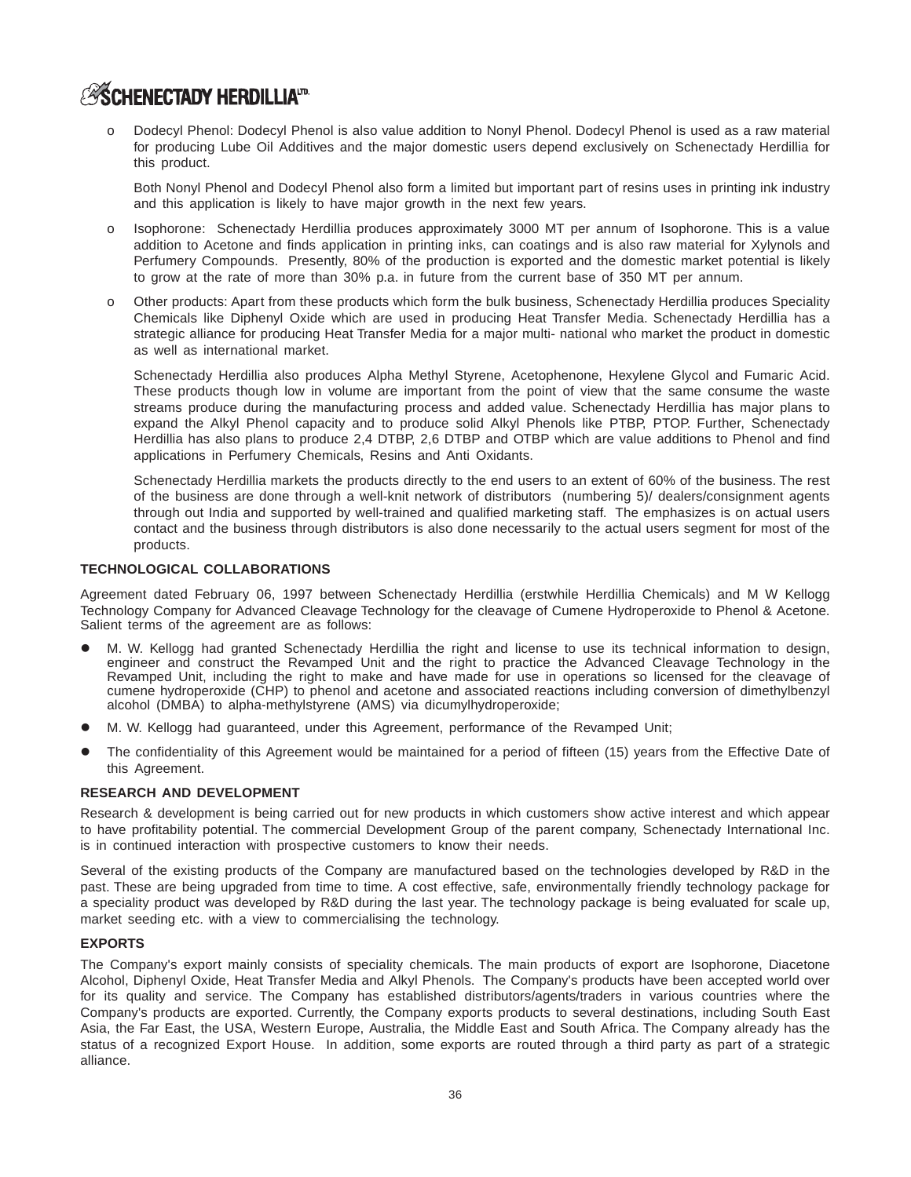Dodecyl Phenol: Dodecyl Phenol is also value addition to Nonyl Phenol. Dodecyl Phenol is used as a raw material for producing Lube Oil Additives and the major domestic users depend exclusively on Schenectady Herdillia for this product.

Both Nonyl Phenol and Dodecyl Phenol also form a limited but important part of resins uses in printing ink industry and this application is likely to have major growth in the next few years.

- o Isophorone: Schenectady Herdillia produces approximately 3000 MT per annum of Isophorone. This is a value addition to Acetone and finds application in printing inks, can coatings and is also raw material for Xylynols and Perfumery Compounds. Presently, 80% of the production is exported and the domestic market potential is likely to grow at the rate of more than 30% p.a. in future from the current base of 350 MT per annum.
- Other products: Apart from these products which form the bulk business, Schenectady Herdillia produces Speciality Chemicals like Diphenyl Oxide which are used in producing Heat Transfer Media. Schenectady Herdillia has a strategic alliance for producing Heat Transfer Media for a major multi- national who market the product in domestic as well as international market.

Schenectady Herdillia also produces Alpha Methyl Styrene, Acetophenone, Hexylene Glycol and Fumaric Acid. These products though low in volume are important from the point of view that the same consume the waste streams produce during the manufacturing process and added value. Schenectady Herdillia has major plans to expand the Alkyl Phenol capacity and to produce solid Alkyl Phenols like PTBP, PTOP. Further, Schenectady Herdillia has also plans to produce 2,4 DTBP, 2,6 DTBP and OTBP which are value additions to Phenol and find applications in Perfumery Chemicals, Resins and Anti Oxidants.

Schenectady Herdillia markets the products directly to the end users to an extent of 60% of the business. The rest of the business are done through a well-knit network of distributors (numbering 5)/ dealers/consignment agents through out India and supported by well-trained and qualified marketing staff. The emphasizes is on actual users contact and the business through distributors is also done necessarily to the actual users segment for most of the products.

# **TECHNOLOGICAL COLLABORATIONS**

Agreement dated February 06, 1997 between Schenectady Herdillia (erstwhile Herdillia Chemicals) and M W Kellogg Technology Company for Advanced Cleavage Technology for the cleavage of Cumene Hydroperoxide to Phenol & Acetone. Salient terms of the agreement are as follows:

- M. W. Kellogg had granted Schenectady Herdillia the right and license to use its technical information to design, engineer and construct the Revamped Unit and the right to practice the Advanced Cleavage Technology in the Revamped Unit, including the right to make and have made for use in operations so licensed for the cleavage of cumene hydroperoxide (CHP) to phenol and acetone and associated reactions including conversion of dimethylbenzyl alcohol (DMBA) to alpha-methylstyrene (AMS) via dicumylhydroperoxide;
- M. W. Kellogg had guaranteed, under this Agreement, performance of the Revamped Unit;
- The confidentiality of this Agreement would be maintained for a period of fifteen (15) years from the Effective Date of this Agreement.

# **RESEARCH AND DEVELOPMENT**

Research & development is being carried out for new products in which customers show active interest and which appear to have profitability potential. The commercial Development Group of the parent company, Schenectady International Inc. is in continued interaction with prospective customers to know their needs.

Several of the existing products of the Company are manufactured based on the technologies developed by R&D in the past. These are being upgraded from time to time. A cost effective, safe, environmentally friendly technology package for a speciality product was developed by R&D during the last year. The technology package is being evaluated for scale up, market seeding etc. with a view to commercialising the technology.

# **EXPORTS**

The Company's export mainly consists of speciality chemicals. The main products of export are Isophorone, Diacetone Alcohol, Diphenyl Oxide, Heat Transfer Media and Alkyl Phenols. The Company's products have been accepted world over for its quality and service. The Company has established distributors/agents/traders in various countries where the Company's products are exported. Currently, the Company exports products to several destinations, including South East Asia, the Far East, the USA, Western Europe, Australia, the Middle East and South Africa. The Company already has the status of a recognized Export House. In addition, some exports are routed through a third party as part of a strategic alliance.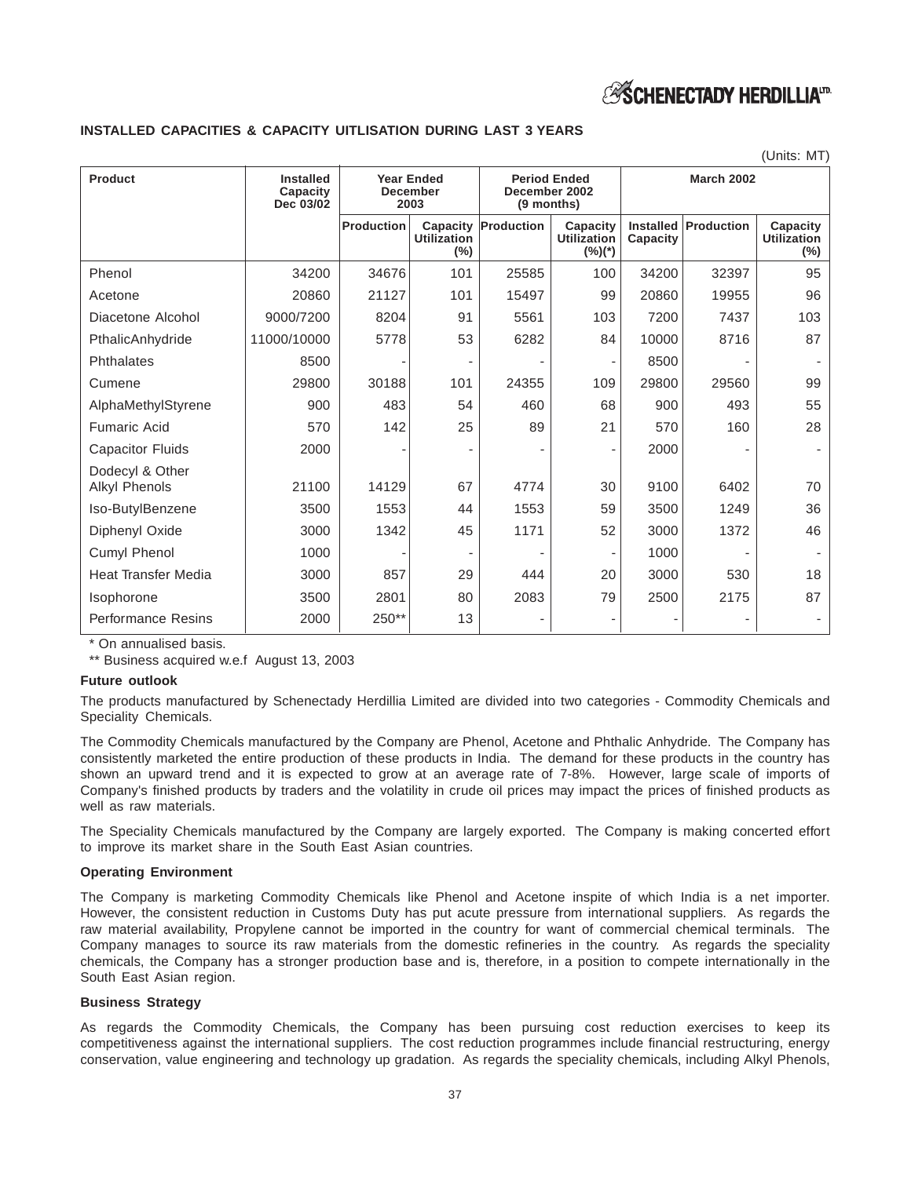

# **INSTALLED CAPACITIES & CAPACITY UITLISATION DURING LAST 3 YEARS**

|                                         |                                                  |                                              |                                       |                                                    |                                             |                              |                   | (Units: MT)                               |
|-----------------------------------------|--------------------------------------------------|----------------------------------------------|---------------------------------------|----------------------------------------------------|---------------------------------------------|------------------------------|-------------------|-------------------------------------------|
| <b>Product</b>                          | <b>Installed</b><br><b>Capacity</b><br>Dec 03/02 | <b>Year Ended</b><br><b>December</b><br>2003 |                                       | <b>Period Ended</b><br>December 2002<br>(9 months) |                                             |                              | <b>March 2002</b> |                                           |
|                                         |                                                  | <b>Production</b>                            | Capacity<br><b>Utilization</b><br>(%) | Production                                         | Capacity<br><b>Utilization</b><br>$(\%)(*)$ | <b>Installed</b><br>Capacity | Production        | Capacity<br><b>Utilization</b><br>$(\% )$ |
| Phenol                                  | 34200                                            | 34676                                        | 101                                   | 25585                                              | 100                                         | 34200                        | 32397             | 95                                        |
| Acetone                                 | 20860                                            | 21127                                        | 101                                   | 15497                                              | 99                                          | 20860                        | 19955             | 96                                        |
| Diacetone Alcohol                       | 9000/7200                                        | 8204                                         | 91                                    | 5561                                               | 103                                         | 7200                         | 7437              | 103                                       |
| PthalicAnhydride                        | 11000/10000                                      | 5778                                         | 53                                    | 6282                                               | 84                                          | 10000                        | 8716              | 87                                        |
| Phthalates                              | 8500                                             |                                              |                                       |                                                    |                                             | 8500                         |                   |                                           |
| Cumene                                  | 29800                                            | 30188                                        | 101                                   | 24355                                              | 109                                         | 29800                        | 29560             | 99                                        |
| AlphaMethylStyrene                      | 900                                              | 483                                          | 54                                    | 460                                                | 68                                          | 900                          | 493               | 55                                        |
| <b>Fumaric Acid</b>                     | 570                                              | 142                                          | 25                                    | 89                                                 | 21                                          | 570                          | 160               | 28                                        |
| <b>Capacitor Fluids</b>                 | 2000                                             |                                              |                                       |                                                    |                                             | 2000                         |                   |                                           |
| Dodecyl & Other<br><b>Alkyl Phenols</b> | 21100                                            | 14129                                        | 67                                    | 4774                                               | 30                                          | 9100                         | 6402              | 70                                        |
| Iso-ButylBenzene                        | 3500                                             | 1553                                         | 44                                    | 1553                                               | 59                                          | 3500                         | 1249              | 36                                        |
| Diphenyl Oxide                          | 3000                                             | 1342                                         | 45                                    | 1171                                               | 52                                          | 3000                         | 1372              | 46                                        |
| Cumyl Phenol                            | 1000                                             |                                              |                                       |                                                    |                                             | 1000                         |                   |                                           |
| <b>Heat Transfer Media</b>              | 3000                                             | 857                                          | 29                                    | 444                                                | 20                                          | 3000                         | 530               | 18                                        |
| Isophorone                              | 3500                                             | 2801                                         | 80                                    | 2083                                               | 79                                          | 2500                         | 2175              | 87                                        |
| <b>Performance Resins</b>               | 2000                                             | 250**                                        | 13                                    |                                                    |                                             |                              |                   |                                           |

\* On annualised basis.

\*\* Business acquired w.e.f August 13, 2003

### **Future outlook**

The products manufactured by Schenectady Herdillia Limited are divided into two categories - Commodity Chemicals and Speciality Chemicals.

The Commodity Chemicals manufactured by the Company are Phenol, Acetone and Phthalic Anhydride. The Company has consistently marketed the entire production of these products in India. The demand for these products in the country has shown an upward trend and it is expected to grow at an average rate of 7-8%. However, large scale of imports of Company's finished products by traders and the volatility in crude oil prices may impact the prices of finished products as well as raw materials.

The Speciality Chemicals manufactured by the Company are largely exported. The Company is making concerted effort to improve its market share in the South East Asian countries.

# **Operating Environment**

The Company is marketing Commodity Chemicals like Phenol and Acetone inspite of which India is a net importer. However, the consistent reduction in Customs Duty has put acute pressure from international suppliers. As regards the raw material availability, Propylene cannot be imported in the country for want of commercial chemical terminals. The Company manages to source its raw materials from the domestic refineries in the country. As regards the speciality chemicals, the Company has a stronger production base and is, therefore, in a position to compete internationally in the South East Asian region.

### **Business Strategy**

As regards the Commodity Chemicals, the Company has been pursuing cost reduction exercises to keep its competitiveness against the international suppliers. The cost reduction programmes include financial restructuring, energy conservation, value engineering and technology up gradation. As regards the speciality chemicals, including Alkyl Phenols,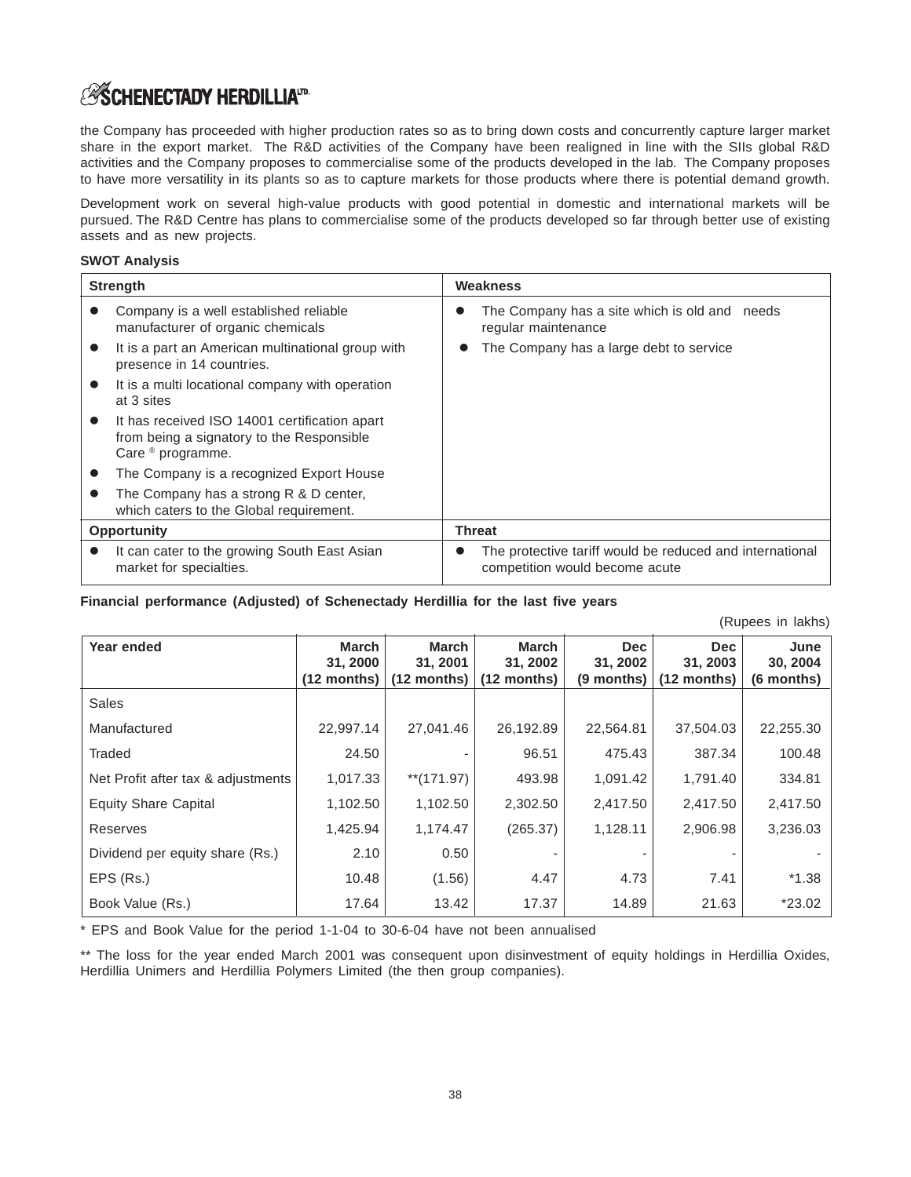the Company has proceeded with higher production rates so as to bring down costs and concurrently capture larger market share in the export market. The R&D activities of the Company have been realigned in line with the SIIs global R&D activities and the Company proposes to commercialise some of the products developed in the lab. The Company proposes to have more versatility in its plants so as to capture markets for those products where there is potential demand growth.

Development work on several high-value products with good potential in domestic and international markets will be pursued. The R&D Centre has plans to commercialise some of the products developed so far through better use of existing assets and as new projects.

# **SWOT Analysis**

|           | <b>Strength</b>                                                                                                            | Weakness                                                                                                |
|-----------|----------------------------------------------------------------------------------------------------------------------------|---------------------------------------------------------------------------------------------------------|
|           | Company is a well established reliable<br>manufacturer of organic chemicals                                                | The Company has a site which is old and needs<br>regular maintenance                                    |
|           | It is a part an American multinational group with<br>presence in 14 countries.                                             | The Company has a large debt to service                                                                 |
|           | It is a multi locational company with operation<br>at 3 sites                                                              |                                                                                                         |
| $\bullet$ | It has received ISO 14001 certification apart<br>from being a signatory to the Responsible<br>Care <sup>®</sup> programme. |                                                                                                         |
|           | The Company is a recognized Export House                                                                                   |                                                                                                         |
|           | The Company has a strong R & D center,<br>which caters to the Global requirement.                                          |                                                                                                         |
|           | <b>Opportunity</b>                                                                                                         | <b>Threat</b>                                                                                           |
|           | It can cater to the growing South East Asian<br>market for specialties.                                                    | The protective tariff would be reduced and international<br>$\bullet$<br>competition would become acute |

# **Financial performance (Adjusted) of Schenectady Herdillia for the last five years**

| (Rupees in lakhs) |  |
|-------------------|--|
|                   |  |

| Year ended                         | March         | March         | March         | <b>Dec</b> | <b>Dec</b>    | June       |  |  |  |
|------------------------------------|---------------|---------------|---------------|------------|---------------|------------|--|--|--|
|                                    | 31, 2000      | 31, 2001      | 31, 2002      | 31, 2002   | 31, 2003      | 30, 2004   |  |  |  |
|                                    | $(12$ months) | $(12$ months) | $(12$ months) | (9 months) | $(12$ months) | (6 months) |  |  |  |
| Sales                              |               |               |               |            |               |            |  |  |  |
| Manufactured                       | 22,997.14     | 27,041.46     | 26,192.89     | 22,564.81  | 37,504.03     | 22,255.30  |  |  |  |
| Traded                             | 24.50         |               | 96.51         | 475.43     | 387.34        | 100.48     |  |  |  |
| Net Profit after tax & adjustments | 1,017.33      | $**$ (171.97) | 493.98        | 1,091.42   | 1,791.40      | 334.81     |  |  |  |
| <b>Equity Share Capital</b>        | 1,102.50      | 1,102.50      | 2,302.50      | 2,417.50   | 2,417.50      | 2,417.50   |  |  |  |
| Reserves                           | 1,425.94      | 1,174.47      | (265.37)      | 1,128.11   | 2,906.98      | 3,236.03   |  |  |  |
| Dividend per equity share (Rs.)    | 2.10          | 0.50          |               |            |               |            |  |  |  |
| EPS (Rs.)                          | 10.48         | (1.56)        | 4.47          | 4.73       | 7.41          | $*1.38$    |  |  |  |
| Book Value (Rs.)                   | 17.64         | 13.42         | 17.37         | 14.89      | 21.63         | *23.02     |  |  |  |

\* EPS and Book Value for the period 1-1-04 to 30-6-04 have not been annualised

\*\* The loss for the year ended March 2001 was consequent upon disinvestment of equity holdings in Herdillia Oxides, Herdillia Unimers and Herdillia Polymers Limited (the then group companies).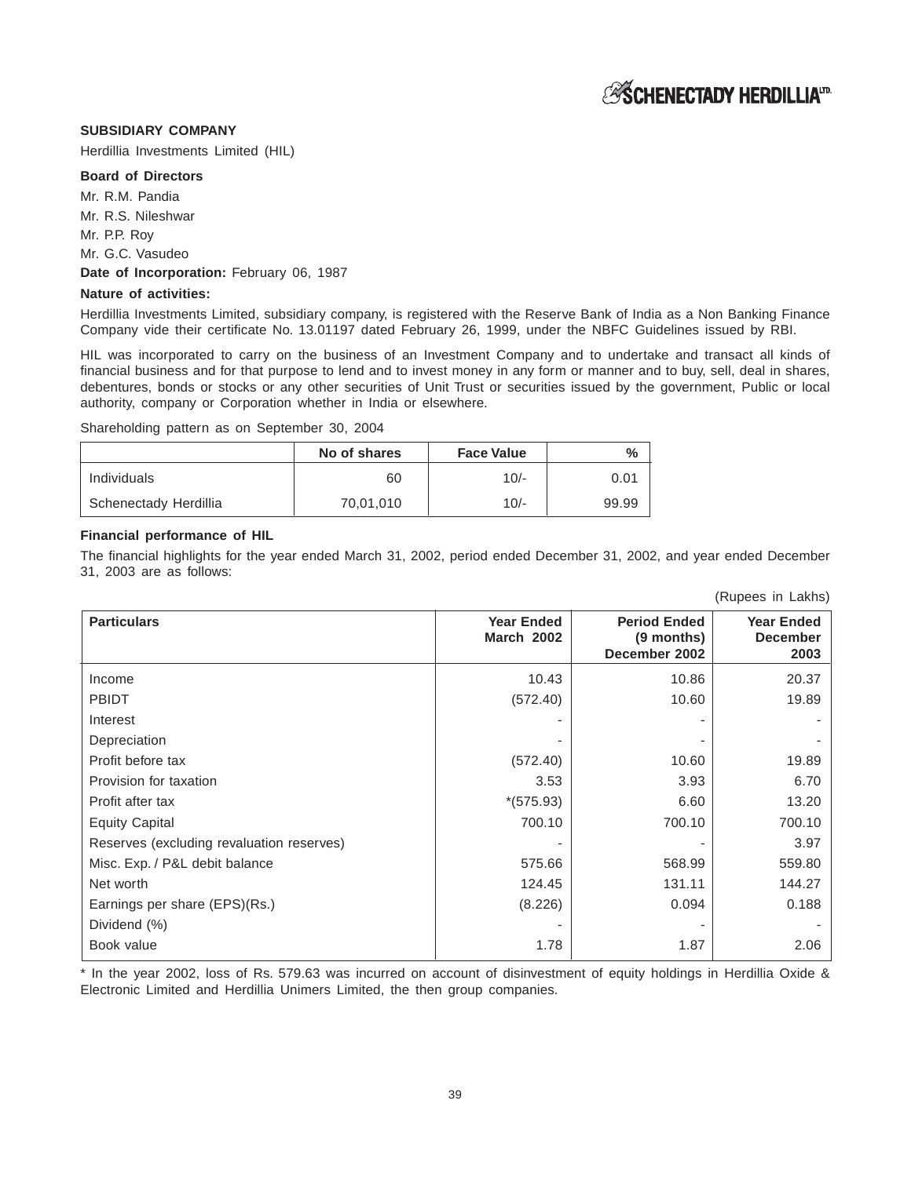# **SUBSIDIARY COMPANY**

Herdillia Investments Limited (HIL)

# **Board of Directors**

Mr. R.M. Pandia

Mr. R.S. Nileshwar

Mr. P.P. Roy

Mr. G.C. Vasudeo

# Date of Incorporation: February 06, 1987

# **Nature of activities:**

Herdillia Investments Limited, subsidiary company, is registered with the Reserve Bank of India as a Non Banking Finance Company vide their certificate No. 13.01197 dated February 26, 1999, under the NBFC Guidelines issued by RBI.

HIL was incorporated to carry on the business of an Investment Company and to undertake and transact all kinds of financial business and for that purpose to lend and to invest money in any form or manner and to buy, sell, deal in shares, debentures, bonds or stocks or any other securities of Unit Trust or securities issued by the government, Public or local authority, company or Corporation whether in India or elsewhere.

Shareholding pattern as on September 30, 2004

|                       | No of shares | <b>Face Value</b> | $\frac{0}{0}$ |
|-----------------------|--------------|-------------------|---------------|
| Individuals           | 60           | $10/-$            | 0.01          |
| Schenectady Herdillia | 70,01,010    | $10/-$            | 99.99         |

# **Financial performance of HIL**

The financial highlights for the year ended March 31, 2002, period ended December 31, 2002, and year ended December 31, 2003 are as follows:

| <b>Particulars</b>                        | <b>Year Ended</b><br><b>March 2002</b> | <b>Period Ended</b><br>(9 months)<br>December 2002 | <b>Year Ended</b><br><b>December</b><br>2003 |  |  |  |  |  |
|-------------------------------------------|----------------------------------------|----------------------------------------------------|----------------------------------------------|--|--|--|--|--|
| Income                                    | 10.43                                  | 10.86                                              | 20.37                                        |  |  |  |  |  |
| <b>PBIDT</b>                              | (572.40)                               | 10.60                                              | 19.89                                        |  |  |  |  |  |
| Interest                                  |                                        |                                                    |                                              |  |  |  |  |  |
| Depreciation                              |                                        |                                                    |                                              |  |  |  |  |  |
| Profit before tax                         | (572.40)                               | 10.60                                              | 19.89                                        |  |  |  |  |  |
| Provision for taxation                    | 3.53                                   | 3.93                                               | 6.70                                         |  |  |  |  |  |
| Profit after tax                          | $*(575.93)$                            | 6.60                                               | 13.20                                        |  |  |  |  |  |
| <b>Equity Capital</b>                     | 700.10                                 | 700.10                                             | 700.10                                       |  |  |  |  |  |
| Reserves (excluding revaluation reserves) |                                        |                                                    | 3.97                                         |  |  |  |  |  |
| Misc. Exp. / P&L debit balance            | 575.66                                 | 568.99                                             | 559.80                                       |  |  |  |  |  |
| Net worth                                 | 124.45                                 | 131.11                                             | 144.27                                       |  |  |  |  |  |
| Earnings per share (EPS)(Rs.)             | (8.226)                                | 0.094                                              | 0.188                                        |  |  |  |  |  |
| Dividend (%)                              |                                        |                                                    |                                              |  |  |  |  |  |
| Book value                                | 1.78                                   | 1.87                                               | 2.06                                         |  |  |  |  |  |

\* In the year 2002, loss of Rs. 579.63 was incurred on account of disinvestment of equity holdings in Herdillia Oxide & Electronic Limited and Herdillia Unimers Limited, the then group companies.

(Rupees in Lakhs)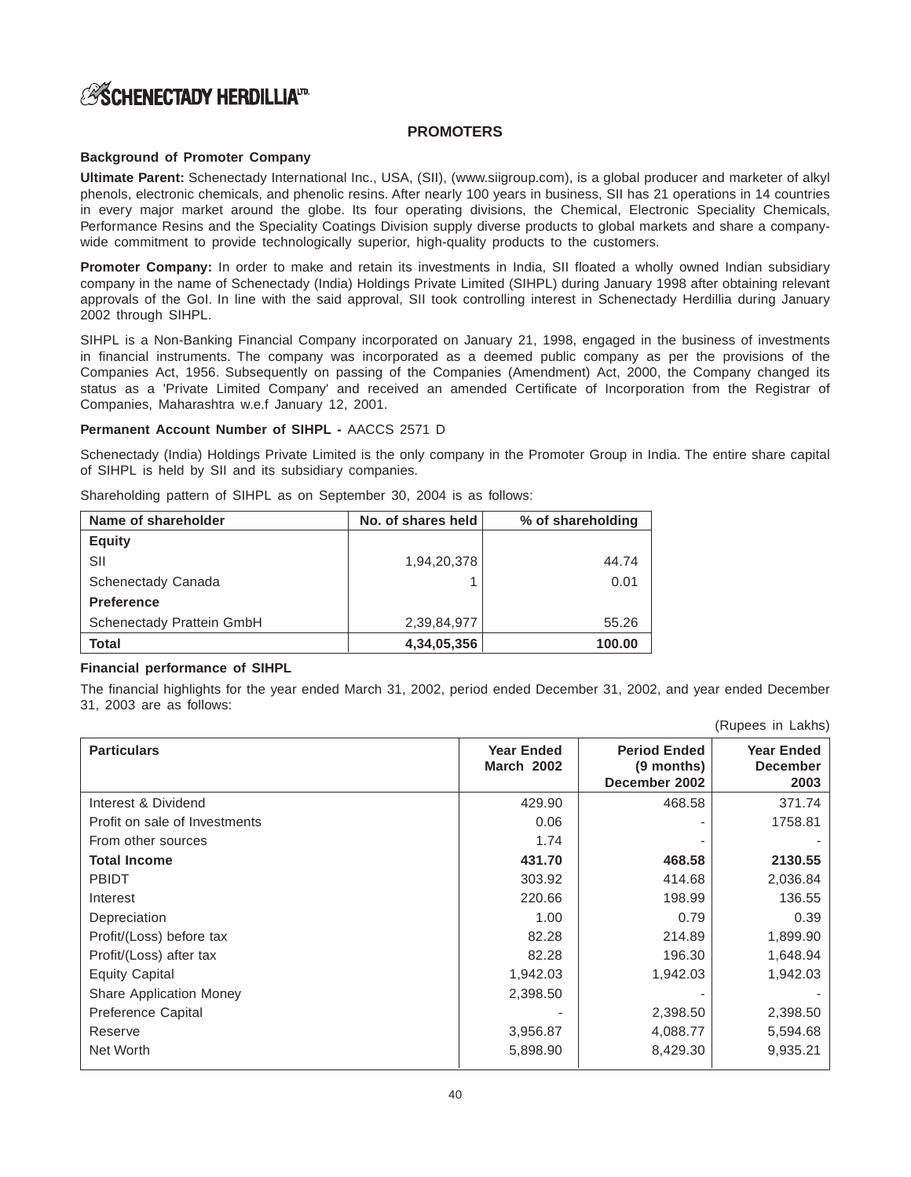# **PROMOTERS**

# **Background of Promoter Company**

**Ultimate Parent:** Schenectady International Inc., USA, (SII), (www.siigroup.com), is a global producer and marketer of alkyl phenols, electronic chemicals, and phenolic resins. After nearly 100 years in business, SII has 21 operations in 14 countries in every major market around the globe. Its four operating divisions, the Chemical, Electronic Speciality Chemicals, Performance Resins and the Speciality Coatings Division supply diverse products to global markets and share a companywide commitment to provide technologically superior, high-quality products to the customers.

**Promoter Company:** In order to make and retain its investments in India, SII floated a wholly owned Indian subsidiary company in the name of Schenectady (India) Holdings Private Limited (SIHPL) during January 1998 after obtaining relevant approvals of the GoI. In line with the said approval, SII took controlling interest in Schenectady Herdillia during January 2002 through SIHPL.

SIHPL is a Non-Banking Financial Company incorporated on January 21, 1998, engaged in the business of investments in financial instruments. The company was incorporated as a deemed public company as per the provisions of the Companies Act, 1956. Subsequently on passing of the Companies (Amendment) Act, 2000, the Company changed its status as a 'Private Limited Company' and received an amended Certificate of Incorporation from the Registrar of Companies, Maharashtra w.e.f January 12, 2001.

# **Permanent Account Number of SIHPL -** AACCS 2571 D

Schenectady (India) Holdings Private Limited is the only company in the Promoter Group in India. The entire share capital of SIHPL is held by SII and its subsidiary companies.

| Shareholding pattern of SIHPL as on September 30, 2004 is as follows: |  |  |  |  |  |  |
|-----------------------------------------------------------------------|--|--|--|--|--|--|
|                                                                       |  |  |  |  |  |  |

| Name of shareholder       | No. of shares held | % of shareholding |
|---------------------------|--------------------|-------------------|
| <b>Equity</b>             |                    |                   |
| SII                       | 1,94,20,378        | 44.74             |
| Schenectady Canada        |                    | 0.01              |
| <b>Preference</b>         |                    |                   |
| Schenectady Prattein GmbH | 2,39,84,977        | 55.26             |
| <b>Total</b>              | 4,34,05,356        | 100.00            |

# **Financial performance of SIHPL**

The financial highlights for the year ended March 31, 2002, period ended December 31, 2002, and year ended December 31, 2003 are as follows:

(Rupees in Lakhs)

| <b>Particulars</b>             | <b>Year Ended</b><br><b>March 2002</b> | <b>Period Ended</b><br>(9 months)<br>December 2002 | <b>Year Ended</b><br><b>December</b><br>2003 |
|--------------------------------|----------------------------------------|----------------------------------------------------|----------------------------------------------|
| Interest & Dividend            | 429.90                                 | 468.58                                             | 371.74                                       |
| Profit on sale of Investments  | 0.06                                   | -                                                  | 1758.81                                      |
| From other sources             | 1.74                                   | -                                                  |                                              |
| <b>Total Income</b>            | 431.70                                 | 468.58                                             | 2130.55                                      |
| <b>PBIDT</b>                   | 303.92                                 | 414.68                                             | 2,036.84                                     |
| Interest                       | 220.66                                 | 198.99                                             | 136.55                                       |
| Depreciation                   | 1.00                                   | 0.79                                               | 0.39                                         |
| Profit/(Loss) before tax       | 82.28                                  | 214.89                                             | 1,899.90                                     |
| Profit/(Loss) after tax        | 82.28                                  | 196.30                                             | 1,648.94                                     |
| <b>Equity Capital</b>          | 1,942.03                               | 1,942.03                                           | 1,942.03                                     |
| <b>Share Application Money</b> | 2,398.50                               | -                                                  |                                              |
| Preference Capital             |                                        | 2,398.50                                           | 2,398.50                                     |
| Reserve                        | 3,956.87                               | 4,088.77                                           | 5,594.68                                     |
| Net Worth                      | 5,898.90                               | 8,429.30                                           | 9,935.21                                     |
|                                |                                        |                                                    |                                              |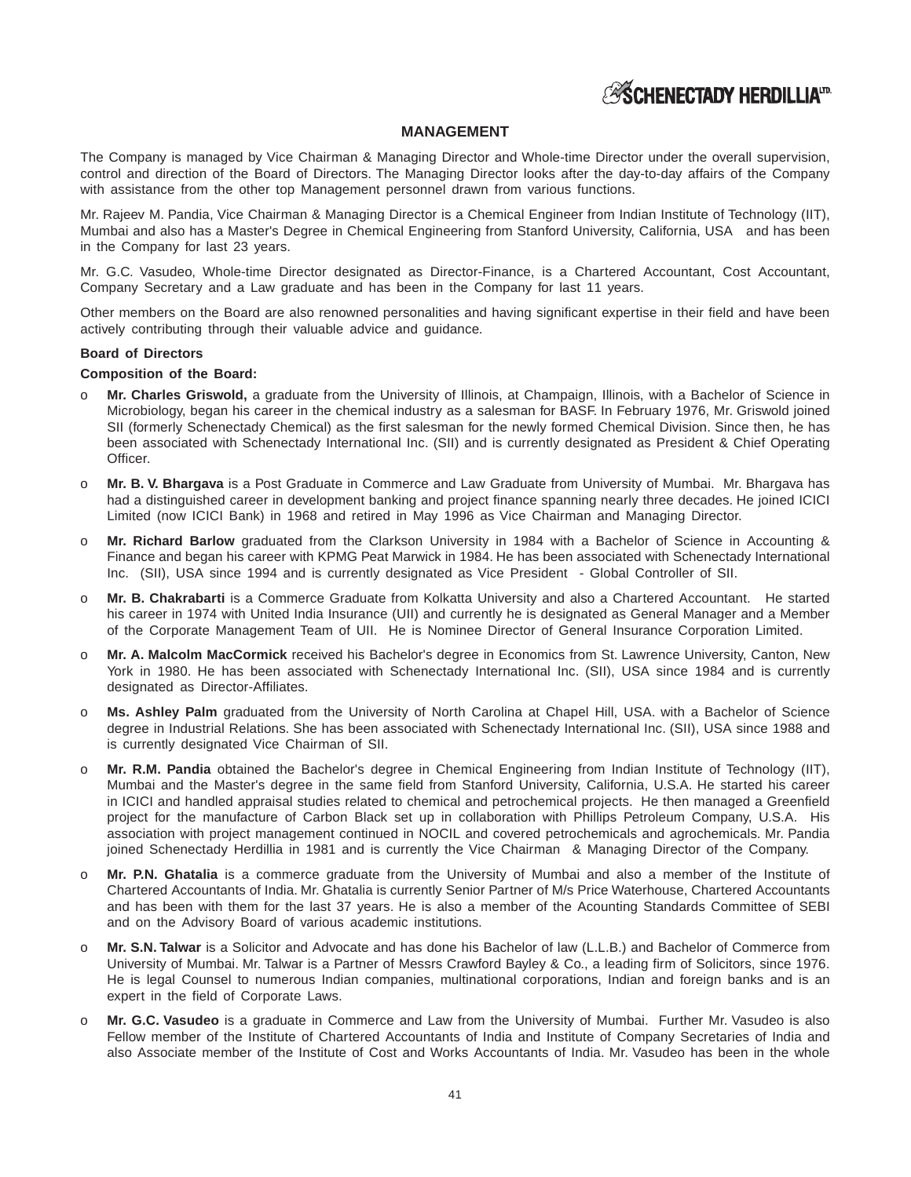

# **MANAGEMENT**

The Company is managed by Vice Chairman & Managing Director and Whole-time Director under the overall supervision, control and direction of the Board of Directors. The Managing Director looks after the day-to-day affairs of the Company with assistance from the other top Management personnel drawn from various functions.

Mr. Rajeev M. Pandia, Vice Chairman & Managing Director is a Chemical Engineer from Indian Institute of Technology (IIT), Mumbai and also has a Master's Degree in Chemical Engineering from Stanford University, California, USA and has been in the Company for last 23 years.

Mr. G.C. Vasudeo, Whole-time Director designated as Director-Finance, is a Chartered Accountant, Cost Accountant, Company Secretary and a Law graduate and has been in the Company for last 11 years.

Other members on the Board are also renowned personalities and having significant expertise in their field and have been actively contributing through their valuable advice and guidance.

#### **Board of Directors**

# **Composition of the Board:**

- o **Mr. Charles Griswold,** a graduate from the University of Illinois, at Champaign, Illinois, with a Bachelor of Science in Microbiology, began his career in the chemical industry as a salesman for BASF. In February 1976, Mr. Griswold joined SII (formerly Schenectady Chemical) as the first salesman for the newly formed Chemical Division. Since then, he has been associated with Schenectady International Inc. (SII) and is currently designated as President & Chief Operating Officer.
- o **Mr. B. V. Bhargava** is a Post Graduate in Commerce and Law Graduate from University of Mumbai. Mr. Bhargava has had a distinguished career in development banking and project finance spanning nearly three decades. He joined ICICI Limited (now ICICI Bank) in 1968 and retired in May 1996 as Vice Chairman and Managing Director.
- o **Mr. Richard Barlow** graduated from the Clarkson University in 1984 with a Bachelor of Science in Accounting & Finance and began his career with KPMG Peat Marwick in 1984. He has been associated with Schenectady International Inc. (SII), USA since 1994 and is currently designated as Vice President - Global Controller of SII.
- o **Mr. B. Chakrabarti** is a Commerce Graduate from Kolkatta University and also a Chartered Accountant. He started his career in 1974 with United India Insurance (UII) and currently he is designated as General Manager and a Member of the Corporate Management Team of UII. He is Nominee Director of General Insurance Corporation Limited.
- o **Mr. A. Malcolm MacCormick** received his Bachelor's degree in Economics from St. Lawrence University, Canton, New York in 1980. He has been associated with Schenectady International Inc. (SII), USA since 1984 and is currently designated as Director-Affiliates.
- o **Ms. Ashley Palm** graduated from the University of North Carolina at Chapel Hill, USA. with a Bachelor of Science degree in Industrial Relations. She has been associated with Schenectady International Inc. (SII), USA since 1988 and is currently designated Vice Chairman of SII.
- o **Mr. R.M. Pandia** obtained the Bachelor's degree in Chemical Engineering from Indian Institute of Technology (IIT), Mumbai and the Master's degree in the same field from Stanford University, California, U.S.A. He started his career in ICICI and handled appraisal studies related to chemical and petrochemical projects. He then managed a Greenfield project for the manufacture of Carbon Black set up in collaboration with Phillips Petroleum Company, U.S.A. His association with project management continued in NOCIL and covered petrochemicals and agrochemicals. Mr. Pandia joined Schenectady Herdillia in 1981 and is currently the Vice Chairman & Managing Director of the Company.
- o **Mr. P.N. Ghatalia** is a commerce graduate from the University of Mumbai and also a member of the Institute of Chartered Accountants of India. Mr. Ghatalia is currently Senior Partner of M/s Price Waterhouse, Chartered Accountants and has been with them for the last 37 years. He is also a member of the Acounting Standards Committee of SEBI and on the Advisory Board of various academic institutions.
- o **Mr. S.N. Talwar** is a Solicitor and Advocate and has done his Bachelor of law (L.L.B.) and Bachelor of Commerce from University of Mumbai. Mr. Talwar is a Partner of Messrs Crawford Bayley & Co., a leading firm of Solicitors, since 1976. He is legal Counsel to numerous Indian companies, multinational corporations, Indian and foreign banks and is an expert in the field of Corporate Laws.
- o **Mr. G.C. Vasudeo** is a graduate in Commerce and Law from the University of Mumbai. Further Mr. Vasudeo is also Fellow member of the Institute of Chartered Accountants of India and Institute of Company Secretaries of India and also Associate member of the Institute of Cost and Works Accountants of India. Mr. Vasudeo has been in the whole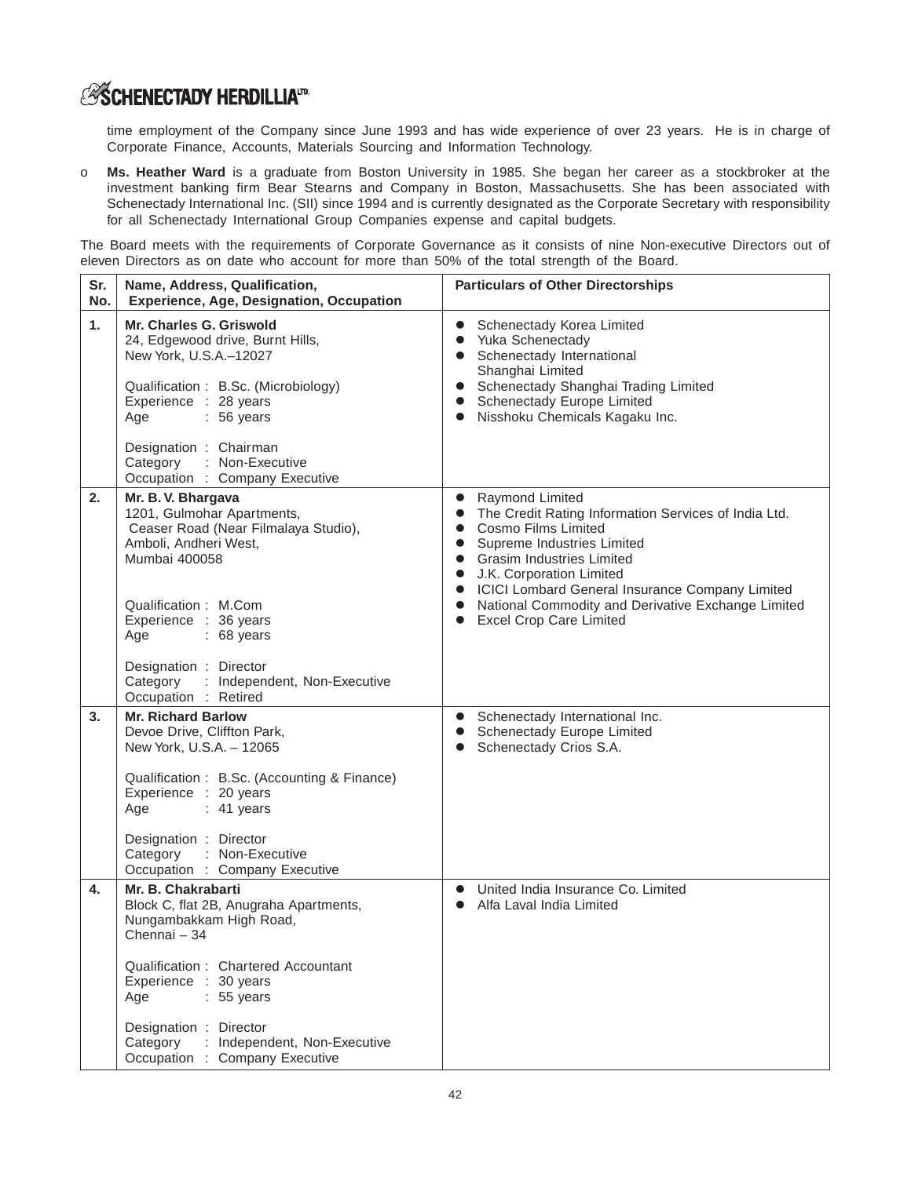# **ESCHENECTADY HERDILLIAID**

 $\Gamma$ 

time employment of the Company since June 1993 and has wide experience of over 23 years. He is in charge of Corporate Finance, Accounts, Materials Sourcing and Information Technology.

o **Ms. Heather Ward** is a graduate from Boston University in 1985. She began her career as a stockbroker at the investment banking firm Bear Stearns and Company in Boston, Massachusetts. She has been associated with Schenectady International Inc. (SII) since 1994 and is currently designated as the Corporate Secretary with responsibility for all Schenectady International Group Companies expense and capital budgets.

The Board meets with the requirements of Corporate Governance as it consists of nine Non-executive Directors out of eleven Directors as on date who account for more than 50% of the total strength of the Board.

| Sr.<br>No. | Name, Address, Qualification,<br><b>Experience, Age, Designation, Occupation</b>                                                                                                                               | <b>Particulars of Other Directorships</b>                                                                                                                                                                                                                                                                                                  |
|------------|----------------------------------------------------------------------------------------------------------------------------------------------------------------------------------------------------------------|--------------------------------------------------------------------------------------------------------------------------------------------------------------------------------------------------------------------------------------------------------------------------------------------------------------------------------------------|
| 1.         | Mr. Charles G. Griswold<br>24, Edgewood drive, Burnt Hills,<br>New York, U.S.A.-12027<br>Qualification: B.Sc. (Microbiology)<br>Experience : 28 years<br>$: 56 \text{ years}$<br>Age<br>Designation : Chairman | Schenectady Korea Limited<br>$\bullet$<br>Yuka Schenectady<br>$\bullet$<br>Schenectady International<br>Shanghai Limited<br>Schenectady Shanghai Trading Limited<br>$\bullet$<br>Schenectady Europe Limited<br>$\bullet$<br>Nisshoku Chemicals Kagaku Inc.                                                                                 |
|            | Category : Non-Executive<br>Occupation : Company Executive                                                                                                                                                     |                                                                                                                                                                                                                                                                                                                                            |
| 2.         | Mr. B. V. Bhargava<br>1201, Gulmohar Apartments,<br>Ceaser Road (Near Filmalaya Studio),<br>Amboli, Andheri West,<br>Mumbai 400058                                                                             | Raymond Limited<br>$\bullet$<br>The Credit Rating Information Services of India Ltd.<br>$\bullet$<br>Cosmo Films Limited<br>$\bullet$<br>Supreme Industries Limited<br>$\bullet$<br><b>Grasim Industries Limited</b><br>$\bullet$<br>J.K. Corporation Limited<br>$\bullet$<br>ICICI Lombard General Insurance Company Limited<br>$\bullet$ |
|            | Qualification: M.Com<br>Experience : 36 years<br>$.68$ years<br>Age                                                                                                                                            | National Commodity and Derivative Exchange Limited<br>$\bullet$<br><b>Excel Crop Care Limited</b>                                                                                                                                                                                                                                          |
|            | Designation : Director<br>Category : Independent, Non-Executive<br>Occupation : Retired                                                                                                                        |                                                                                                                                                                                                                                                                                                                                            |
| 3.         | <b>Mr. Richard Barlow</b><br>Devoe Drive, Cliffton Park,<br>New York, U.S.A. - 12065                                                                                                                           | Schenectady International Inc.<br>$\bullet$<br>Schenectady Europe Limited<br>Schenectady Crios S.A.                                                                                                                                                                                                                                        |
|            | Qualification: B.Sc. (Accounting & Finance)<br>Experience : 20 years<br>Age<br>$: 41$ years                                                                                                                    |                                                                                                                                                                                                                                                                                                                                            |
|            | Designation : Director<br>Category<br>: Non-Executive<br>Occupation : Company Executive                                                                                                                        |                                                                                                                                                                                                                                                                                                                                            |
| 4.         | Mr. B. Chakrabarti<br>Block C, flat 2B, Anugraha Apartments,<br>Nungambakkam High Road,<br>Chennai - 34                                                                                                        | United India Insurance Co. Limited<br>$\bullet$<br>Alfa Laval India Limited                                                                                                                                                                                                                                                                |
|            | Qualification: Chartered Accountant<br>Experience : 30 years<br>$: 55$ years<br>Age                                                                                                                            |                                                                                                                                                                                                                                                                                                                                            |
|            | Designation : Director<br>Category : Independent, Non-Executive<br>Occupation : Company Executive                                                                                                              |                                                                                                                                                                                                                                                                                                                                            |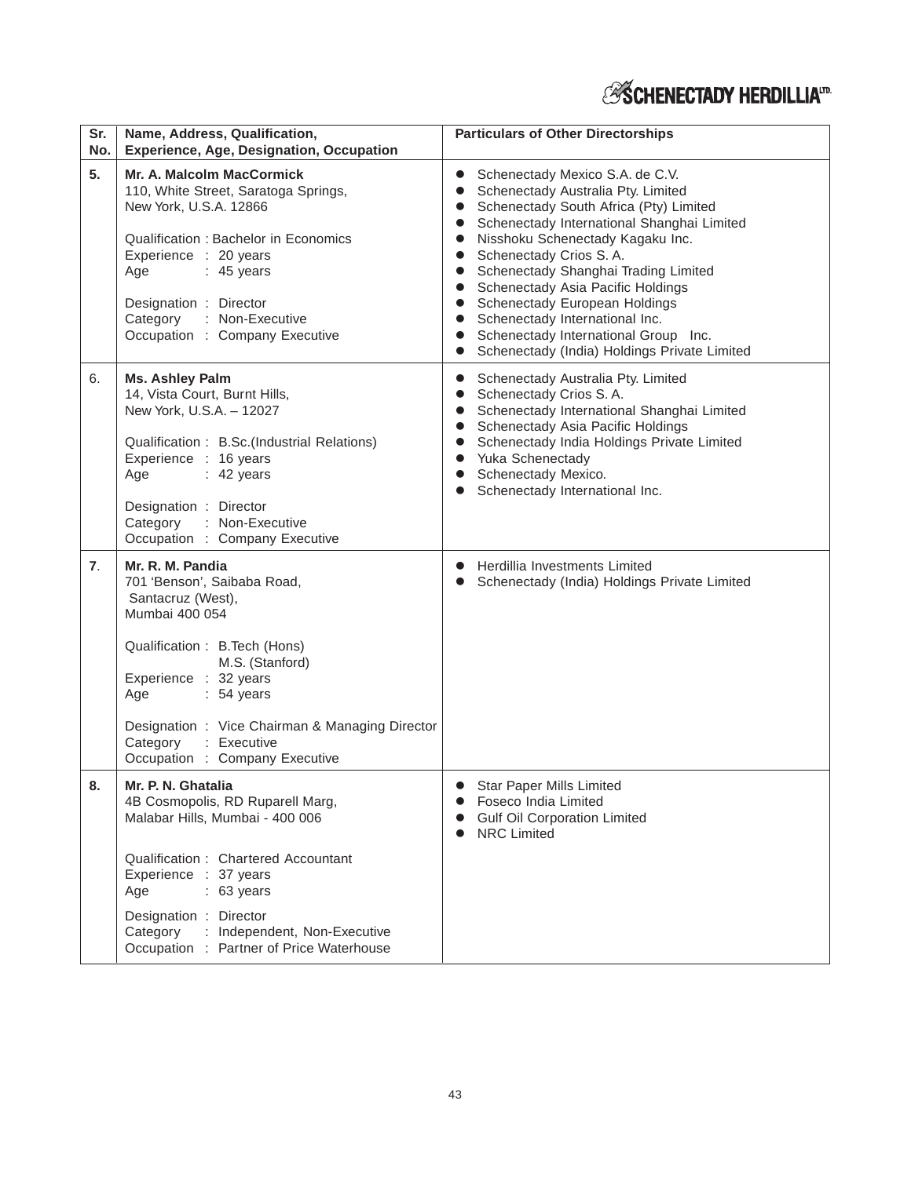| Sr.<br>No.       | Name, Address, Qualification,<br><b>Experience, Age, Designation, Occupation</b>                                                                                                                                                                                                                           | <b>Particulars of Other Directorships</b>                                                                                                                                                                                                                                                                                                                                                                                                                                                                                                                                   |
|------------------|------------------------------------------------------------------------------------------------------------------------------------------------------------------------------------------------------------------------------------------------------------------------------------------------------------|-----------------------------------------------------------------------------------------------------------------------------------------------------------------------------------------------------------------------------------------------------------------------------------------------------------------------------------------------------------------------------------------------------------------------------------------------------------------------------------------------------------------------------------------------------------------------------|
| 5.               | <b>Mr. A. Malcolm MacCormick</b><br>110, White Street, Saratoga Springs,<br>New York, U.S.A. 12866<br>Qualification: Bachelor in Economics<br>Experience : 20 years<br>Age<br>$: 45$ years<br>Designation : Director<br>Category : Non-Executive<br>Occupation : Company Executive                         | Schenectady Mexico S.A. de C.V.<br>Schenectady Australia Pty. Limited<br>Schenectady South Africa (Pty) Limited<br>$\bullet$<br>Schenectady International Shanghai Limited<br>$\bullet$<br>Nisshoku Schenectady Kagaku Inc.<br>$\bullet$<br>Schenectady Crios S.A.<br>$\bullet$<br>Schenectady Shanghai Trading Limited<br>$\bullet$<br>Schenectady Asia Pacific Holdings<br>$\bullet$<br>Schenectady European Holdings<br>$\bullet$<br>Schenectady International Inc.<br>$\bullet$<br>Schenectady International Group Inc.<br>Schenectady (India) Holdings Private Limited |
| 6.               | <b>Ms. Ashley Palm</b><br>14, Vista Court, Burnt Hills,<br>New York, U.S.A. - 12027<br>Qualification : B.Sc.(Industrial Relations)<br>Experience : 16 years<br>Age<br>$: 42$ years<br>Designation : Director<br>Category<br>: Non-Executive<br>Occupation : Company Executive                              | Schenectady Australia Pty. Limited<br>$\bullet$<br>Schenectady Crios S.A.<br>$\bullet$<br>Schenectady International Shanghai Limited<br>$\bullet$<br>Schenectady Asia Pacific Holdings<br>$\bullet$<br>Schenectady India Holdings Private Limited<br>$\bullet$<br>Yuka Schenectady<br>$\bullet$<br>Schenectady Mexico.<br>$\bullet$<br>Schenectady International Inc.                                                                                                                                                                                                       |
| $\overline{7}$ . | Mr. R. M. Pandia<br>701 'Benson', Saibaba Road,<br>Santacruz (West),<br>Mumbai 400 054<br>Qualification: B. Tech (Hons)<br>M.S. (Stanford)<br>Experience : 32 years<br>: 54 years<br>Age<br>Designation: Vice Chairman & Managing Director<br>Category<br>: Executive<br>Occupation : Company Executive    | Herdillia Investments Limited<br>Schenectady (India) Holdings Private Limited                                                                                                                                                                                                                                                                                                                                                                                                                                                                                               |
| 8.               | Mr. P. N. Ghatalia<br>4B Cosmopolis, RD Ruparell Marg,<br>Malabar Hills, Mumbai - 400 006<br>Qualification: Chartered Accountant<br>Experience : 37 years<br>$: 63 \text{ years}$<br>Age<br>Designation : Director<br>Category<br>: Independent, Non-Executive<br>Occupation : Partner of Price Waterhouse | <b>Star Paper Mills Limited</b><br>Foseco India Limited<br><b>Gulf Oil Corporation Limited</b><br><b>NRC Limited</b>                                                                                                                                                                                                                                                                                                                                                                                                                                                        |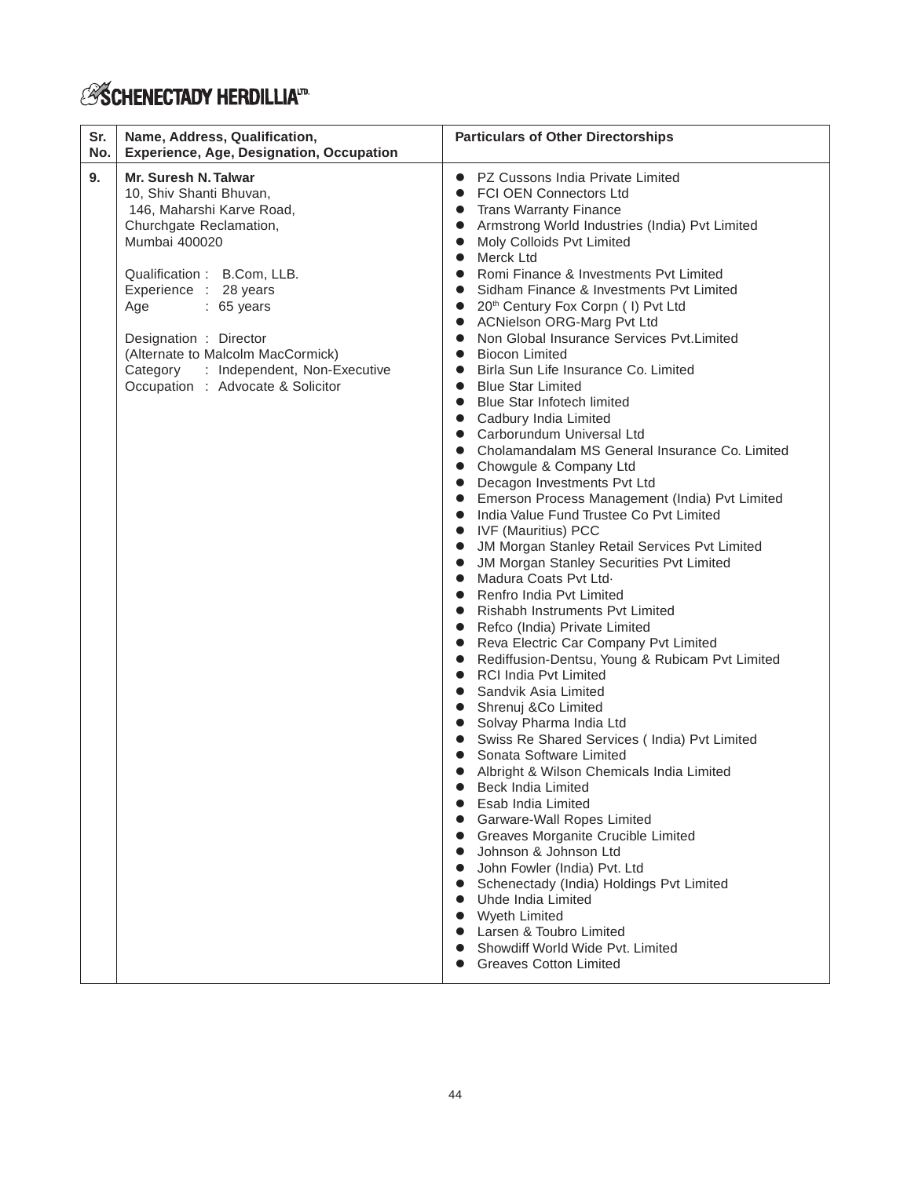# *ESCHENECTADY HERDILLIA*.m.

| Sr.<br>No. | Name, Address, Qualification,<br><b>Experience, Age, Designation, Occupation</b>                                                                                                                                                                                                                                                                    | <b>Particulars of Other Directorships</b>                                                                                                                                                                                                                                                                                                                                                                                                                                                                                                                                                                                                                                                                                                                                                                                                                                                                                                                                                                                                                                                                                                                                                                                                                                                                                                                                                                                                                                                                                                                                                                                                                                                                                                                                                                                                                                                                                                                                                                                                                                                    |
|------------|-----------------------------------------------------------------------------------------------------------------------------------------------------------------------------------------------------------------------------------------------------------------------------------------------------------------------------------------------------|----------------------------------------------------------------------------------------------------------------------------------------------------------------------------------------------------------------------------------------------------------------------------------------------------------------------------------------------------------------------------------------------------------------------------------------------------------------------------------------------------------------------------------------------------------------------------------------------------------------------------------------------------------------------------------------------------------------------------------------------------------------------------------------------------------------------------------------------------------------------------------------------------------------------------------------------------------------------------------------------------------------------------------------------------------------------------------------------------------------------------------------------------------------------------------------------------------------------------------------------------------------------------------------------------------------------------------------------------------------------------------------------------------------------------------------------------------------------------------------------------------------------------------------------------------------------------------------------------------------------------------------------------------------------------------------------------------------------------------------------------------------------------------------------------------------------------------------------------------------------------------------------------------------------------------------------------------------------------------------------------------------------------------------------------------------------------------------------|
| 9.         | Mr. Suresh N. Talwar<br>10, Shiv Shanti Bhuvan,<br>146, Maharshi Karve Road,<br>Churchgate Reclamation,<br>Mumbai 400020<br>Qualification: B.Com, LLB.<br>Experience : 28 years<br>$: 65$ years<br>Age<br>Designation : Director<br>(Alternate to Malcolm MacCormick)<br>Category : Independent, Non-Executive<br>Occupation : Advocate & Solicitor | PZ Cussons India Private Limited<br>$\bullet$<br><b>FCI OEN Connectors Ltd</b><br>$\bullet$<br><b>Trans Warranty Finance</b><br>$\bullet$<br>Armstrong World Industries (India) Pvt Limited<br>Moly Colloids Pvt Limited<br>Merck Ltd<br>$\bullet$<br>Romi Finance & Investments Pyt Limited<br>$\bullet$<br>Sidham Finance & Investments Pvt Limited<br>$\bullet$<br>20 <sup>th</sup> Century Fox Corpn ( I) Pvt Ltd<br>ACNielson ORG-Marg Pvt Ltd<br>Non Global Insurance Services Pvt.Limited<br>$\bullet$<br><b>Biocon Limited</b><br>$\bullet$<br>Birla Sun Life Insurance Co. Limited<br>$\bullet$<br><b>Blue Star Limited</b><br><b>Blue Star Infotech limited</b><br>Cadbury India Limited<br>$\bullet$<br>Carborundum Universal Ltd<br>$\bullet$<br>Cholamandalam MS General Insurance Co. Limited<br>$\bullet$<br>Chowgule & Company Ltd<br>$\bullet$<br>Decagon Investments Pvt Ltd<br>Emerson Process Management (India) Pvt Limited<br>$\bullet$<br>India Value Fund Trustee Co Pyt Limited<br>$\bullet$<br>• IVF (Mauritius) PCC<br>JM Morgan Stanley Retail Services Pvt Limited<br>JM Morgan Stanley Securities Pvt Limited<br>Madura Coats Pvt Ltd.<br>$\bullet$<br>Renfro India Pyt Limited<br>$\bullet$<br>Rishabh Instruments Pvt Limited<br>$\bullet$<br>Refco (India) Private Limited<br>$\bullet$<br>Reva Electric Car Company Pvt Limited<br>$\bullet$<br>Rediffusion-Dentsu, Young & Rubicam Pvt Limited<br>$\bullet$<br><b>RCI India Pyt Limited</b><br>$\bullet$<br>Sandvik Asia Limited<br>$\bullet$<br>Shrenuj & Co Limited<br>Solvay Pharma India Ltd<br>Swiss Re Shared Services ( India) Pvt Limited<br>$\bullet$<br>Sonata Software Limited<br>Albright & Wilson Chemicals India Limited<br>Beck India Limited<br>Esab India Limited<br>Garware-Wall Ropes Limited<br>Greaves Morganite Crucible Limited<br>Johnson & Johnson Ltd<br>John Fowler (India) Pvt. Ltd<br>Schenectady (India) Holdings Pvt Limited<br>Uhde India Limited<br><b>Wyeth Limited</b><br>Larsen & Toubro Limited<br>Showdiff World Wide Pyt. Limited<br><b>Greaves Cotton Limited</b> |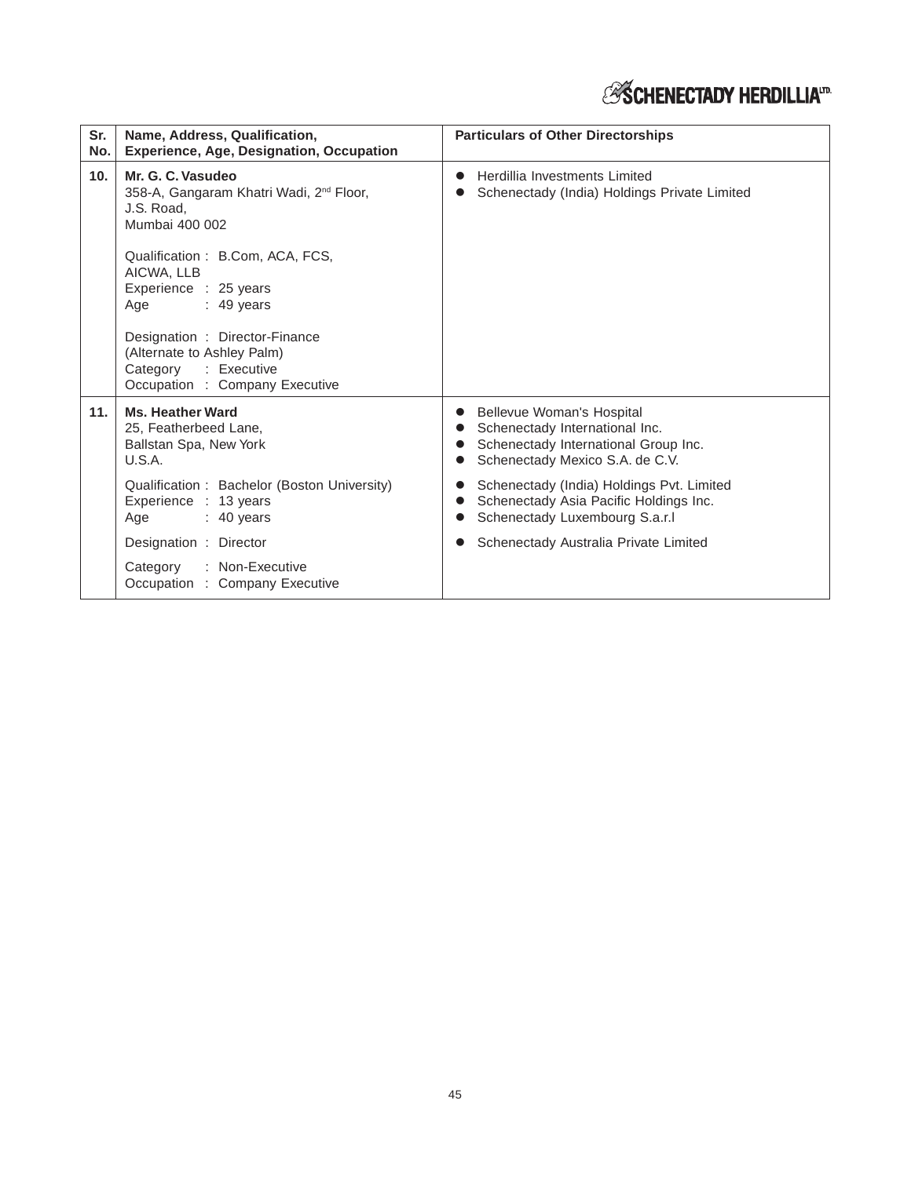| Sr.<br>No. | Name, Address, Qualification,<br><b>Experience, Age, Designation, Occupation</b>                                                                                                                                                                                                                    | <b>Particulars of Other Directorships</b>                                                                                              |
|------------|-----------------------------------------------------------------------------------------------------------------------------------------------------------------------------------------------------------------------------------------------------------------------------------------------------|----------------------------------------------------------------------------------------------------------------------------------------|
| 10.        | Mr. G. C. Vasudeo<br>358-A, Gangaram Khatri Wadi, 2 <sup>nd</sup> Floor,<br>J.S. Road.<br>Mumbai 400 002<br>Qualification: B.Com, ACA, FCS,<br>AICWA, LLB<br>Experience : 25 years<br>$: 49$ years<br>Age<br>Designation: Director-Finance<br>(Alternate to Ashley Palm)<br>Category<br>: Executive | Herdillia Investments Limited<br>Schenectady (India) Holdings Private Limited                                                          |
| 11.        | Occupation : Company Executive<br>Ms. Heather Ward<br>25, Featherbeed Lane,<br>Ballstan Spa, New York<br>U.S.A.                                                                                                                                                                                     | Bellevue Woman's Hospital<br>Schenectady International Inc.<br>Schenectady International Group Inc.<br>Schenectady Mexico S.A. de C.V. |
|            | Qualification: Bachelor (Boston University)<br>Experience : 13 years<br>Age<br>$: 40$ years                                                                                                                                                                                                         | Schenectady (India) Holdings Pvt. Limited<br>Schenectady Asia Pacific Holdings Inc.<br>Schenectady Luxembourg S.a.r.l                  |
|            | Designation : Director                                                                                                                                                                                                                                                                              | Schenectady Australia Private Limited                                                                                                  |
|            | : Non-Executive<br>Category<br>Occupation : Company Executive                                                                                                                                                                                                                                       |                                                                                                                                        |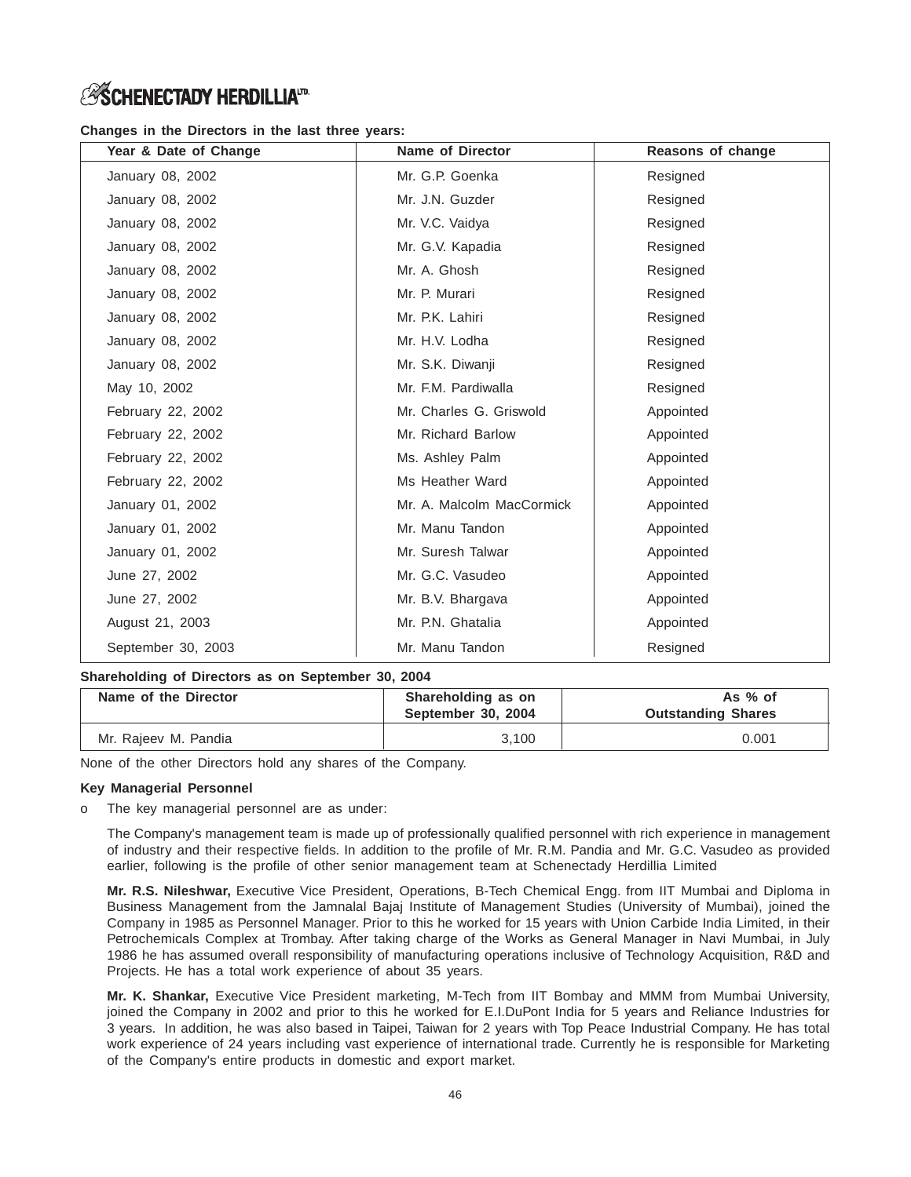# **Changes in the Directors in the last three years:**

| Year & Date of Change | <b>Name of Director</b>   | Reasons of change |
|-----------------------|---------------------------|-------------------|
| January 08, 2002      | Mr. G.P. Goenka           | Resigned          |
| January 08, 2002      | Mr. J.N. Guzder           | Resigned          |
| January 08, 2002      | Mr. V.C. Vaidya           | Resigned          |
| January 08, 2002      | Mr. G.V. Kapadia          | Resigned          |
| January 08, 2002      | Mr. A. Ghosh              | Resigned          |
| January 08, 2002      | Mr. P. Murari             | Resigned          |
| January 08, 2002      | Mr. P.K. Lahiri           | Resigned          |
| January 08, 2002      | Mr. H.V. Lodha            | Resigned          |
| January 08, 2002      | Mr. S.K. Diwanji          | Resigned          |
| May 10, 2002          | Mr. F.M. Pardiwalla       | Resigned          |
| February 22, 2002     | Mr. Charles G. Griswold   | Appointed         |
| February 22, 2002     | Mr. Richard Barlow        | Appointed         |
| February 22, 2002     | Ms. Ashley Palm           | Appointed         |
| February 22, 2002     | Ms Heather Ward           | Appointed         |
| January 01, 2002      | Mr. A. Malcolm MacCormick | Appointed         |
| January 01, 2002      | Mr. Manu Tandon           | Appointed         |
| January 01, 2002      | Mr. Suresh Talwar         | Appointed         |
| June 27, 2002         | Mr. G.C. Vasudeo          | Appointed         |
| June 27, 2002         | Mr. B.V. Bhargava         | Appointed         |
| August 21, 2003       | Mr. P.N. Ghatalia         | Appointed         |
| September 30, 2003    | Mr. Manu Tandon           | Resigned          |

# **Shareholding of Directors as on September 30, 2004**

| Name of the Director | Shareholding as on<br>September 30, 2004 | As $%$ of<br><b>Outstanding Shares</b> |
|----------------------|------------------------------------------|----------------------------------------|
| Mr. Rajeev M. Pandia | 3.100                                    | 0.001                                  |

None of the other Directors hold any shares of the Company.

# **Key Managerial Personnel**

o The key managerial personnel are as under:

The Company's management team is made up of professionally qualified personnel with rich experience in management of industry and their respective fields. In addition to the profile of Mr. R.M. Pandia and Mr. G.C. Vasudeo as provided earlier, following is the profile of other senior management team at Schenectady Herdillia Limited

**Mr. R.S. Nileshwar,** Executive Vice President, Operations, B-Tech Chemical Engg. from IIT Mumbai and Diploma in Business Management from the Jamnalal Bajaj Institute of Management Studies (University of Mumbai), joined the Company in 1985 as Personnel Manager. Prior to this he worked for 15 years with Union Carbide India Limited, in their Petrochemicals Complex at Trombay. After taking charge of the Works as General Manager in Navi Mumbai, in July 1986 he has assumed overall responsibility of manufacturing operations inclusive of Technology Acquisition, R&D and Projects. He has a total work experience of about 35 years.

**Mr. K. Shankar,** Executive Vice President marketing, M-Tech from IIT Bombay and MMM from Mumbai University, joined the Company in 2002 and prior to this he worked for E.I.DuPont India for 5 years and Reliance Industries for 3 years. In addition, he was also based in Taipei, Taiwan for 2 years with Top Peace Industrial Company. He has total work experience of 24 years including vast experience of international trade. Currently he is responsible for Marketing of the Company's entire products in domestic and export market.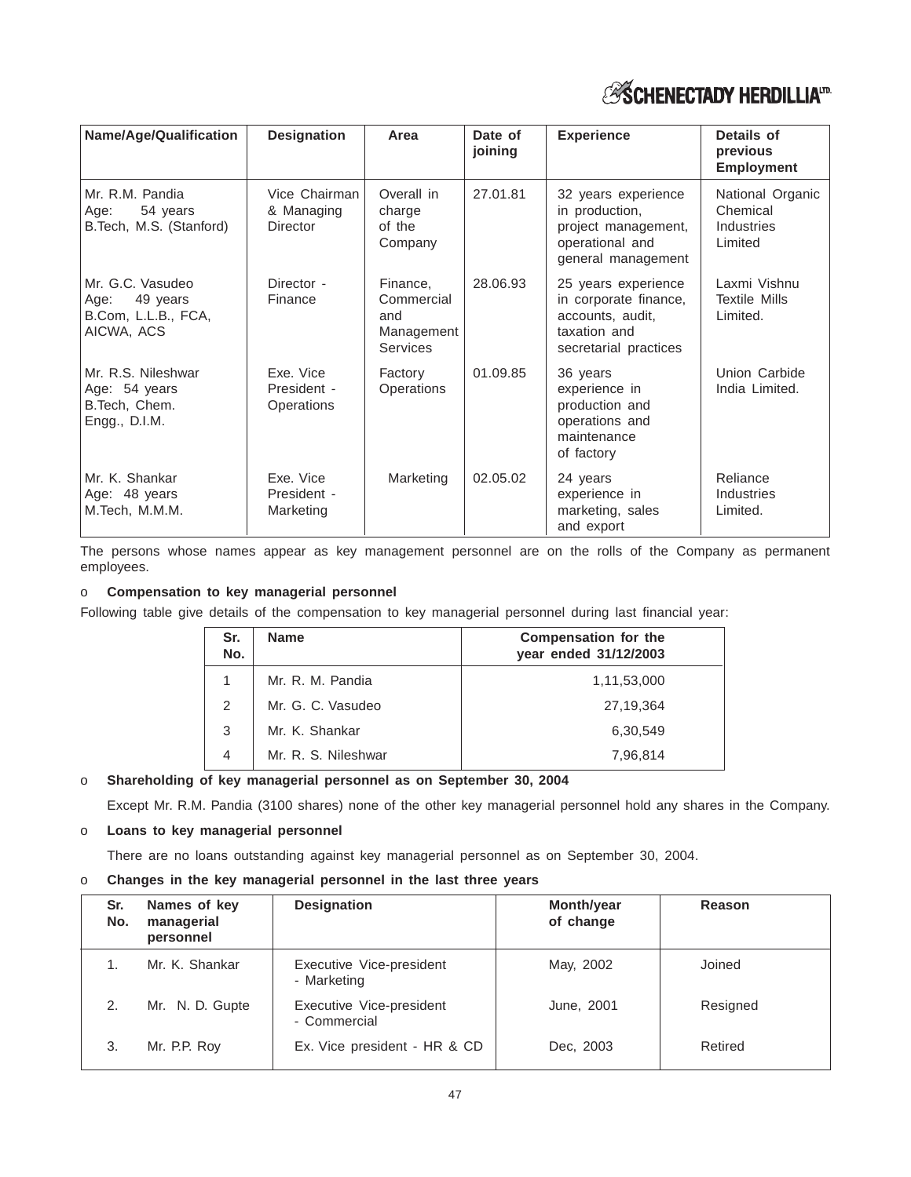

| Name/Age/Qualification                                                    | <b>Designation</b>                             | Area                                                    | Date of<br>joining | <b>Experience</b>                                                                                         | Details of<br>previous<br><b>Employment</b>           |
|---------------------------------------------------------------------------|------------------------------------------------|---------------------------------------------------------|--------------------|-----------------------------------------------------------------------------------------------------------|-------------------------------------------------------|
| Mr. R.M. Pandia<br>54 years<br>Age:<br>B. Tech, M.S. (Stanford)           | Vice Chairman<br>& Managing<br><b>Director</b> | Overall in<br>charge<br>of the<br>Company               | 27.01.81           | 32 years experience<br>in production,<br>project management,<br>operational and<br>general management     | National Organic<br>Chemical<br>Industries<br>Limited |
| Mr. G.C. Vasudeo<br>49 years<br>Age:<br>B.Com, L.L.B., FCA,<br>AICWA, ACS | Director -<br>Finance                          | Finance,<br>Commercial<br>and<br>Management<br>Services | 28.06.93           | 25 years experience<br>in corporate finance,<br>accounts, audit,<br>taxation and<br>secretarial practices | Laxmi Vishnu<br><b>Textile Mills</b><br>Limited.      |
| Mr. R.S. Nileshwar<br>Age: 54 years<br>B.Tech, Chem.<br>Engg., D.I.M.     | Exe. Vice<br>President -<br>Operations         | Factory<br>Operations                                   | 01.09.85           | 36 years<br>experience in<br>production and<br>operations and<br>maintenance<br>of factory                | Union Carbide<br>India Limited.                       |
| Mr. K. Shankar<br>Age: 48 years<br>M.Tech, M.M.M.                         | Exe. Vice<br>President -<br>Marketing          | Marketing                                               | 02.05.02           | 24 years<br>experience in<br>marketing, sales<br>and export                                               | Reliance<br><b>Industries</b><br>Limited.             |

The persons whose names appear as key management personnel are on the rolls of the Company as permanent employees.

# o **Compensation to key managerial personnel**

Following table give details of the compensation to key managerial personnel during last financial year:

| Sr.<br>No. | <b>Name</b>         | <b>Compensation for the</b><br>year ended 31/12/2003 |
|------------|---------------------|------------------------------------------------------|
| 1          | Mr. R. M. Pandia    | 1,11,53,000                                          |
| 2          | Mr. G. C. Vasudeo   | 27,19,364                                            |
| 3          | Mr. K. Shankar      | 6.30.549                                             |
| 4          | Mr. R. S. Nileshwar | 7,96,814                                             |

# o **Shareholding of key managerial personnel as on September 30, 2004**

Except Mr. R.M. Pandia (3100 shares) none of the other key managerial personnel hold any shares in the Company.

# o **Loans to key managerial personnel**

There are no loans outstanding against key managerial personnel as on September 30, 2004.

o **Changes in the key managerial personnel in the last three years**

| Sr.<br>No. | Names of key<br>managerial<br>personnel | <b>Designation</b>                       | <b>Month/year</b><br>of change | Reason   |
|------------|-----------------------------------------|------------------------------------------|--------------------------------|----------|
|            | Mr. K. Shankar                          | Executive Vice-president<br>- Marketing  | May, 2002                      | Joined   |
|            | Mr. N. D. Gupte                         | Executive Vice-president<br>- Commercial | June, 2001                     | Resigned |
| 3.         | Mr. P.P. Roy                            | Ex. Vice president - HR & CD             | Dec. 2003                      | Retired  |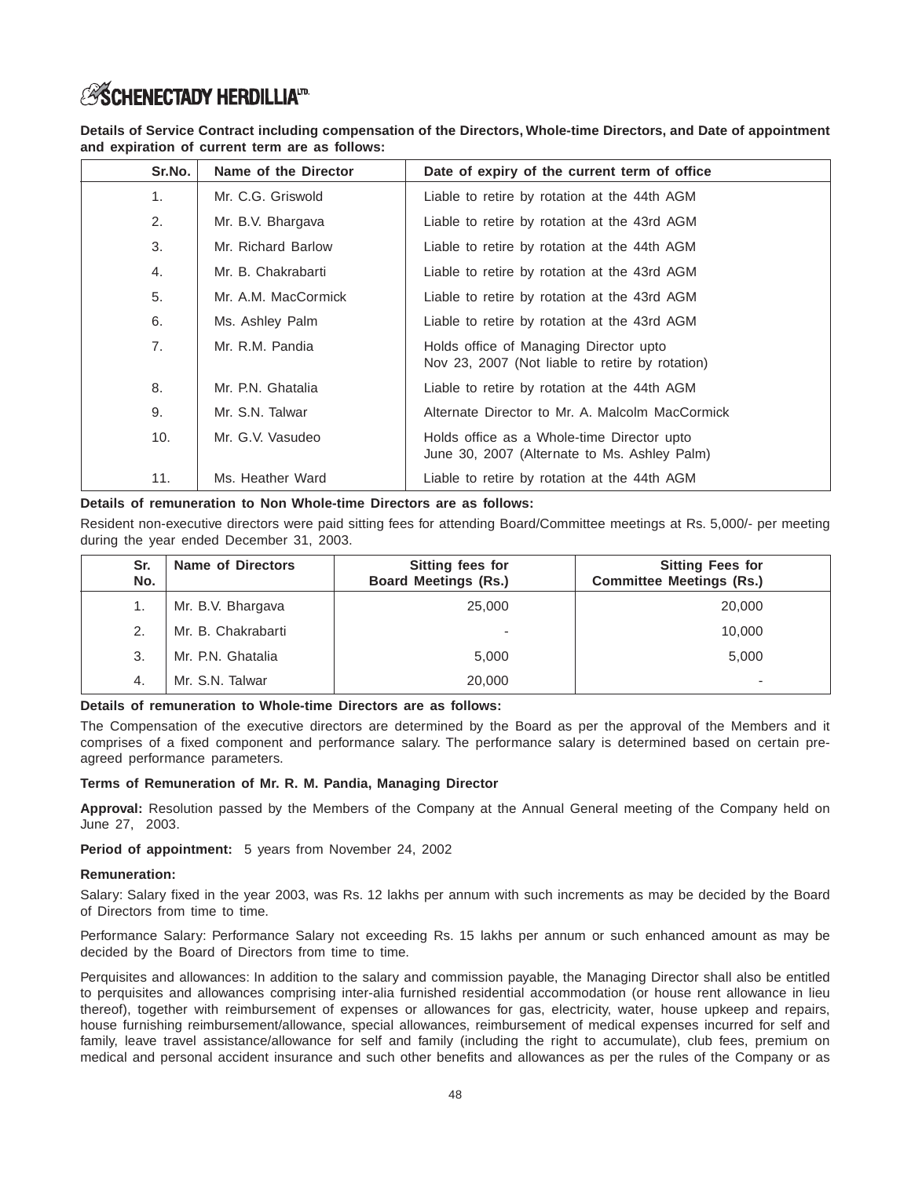**Details of Service Contract including compensation of the Directors, Whole-time Directors, and Date of appointment and expiration of current term are as follows:**

| Sr.No.         | Name of the Director | Date of expiry of the current term of office                                               |
|----------------|----------------------|--------------------------------------------------------------------------------------------|
| 1 <sub>1</sub> | Mr. C.G. Griswold    | Liable to retire by rotation at the 44th AGM                                               |
| 2.             | Mr. B.V. Bhargava    | Liable to retire by rotation at the 43rd AGM                                               |
| 3.             | Mr. Richard Barlow   | Liable to retire by rotation at the 44th AGM                                               |
| 4.             | Mr. B. Chakrabarti   | Liable to retire by rotation at the 43rd AGM                                               |
| 5.             | Mr. A.M. MacCormick  | Liable to retire by rotation at the 43rd AGM                                               |
| 6.             | Ms. Ashley Palm      | Liable to retire by rotation at the 43rd AGM                                               |
| 7.             | Mr. R.M. Pandia      | Holds office of Managing Director upto<br>Nov 23, 2007 (Not liable to retire by rotation)  |
| 8.             | Mr. P.N. Ghatalia    | Liable to retire by rotation at the 44th AGM                                               |
| 9.             | Mr. S.N. Talwar      | Alternate Director to Mr. A. Malcolm MacCormick                                            |
| 10.            | Mr. G.V. Vasudeo     | Holds office as a Whole-time Director upto<br>June 30, 2007 (Alternate to Ms. Ashley Palm) |
| 11.            | Ms. Heather Ward     | Liable to retire by rotation at the 44th AGM                                               |

# **Details of remuneration to Non Whole-time Directors are as follows:**

Resident non-executive directors were paid sitting fees for attending Board/Committee meetings at Rs. 5,000/- per meeting during the year ended December 31, 2003.

| Sr.<br>No. | <b>Name of Directors</b> | Sitting fees for<br><b>Board Meetings (Rs.)</b> | <b>Sitting Fees for</b><br><b>Committee Meetings (Rs.)</b> |
|------------|--------------------------|-------------------------------------------------|------------------------------------------------------------|
|            | Mr. B.V. Bhargava        | 25,000                                          | 20,000                                                     |
| 2.         | Mr. B. Chakrabarti       | $\overline{\phantom{a}}$                        | 10,000                                                     |
| 3.         | Mr. P.N. Ghatalia        | 5,000                                           | 5,000                                                      |
| 4.         | Mr. S.N. Talwar          | 20,000                                          | -                                                          |

### **Details of remuneration to Whole-time Directors are as follows:**

The Compensation of the executive directors are determined by the Board as per the approval of the Members and it comprises of a fixed component and performance salary. The performance salary is determined based on certain preagreed performance parameters.

### **Terms of Remuneration of Mr. R. M. Pandia, Managing Director**

**Approval:** Resolution passed by the Members of the Company at the Annual General meeting of the Company held on June 27, 2003.

**Period of appointment:** 5 years from November 24, 2002

### **Remuneration:**

Salary: Salary fixed in the year 2003, was Rs. 12 lakhs per annum with such increments as may be decided by the Board of Directors from time to time.

Performance Salary: Performance Salary not exceeding Rs. 15 lakhs per annum or such enhanced amount as may be decided by the Board of Directors from time to time.

Perquisites and allowances: In addition to the salary and commission payable, the Managing Director shall also be entitled to perquisites and allowances comprising inter-alia furnished residential accommodation (or house rent allowance in lieu thereof), together with reimbursement of expenses or allowances for gas, electricity, water, house upkeep and repairs, house furnishing reimbursement/allowance, special allowances, reimbursement of medical expenses incurred for self and family, leave travel assistance/allowance for self and family (including the right to accumulate), club fees, premium on medical and personal accident insurance and such other benefits and allowances as per the rules of the Company or as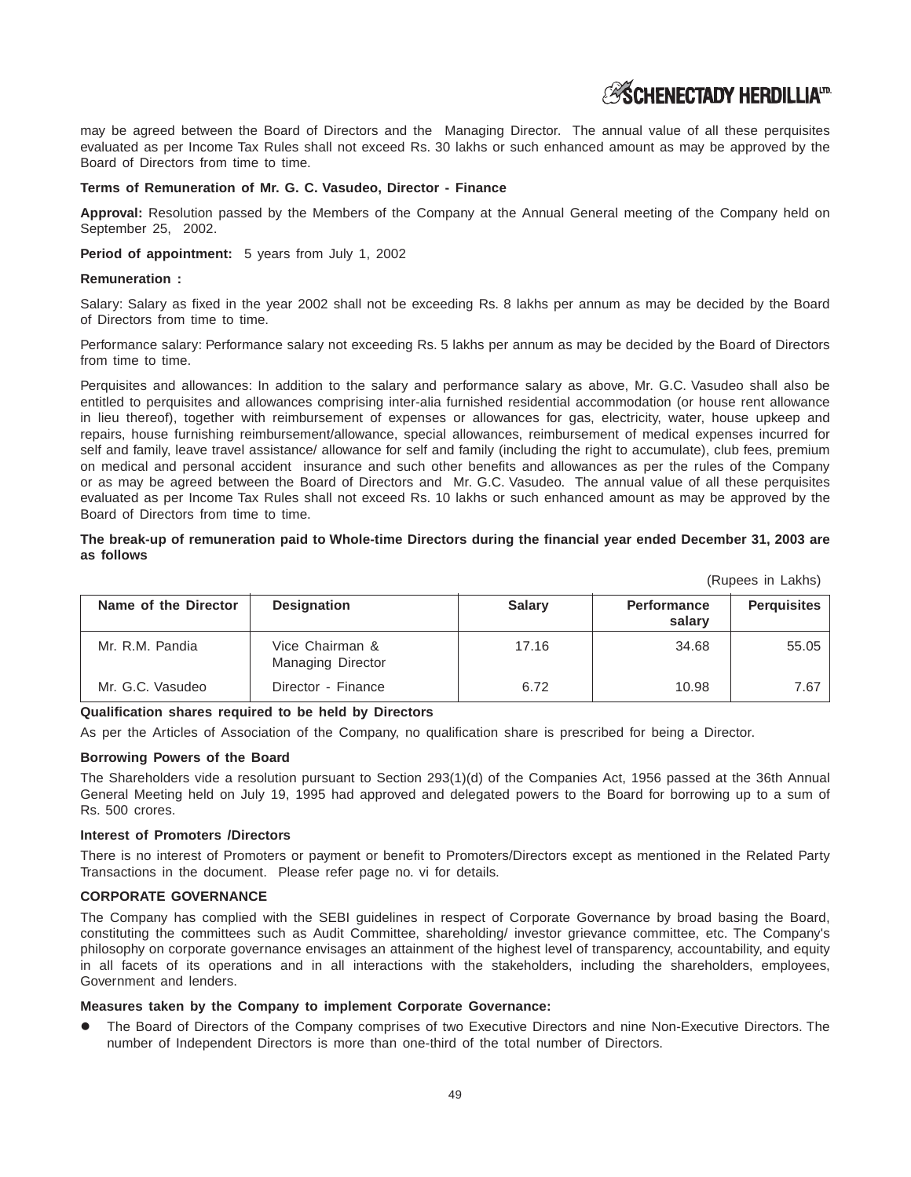may be agreed between the Board of Directors and the Managing Director. The annual value of all these perquisites evaluated as per Income Tax Rules shall not exceed Rs. 30 lakhs or such enhanced amount as may be approved by the Board of Directors from time to time.

# **Terms of Remuneration of Mr. G. C. Vasudeo, Director - Finance**

**Approval:** Resolution passed by the Members of the Company at the Annual General meeting of the Company held on September 25, 2002.

**Period of appointment:** 5 years from July 1, 2002

### **Remuneration :**

Salary: Salary as fixed in the year 2002 shall not be exceeding Rs. 8 lakhs per annum as may be decided by the Board of Directors from time to time.

Performance salary: Performance salary not exceeding Rs. 5 lakhs per annum as may be decided by the Board of Directors from time to time.

Perquisites and allowances: In addition to the salary and performance salary as above, Mr. G.C. Vasudeo shall also be entitled to perquisites and allowances comprising inter-alia furnished residential accommodation (or house rent allowance in lieu thereof), together with reimbursement of expenses or allowances for gas, electricity, water, house upkeep and repairs, house furnishing reimbursement/allowance, special allowances, reimbursement of medical expenses incurred for self and family, leave travel assistance/ allowance for self and family (including the right to accumulate), club fees, premium on medical and personal accident insurance and such other benefits and allowances as per the rules of the Company or as may be agreed between the Board of Directors and Mr. G.C. Vasudeo. The annual value of all these perquisites evaluated as per Income Tax Rules shall not exceed Rs. 10 lakhs or such enhanced amount as may be approved by the Board of Directors from time to time.

# **The break-up of remuneration paid to Whole-time Directors during the financial year ended December 31, 2003 are as follows**

(Rupees in Lakhs)

| Name of the Director | <b>Designation</b>                          | <b>Salary</b> | <b>Performance</b><br>salary | <b>Perquisites</b> |
|----------------------|---------------------------------------------|---------------|------------------------------|--------------------|
| Mr. R.M. Pandia      | Vice Chairman &<br><b>Managing Director</b> | 17.16         | 34.68                        | 55.05              |
| Mr. G.C. Vasudeo     | Director - Finance                          | 6.72          | 10.98                        | 7.67               |

# **Qualification shares required to be held by Directors**

As per the Articles of Association of the Company, no qualification share is prescribed for being a Director.

# **Borrowing Powers of the Board**

The Shareholders vide a resolution pursuant to Section 293(1)(d) of the Companies Act, 1956 passed at the 36th Annual General Meeting held on July 19, 1995 had approved and delegated powers to the Board for borrowing up to a sum of Rs. 500 crores.

### **Interest of Promoters /Directors**

There is no interest of Promoters or payment or benefit to Promoters/Directors except as mentioned in the Related Party Transactions in the document. Please refer page no. vi for details.

### **CORPORATE GOVERNANCE**

The Company has complied with the SEBI guidelines in respect of Corporate Governance by broad basing the Board, constituting the committees such as Audit Committee, shareholding/ investor grievance committee, etc. The Company's philosophy on corporate governance envisages an attainment of the highest level of transparency, accountability, and equity in all facets of its operations and in all interactions with the stakeholders, including the shareholders, employees, Government and lenders.

### **Measures taken by the Company to implement Corporate Governance:**

 The Board of Directors of the Company comprises of two Executive Directors and nine Non-Executive Directors. The number of Independent Directors is more than one-third of the total number of Directors.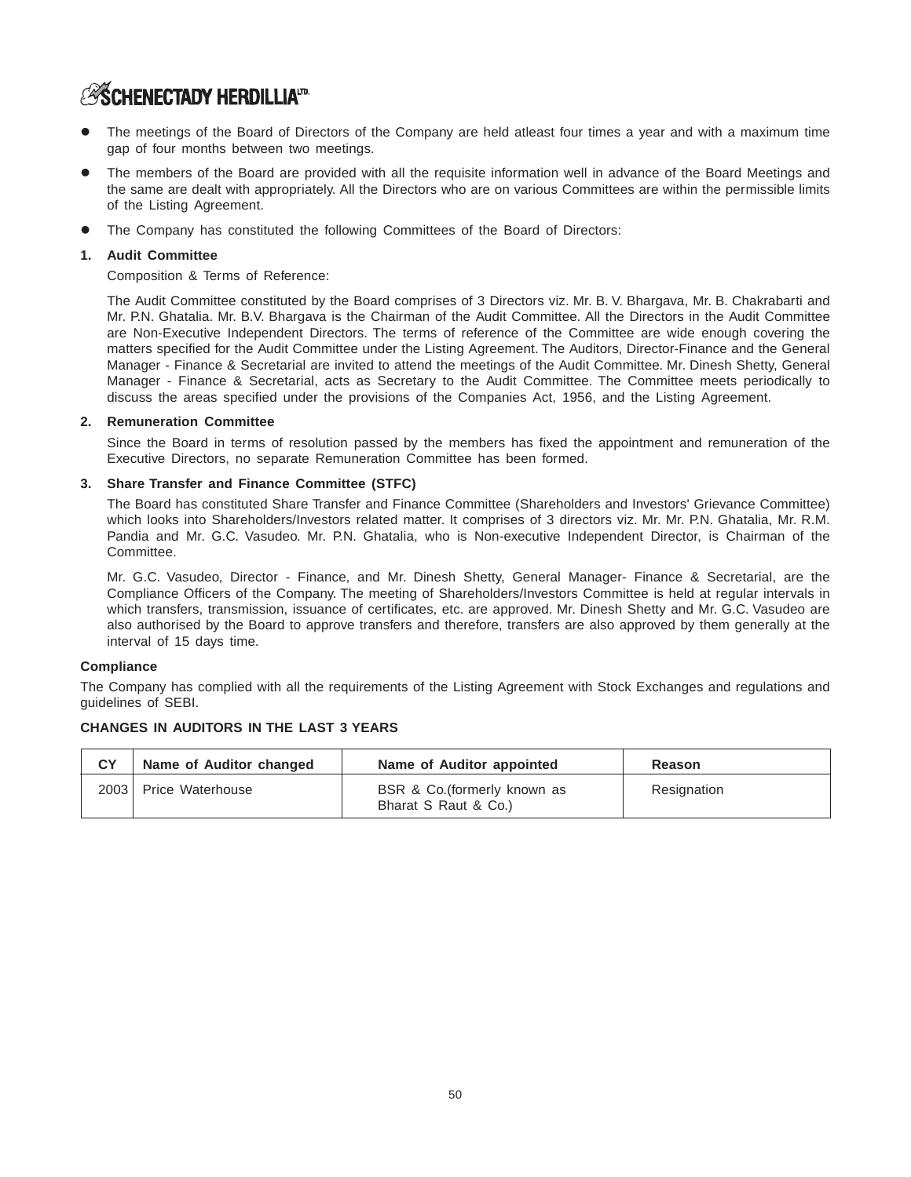- The meetings of the Board of Directors of the Company are held atleast four times a year and with a maximum time gap of four months between two meetings.
- The members of the Board are provided with all the requisite information well in advance of the Board Meetings and the same are dealt with appropriately. All the Directors who are on various Committees are within the permissible limits of the Listing Agreement.
- The Company has constituted the following Committees of the Board of Directors:

# **1. Audit Committee**

Composition & Terms of Reference:

The Audit Committee constituted by the Board comprises of 3 Directors viz. Mr. B. V. Bhargava, Mr. B. Chakrabarti and Mr. P.N. Ghatalia. Mr. B.V. Bhargava is the Chairman of the Audit Committee. All the Directors in the Audit Committee are Non-Executive Independent Directors. The terms of reference of the Committee are wide enough covering the matters specified for the Audit Committee under the Listing Agreement. The Auditors, Director-Finance and the General Manager - Finance & Secretarial are invited to attend the meetings of the Audit Committee. Mr. Dinesh Shetty, General Manager - Finance & Secretarial, acts as Secretary to the Audit Committee. The Committee meets periodically to discuss the areas specified under the provisions of the Companies Act, 1956, and the Listing Agreement.

# **2. Remuneration Committee**

Since the Board in terms of resolution passed by the members has fixed the appointment and remuneration of the Executive Directors, no separate Remuneration Committee has been formed.

# **3. Share Transfer and Finance Committee (STFC)**

The Board has constituted Share Transfer and Finance Committee (Shareholders and Investors' Grievance Committee) which looks into Shareholders/Investors related matter. It comprises of 3 directors viz. Mr. Mr. P.N. Ghatalia, Mr. R.M. Pandia and Mr. G.C. Vasudeo. Mr. P.N. Ghatalia, who is Non-executive Independent Director, is Chairman of the Committee.

Mr. G.C. Vasudeo, Director - Finance, and Mr. Dinesh Shetty, General Manager- Finance & Secretarial, are the Compliance Officers of the Company. The meeting of Shareholders/Investors Committee is held at regular intervals in which transfers, transmission, issuance of certificates, etc. are approved. Mr. Dinesh Shetty and Mr. G.C. Vasudeo are also authorised by the Board to approve transfers and therefore, transfers are also approved by them generally at the interval of 15 days time.

# **Compliance**

The Company has complied with all the requirements of the Listing Agreement with Stock Exchanges and regulations and guidelines of SEBI.

# **CHANGES IN AUDITORS IN THE LAST 3 YEARS**

| CY   | Name of Auditor changed | Name of Auditor appointed                            | Reason      |
|------|-------------------------|------------------------------------------------------|-------------|
| 2003 | Price Waterhouse        | BSR & Co. (formerly known as<br>Bharat S Raut & Co.) | Resignation |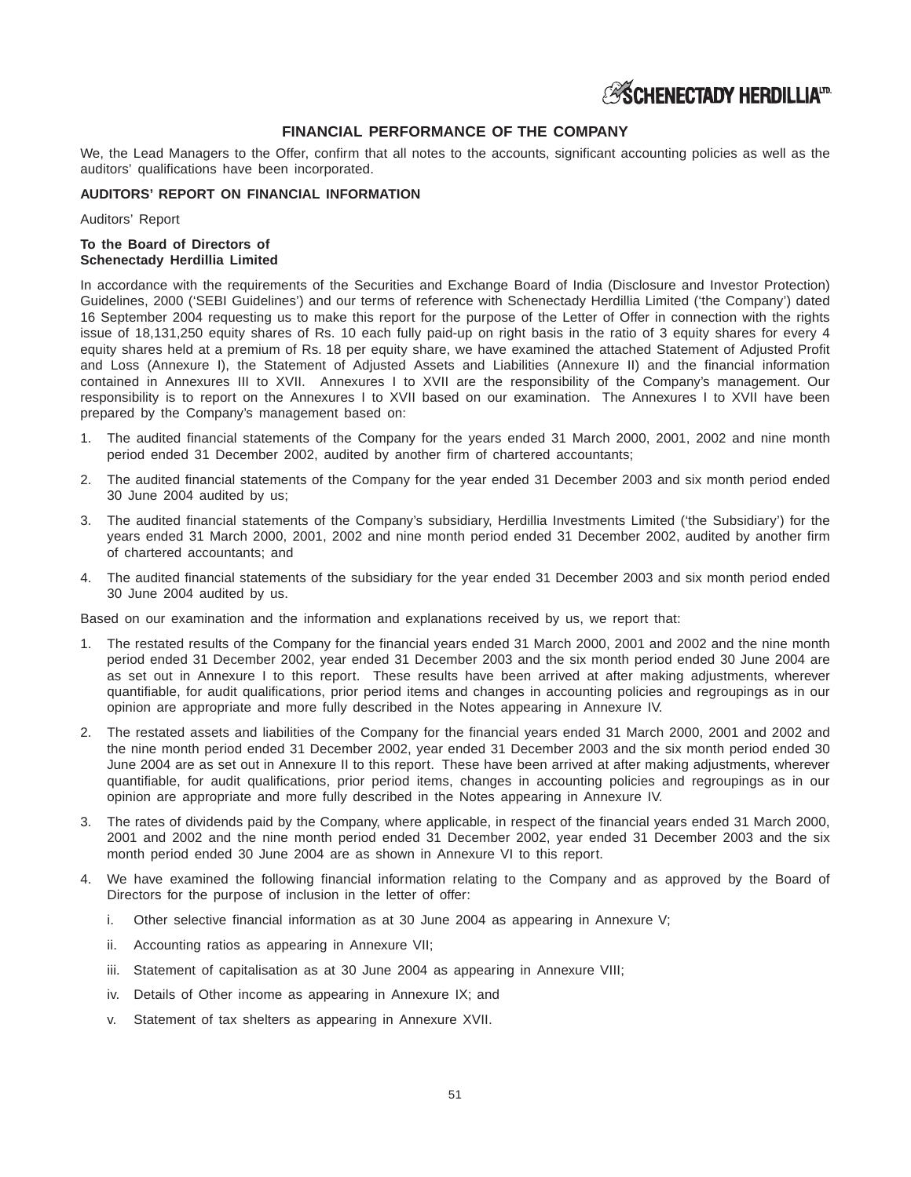# **FINANCIAL PERFORMANCE OF THE COMPANY**

We, the Lead Managers to the Offer, confirm that all notes to the accounts, significant accounting policies as well as the auditors' qualifications have been incorporated.

### **AUDITORS' REPORT ON FINANCIAL INFORMATION**

Auditors' Report

# **To the Board of Directors of Schenectady Herdillia Limited**

In accordance with the requirements of the Securities and Exchange Board of India (Disclosure and Investor Protection) Guidelines, 2000 ('SEBI Guidelines') and our terms of reference with Schenectady Herdillia Limited ('the Company') dated 16 September 2004 requesting us to make this report for the purpose of the Letter of Offer in connection with the rights issue of 18,131,250 equity shares of Rs. 10 each fully paid-up on right basis in the ratio of 3 equity shares for every 4 equity shares held at a premium of Rs. 18 per equity share, we have examined the attached Statement of Adjusted Profit and Loss (Annexure I), the Statement of Adjusted Assets and Liabilities (Annexure II) and the financial information contained in Annexures III to XVII. Annexures I to XVII are the responsibility of the Company's management. Our responsibility is to report on the Annexures I to XVII based on our examination. The Annexures I to XVII have been prepared by the Company's management based on:

- The audited financial statements of the Company for the years ended 31 March 2000, 2001, 2002 and nine month period ended 31 December 2002, audited by another firm of chartered accountants;
- 2. The audited financial statements of the Company for the year ended 31 December 2003 and six month period ended 30 June 2004 audited by us;
- 3. The audited financial statements of the Company's subsidiary, Herdillia Investments Limited ('the Subsidiary') for the years ended 31 March 2000, 2001, 2002 and nine month period ended 31 December 2002, audited by another firm of chartered accountants; and
- 4. The audited financial statements of the subsidiary for the year ended 31 December 2003 and six month period ended 30 June 2004 audited by us.

Based on our examination and the information and explanations received by us, we report that:

- 1. The restated results of the Company for the financial years ended 31 March 2000, 2001 and 2002 and the nine month period ended 31 December 2002, year ended 31 December 2003 and the six month period ended 30 June 2004 are as set out in Annexure I to this report. These results have been arrived at after making adjustments, wherever quantifiable, for audit qualifications, prior period items and changes in accounting policies and regroupings as in our opinion are appropriate and more fully described in the Notes appearing in Annexure IV.
- 2. The restated assets and liabilities of the Company for the financial years ended 31 March 2000, 2001 and 2002 and the nine month period ended 31 December 2002, year ended 31 December 2003 and the six month period ended 30 June 2004 are as set out in Annexure II to this report. These have been arrived at after making adjustments, wherever quantifiable, for audit qualifications, prior period items, changes in accounting policies and regroupings as in our opinion are appropriate and more fully described in the Notes appearing in Annexure IV.
- 3. The rates of dividends paid by the Company, where applicable, in respect of the financial years ended 31 March 2000, 2001 and 2002 and the nine month period ended 31 December 2002, year ended 31 December 2003 and the six month period ended 30 June 2004 are as shown in Annexure VI to this report.
- 4. We have examined the following financial information relating to the Company and as approved by the Board of Directors for the purpose of inclusion in the letter of offer:
	- i. Other selective financial information as at 30 June 2004 as appearing in Annexure V;
	- ii. Accounting ratios as appearing in Annexure VII;
	- iii. Statement of capitalisation as at 30 June 2004 as appearing in Annexure VIII;
	- iv. Details of Other income as appearing in Annexure IX; and
	- v. Statement of tax shelters as appearing in Annexure XVII.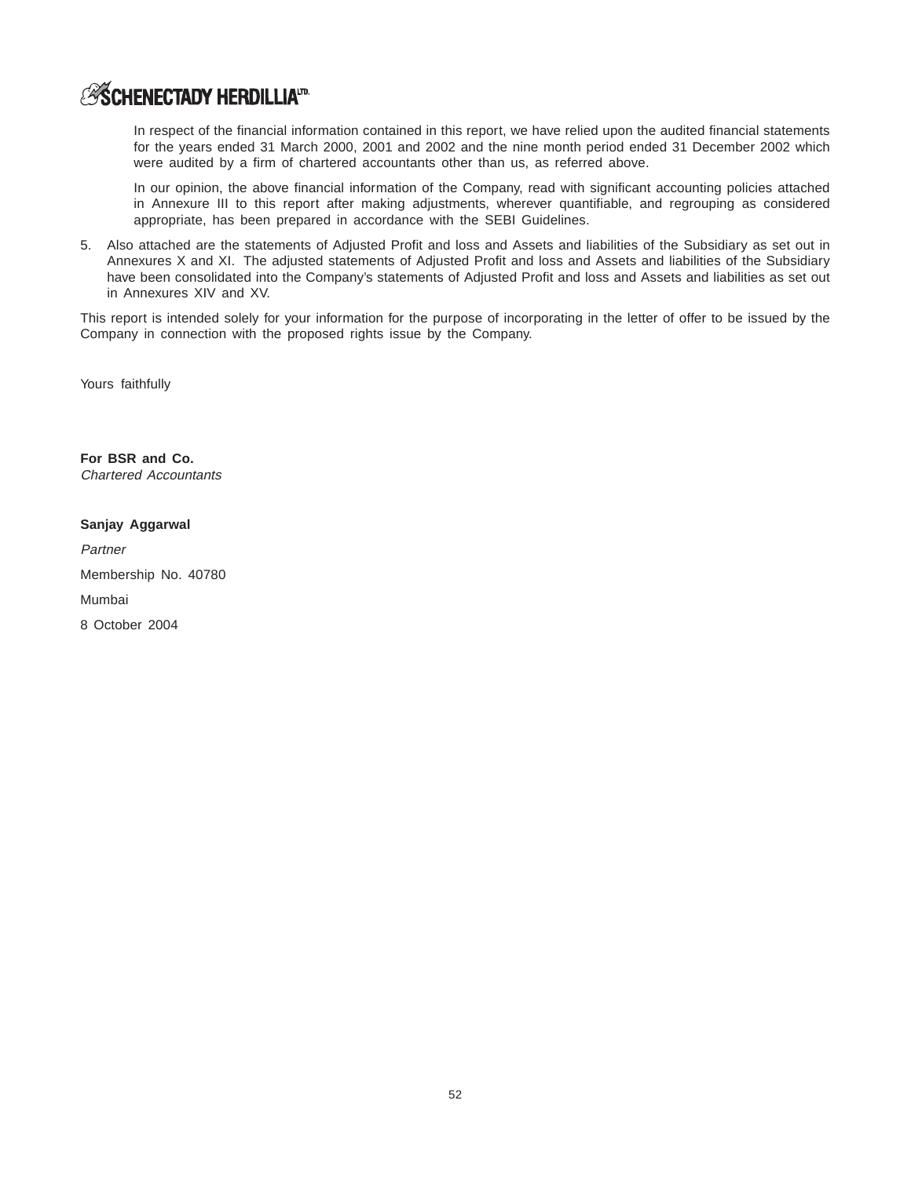In respect of the financial information contained in this report, we have relied upon the audited financial statements for the years ended 31 March 2000, 2001 and 2002 and the nine month period ended 31 December 2002 which were audited by a firm of chartered accountants other than us, as referred above.

In our opinion, the above financial information of the Company, read with significant accounting policies attached in Annexure III to this report after making adjustments, wherever quantifiable, and regrouping as considered appropriate, has been prepared in accordance with the SEBI Guidelines.

5. Also attached are the statements of Adjusted Profit and loss and Assets and liabilities of the Subsidiary as set out in Annexures X and XI. The adjusted statements of Adjusted Profit and loss and Assets and liabilities of the Subsidiary have been consolidated into the Company's statements of Adjusted Profit and loss and Assets and liabilities as set out in Annexures XIV and XV.

This report is intended solely for your information for the purpose of incorporating in the letter of offer to be issued by the Company in connection with the proposed rights issue by the Company.

Yours faithfully

**For BSR and Co.** Chartered Accountants

# **Sanjay Aggarwal**

**Partner** 

Membership No. 40780

Mumbai

8 October 2004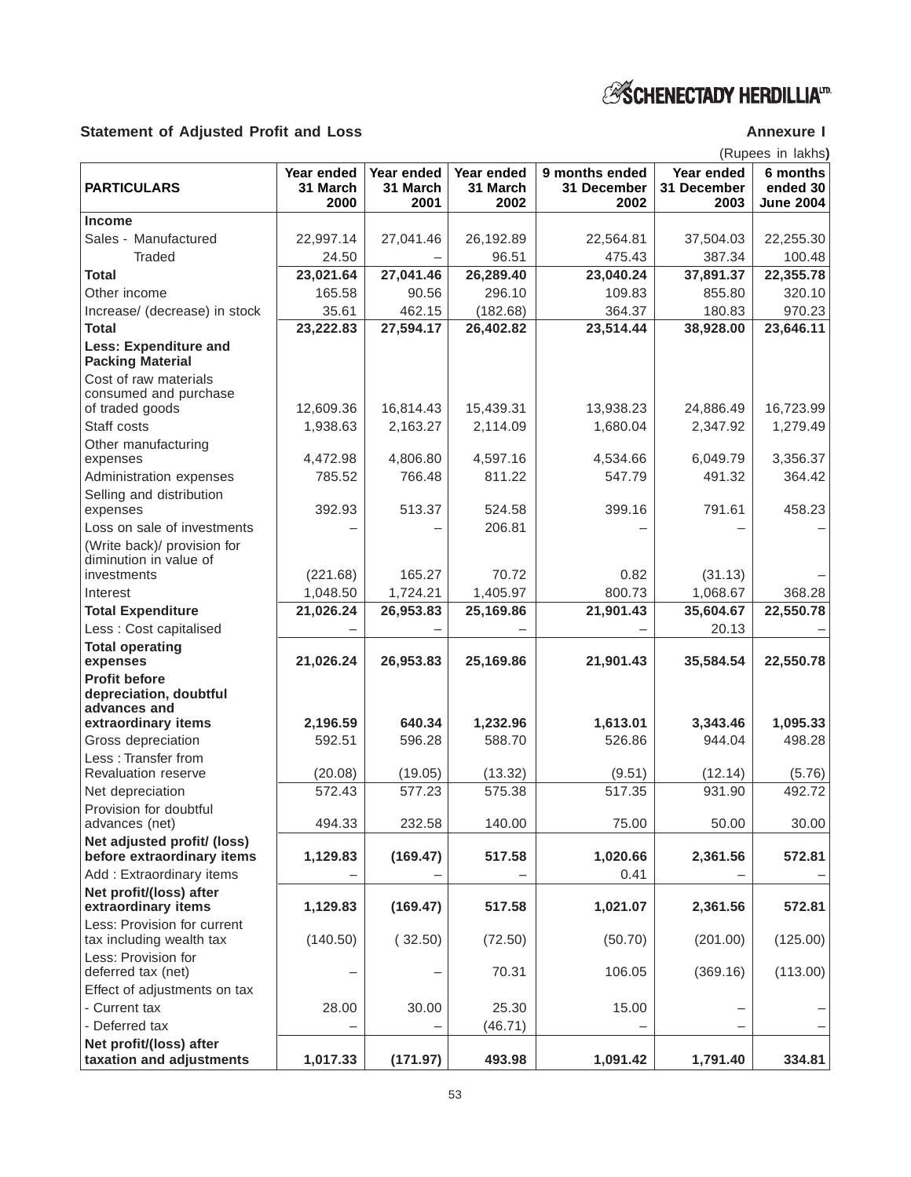# Statement of Adjusted Profit and Loss **Annexure I** Annexure I

(Rupees in lakhs**)**

|                                                                |                                | (RUPEES III IANIS)             |                                |                                       |                                   |                                          |
|----------------------------------------------------------------|--------------------------------|--------------------------------|--------------------------------|---------------------------------------|-----------------------------------|------------------------------------------|
| <b>PARTICULARS</b>                                             | Year ended<br>31 March<br>2000 | Year ended<br>31 March<br>2001 | Year ended<br>31 March<br>2002 | 9 months ended<br>31 December<br>2002 | Year ended<br>31 December<br>2003 | 6 months<br>ended 30<br><b>June 2004</b> |
| <b>Income</b>                                                  |                                |                                |                                |                                       |                                   |                                          |
| Sales - Manufactured                                           | 22,997.14                      | 27,041.46                      | 26,192.89                      | 22,564.81                             | 37,504.03                         | 22,255.30                                |
| <b>Traded</b>                                                  | 24.50                          |                                | 96.51                          | 475.43                                | 387.34                            | 100.48                                   |
| Total                                                          | 23,021.64                      | 27,041.46                      | 26,289.40                      | 23,040.24                             | 37,891.37                         | 22,355.78                                |
| Other income                                                   | 165.58                         | 90.56                          | 296.10                         | 109.83                                | 855.80                            | 320.10                                   |
| Increase/ (decrease) in stock                                  | 35.61                          | 462.15                         | (182.68)                       | 364.37                                | 180.83                            | 970.23                                   |
| <b>Total</b>                                                   | 23,222.83                      | 27,594.17                      | 26,402.82                      | 23,514.44                             | 38,928.00                         | 23,646.11                                |
| <b>Less: Expenditure and</b><br><b>Packing Material</b>        |                                |                                |                                |                                       |                                   |                                          |
| Cost of raw materials                                          |                                |                                |                                |                                       |                                   |                                          |
| consumed and purchase                                          |                                |                                |                                |                                       |                                   |                                          |
| of traded goods                                                | 12,609.36                      | 16,814.43                      | 15,439.31                      | 13,938.23                             | 24,886.49                         | 16,723.99                                |
| Staff costs                                                    | 1,938.63                       | 2,163.27                       | 2,114.09                       | 1,680.04                              | 2,347.92                          | 1,279.49                                 |
| Other manufacturing<br>expenses                                | 4,472.98                       | 4,806.80                       | 4,597.16                       | 4,534.66                              | 6.049.79                          | 3,356.37                                 |
| Administration expenses                                        | 785.52                         | 766.48                         | 811.22                         | 547.79                                | 491.32                            | 364.42                                   |
| Selling and distribution                                       |                                |                                |                                |                                       |                                   |                                          |
| expenses                                                       | 392.93                         | 513.37                         | 524.58                         | 399.16                                | 791.61                            | 458.23                                   |
| Loss on sale of investments                                    |                                |                                | 206.81                         |                                       |                                   |                                          |
| (Write back)/ provision for<br>diminution in value of          |                                |                                |                                |                                       |                                   |                                          |
| investments                                                    | (221.68)                       | 165.27                         | 70.72                          | 0.82                                  | (31.13)                           |                                          |
| Interest                                                       | 1,048.50                       | 1,724.21                       | 1,405.97                       | 800.73                                | 1,068.67                          | 368.28                                   |
| <b>Total Expenditure</b>                                       | 21,026.24                      | 26,953.83                      | 25,169.86                      | 21,901.43                             | 35,604.67                         | 22,550.78                                |
| Less: Cost capitalised                                         |                                |                                |                                |                                       | 20.13                             |                                          |
| <b>Total operating</b>                                         |                                |                                |                                |                                       |                                   |                                          |
| expenses                                                       | 21,026.24                      | 26,953.83                      | 25,169.86                      | 21,901.43                             | 35,584.54                         | 22,550.78                                |
| <b>Profit before</b><br>depreciation, doubtful<br>advances and |                                |                                |                                |                                       |                                   |                                          |
| extraordinary items                                            | 2,196.59                       | 640.34                         | 1,232.96                       | 1,613.01                              | 3,343.46                          | 1,095.33                                 |
| Gross depreciation                                             | 592.51                         | 596.28                         | 588.70                         | 526.86                                | 944.04                            | 498.28                                   |
| Less: Transfer from                                            |                                |                                |                                |                                       |                                   |                                          |
| Revaluation reserve                                            | (20.08)                        | (19.05)                        | (13.32)                        | (9.51)                                | (12.14)                           | (5.76)                                   |
| Net depreciation                                               | 572.43                         | 577.23                         | 575.38                         | 517.35                                | 931.90                            | 492.72                                   |
| Provision for doubtful<br>advances (net)                       | 494.33                         | 232.58                         | 140.00                         | 75.00                                 | 50.00                             | 30.00                                    |
| Net adjusted profit/ (loss)<br>before extraordinary items      | 1,129.83                       | (169.47)                       | 517.58                         | 1,020.66                              | 2,361.56                          | 572.81                                   |
| Add: Extraordinary items                                       |                                |                                |                                | 0.41                                  |                                   |                                          |
| Net profit/(loss) after<br>extraordinary items                 | 1,129.83                       | (169.47)                       | 517.58                         | 1,021.07                              | 2,361.56                          | 572.81                                   |
| Less: Provision for current<br>tax including wealth tax        | (140.50)                       | (32.50)                        | (72.50)                        | (50.70)                               | (201.00)                          | (125.00)                                 |
| Less: Provision for<br>deferred tax (net)                      |                                |                                | 70.31                          | 106.05                                | (369.16)                          | (113.00)                                 |
| Effect of adjustments on tax                                   |                                |                                |                                |                                       |                                   |                                          |
| - Current tax                                                  | 28.00                          | 30.00                          | 25.30                          | 15.00                                 |                                   |                                          |
| - Deferred tax                                                 |                                |                                | (46.71)                        |                                       |                                   |                                          |
| Net profit/(loss) after<br>taxation and adjustments            | 1,017.33                       | (171.97)                       | 493.98                         | 1,091.42                              | 1,791.40                          | 334.81                                   |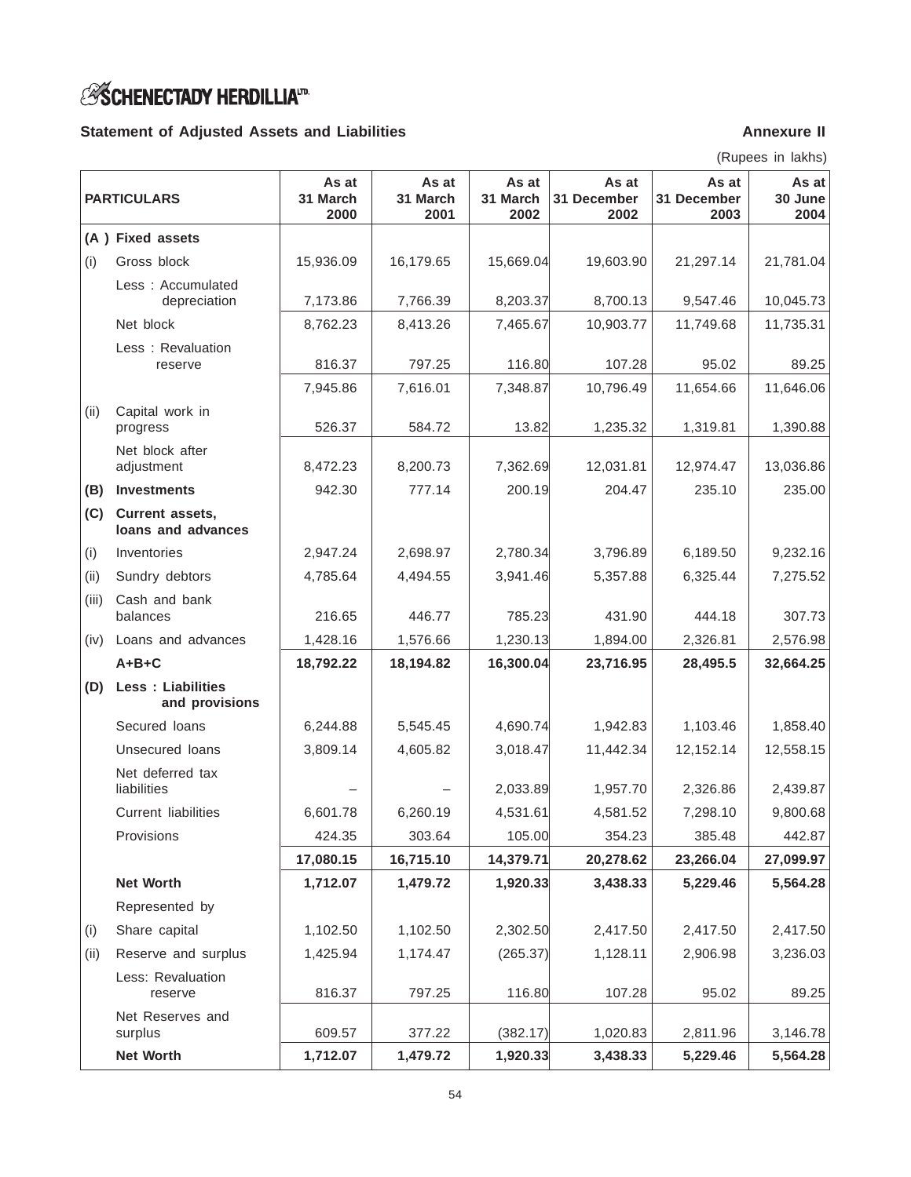# *<b>SSCHENECTADY HERDILLIATRE*

# Statement of Adjusted Assets and Liabilities **Annexure II** Annexure II

(Rupees in lakhs)

| <b>PARTICULARS</b> |                                            | As at<br>31 March<br>2000 | As at<br>31 March<br>2001 | As at<br>31 March<br>2002 | As at<br>31 December<br>2002 | As at<br>31 December<br>2003 | As at<br>30 June<br>2004 |
|--------------------|--------------------------------------------|---------------------------|---------------------------|---------------------------|------------------------------|------------------------------|--------------------------|
|                    | (A) Fixed assets                           |                           |                           |                           |                              |                              |                          |
| (i)                | Gross block                                | 15,936.09                 | 16,179.65                 | 15,669.04                 | 19,603.90                    | 21,297.14                    | 21,781.04                |
|                    | Less: Accumulated<br>depreciation          | 7,173.86                  | 7,766.39                  | 8,203.37                  | 8,700.13                     | 9,547.46                     | 10,045.73                |
|                    | Net block                                  | 8,762.23                  | 8,413.26                  | 7,465.67                  | 10,903.77                    | 11,749.68                    | 11,735.31                |
|                    | Less: Revaluation<br>reserve               | 816.37                    | 797.25                    | 116.80                    | 107.28                       | 95.02                        | 89.25                    |
|                    |                                            | 7,945.86                  | 7,616.01                  | 7,348.87                  | 10,796.49                    | 11,654.66                    | 11,646.06                |
| (ii)               | Capital work in<br>progress                | 526.37                    | 584.72                    | 13.82                     | 1,235.32                     | 1,319.81                     | 1,390.88                 |
|                    | Net block after<br>adjustment              | 8,472.23                  | 8,200.73                  | 7,362.69                  | 12,031.81                    | 12,974.47                    | 13,036.86                |
| (B)                | <b>Investments</b>                         | 942.30                    | 777.14                    | 200.19                    | 204.47                       | 235.10                       | 235.00                   |
| (C)                | Current assets,<br>loans and advances      |                           |                           |                           |                              |                              |                          |
| (i)                | Inventories                                | 2,947.24                  | 2,698.97                  | 2,780.34                  | 3,796.89                     | 6,189.50                     | 9,232.16                 |
| (ii)               | Sundry debtors                             | 4,785.64                  | 4,494.55                  | 3,941.46                  | 5,357.88                     | 6,325.44                     | 7,275.52                 |
| (iii)              | Cash and bank<br>balances                  | 216.65                    | 446.77                    | 785.23                    | 431.90                       | 444.18                       | 307.73                   |
| (iv)               | Loans and advances                         | 1,428.16                  | 1,576.66                  | 1,230.13                  | 1,894.00                     | 2,326.81                     | 2,576.98                 |
|                    | $A+B+C$                                    | 18,792.22                 | 18,194.82                 | 16,300.04                 | 23,716.95                    | 28,495.5                     | 32,664.25                |
| (D)                | <b>Less: Liabilities</b><br>and provisions |                           |                           |                           |                              |                              |                          |
|                    | Secured loans                              | 6,244.88                  | 5,545.45                  | 4,690.74                  | 1,942.83                     | 1,103.46                     | 1,858.40                 |
|                    | Unsecured loans                            | 3,809.14                  | 4,605.82                  | 3,018.47                  | 11,442.34                    | 12,152.14                    | 12,558.15                |
|                    | Net deferred tax<br>liabilities            |                           |                           | 2,033.89                  | 1,957.70                     | 2,326.86                     | 2,439.87                 |
|                    | <b>Current liabilities</b>                 | 6,601.78                  | 6,260.19                  | 4,531.61                  | 4,581.52                     | 7,298.10                     | 9,800.68                 |
|                    | Provisions                                 | 424.35                    | 303.64                    | 105.00                    | 354.23                       | 385.48                       | 442.87                   |
|                    |                                            | 17,080.15                 | 16,715.10                 | 14,379.71                 | 20,278.62                    | 23,266.04                    | 27,099.97                |
|                    | <b>Net Worth</b>                           | 1,712.07                  | 1,479.72                  | 1,920.33                  | 3,438.33                     | 5,229.46                     | 5,564.28                 |
|                    | Represented by                             |                           |                           |                           |                              |                              |                          |
| (i)                | Share capital                              | 1,102.50                  | 1,102.50                  | 2,302.50                  | 2,417.50                     | 2,417.50                     | 2,417.50                 |
| (ii)               | Reserve and surplus                        | 1,425.94                  | 1,174.47                  | (265.37)                  | 1,128.11                     | 2,906.98                     | 3,236.03                 |
|                    | Less: Revaluation<br>reserve               | 816.37                    | 797.25                    | 116.80                    | 107.28                       | 95.02                        | 89.25                    |
|                    | Net Reserves and<br>surplus                | 609.57                    | 377.22                    | (382.17)                  | 1,020.83                     | 2,811.96                     | 3,146.78                 |
|                    | Net Worth                                  | 1,712.07                  | 1,479.72                  | 1,920.33                  | 3,438.33                     | 5,229.46                     | 5,564.28                 |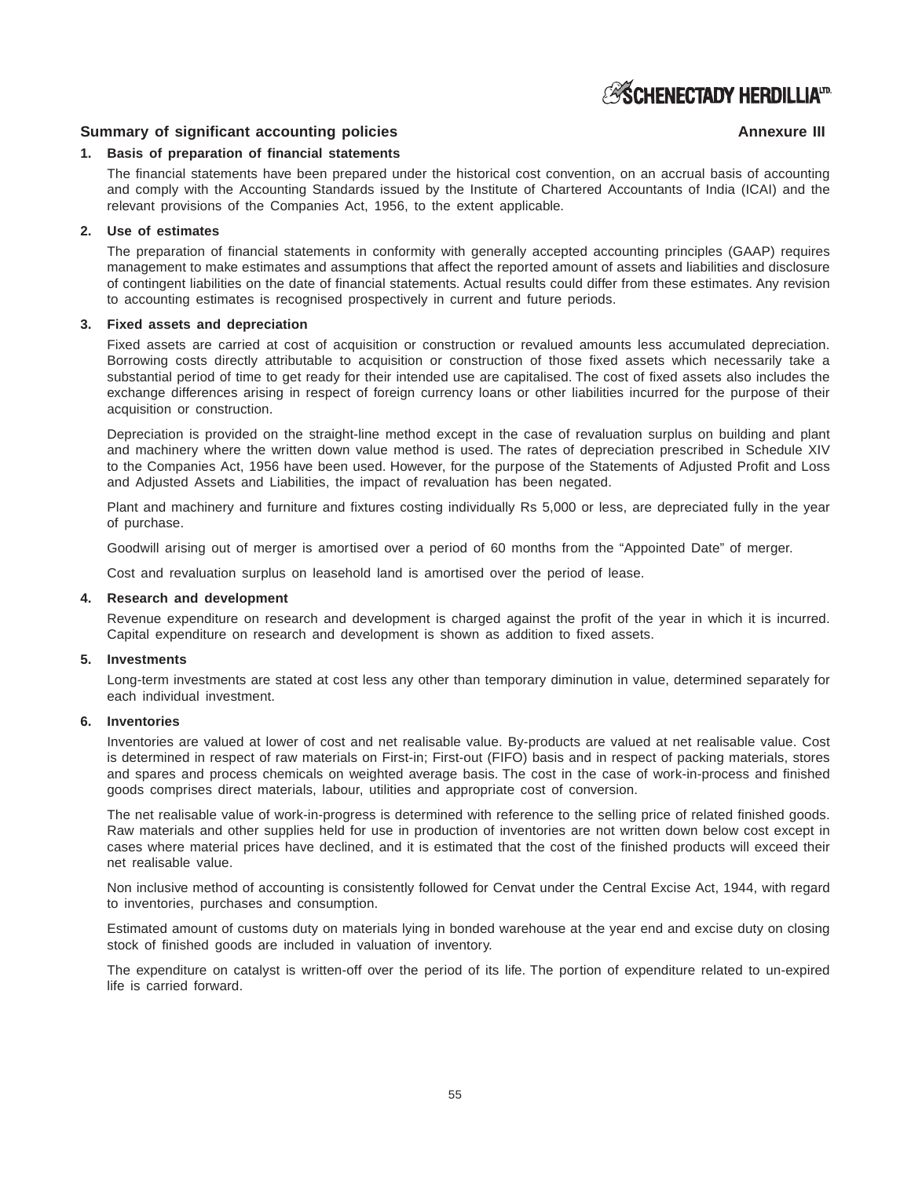# **ESCHENECTADY HERDILLIATRE**

# **Summary of significant accounting policies Annexure III** Annexure III

# **1. Basis of preparation of financial statements**

The financial statements have been prepared under the historical cost convention, on an accrual basis of accounting and comply with the Accounting Standards issued by the Institute of Chartered Accountants of India (ICAI) and the relevant provisions of the Companies Act, 1956, to the extent applicable.

# **2. Use of estimates**

The preparation of financial statements in conformity with generally accepted accounting principles (GAAP) requires management to make estimates and assumptions that affect the reported amount of assets and liabilities and disclosure of contingent liabilities on the date of financial statements. Actual results could differ from these estimates. Any revision to accounting estimates is recognised prospectively in current and future periods.

### **3. Fixed assets and depreciation**

Fixed assets are carried at cost of acquisition or construction or revalued amounts less accumulated depreciation. Borrowing costs directly attributable to acquisition or construction of those fixed assets which necessarily take a substantial period of time to get ready for their intended use are capitalised. The cost of fixed assets also includes the exchange differences arising in respect of foreign currency loans or other liabilities incurred for the purpose of their acquisition or construction.

Depreciation is provided on the straight-line method except in the case of revaluation surplus on building and plant and machinery where the written down value method is used. The rates of depreciation prescribed in Schedule XIV to the Companies Act, 1956 have been used. However, for the purpose of the Statements of Adjusted Profit and Loss and Adjusted Assets and Liabilities, the impact of revaluation has been negated.

Plant and machinery and furniture and fixtures costing individually Rs 5,000 or less, are depreciated fully in the year of purchase.

Goodwill arising out of merger is amortised over a period of 60 months from the "Appointed Date" of merger.

Cost and revaluation surplus on leasehold land is amortised over the period of lease.

### **4. Research and development**

Revenue expenditure on research and development is charged against the profit of the year in which it is incurred. Capital expenditure on research and development is shown as addition to fixed assets.

### **5. Investments**

Long-term investments are stated at cost less any other than temporary diminution in value, determined separately for each individual investment.

### **6. Inventories**

Inventories are valued at lower of cost and net realisable value. By-products are valued at net realisable value. Cost is determined in respect of raw materials on First-in; First-out (FIFO) basis and in respect of packing materials, stores and spares and process chemicals on weighted average basis. The cost in the case of work-in-process and finished goods comprises direct materials, labour, utilities and appropriate cost of conversion.

The net realisable value of work-in-progress is determined with reference to the selling price of related finished goods. Raw materials and other supplies held for use in production of inventories are not written down below cost except in cases where material prices have declined, and it is estimated that the cost of the finished products will exceed their net realisable value.

Non inclusive method of accounting is consistently followed for Cenvat under the Central Excise Act, 1944, with regard to inventories, purchases and consumption.

Estimated amount of customs duty on materials lying in bonded warehouse at the year end and excise duty on closing stock of finished goods are included in valuation of inventory.

The expenditure on catalyst is written-off over the period of its life. The portion of expenditure related to un-expired life is carried forward.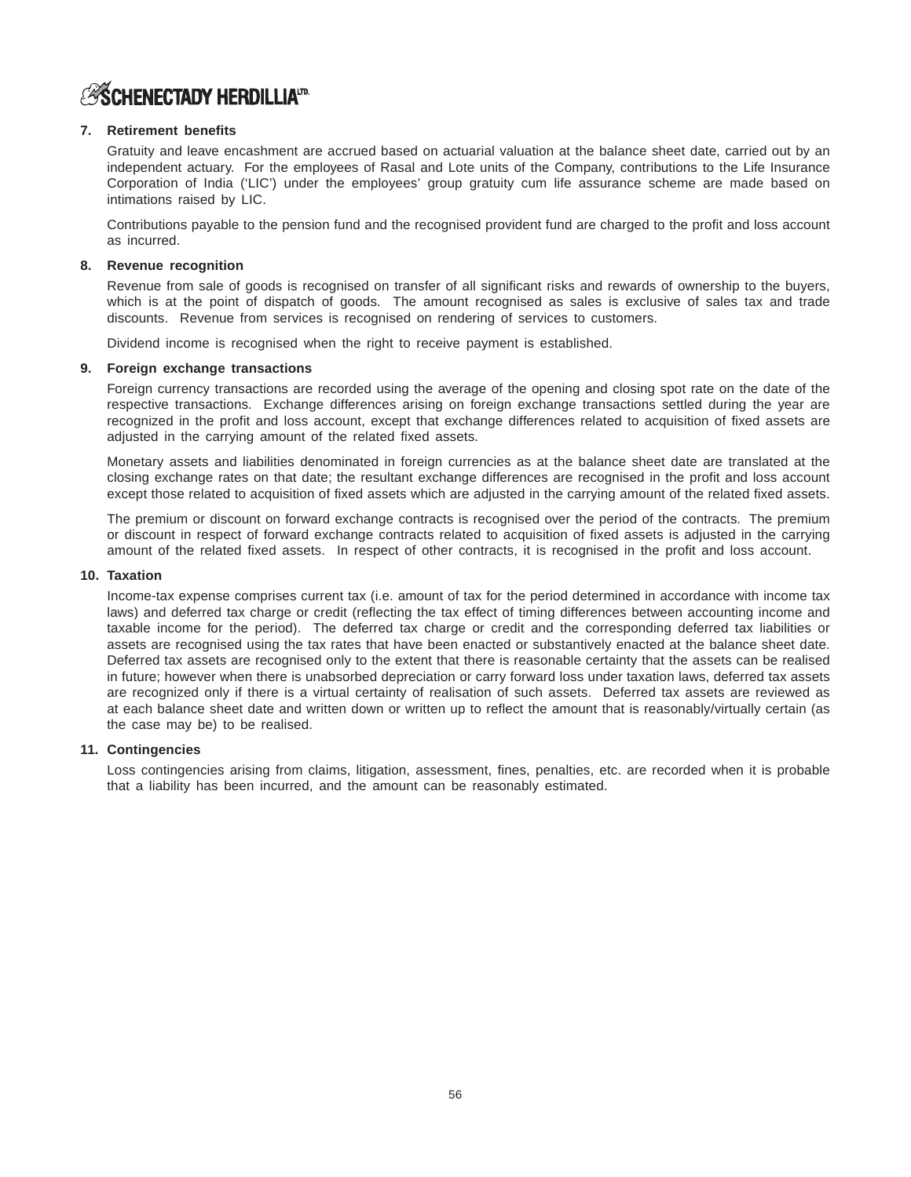

# **7. Retirement benefits**

Gratuity and leave encashment are accrued based on actuarial valuation at the balance sheet date, carried out by an independent actuary. For the employees of Rasal and Lote units of the Company, contributions to the Life Insurance Corporation of India ('LIC') under the employees' group gratuity cum life assurance scheme are made based on intimations raised by LIC.

Contributions payable to the pension fund and the recognised provident fund are charged to the profit and loss account as incurred.

# **8. Revenue recognition**

Revenue from sale of goods is recognised on transfer of all significant risks and rewards of ownership to the buyers, which is at the point of dispatch of goods. The amount recognised as sales is exclusive of sales tax and trade discounts. Revenue from services is recognised on rendering of services to customers.

Dividend income is recognised when the right to receive payment is established.

# **9. Foreign exchange transactions**

Foreign currency transactions are recorded using the average of the opening and closing spot rate on the date of the respective transactions. Exchange differences arising on foreign exchange transactions settled during the year are recognized in the profit and loss account, except that exchange differences related to acquisition of fixed assets are adjusted in the carrying amount of the related fixed assets.

Monetary assets and liabilities denominated in foreign currencies as at the balance sheet date are translated at the closing exchange rates on that date; the resultant exchange differences are recognised in the profit and loss account except those related to acquisition of fixed assets which are adjusted in the carrying amount of the related fixed assets.

The premium or discount on forward exchange contracts is recognised over the period of the contracts. The premium or discount in respect of forward exchange contracts related to acquisition of fixed assets is adjusted in the carrying amount of the related fixed assets. In respect of other contracts, it is recognised in the profit and loss account.

### **10. Taxation**

Income-tax expense comprises current tax (i.e. amount of tax for the period determined in accordance with income tax laws) and deferred tax charge or credit (reflecting the tax effect of timing differences between accounting income and taxable income for the period). The deferred tax charge or credit and the corresponding deferred tax liabilities or assets are recognised using the tax rates that have been enacted or substantively enacted at the balance sheet date. Deferred tax assets are recognised only to the extent that there is reasonable certainty that the assets can be realised in future; however when there is unabsorbed depreciation or carry forward loss under taxation laws, deferred tax assets are recognized only if there is a virtual certainty of realisation of such assets. Deferred tax assets are reviewed as at each balance sheet date and written down or written up to reflect the amount that is reasonably/virtually certain (as the case may be) to be realised.

### **11. Contingencies**

Loss contingencies arising from claims, litigation, assessment, fines, penalties, etc. are recorded when it is probable that a liability has been incurred, and the amount can be reasonably estimated.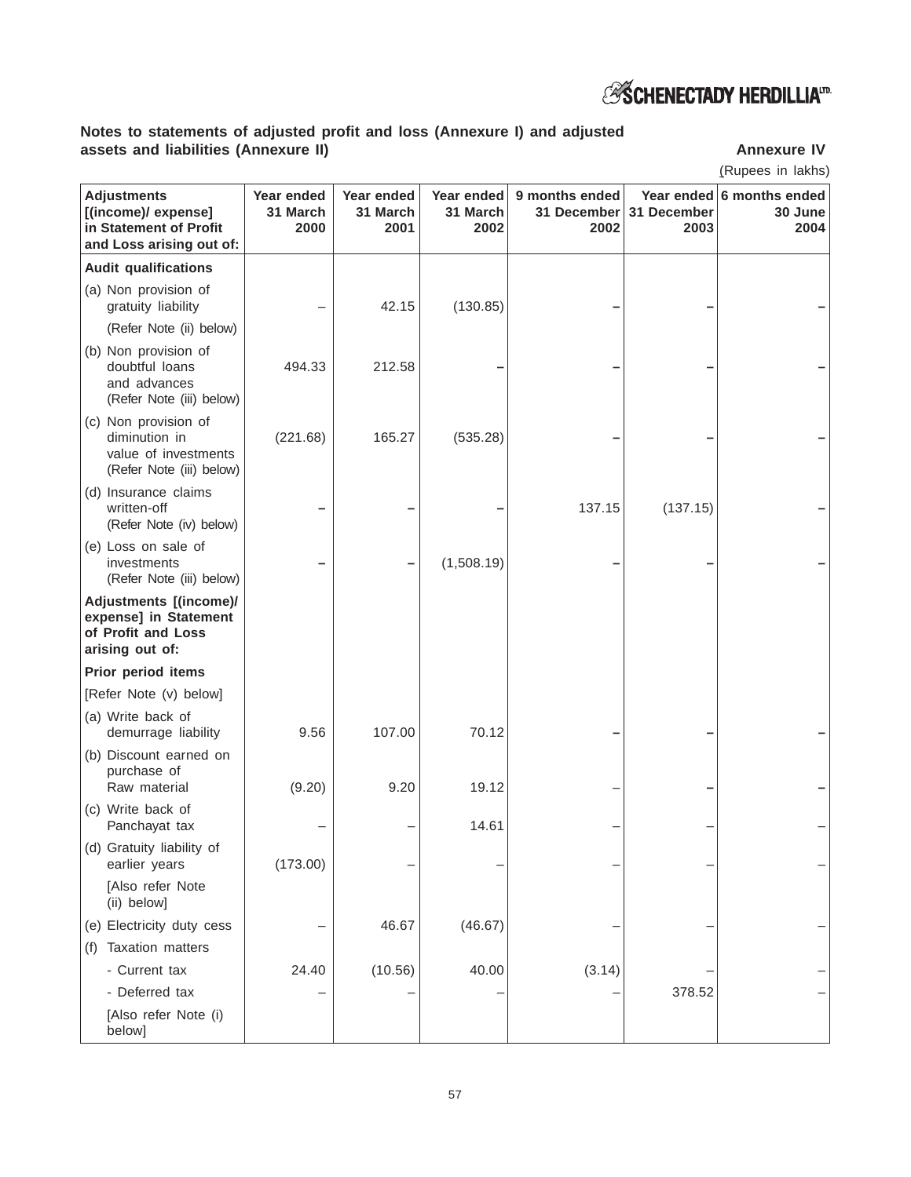

# **Notes to statements of adjusted profit and loss (Annexure I) and adjusted assets and liabilities (Annexure II) Annexure IV**

(Rupees in lakhs)

| <b>Adjustments</b><br>[(income)/ expense]<br>in Statement of Profit<br>and Loss arising out of: | Year ended<br>31 March<br>2000 | Year ended<br>31 March<br>2001 | Year ended<br>31 March<br>2002 | 9 months ended<br>31 December<br>2002 | 31 December<br>2003 | Year ended 6 months ended<br>30 June<br>2004 |
|-------------------------------------------------------------------------------------------------|--------------------------------|--------------------------------|--------------------------------|---------------------------------------|---------------------|----------------------------------------------|
| <b>Audit qualifications</b>                                                                     |                                |                                |                                |                                       |                     |                                              |
| (a) Non provision of<br>gratuity liability                                                      |                                | 42.15                          | (130.85)                       |                                       |                     |                                              |
| (Refer Note (ii) below)                                                                         |                                |                                |                                |                                       |                     |                                              |
| (b) Non provision of<br>doubtful loans<br>and advances<br>(Refer Note (iii) below)              | 494.33                         | 212.58                         |                                |                                       |                     |                                              |
| (c) Non provision of<br>diminution in<br>value of investments<br>(Refer Note (iii) below)       | (221.68)                       | 165.27                         | (535.28)                       |                                       |                     |                                              |
| (d) Insurance claims<br>written-off<br>(Refer Note (iv) below)                                  |                                |                                |                                | 137.15                                | (137.15)            |                                              |
| (e) Loss on sale of<br>investments<br>(Refer Note (iii) below)                                  |                                |                                | (1,508.19)                     |                                       |                     |                                              |
| Adjustments [(income)/<br>expense] in Statement<br>of Profit and Loss<br>arising out of:        |                                |                                |                                |                                       |                     |                                              |
| Prior period items                                                                              |                                |                                |                                |                                       |                     |                                              |
| [Refer Note (v) below]                                                                          |                                |                                |                                |                                       |                     |                                              |
| (a) Write back of<br>demurrage liability                                                        | 9.56                           | 107.00                         | 70.12                          |                                       |                     |                                              |
| (b) Discount earned on<br>purchase of<br>Raw material                                           | (9.20)                         | 9.20                           | 19.12                          |                                       |                     |                                              |
| (c) Write back of<br>Panchayat tax                                                              |                                |                                | 14.61                          |                                       |                     |                                              |
| (d) Gratuity liability of<br>earlier years                                                      | (173.00)                       |                                |                                |                                       |                     |                                              |
| [Also refer Note<br>(ii) below]                                                                 |                                |                                |                                |                                       |                     |                                              |
| (e) Electricity duty cess                                                                       |                                | 46.67                          | (46.67)                        |                                       |                     |                                              |
| Taxation matters<br>(f)                                                                         |                                |                                |                                |                                       |                     |                                              |
| - Current tax                                                                                   | 24.40                          | (10.56)                        | 40.00                          | (3.14)                                |                     |                                              |
| - Deferred tax                                                                                  |                                |                                |                                |                                       | 378.52              |                                              |
| [Also refer Note (i)<br>below]                                                                  |                                |                                |                                |                                       |                     |                                              |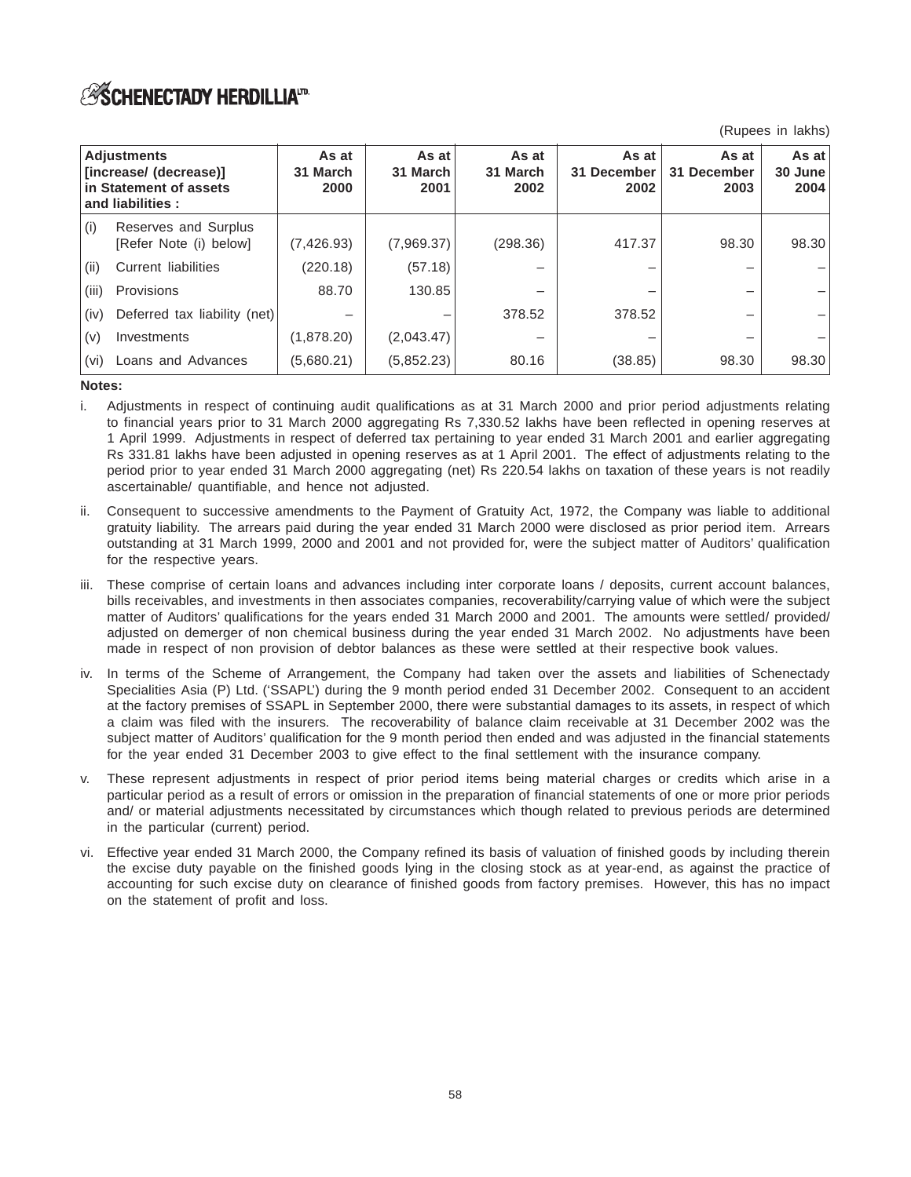(Rupees in lakhs)

| <b>Adjustments</b><br>[increase/ (decrease)]<br>in Statement of assets<br>and liabilities: |                                                | As at<br>31 March<br>2000 | As at<br>31 March<br>2001 | As at<br>31 March<br>2002 | As at<br>31 December<br>2002 | As at<br>31 December<br>2003 | As at<br>30 June<br>2004 |
|--------------------------------------------------------------------------------------------|------------------------------------------------|---------------------------|---------------------------|---------------------------|------------------------------|------------------------------|--------------------------|
| (i)                                                                                        | Reserves and Surplus<br>[Refer Note (i) below] | (7, 426.93)               | (7,969.37)                | (298.36)                  | 417.37                       | 98.30                        | 98.30                    |
| (ii)                                                                                       | Current liabilities                            | (220.18)                  | (57.18)                   |                           |                              |                              |                          |
| (iii)                                                                                      | Provisions                                     | 88.70                     | 130.85                    |                           |                              |                              |                          |
| (iv)                                                                                       | Deferred tax liability (net)                   |                           |                           | 378.52                    | 378.52                       |                              |                          |
| (v)                                                                                        | Investments                                    | (1,878.20)                | (2,043.47)                |                           |                              |                              |                          |
| (vi)                                                                                       | Loans and Advances                             | (5,680.21)                | (5,852.23)                | 80.16                     | (38.85)                      | 98.30                        | 98.30                    |

# **Notes:**

- i. Adjustments in respect of continuing audit qualifications as at 31 March 2000 and prior period adjustments relating to financial years prior to 31 March 2000 aggregating Rs 7,330.52 lakhs have been reflected in opening reserves at 1 April 1999. Adjustments in respect of deferred tax pertaining to year ended 31 March 2001 and earlier aggregating Rs 331.81 lakhs have been adjusted in opening reserves as at 1 April 2001. The effect of adjustments relating to the period prior to year ended 31 March 2000 aggregating (net) Rs 220.54 lakhs on taxation of these years is not readily ascertainable/ quantifiable, and hence not adjusted.
- ii. Consequent to successive amendments to the Payment of Gratuity Act, 1972, the Company was liable to additional gratuity liability. The arrears paid during the year ended 31 March 2000 were disclosed as prior period item. Arrears outstanding at 31 March 1999, 2000 and 2001 and not provided for, were the subject matter of Auditors' qualification for the respective years.
- iii. These comprise of certain loans and advances including inter corporate loans / deposits, current account balances, bills receivables, and investments in then associates companies, recoverability/carrying value of which were the subject matter of Auditors' qualifications for the years ended 31 March 2000 and 2001. The amounts were settled/ provided/ adjusted on demerger of non chemical business during the year ended 31 March 2002. No adjustments have been made in respect of non provision of debtor balances as these were settled at their respective book values.
- iv. In terms of the Scheme of Arrangement, the Company had taken over the assets and liabilities of Schenectady Specialities Asia (P) Ltd. ('SSAPL') during the 9 month period ended 31 December 2002. Consequent to an accident at the factory premises of SSAPL in September 2000, there were substantial damages to its assets, in respect of which a claim was filed with the insurers. The recoverability of balance claim receivable at 31 December 2002 was the subject matter of Auditors' qualification for the 9 month period then ended and was adjusted in the financial statements for the year ended 31 December 2003 to give effect to the final settlement with the insurance company.
- v. These represent adjustments in respect of prior period items being material charges or credits which arise in a particular period as a result of errors or omission in the preparation of financial statements of one or more prior periods and/ or material adjustments necessitated by circumstances which though related to previous periods are determined in the particular (current) period.
- vi. Effective year ended 31 March 2000, the Company refined its basis of valuation of finished goods by including therein the excise duty payable on the finished goods lying in the closing stock as at year-end, as against the practice of accounting for such excise duty on clearance of finished goods from factory premises. However, this has no impact on the statement of profit and loss.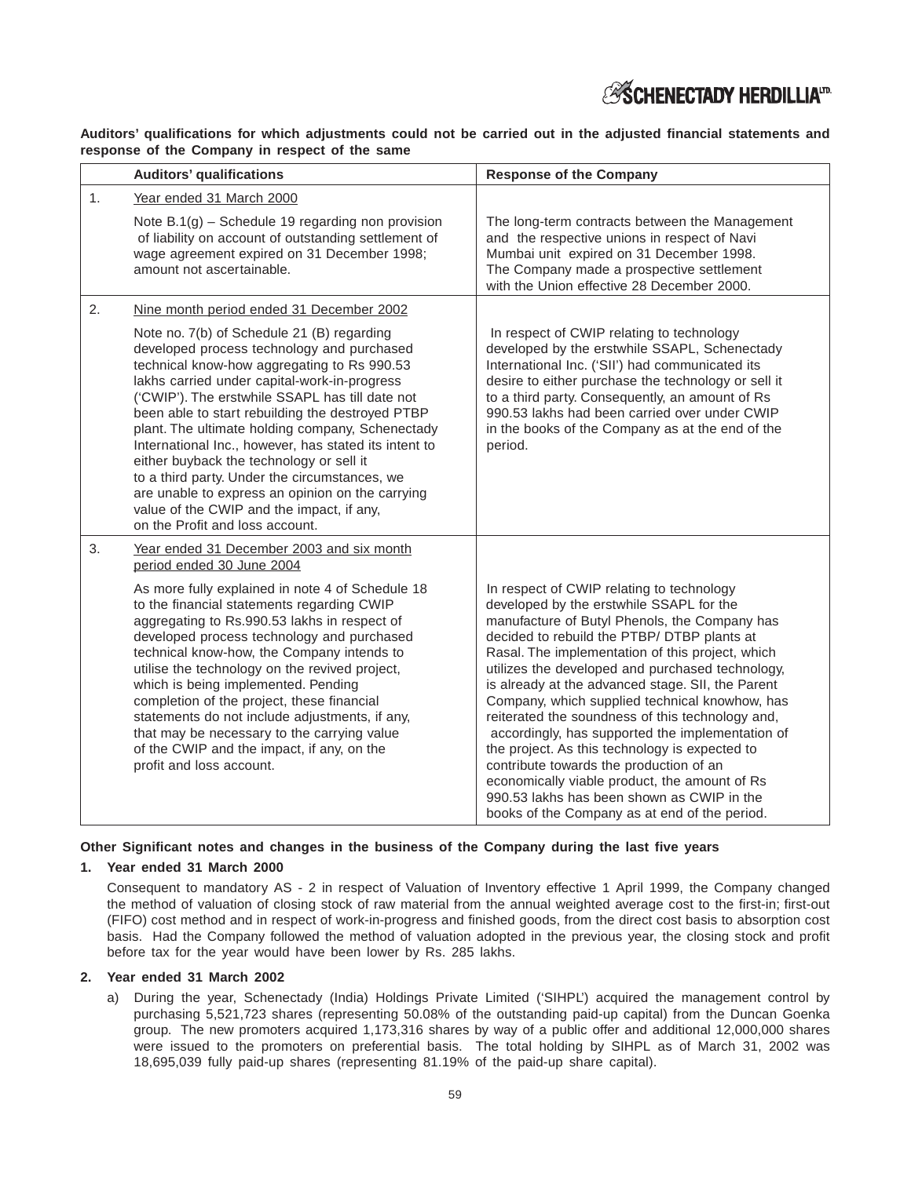# **ESCHENECTADY HERDILLIATD**

**Auditors' qualifications for which adjustments could not be carried out in the adjusted financial statements and response of the Company in respect of the same**

|                | <b>Auditors' qualifications</b>                                                                                                                                                                                                                                                                                                                                                                                                                                                                                                                                                                                                                                                          | <b>Response of the Company</b>                                                                                                                                                                                                                                                                                                                                                                                                                                                                                                                                                                                                                                                                                                                            |  |  |  |
|----------------|------------------------------------------------------------------------------------------------------------------------------------------------------------------------------------------------------------------------------------------------------------------------------------------------------------------------------------------------------------------------------------------------------------------------------------------------------------------------------------------------------------------------------------------------------------------------------------------------------------------------------------------------------------------------------------------|-----------------------------------------------------------------------------------------------------------------------------------------------------------------------------------------------------------------------------------------------------------------------------------------------------------------------------------------------------------------------------------------------------------------------------------------------------------------------------------------------------------------------------------------------------------------------------------------------------------------------------------------------------------------------------------------------------------------------------------------------------------|--|--|--|
| 1 <sub>1</sub> | Year ended 31 March 2000<br>Note $B.1(g)$ – Schedule 19 regarding non provision<br>of liability on account of outstanding settlement of<br>wage agreement expired on 31 December 1998;<br>amount not ascertainable.                                                                                                                                                                                                                                                                                                                                                                                                                                                                      | The long-term contracts between the Management<br>and the respective unions in respect of Navi<br>Mumbai unit expired on 31 December 1998.<br>The Company made a prospective settlement<br>with the Union effective 28 December 2000.                                                                                                                                                                                                                                                                                                                                                                                                                                                                                                                     |  |  |  |
| 2.             | Nine month period ended 31 December 2002<br>Note no. 7(b) of Schedule 21 (B) regarding<br>developed process technology and purchased<br>technical know-how aggregating to Rs 990.53<br>lakhs carried under capital-work-in-progress<br>('CWIP'). The erstwhile SSAPL has till date not<br>been able to start rebuilding the destroyed PTBP<br>plant. The ultimate holding company, Schenectady<br>International Inc., however, has stated its intent to<br>either buyback the technology or sell it<br>to a third party. Under the circumstances, we<br>are unable to express an opinion on the carrying<br>value of the CWIP and the impact, if any,<br>on the Profit and loss account. | In respect of CWIP relating to technology<br>developed by the erstwhile SSAPL, Schenectady<br>International Inc. ('SII') had communicated its<br>desire to either purchase the technology or sell it<br>to a third party. Consequently, an amount of Rs<br>990.53 lakhs had been carried over under CWIP<br>in the books of the Company as at the end of the<br>period.                                                                                                                                                                                                                                                                                                                                                                                   |  |  |  |
| 3.             | Year ended 31 December 2003 and six month<br>period ended 30 June 2004<br>As more fully explained in note 4 of Schedule 18<br>to the financial statements regarding CWIP<br>aggregating to Rs.990.53 lakhs in respect of<br>developed process technology and purchased<br>technical know-how, the Company intends to<br>utilise the technology on the revived project,<br>which is being implemented. Pending<br>completion of the project, these financial<br>statements do not include adjustments, if any,<br>that may be necessary to the carrying value<br>of the CWIP and the impact, if any, on the<br>profit and loss account.                                                   | In respect of CWIP relating to technology<br>developed by the erstwhile SSAPL for the<br>manufacture of Butyl Phenols, the Company has<br>decided to rebuild the PTBP/ DTBP plants at<br>Rasal. The implementation of this project, which<br>utilizes the developed and purchased technology,<br>is already at the advanced stage. SII, the Parent<br>Company, which supplied technical knowhow, has<br>reiterated the soundness of this technology and,<br>accordingly, has supported the implementation of<br>the project. As this technology is expected to<br>contribute towards the production of an<br>economically viable product, the amount of Rs<br>990.53 lakhs has been shown as CWIP in the<br>books of the Company as at end of the period. |  |  |  |

### **Other Significant notes and changes in the business of the Company during the last five years**

#### **1. Year ended 31 March 2000**

Consequent to mandatory AS - 2 in respect of Valuation of Inventory effective 1 April 1999, the Company changed the method of valuation of closing stock of raw material from the annual weighted average cost to the first-in; first-out (FIFO) cost method and in respect of work-in-progress and finished goods, from the direct cost basis to absorption cost basis. Had the Company followed the method of valuation adopted in the previous year, the closing stock and profit before tax for the year would have been lower by Rs. 285 lakhs.

#### **2. Year ended 31 March 2002**

a) During the year, Schenectady (India) Holdings Private Limited ('SIHPL') acquired the management control by purchasing 5,521,723 shares (representing 50.08% of the outstanding paid-up capital) from the Duncan Goenka group. The new promoters acquired 1,173,316 shares by way of a public offer and additional 12,000,000 shares were issued to the promoters on preferential basis. The total holding by SIHPL as of March 31, 2002 was 18,695,039 fully paid-up shares (representing 81.19% of the paid-up share capital).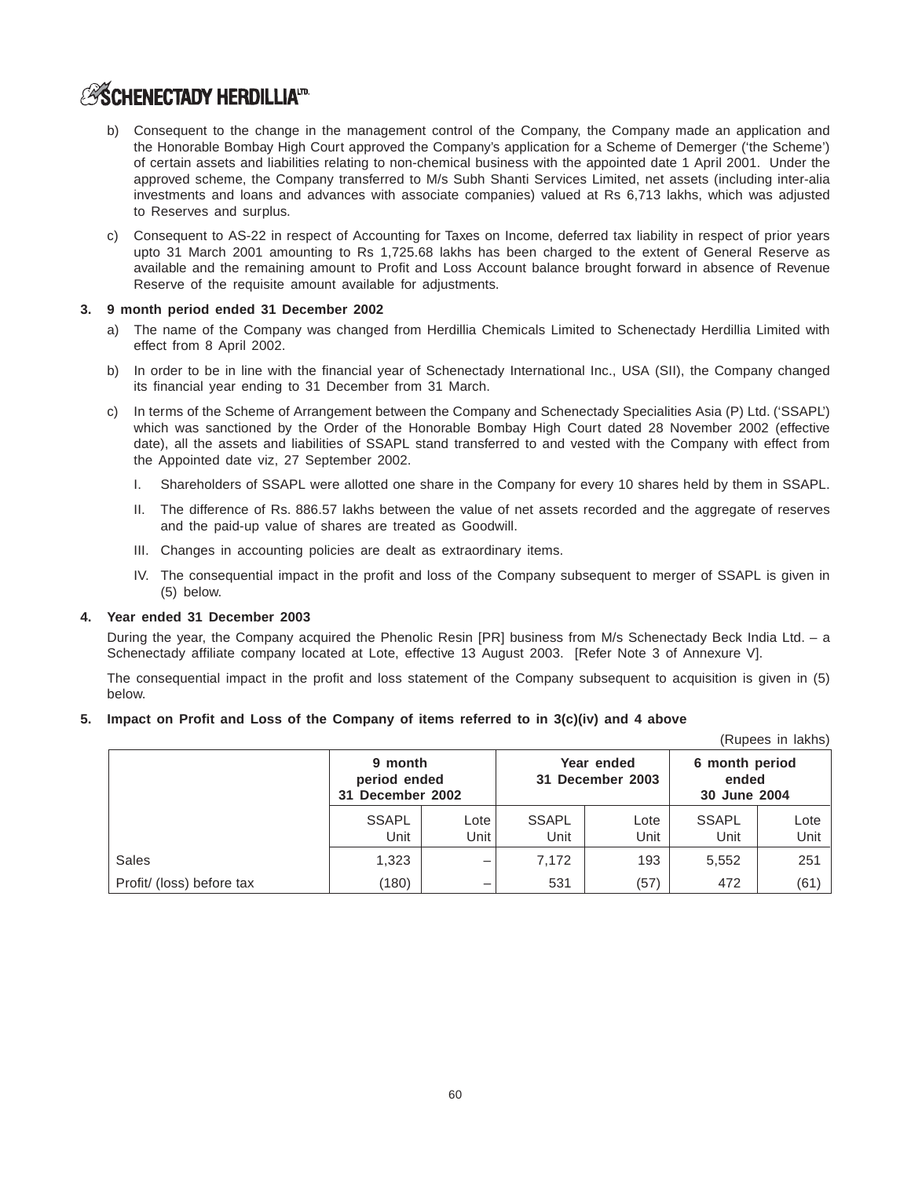# **ASCHENECTADY HERDILLIATD**

- b) Consequent to the change in the management control of the Company, the Company made an application and the Honorable Bombay High Court approved the Company's application for a Scheme of Demerger ('the Scheme') of certain assets and liabilities relating to non-chemical business with the appointed date 1 April 2001. Under the approved scheme, the Company transferred to M/s Subh Shanti Services Limited, net assets (including inter-alia investments and loans and advances with associate companies) valued at Rs 6,713 lakhs, which was adjusted to Reserves and surplus.
- c) Consequent to AS-22 in respect of Accounting for Taxes on Income, deferred tax liability in respect of prior years upto 31 March 2001 amounting to Rs 1,725.68 lakhs has been charged to the extent of General Reserve as available and the remaining amount to Profit and Loss Account balance brought forward in absence of Revenue Reserve of the requisite amount available for adjustments.

#### **3. 9 month period ended 31 December 2002**

- a) The name of the Company was changed from Herdillia Chemicals Limited to Schenectady Herdillia Limited with effect from 8 April 2002.
- b) In order to be in line with the financial year of Schenectady International Inc., USA (SII), the Company changed its financial year ending to 31 December from 31 March.
- c) In terms of the Scheme of Arrangement between the Company and Schenectady Specialities Asia (P) Ltd. ('SSAPL') which was sanctioned by the Order of the Honorable Bombay High Court dated 28 November 2002 (effective date), all the assets and liabilities of SSAPL stand transferred to and vested with the Company with effect from the Appointed date viz, 27 September 2002.
	- I. Shareholders of SSAPL were allotted one share in the Company for every 10 shares held by them in SSAPL.
	- II. The difference of Rs. 886.57 lakhs between the value of net assets recorded and the aggregate of reserves and the paid-up value of shares are treated as Goodwill.
	- III. Changes in accounting policies are dealt as extraordinary items.
	- IV. The consequential impact in the profit and loss of the Company subsequent to merger of SSAPL is given in (5) below.

#### **4. Year ended 31 December 2003**

During the year, the Company acquired the Phenolic Resin [PR] business from M/s Schenectady Beck India Ltd. – a Schenectady affiliate company located at Lote, effective 13 August 2003. [Refer Note 3 of Annexure V].

The consequential impact in the profit and loss statement of the Company subsequent to acquisition is given in (5) below.

 $(D_1, D_2, D_3, D_4, D_5, D_6, D_7, D_8, D_9)$ 

#### **5. Impact on Profit and Loss of the Company of items referred to in 3(c)(iv) and 4 above**

|                           |                                             | (Rupees in lakns) |                      |                                |                                         |              |
|---------------------------|---------------------------------------------|-------------------|----------------------|--------------------------------|-----------------------------------------|--------------|
|                           | 9 month<br>period ended<br>31 December 2002 |                   |                      | Year ended<br>31 December 2003 | 6 month period<br>ended<br>30 June 2004 |              |
|                           | <b>SSAPL</b><br>Unit                        | Lote<br>Unit      | <b>SSAPL</b><br>Unit | Lote<br>Unit                   | <b>SSAPL</b><br>Unit                    | Lote<br>Unit |
| Sales                     | 1,323                                       | -                 | 7,172                | 193                            | 5,552                                   | 251          |
| Profit/ (loss) before tax | (180)                                       | –                 | 531                  | (57)                           | 472                                     | (61)         |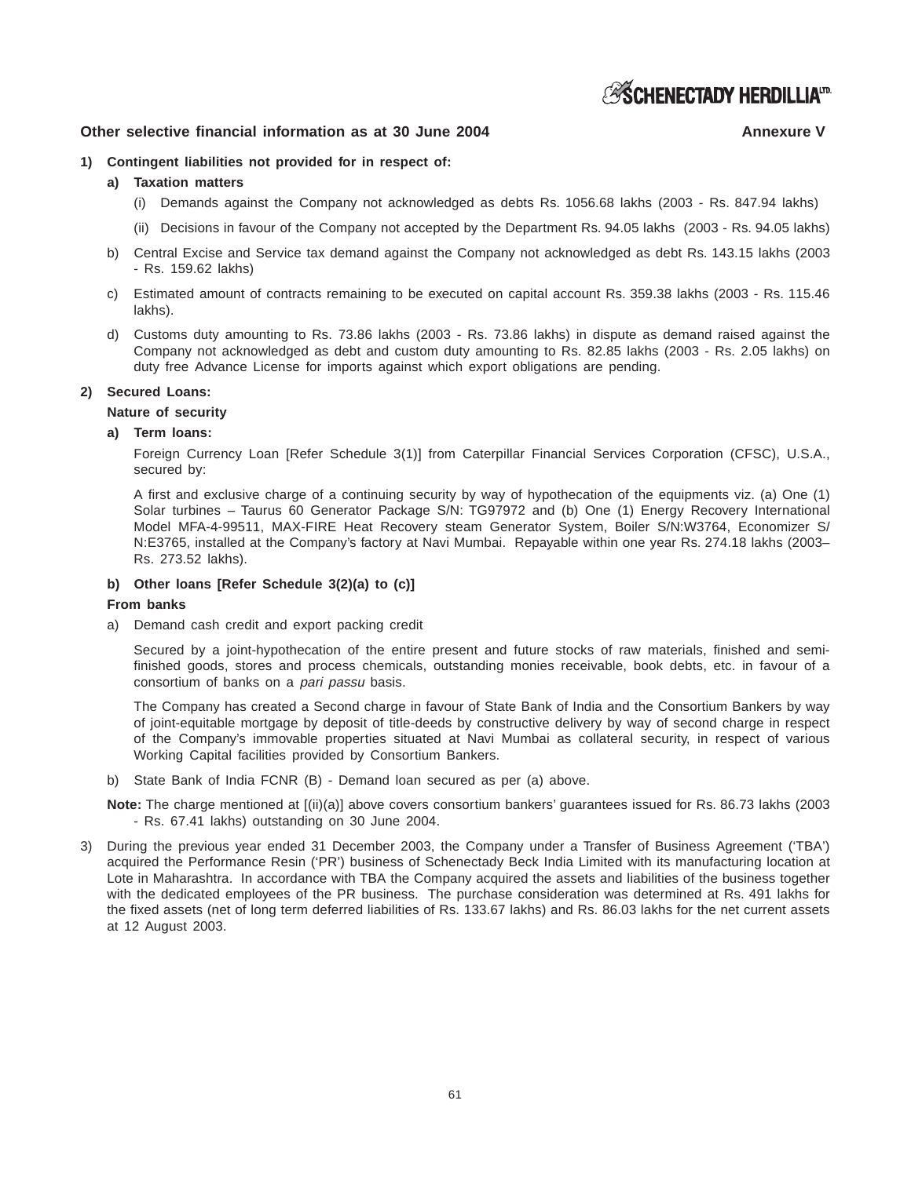**ESCHENECTADY HERDILLIATRE** 

### **Other selective financial information as at 30 June 2004** Annexure V Annexure V

#### **1) Contingent liabilities not provided for in respect of:**

- **a) Taxation matters**
	- (i) Demands against the Company not acknowledged as debts Rs. 1056.68 lakhs (2003 Rs. 847.94 lakhs)
	- (ii) Decisions in favour of the Company not accepted by the Department Rs. 94.05 lakhs (2003 Rs. 94.05 lakhs)
- b) Central Excise and Service tax demand against the Company not acknowledged as debt Rs. 143.15 lakhs (2003 - Rs. 159.62 lakhs)
- c) Estimated amount of contracts remaining to be executed on capital account Rs. 359.38 lakhs (2003 Rs. 115.46 lakhs).
- d) Customs duty amounting to Rs. 73.86 lakhs (2003 Rs. 73.86 lakhs) in dispute as demand raised against the Company not acknowledged as debt and custom duty amounting to Rs. 82.85 lakhs (2003 - Rs. 2.05 lakhs) on duty free Advance License for imports against which export obligations are pending.

#### **2) Secured Loans:**

#### **Nature of security**

#### **a) Term loans:**

Foreign Currency Loan [Refer Schedule 3(1)] from Caterpillar Financial Services Corporation (CFSC), U.S.A., secured by:

A first and exclusive charge of a continuing security by way of hypothecation of the equipments viz. (a) One (1) Solar turbines – Taurus 60 Generator Package S/N: TG97972 and (b) One (1) Energy Recovery International Model MFA-4-99511, MAX-FIRE Heat Recovery steam Generator System, Boiler S/N:W3764, Economizer S/ N:E3765, installed at the Company's factory at Navi Mumbai. Repayable within one year Rs. 274.18 lakhs (2003– Rs. 273.52 lakhs).

#### **b) Other loans [Refer Schedule 3(2)(a) to (c)]**

#### **From banks**

a) Demand cash credit and export packing credit

Secured by a joint-hypothecation of the entire present and future stocks of raw materials, finished and semifinished goods, stores and process chemicals, outstanding monies receivable, book debts, etc. in favour of a consortium of banks on a *pari passu* basis.

The Company has created a Second charge in favour of State Bank of India and the Consortium Bankers by way of joint-equitable mortgage by deposit of title-deeds by constructive delivery by way of second charge in respect of the Company's immovable properties situated at Navi Mumbai as collateral security, in respect of various Working Capital facilities provided by Consortium Bankers.

b) State Bank of India FCNR (B) - Demand loan secured as per (a) above.

**Note:** The charge mentioned at [(ii)(a)] above covers consortium bankers' guarantees issued for Rs. 86.73 lakhs (2003 - Rs. 67.41 lakhs) outstanding on 30 June 2004.

3) During the previous year ended 31 December 2003, the Company under a Transfer of Business Agreement ('TBA') acquired the Performance Resin ('PR') business of Schenectady Beck India Limited with its manufacturing location at Lote in Maharashtra. In accordance with TBA the Company acquired the assets and liabilities of the business together with the dedicated employees of the PR business. The purchase consideration was determined at Rs. 491 lakhs for the fixed assets (net of long term deferred liabilities of Rs. 133.67 lakhs) and Rs. 86.03 lakhs for the net current assets at 12 August 2003.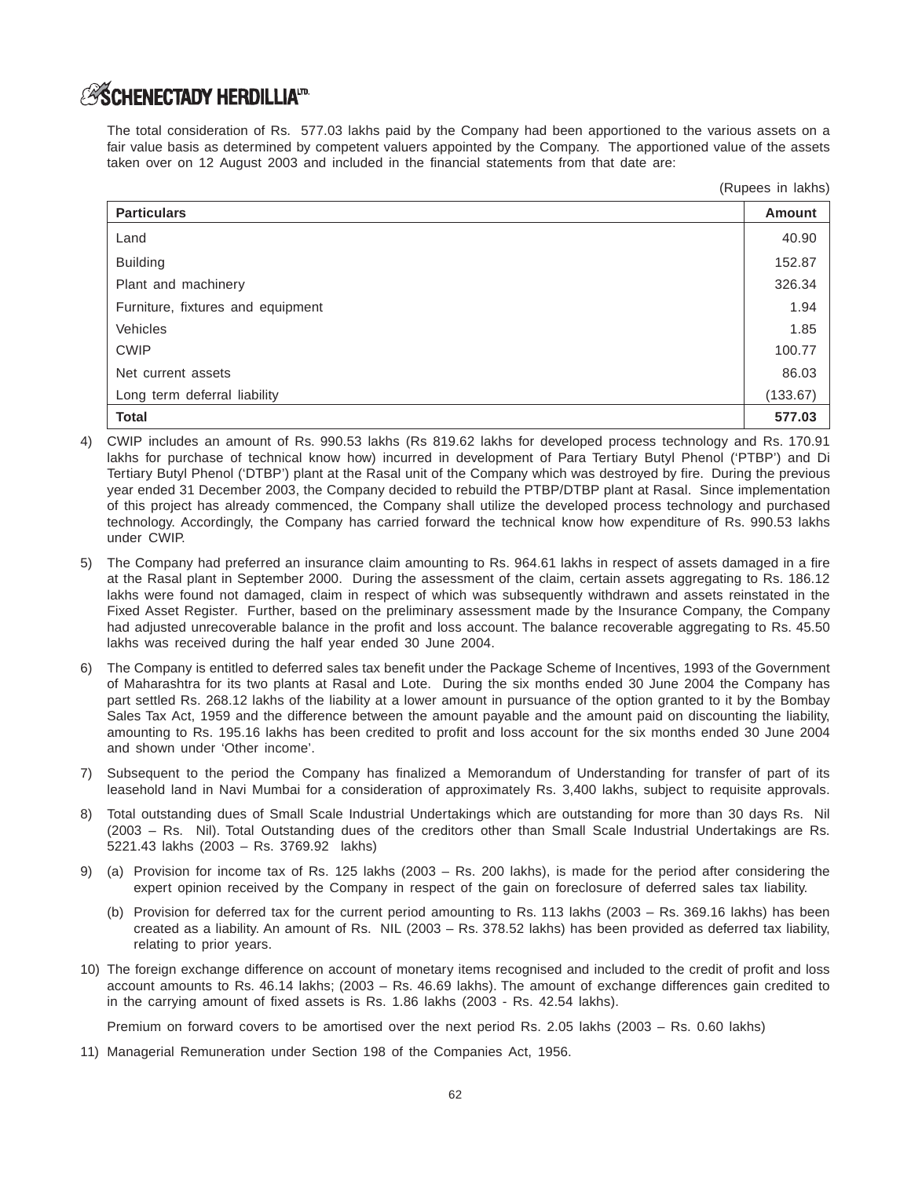# **ASCHENECTADY HERDILLIATD**

The total consideration of Rs. 577.03 lakhs paid by the Company had been apportioned to the various assets on a fair value basis as determined by competent valuers appointed by the Company. The apportioned value of the assets taken over on 12 August 2003 and included in the financial statements from that date are:

(Rupees in lakhs)

| <b>Particulars</b>                | <b>Amount</b> |
|-----------------------------------|---------------|
| Land                              | 40.90         |
| <b>Building</b>                   | 152.87        |
| Plant and machinery               | 326.34        |
| Furniture, fixtures and equipment | 1.94          |
| Vehicles                          | 1.85          |
| <b>CWIP</b>                       | 100.77        |
| Net current assets                | 86.03         |
| Long term deferral liability      | (133.67)      |
| <b>Total</b>                      | 577.03        |

- 4) CWIP includes an amount of Rs. 990.53 lakhs (Rs 819.62 lakhs for developed process technology and Rs. 170.91 lakhs for purchase of technical know how) incurred in development of Para Tertiary Butyl Phenol ('PTBP') and Di Tertiary Butyl Phenol ('DTBP') plant at the Rasal unit of the Company which was destroyed by fire. During the previous year ended 31 December 2003, the Company decided to rebuild the PTBP/DTBP plant at Rasal. Since implementation of this project has already commenced, the Company shall utilize the developed process technology and purchased technology. Accordingly, the Company has carried forward the technical know how expenditure of Rs. 990.53 lakhs under CWIP.
- 5) The Company had preferred an insurance claim amounting to Rs. 964.61 lakhs in respect of assets damaged in a fire at the Rasal plant in September 2000. During the assessment of the claim, certain assets aggregating to Rs. 186.12 lakhs were found not damaged, claim in respect of which was subsequently withdrawn and assets reinstated in the Fixed Asset Register. Further, based on the preliminary assessment made by the Insurance Company, the Company had adjusted unrecoverable balance in the profit and loss account. The balance recoverable aggregating to Rs. 45.50 lakhs was received during the half year ended 30 June 2004.
- 6) The Company is entitled to deferred sales tax benefit under the Package Scheme of Incentives, 1993 of the Government of Maharashtra for its two plants at Rasal and Lote. During the six months ended 30 June 2004 the Company has part settled Rs. 268.12 lakhs of the liability at a lower amount in pursuance of the option granted to it by the Bombay Sales Tax Act, 1959 and the difference between the amount payable and the amount paid on discounting the liability, amounting to Rs. 195.16 lakhs has been credited to profit and loss account for the six months ended 30 June 2004 and shown under 'Other income'.
- 7) Subsequent to the period the Company has finalized a Memorandum of Understanding for transfer of part of its leasehold land in Navi Mumbai for a consideration of approximately Rs. 3,400 lakhs, subject to requisite approvals.
- 8) Total outstanding dues of Small Scale Industrial Undertakings which are outstanding for more than 30 days Rs. Nil (2003 – Rs. Nil). Total Outstanding dues of the creditors other than Small Scale Industrial Undertakings are Rs. 5221.43 lakhs (2003 – Rs. 3769.92 lakhs)
- 9) (a) Provision for income tax of Rs. 125 lakhs (2003 Rs. 200 lakhs), is made for the period after considering the expert opinion received by the Company in respect of the gain on foreclosure of deferred sales tax liability.
	- (b) Provision for deferred tax for the current period amounting to Rs. 113 lakhs (2003 Rs. 369.16 lakhs) has been created as a liability. An amount of Rs. NIL (2003 – Rs. 378.52 lakhs) has been provided as deferred tax liability, relating to prior years.
- 10) The foreign exchange difference on account of monetary items recognised and included to the credit of profit and loss account amounts to Rs. 46.14 lakhs; (2003 – Rs. 46.69 lakhs). The amount of exchange differences gain credited to in the carrying amount of fixed assets is Rs. 1.86 lakhs (2003 - Rs. 42.54 lakhs).

Premium on forward covers to be amortised over the next period Rs. 2.05 lakhs (2003 – Rs. 0.60 lakhs)

11) Managerial Remuneration under Section 198 of the Companies Act, 1956.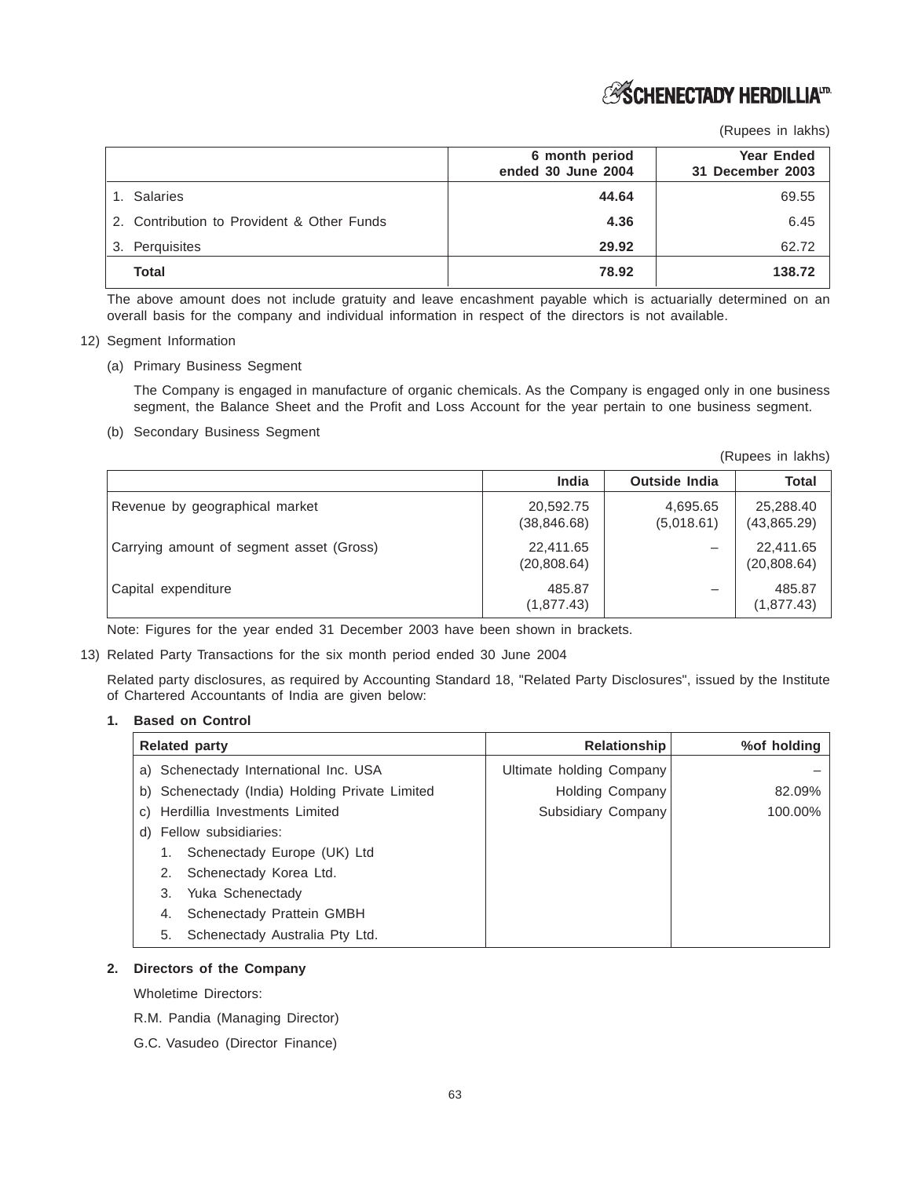# *S***SCHENECTADY HERDILLIA**<sup>IT</sup>

(Rupees in lakhs)

|                                            | 6 month period<br>ended 30 June 2004 | <b>Year Ended</b><br>31 December 2003 |
|--------------------------------------------|--------------------------------------|---------------------------------------|
| 1. Salaries                                | 44.64                                | 69.55                                 |
| 2. Contribution to Provident & Other Funds | 4.36                                 | 6.45                                  |
| Perquisites<br>3.                          | 29.92                                | 62.72                                 |
| Total                                      | 78.92                                | 138.72                                |

The above amount does not include gratuity and leave encashment payable which is actuarially determined on an overall basis for the company and individual information in respect of the directors is not available.

- 12) Segment Information
	- (a) Primary Business Segment

The Company is engaged in manufacture of organic chemicals. As the Company is engaged only in one business segment, the Balance Sheet and the Profit and Loss Account for the year pertain to one business segment.

(b) Secondary Business Segment

(Rupees in lakhs) **India Outside India Total** Revenue by geographical market  $\vert$  20,592.75  $\vert$  4,695.65 25,288.40 (38,846.68) (5,018.61) (43,865.29) Carrying amount of segment asset (Gross)  $\vert$  22,411.65  $\vert$   $\vert$  22,411.65  $\vert$  22,411.65 (20,808.64) (20,808.64) Capital expenditure  $485.87$   $485.87$  $(1,877.43)$   $(1,877.43)$ 

Note: Figures for the year ended 31 December 2003 have been shown in brackets.

13) Related Party Transactions for the six month period ended 30 June 2004

Related party disclosures, as required by Accounting Standard 18, "Related Party Disclosures", issued by the Institute of Chartered Accountants of India are given below:

#### **1. Based on Control**

| <b>Related party</b>                           | Relationship             | %of holding |
|------------------------------------------------|--------------------------|-------------|
| a) Schenectady International Inc. USA          | Ultimate holding Company |             |
| b) Schenectady (India) Holding Private Limited | <b>Holding Company</b>   | 82.09%      |
| c) Herdillia Investments Limited               | Subsidiary Company       | 100.00%     |
| d) Fellow subsidiaries:                        |                          |             |
| Schenectady Europe (UK) Ltd                    |                          |             |
| Schenectady Korea Ltd.<br>2.                   |                          |             |
| Yuka Schenectady<br>3.                         |                          |             |
| Schenectady Prattein GMBH<br>4.                |                          |             |
| Schenectady Australia Pty Ltd.<br>5.           |                          |             |

#### **2. Directors of the Company**

Wholetime Directors:

- R.M. Pandia (Managing Director)
- G.C. Vasudeo (Director Finance)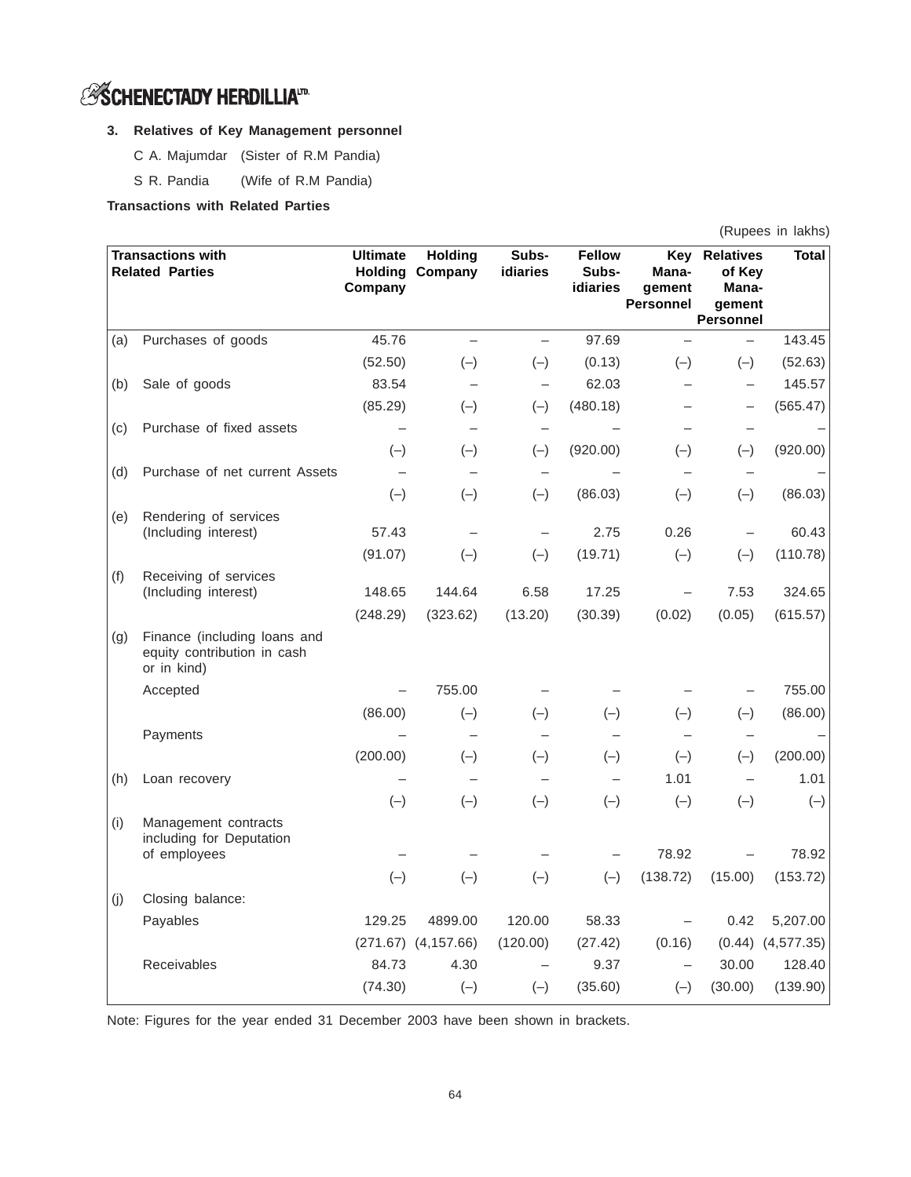# *S* **SCHENECTADY HERDILLIA**<sup>ID</sup>

# **3. Relatives of Key Management personnel**

- C A. Majumdar (Sister of R.M Pandia)
- S R. Pandia (Wife of R.M Pandia)

# **Transactions with Related Parties**

| (Rupees in lakhs) |  |
|-------------------|--|
|                   |  |

|     | <b>Transactions with</b><br><b>Related Parties</b>                         | <b>Ultimate</b><br>Company | <b>Holding</b><br><b>Holding Company</b> | Subs-<br>idiaries        | <b>Fellow</b><br>Subs-<br>idiaries | Key<br>Mana-<br>qement<br><b>Personnel</b> | <b>Relatives</b><br>of Key<br>Mana-<br>gement<br><b>Personnel</b> | <b>Total</b>          |
|-----|----------------------------------------------------------------------------|----------------------------|------------------------------------------|--------------------------|------------------------------------|--------------------------------------------|-------------------------------------------------------------------|-----------------------|
| (a) | Purchases of goods                                                         | 45.76                      |                                          |                          | 97.69                              |                                            |                                                                   | 143.45                |
|     |                                                                            | (52.50)                    | $(-)$                                    | $(-)$                    | (0.13)                             | $(-)$                                      | $(-)$                                                             | (52.63)               |
| (b) | Sale of goods                                                              | 83.54                      |                                          | $\overline{\phantom{0}}$ | 62.03                              |                                            | $\overline{\phantom{0}}$                                          | 145.57                |
|     |                                                                            | (85.29)                    | $(-)$                                    | $(-)$                    | (480.18)                           |                                            |                                                                   | (565.47)              |
| (c) | Purchase of fixed assets                                                   | $\overline{\phantom{m}}$   | $\overline{\phantom{m}}$                 | $\qquad \qquad -$        |                                    |                                            |                                                                   |                       |
|     |                                                                            | $(-)$                      | $(-)$                                    | $(-)$                    | (920.00)                           | $(-)$                                      | $(-)$                                                             | (920.00)              |
| (d) | Purchase of net current Assets                                             |                            |                                          |                          |                                    |                                            |                                                                   |                       |
|     |                                                                            | $(-)$                      | $(-)$                                    | $(-)$                    | (86.03)                            | $(-)$                                      | $(-)$                                                             | (86.03)               |
| (e) | Rendering of services                                                      |                            |                                          |                          |                                    |                                            |                                                                   |                       |
|     | (Including interest)                                                       | 57.43                      |                                          | $\overline{\phantom{0}}$ | 2.75                               | 0.26                                       |                                                                   | 60.43                 |
|     |                                                                            | (91.07)                    | $(-)$                                    | $(-)$                    | (19.71)                            | $(-)$                                      | $(-)$                                                             | (110.78)              |
| (f) | Receiving of services<br>(Including interest)                              | 148.65                     | 144.64                                   | 6.58                     | 17.25                              | $\overline{\phantom{0}}$                   | 7.53                                                              | 324.65                |
|     |                                                                            | (248.29)                   | (323.62)                                 | (13.20)                  | (30.39)                            | (0.02)                                     | (0.05)                                                            | (615.57)              |
| (g) | Finance (including loans and<br>equity contribution in cash<br>or in kind) |                            |                                          |                          |                                    |                                            |                                                                   |                       |
|     | Accepted                                                                   |                            | 755.00                                   |                          |                                    |                                            |                                                                   | 755.00                |
|     |                                                                            | (86.00)                    | $(-)$                                    | $(-)$                    | $(-)$                              | $(-)$                                      | $(-)$                                                             | (86.00)               |
|     | Payments                                                                   |                            |                                          |                          |                                    |                                            |                                                                   |                       |
|     |                                                                            | (200.00)                   | $(-)$                                    | $(-)$                    | $(-)$                              | $(-)$                                      | $(-)$                                                             | (200.00)              |
| (h) | Loan recovery                                                              |                            |                                          | $\overline{\phantom{0}}$ |                                    | 1.01                                       | $\overline{\phantom{0}}$                                          | 1.01                  |
|     |                                                                            | $(-)$                      | $(-)$                                    | $(-)$                    | $(-)$                              | $(-)$                                      | $(-)$                                                             | $(-)$                 |
| (i) | Management contracts<br>including for Deputation                           |                            |                                          |                          |                                    |                                            |                                                                   |                       |
|     | of employees                                                               |                            |                                          |                          |                                    | 78.92                                      |                                                                   | 78.92                 |
|     |                                                                            | $(-)$                      | $(-)$                                    | $(-)$                    | $(-)$                              | (138.72)                                   | (15.00)                                                           | (153.72)              |
| (j) | Closing balance:                                                           |                            |                                          |                          |                                    |                                            |                                                                   |                       |
|     | Payables                                                                   | 129.25                     | 4899.00                                  | 120.00                   | 58.33                              |                                            | 0.42                                                              | 5,207.00              |
|     |                                                                            |                            | $(271.67)$ $(4,157.66)$                  | (120.00)                 | (27.42)                            | (0.16)                                     |                                                                   | $(0.44)$ $(4,577.35)$ |
|     | Receivables                                                                | 84.73                      | 4.30                                     |                          | 9.37                               |                                            | 30.00                                                             | 128.40                |
|     |                                                                            | (74.30)                    | $(-)$                                    | $(-)$                    | (35.60)                            | $(-)$                                      | (30.00)                                                           | (139.90)              |

Note: Figures for the year ended 31 December 2003 have been shown in brackets.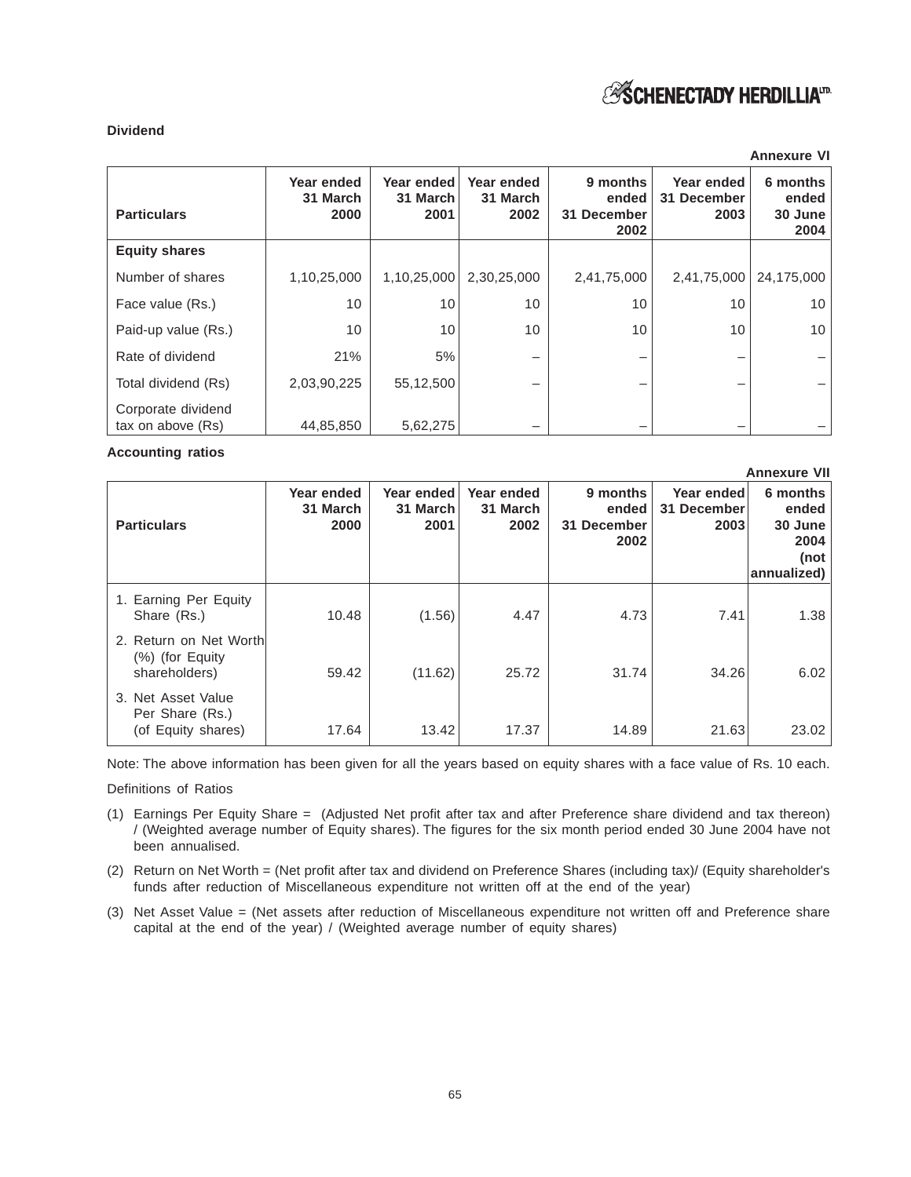# **Dividend**

|                                         |                                |                                |                                |                                          |                                   | <b>Annexure VI</b>                   |
|-----------------------------------------|--------------------------------|--------------------------------|--------------------------------|------------------------------------------|-----------------------------------|--------------------------------------|
| <b>Particulars</b>                      | Year ended<br>31 March<br>2000 | Year ended<br>31 March<br>2001 | Year ended<br>31 March<br>2002 | 9 months<br>ended<br>31 December<br>2002 | Year ended<br>31 December<br>2003 | 6 months<br>ended<br>30 June<br>2004 |
| <b>Equity shares</b>                    |                                |                                |                                |                                          |                                   |                                      |
| Number of shares                        | 1,10,25,000                    | 1,10,25,000                    | 2,30,25,000                    | 2,41,75,000                              | 2,41,75,000                       | 24,175,000                           |
| Face value (Rs.)                        | 10                             | 10                             | 10                             | 10                                       | 10                                | 10                                   |
| Paid-up value (Rs.)                     | 10                             | 10                             | 10                             | 10                                       | 10                                | 10                                   |
| Rate of dividend                        | 21%                            | 5%                             | -                              |                                          |                                   |                                      |
| Total dividend (Rs)                     | 2,03,90,225                    | 55,12,500                      |                                |                                          |                                   |                                      |
| Corporate dividend<br>tax on above (Rs) | 44,85,850                      | 5,62,275                       |                                |                                          |                                   |                                      |

**Accounting ratios**

|                                                                |                                |                                |                                |                                          |                                   | <b>Annexure VII</b>                                         |
|----------------------------------------------------------------|--------------------------------|--------------------------------|--------------------------------|------------------------------------------|-----------------------------------|-------------------------------------------------------------|
| <b>Particulars</b>                                             | Year ended<br>31 March<br>2000 | Year ended<br>31 March<br>2001 | Year ended<br>31 March<br>2002 | 9 months<br>ended<br>31 December<br>2002 | Year ended<br>31 December<br>2003 | 6 months<br>ended<br>30 June<br>2004<br>(not<br>annualized) |
| 1. Earning Per Equity<br>Share (Rs.)                           | 10.48                          | (1.56)                         | 4.47                           | 4.73                                     | 7.41                              | 1.38                                                        |
| 2. Return on Net Worth<br>$(\%)$ (for Equity)<br>shareholders) | 59.42                          | (11.62)                        | 25.72                          | 31.74                                    | 34.26                             | 6.02                                                        |
| 3. Net Asset Value<br>Per Share (Rs.)<br>(of Equity shares)    | 17.64                          | 13.42                          | 17.37                          | 14.89                                    | 21.63                             | 23.02                                                       |

Note: The above information has been given for all the years based on equity shares with a face value of Rs. 10 each.

Definitions of Ratios

- (1) Earnings Per Equity Share = (Adjusted Net profit after tax and after Preference share dividend and tax thereon) / (Weighted average number of Equity shares). The figures for the six month period ended 30 June 2004 have not been annualised.
- (2) Return on Net Worth = (Net profit after tax and dividend on Preference Shares (including tax)/ (Equity shareholder's funds after reduction of Miscellaneous expenditure not written off at the end of the year)
- (3) Net Asset Value = (Net assets after reduction of Miscellaneous expenditure not written off and Preference share capital at the end of the year) / (Weighted average number of equity shares)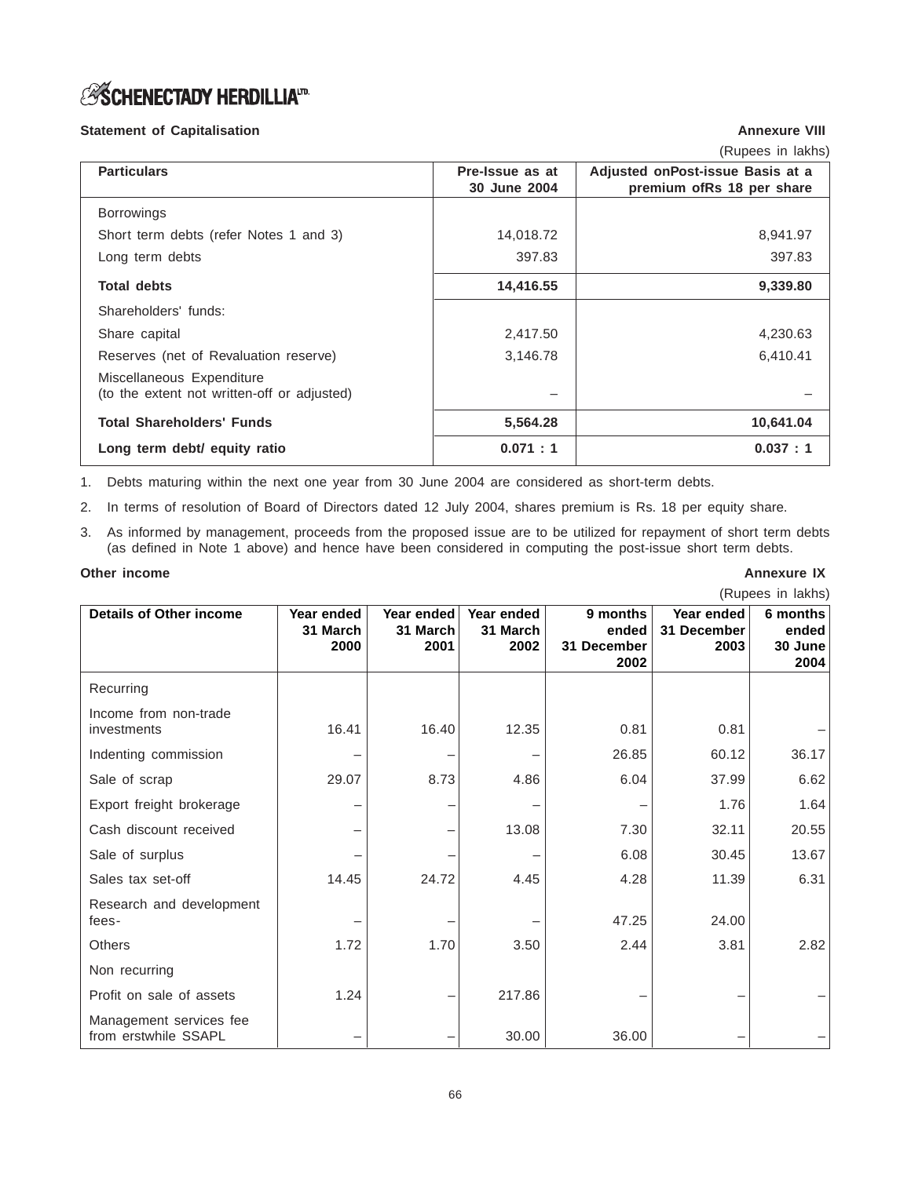# *S***SCHENECTADY HERDILLIA**<sup>ID</sup>

# **Statement of Capitalisation Annexure VIII**

(Rupees in lakhs)

| <b>Particulars</b>                                                       | Pre-Issue as at<br>30 June 2004 | Adjusted onPost-issue Basis at a<br>premium ofRs 18 per share |
|--------------------------------------------------------------------------|---------------------------------|---------------------------------------------------------------|
| <b>Borrowings</b>                                                        |                                 |                                                               |
| Short term debts (refer Notes 1 and 3)                                   | 14,018.72                       | 8,941.97                                                      |
| Long term debts                                                          | 397.83                          | 397.83                                                        |
| <b>Total debts</b>                                                       | 14,416.55                       | 9,339.80                                                      |
| Shareholders' funds:                                                     |                                 |                                                               |
| Share capital                                                            | 2,417.50                        | 4,230.63                                                      |
| Reserves (net of Revaluation reserve)                                    | 3,146.78                        | 6,410.41                                                      |
| Miscellaneous Expenditure<br>(to the extent not written-off or adjusted) |                                 |                                                               |
| <b>Total Shareholders' Funds</b>                                         | 5,564.28                        | 10,641.04                                                     |
| Long term debt/ equity ratio                                             | 0.071 : 1                       | 0.037 : 1                                                     |

1. Debts maturing within the next one year from 30 June 2004 are considered as short-term debts.

2. In terms of resolution of Board of Directors dated 12 July 2004, shares premium is Rs. 18 per equity share.

3. As informed by management, proceeds from the proposed issue are to be utilized for repayment of short term debts (as defined in Note 1 above) and hence have been considered in computing the post-issue short term debts.

#### **Other income Annexure IX Annexure IX Annexure IX Annexure IX Annexure IX Annexure IX**

| (Rupees in lakhs)                               |                                |                                |                                |                                          |                                   |                                      |
|-------------------------------------------------|--------------------------------|--------------------------------|--------------------------------|------------------------------------------|-----------------------------------|--------------------------------------|
| <b>Details of Other income</b>                  | Year ended<br>31 March<br>2000 | Year ended<br>31 March<br>2001 | Year ended<br>31 March<br>2002 | 9 months<br>ended<br>31 December<br>2002 | Year ended<br>31 December<br>2003 | 6 months<br>ended<br>30 June<br>2004 |
| Recurring                                       |                                |                                |                                |                                          |                                   |                                      |
| Income from non-trade<br>investments            | 16.41                          | 16.40                          | 12.35                          | 0.81                                     | 0.81                              |                                      |
| Indenting commission                            |                                |                                |                                | 26.85                                    | 60.12                             | 36.17                                |
| Sale of scrap                                   | 29.07                          | 8.73                           | 4.86                           | 6.04                                     | 37.99                             | 6.62                                 |
| Export freight brokerage                        |                                |                                |                                |                                          | 1.76                              | 1.64                                 |
| Cash discount received                          |                                |                                | 13.08                          | 7.30                                     | 32.11                             | 20.55                                |
| Sale of surplus                                 |                                |                                |                                | 6.08                                     | 30.45                             | 13.67                                |
| Sales tax set-off                               | 14.45                          | 24.72                          | 4.45                           | 4.28                                     | 11.39                             | 6.31                                 |
| Research and development<br>fees-               |                                |                                |                                | 47.25                                    | 24.00                             |                                      |
| <b>Others</b>                                   | 1.72                           | 1.70                           | 3.50                           | 2.44                                     | 3.81                              | 2.82                                 |
| Non recurring                                   |                                |                                |                                |                                          |                                   |                                      |
| Profit on sale of assets                        | 1.24                           |                                | 217.86                         |                                          |                                   |                                      |
| Management services fee<br>from erstwhile SSAPL |                                |                                | 30.00                          | 36.00                                    |                                   |                                      |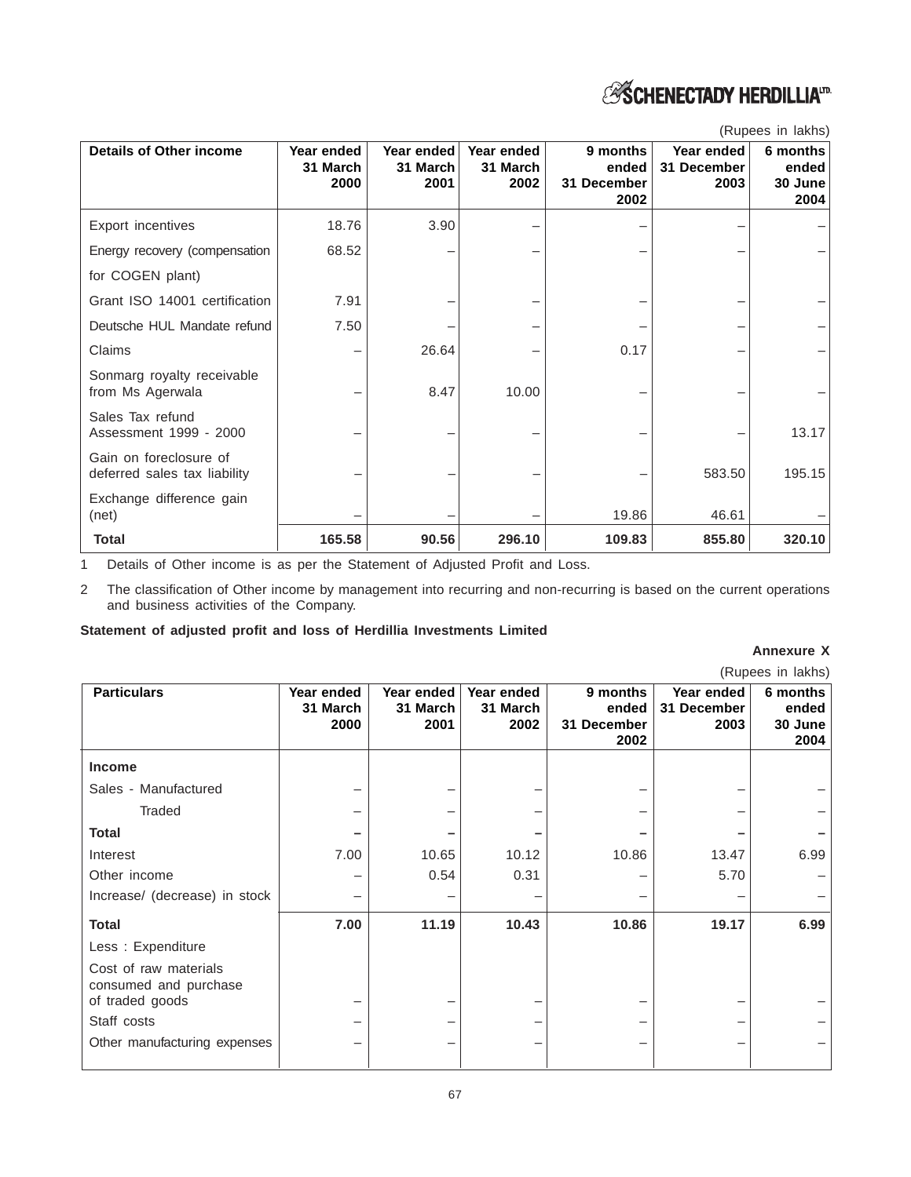

| <b>Details of Other income</b>                         | Year ended<br>31 March<br>2000 | Year ended<br>31 March<br>2001 | Year ended<br>31 March<br>2002 | 9 months<br>ended<br>31 December<br>2002 | Year ended<br>31 December<br>2003 | 6 months<br>ended<br>30 June<br>2004 |
|--------------------------------------------------------|--------------------------------|--------------------------------|--------------------------------|------------------------------------------|-----------------------------------|--------------------------------------|
| Export incentives                                      | 18.76                          | 3.90                           |                                |                                          |                                   |                                      |
| Energy recovery (compensation                          | 68.52                          |                                |                                |                                          |                                   |                                      |
| for COGEN plant)                                       |                                |                                |                                |                                          |                                   |                                      |
| Grant ISO 14001 certification                          | 7.91                           |                                |                                |                                          |                                   |                                      |
| Deutsche HUL Mandate refund                            | 7.50                           |                                |                                |                                          |                                   |                                      |
| Claims                                                 |                                | 26.64                          |                                | 0.17                                     |                                   |                                      |
| Sonmarg royalty receivable<br>from Ms Agerwala         |                                | 8.47                           | 10.00                          |                                          |                                   |                                      |
| Sales Tax refund<br>Assessment 1999 - 2000             |                                |                                |                                |                                          |                                   | 13.17                                |
| Gain on foreclosure of<br>deferred sales tax liability |                                |                                |                                |                                          | 583.50                            | 195.15                               |
| Exchange difference gain<br>(net)                      |                                |                                |                                | 19.86                                    | 46.61                             |                                      |
| <b>Total</b>                                           | 165.58                         | 90.56                          | 296.10                         | 109.83                                   | 855.80                            | 320.10                               |

(Rupees in lakhs)

1 Details of Other income is as per the Statement of Adjusted Profit and Loss.

2 The classification of Other income by management into recurring and non-recurring is based on the current operations and business activities of the Company.

# **Statement of adjusted profit and loss of Herdillia Investments Limited**

#### **Annexure X**

|                                                                   |                                |                                |                                |                                          |                                   | (Rupees in lakhs)                    |
|-------------------------------------------------------------------|--------------------------------|--------------------------------|--------------------------------|------------------------------------------|-----------------------------------|--------------------------------------|
| <b>Particulars</b>                                                | Year ended<br>31 March<br>2000 | Year ended<br>31 March<br>2001 | Year ended<br>31 March<br>2002 | 9 months<br>ended<br>31 December<br>2002 | Year ended<br>31 December<br>2003 | 6 months<br>ended<br>30 June<br>2004 |
| <b>Income</b>                                                     |                                |                                |                                |                                          |                                   |                                      |
| Sales - Manufactured                                              |                                |                                |                                |                                          |                                   |                                      |
| Traded                                                            |                                |                                |                                |                                          |                                   |                                      |
| <b>Total</b>                                                      |                                |                                |                                |                                          |                                   |                                      |
| Interest                                                          | 7.00                           | 10.65                          | 10.12                          | 10.86                                    | 13.47                             | 6.99                                 |
| Other income                                                      |                                | 0.54                           | 0.31                           |                                          | 5.70                              |                                      |
| Increase/ (decrease) in stock                                     |                                |                                |                                |                                          |                                   |                                      |
| <b>Total</b>                                                      | 7.00                           | 11.19                          | 10.43                          | 10.86                                    | 19.17                             | 6.99                                 |
| Less: Expenditure                                                 |                                |                                |                                |                                          |                                   |                                      |
| Cost of raw materials<br>consumed and purchase<br>of traded goods |                                |                                |                                |                                          |                                   |                                      |
| Staff costs                                                       |                                |                                |                                |                                          |                                   |                                      |
| Other manufacturing expenses                                      |                                |                                |                                |                                          |                                   |                                      |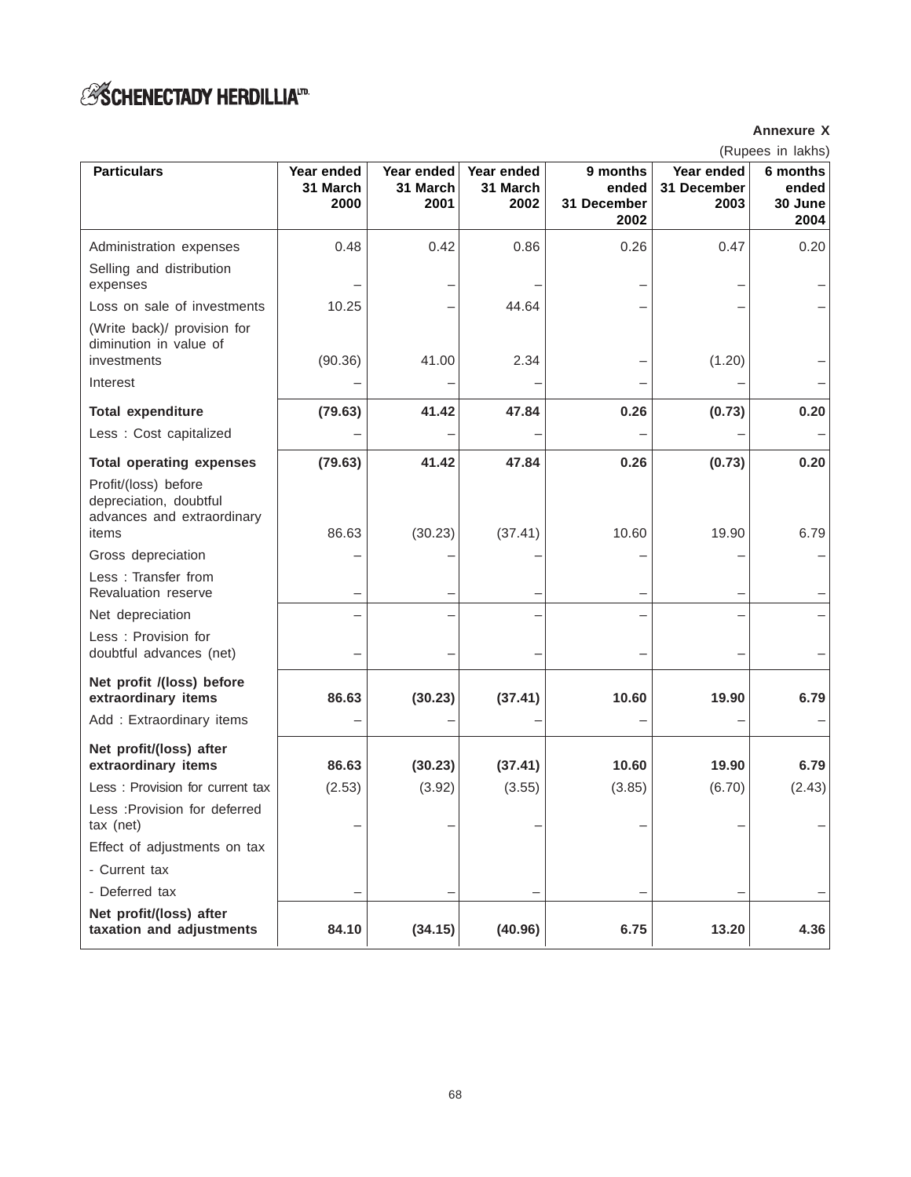# *ESCHENECTADY HERDILLIA<sup>ID</sup>*

# **Annexure X**

(Rupees in lakhs)

| <b>Particulars</b>                                                           |                                |                                |                                |                                          |                                   | 000 111 1011110 <sub>1</sub>         |
|------------------------------------------------------------------------------|--------------------------------|--------------------------------|--------------------------------|------------------------------------------|-----------------------------------|--------------------------------------|
|                                                                              | Year ended<br>31 March<br>2000 | Year ended<br>31 March<br>2001 | Year ended<br>31 March<br>2002 | 9 months<br>ended<br>31 December<br>2002 | Year ended<br>31 December<br>2003 | 6 months<br>ended<br>30 June<br>2004 |
| Administration expenses                                                      | 0.48                           | 0.42                           | 0.86                           | 0.26                                     | 0.47                              | 0.20                                 |
| Selling and distribution<br>expenses                                         |                                |                                |                                |                                          |                                   |                                      |
| Loss on sale of investments                                                  | 10.25                          |                                | 44.64                          |                                          |                                   |                                      |
| (Write back)/ provision for<br>diminution in value of<br>investments         | (90.36)                        | 41.00                          | 2.34                           |                                          | (1.20)                            |                                      |
| Interest                                                                     |                                |                                |                                |                                          |                                   |                                      |
| <b>Total expenditure</b>                                                     | (79.63)                        | 41.42                          | 47.84                          | 0.26                                     | (0.73)                            | 0.20                                 |
| Less : Cost capitalized                                                      |                                |                                |                                |                                          |                                   |                                      |
| <b>Total operating expenses</b>                                              | (79.63)                        | 41.42                          | 47.84                          | 0.26                                     | (0.73)                            | 0.20                                 |
| Profit/(loss) before<br>depreciation, doubtful<br>advances and extraordinary |                                |                                |                                |                                          |                                   |                                      |
| items                                                                        | 86.63                          | (30.23)                        | (37.41)                        | 10.60                                    | 19.90                             | 6.79                                 |
| Gross depreciation                                                           |                                |                                |                                |                                          |                                   |                                      |
| Less: Transfer from<br>Revaluation reserve                                   |                                |                                |                                |                                          |                                   |                                      |
| Net depreciation                                                             |                                |                                |                                |                                          |                                   |                                      |
| Less: Provision for<br>doubtful advances (net)                               |                                |                                |                                |                                          |                                   |                                      |
| Net profit /(loss) before<br>extraordinary items                             | 86.63                          | (30.23)                        | (37.41)                        | 10.60                                    | 19.90                             | 6.79                                 |
| Add: Extraordinary items                                                     |                                |                                |                                |                                          |                                   |                                      |
| Net profit/(loss) after<br>extraordinary items                               | 86.63                          | (30.23)                        | (37.41)                        | 10.60                                    | 19.90                             | 6.79                                 |
| Less: Provision for current tax                                              | (2.53)                         | (3.92)                         | (3.55)                         | (3.85)                                   | (6.70)                            | (2.43)                               |
| Less : Provision for deferred<br>tax (net)                                   |                                |                                |                                |                                          |                                   |                                      |
| Effect of adjustments on tax                                                 |                                |                                |                                |                                          |                                   |                                      |
| - Current tax                                                                |                                |                                |                                |                                          |                                   |                                      |
| - Deferred tax                                                               |                                |                                |                                |                                          |                                   |                                      |
| Net profit/(loss) after<br>taxation and adjustments                          | 84.10                          | (34.15)                        | (40.96)                        | 6.75                                     | 13.20                             | 4.36                                 |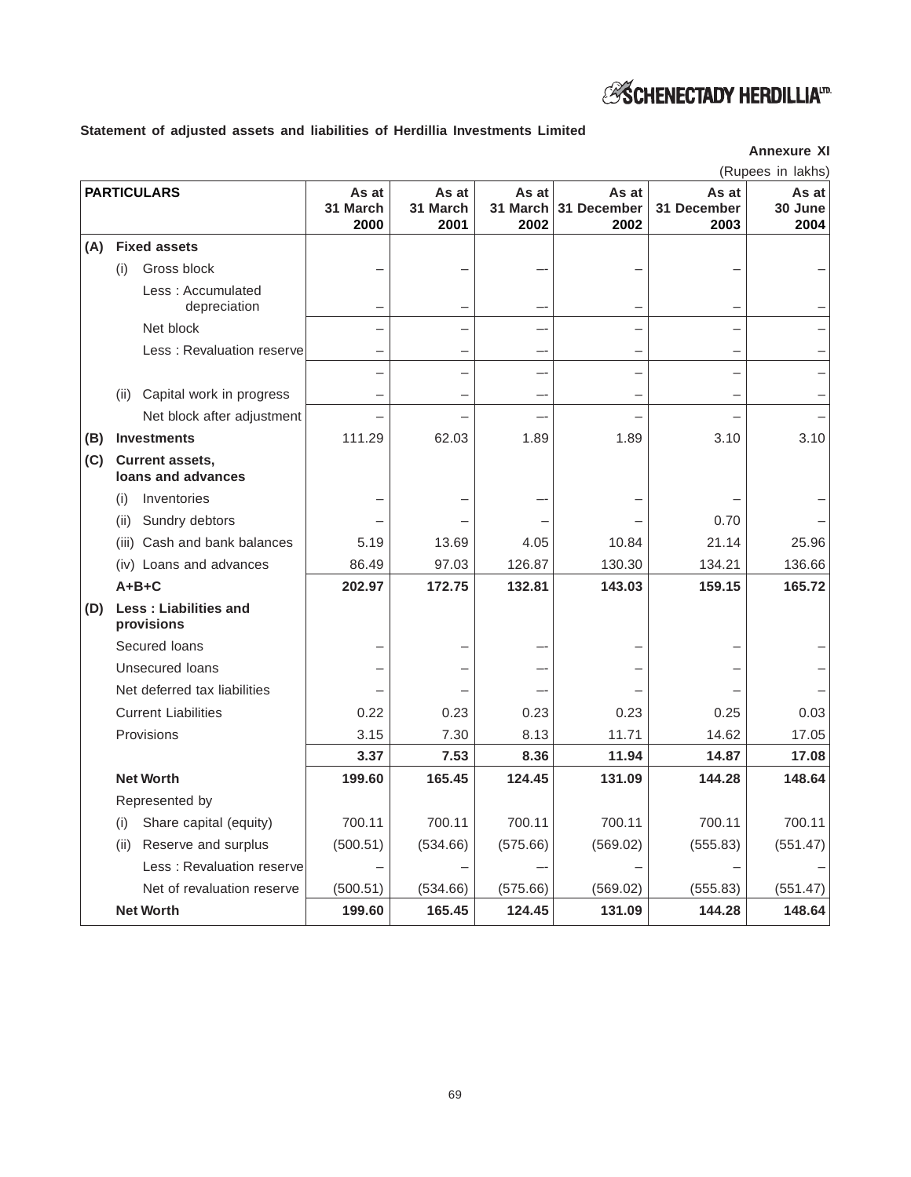

# **Statement of adjusted assets and liabilities of Herdillia Investments Limited**

|     |                                              |                           |                           |                           |                              |                              | (Rupees in lakhs)        |
|-----|----------------------------------------------|---------------------------|---------------------------|---------------------------|------------------------------|------------------------------|--------------------------|
|     | <b>PARTICULARS</b>                           | As at<br>31 March<br>2000 | As at<br>31 March<br>2001 | As at<br>31 March<br>2002 | As at<br>31 December<br>2002 | As at<br>31 December<br>2003 | As at<br>30 June<br>2004 |
| (A) | <b>Fixed assets</b>                          |                           |                           |                           |                              |                              |                          |
|     | (i)<br>Gross block                           |                           |                           |                           |                              |                              |                          |
|     | Less: Accumulated<br>depreciation            |                           |                           |                           |                              |                              |                          |
|     | Net block                                    |                           |                           |                           |                              |                              |                          |
|     | Less: Revaluation reserve                    |                           |                           |                           |                              |                              |                          |
|     |                                              |                           |                           |                           |                              |                              |                          |
|     | Capital work in progress<br>(ii)             |                           | -                         | --                        | —                            |                              |                          |
|     | Net block after adjustment                   |                           |                           |                           |                              |                              |                          |
| (B) | <b>Investments</b>                           | 111.29                    | 62.03                     | 1.89                      | 1.89                         | 3.10                         | 3.10                     |
| (C) | <b>Current assets,</b><br>loans and advances |                           |                           |                           |                              |                              |                          |
|     | Inventories<br>(i)                           |                           |                           |                           |                              |                              |                          |
|     | Sundry debtors<br>(ii)                       |                           |                           |                           |                              | 0.70                         |                          |
|     | (iii) Cash and bank balances                 | 5.19                      | 13.69                     | 4.05                      | 10.84                        | 21.14                        | 25.96                    |
|     | (iv) Loans and advances                      | 86.49                     | 97.03                     | 126.87                    | 130.30                       | 134.21                       | 136.66                   |
|     | $A+B+C$                                      | 202.97                    | 172.75                    | 132.81                    | 143.03                       | 159.15                       | 165.72                   |
| (D) | <b>Less: Liabilities and</b><br>provisions   |                           |                           |                           |                              |                              |                          |
|     | Secured loans                                |                           |                           |                           |                              |                              |                          |
|     | Unsecured loans                              |                           |                           |                           |                              |                              |                          |
|     | Net deferred tax liabilities                 |                           |                           |                           |                              |                              |                          |
|     | <b>Current Liabilities</b>                   | 0.22                      | 0.23                      | 0.23                      | 0.23                         | 0.25                         | 0.03                     |
|     | Provisions                                   | 3.15                      | 7.30                      | 8.13                      | 11.71                        | 14.62                        | 17.05                    |
|     |                                              | 3.37                      | 7.53                      | 8.36                      | 11.94                        | 14.87                        | 17.08                    |
|     | <b>Net Worth</b>                             | 199.60                    | 165.45                    | 124.45                    | 131.09                       | 144.28                       | 148.64                   |
|     | Represented by                               |                           |                           |                           |                              |                              |                          |
|     | Share capital (equity)<br>(i)                | 700.11                    | 700.11                    | 700.11                    | 700.11                       | 700.11                       | 700.11                   |
|     | Reserve and surplus<br>(ii)                  | (500.51)                  | (534.66)                  | (575.66)                  | (569.02)                     | (555.83)                     | (551.47)                 |
|     | Less: Revaluation reserve                    |                           |                           |                           |                              |                              |                          |
|     | Net of revaluation reserve                   | (500.51)                  | (534.66)                  | (575.66)                  | (569.02)                     | (555.83)                     | (551.47)                 |
|     | <b>Net Worth</b>                             | 199.60                    | 165.45                    | 124.45                    | 131.09                       | 144.28                       | 148.64                   |

**Annexure XI**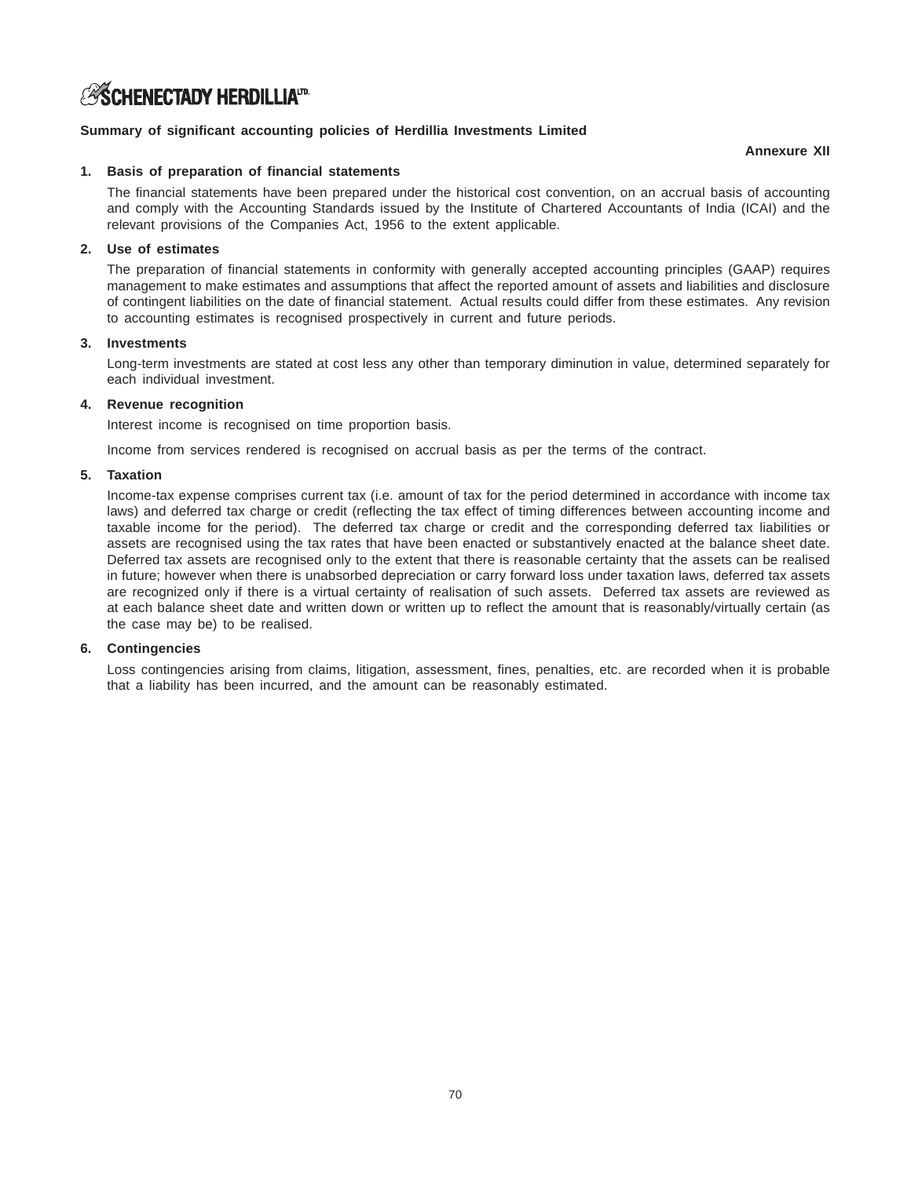# *S***SCHENECTADY HERDILLIA**<sup>ID</sup>

### **Summary of significant accounting policies of Herdillia Investments Limited**

#### **Annexure XII**

### **1. Basis of preparation of financial statements**

The financial statements have been prepared under the historical cost convention, on an accrual basis of accounting and comply with the Accounting Standards issued by the Institute of Chartered Accountants of India (ICAI) and the relevant provisions of the Companies Act, 1956 to the extent applicable.

### **2. Use of estimates**

The preparation of financial statements in conformity with generally accepted accounting principles (GAAP) requires management to make estimates and assumptions that affect the reported amount of assets and liabilities and disclosure of contingent liabilities on the date of financial statement. Actual results could differ from these estimates. Any revision to accounting estimates is recognised prospectively in current and future periods.

### **3. Investments**

Long-term investments are stated at cost less any other than temporary diminution in value, determined separately for each individual investment.

### **4. Revenue recognition**

Interest income is recognised on time proportion basis.

Income from services rendered is recognised on accrual basis as per the terms of the contract.

### **5. Taxation**

Income-tax expense comprises current tax (i.e. amount of tax for the period determined in accordance with income tax laws) and deferred tax charge or credit (reflecting the tax effect of timing differences between accounting income and taxable income for the period). The deferred tax charge or credit and the corresponding deferred tax liabilities or assets are recognised using the tax rates that have been enacted or substantively enacted at the balance sheet date. Deferred tax assets are recognised only to the extent that there is reasonable certainty that the assets can be realised in future; however when there is unabsorbed depreciation or carry forward loss under taxation laws, deferred tax assets are recognized only if there is a virtual certainty of realisation of such assets. Deferred tax assets are reviewed as at each balance sheet date and written down or written up to reflect the amount that is reasonably/virtually certain (as the case may be) to be realised.

#### **6. Contingencies**

Loss contingencies arising from claims, litigation, assessment, fines, penalties, etc. are recorded when it is probable that a liability has been incurred, and the amount can be reasonably estimated.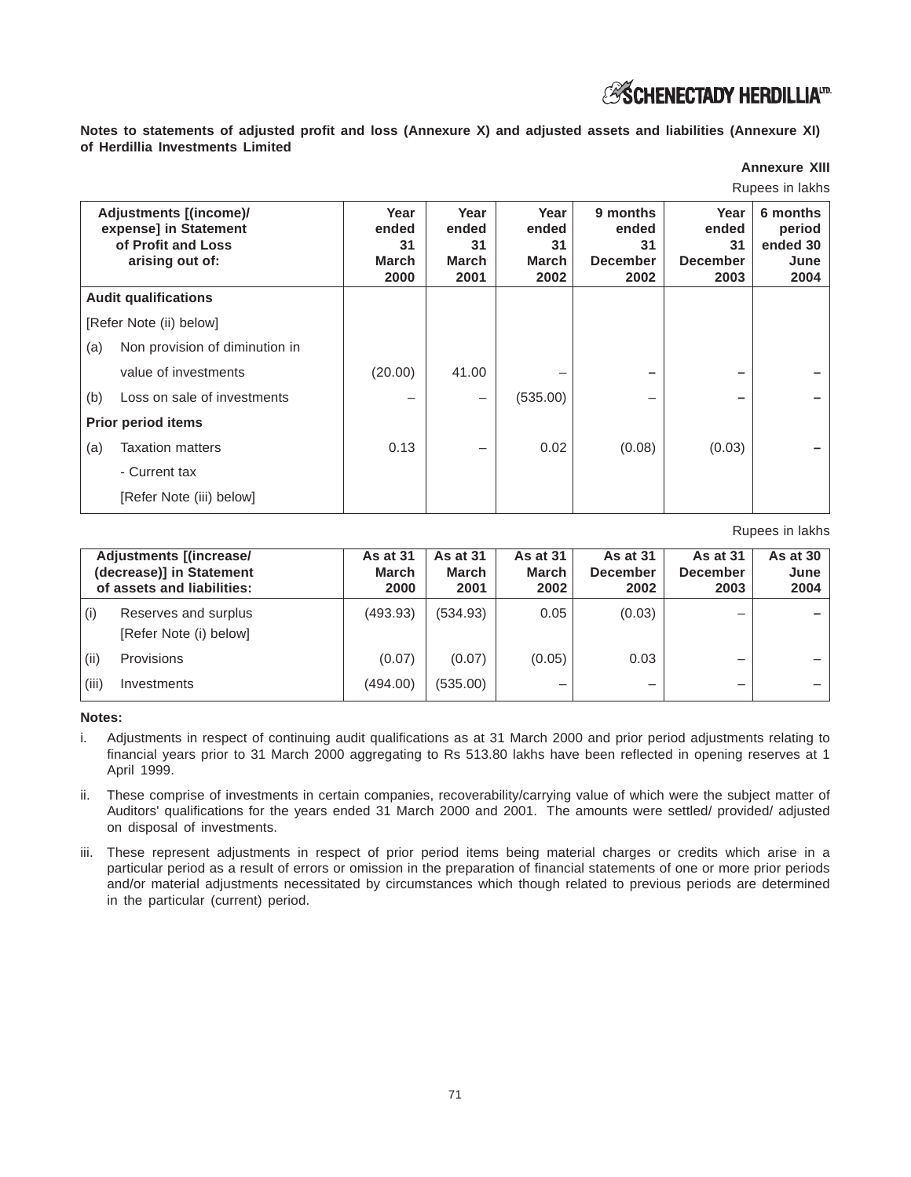# **ESCHENECTADY HERDILLIAID**

**Notes to statements of adjusted profit and loss (Annexure X) and adjusted assets and liabilities (Annexure XI) of Herdillia Investments Limited**

# **Annexure XIII**

Rupees in lakhs

|     | Adjustments [(income)/<br>expense] in Statement<br>of Profit and Loss<br>arising out of: | Year<br>ended<br>31<br>March<br>2000 | Year<br>ended<br>31<br>March<br>2001 | Year<br>ended<br>31<br>March<br>2002 | 9 months<br>ended<br>31<br><b>December</b><br>2002 | Year<br>ended<br>31<br><b>December</b><br>2003 | 6 months<br>period<br>ended 30<br>June<br>2004 |
|-----|------------------------------------------------------------------------------------------|--------------------------------------|--------------------------------------|--------------------------------------|----------------------------------------------------|------------------------------------------------|------------------------------------------------|
|     | <b>Audit qualifications</b>                                                              |                                      |                                      |                                      |                                                    |                                                |                                                |
|     | [Refer Note (ii) below]                                                                  |                                      |                                      |                                      |                                                    |                                                |                                                |
| (a) | Non provision of diminution in                                                           |                                      |                                      |                                      |                                                    |                                                |                                                |
|     | value of investments                                                                     | (20.00)                              | 41.00                                |                                      |                                                    |                                                |                                                |
| (b) | Loss on sale of investments                                                              |                                      | —                                    | (535.00)                             |                                                    |                                                |                                                |
|     | <b>Prior period items</b>                                                                |                                      |                                      |                                      |                                                    |                                                |                                                |
| (a) | <b>Taxation matters</b>                                                                  | 0.13                                 | —                                    | 0.02                                 | (0.08)                                             | (0.03)                                         |                                                |
|     | - Current tax                                                                            |                                      |                                      |                                      |                                                    |                                                |                                                |
|     | [Refer Note (iii) below]                                                                 |                                      |                                      |                                      |                                                    |                                                |                                                |

#### Rupees in lakhs

|       | <b>Adjustments [(increase/</b><br>(decrease)] in Statement<br>of assets and liabilities: | <b>As at 31</b><br><b>March</b><br>2000 | As at 31<br>March<br>2001 | <b>As at 31</b><br><b>March</b><br>2002 | <b>As at 31</b><br><b>December</b><br>2002 | <b>As at 31</b><br><b>December</b><br>2003 | As at 30 $\vert$<br>June<br>2004 |
|-------|------------------------------------------------------------------------------------------|-----------------------------------------|---------------------------|-----------------------------------------|--------------------------------------------|--------------------------------------------|----------------------------------|
| (i)   | Reserves and surplus<br>[Refer Note (i) below]                                           | (493.93)                                | (534.93)                  | 0.05                                    | (0.03)                                     | -                                          |                                  |
| (ii)  | Provisions                                                                               | (0.07)                                  | (0.07)                    | (0.05)                                  | 0.03                                       | –                                          |                                  |
| (iii) | Investments                                                                              | (494.00)                                | (535.00)                  | –                                       | -                                          | -                                          |                                  |

**Notes:**

- i. Adjustments in respect of continuing audit qualifications as at 31 March 2000 and prior period adjustments relating to financial years prior to 31 March 2000 aggregating to Rs 513.80 lakhs have been reflected in opening reserves at 1 April 1999.
- ii. These comprise of investments in certain companies, recoverability/carrying value of which were the subject matter of Auditors' qualifications for the years ended 31 March 2000 and 2001. The amounts were settled/ provided/ adjusted on disposal of investments.
- iii. These represent adjustments in respect of prior period items being material charges or credits which arise in a particular period as a result of errors or omission in the preparation of financial statements of one or more prior periods and/or material adjustments necessitated by circumstances which though related to previous periods are determined in the particular (current) period.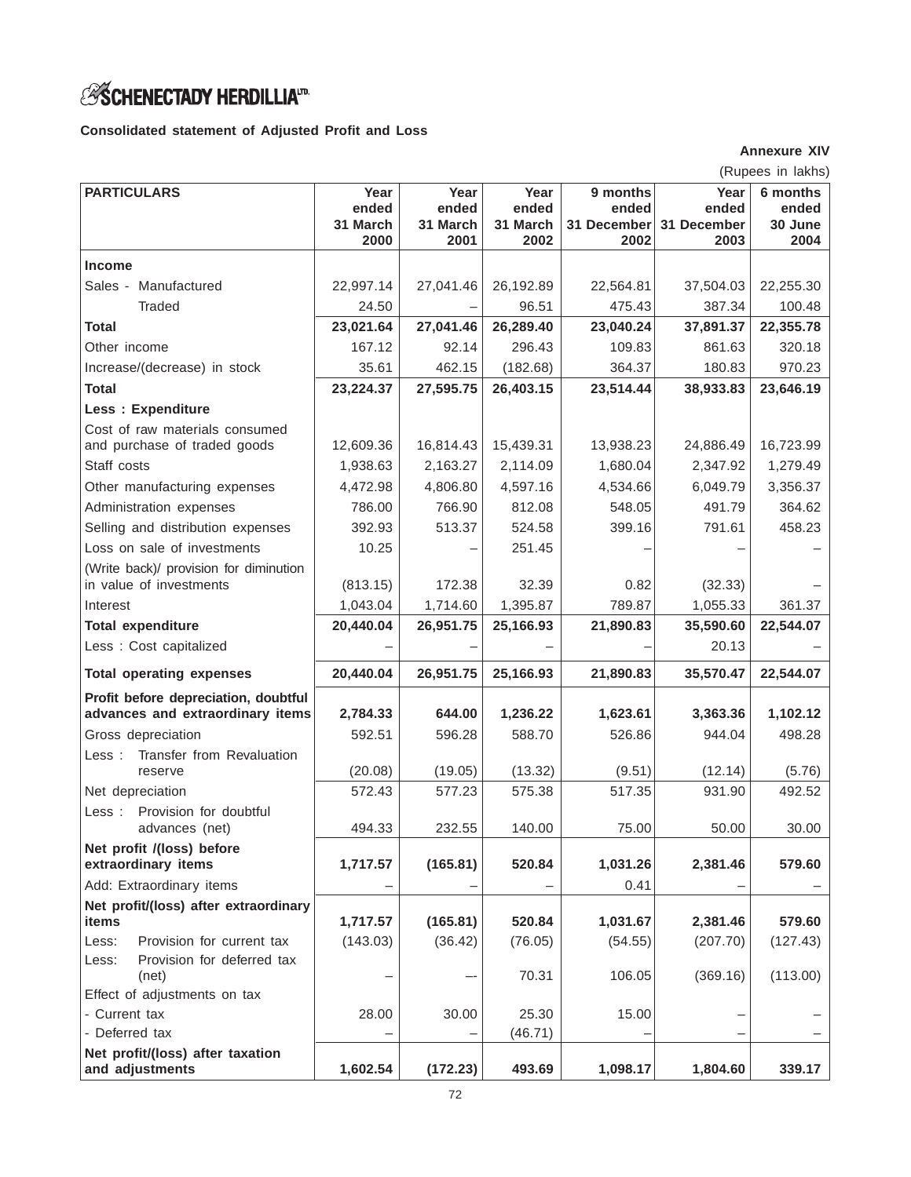# *ASCHENECTADY HERDILLIA*<sup>17</sup>

**Consolidated statement of Adjusted Profit and Loss**

**Annexure XIV**

|                                                         |                           |                           |                           |                                  |                              | (Rupees in lakhs)            |
|---------------------------------------------------------|---------------------------|---------------------------|---------------------------|----------------------------------|------------------------------|------------------------------|
| <b>PARTICULARS</b>                                      | Year<br>ended<br>31 March | Year<br>ended<br>31 March | Year<br>ended<br>31 March | 9 months<br>ended<br>31 December | Year<br>ended<br>31 December | 6 months<br>ended<br>30 June |
|                                                         | 2000                      | 2001                      | 2002                      | 2002                             | 2003                         | 2004                         |
| <b>Income</b>                                           |                           |                           |                           |                                  |                              |                              |
| Sales - Manufactured                                    | 22,997.14                 | 27,041.46                 | 26,192.89                 | 22,564.81                        | 37,504.03                    | 22,255.30                    |
| <b>Traded</b>                                           | 24.50                     |                           | 96.51                     | 475.43                           | 387.34                       | 100.48                       |
| <b>Total</b>                                            | 23,021.64                 | 27,041.46                 | 26,289.40                 | 23,040.24                        | 37,891.37                    | 22,355.78                    |
| Other income                                            | 167.12                    | 92.14                     | 296.43                    | 109.83                           | 861.63                       | 320.18                       |
| Increase/(decrease) in stock                            | 35.61                     | 462.15                    | (182.68)                  | 364.37                           | 180.83                       | 970.23                       |
| <b>Total</b>                                            | 23,224.37                 | 27,595.75                 | 26,403.15                 | 23,514.44                        | 38,933.83                    | 23,646.19                    |
| Less : Expenditure                                      |                           |                           |                           |                                  |                              |                              |
| Cost of raw materials consumed                          | 12,609.36                 | 16,814.43                 | 15,439.31                 |                                  |                              | 16,723.99                    |
| and purchase of traded goods<br>Staff costs             | 1,938.63                  | 2,163.27                  | 2,114.09                  | 13,938.23<br>1,680.04            | 24,886.49<br>2,347.92        | 1,279.49                     |
|                                                         | 4,472.98                  | 4,806.80                  | 4,597.16                  | 4,534.66                         | 6,049.79                     | 3,356.37                     |
| Other manufacturing expenses<br>Administration expenses | 786.00                    | 766.90                    | 812.08                    | 548.05                           | 491.79                       | 364.62                       |
| Selling and distribution expenses                       | 392.93                    | 513.37                    | 524.58                    | 399.16                           | 791.61                       | 458.23                       |
| Loss on sale of investments                             | 10.25                     |                           | 251.45                    |                                  |                              |                              |
| (Write back)/ provision for diminution                  |                           |                           |                           |                                  |                              |                              |
| in value of investments                                 | (813.15)                  | 172.38                    | 32.39                     | 0.82                             | (32.33)                      |                              |
| Interest                                                | 1,043.04                  | 1,714.60                  | 1,395.87                  | 789.87                           | 1,055.33                     | 361.37                       |
| <b>Total expenditure</b>                                | 20,440.04                 | 26,951.75                 | 25,166.93                 | 21,890.83                        | 35,590.60                    | 22,544.07                    |
| Less : Cost capitalized                                 |                           |                           |                           |                                  | 20.13                        |                              |
| <b>Total operating expenses</b>                         | 20,440.04                 | 26,951.75                 | 25,166.93                 | 21,890.83                        | 35,570.47                    | 22,544.07                    |
| Profit before depreciation, doubtful                    |                           |                           |                           |                                  |                              |                              |
| advances and extraordinary items                        | 2,784.33                  | 644.00                    | 1,236.22                  | 1,623.61                         | 3,363.36                     | 1,102.12                     |
| Gross depreciation                                      | 592.51                    | 596.28                    | 588.70                    | 526.86                           | 944.04                       | 498.28                       |
| Transfer from Revaluation<br>Less :                     |                           |                           |                           |                                  |                              |                              |
| reserve                                                 | (20.08)                   | (19.05)                   | (13.32)                   | (9.51)                           | (12.14)                      | (5.76)                       |
| Net depreciation                                        | 572.43                    | 577.23                    | 575.38                    | 517.35                           | 931.90                       | 492.52                       |
| Provision for doubtful<br>Less:<br>advances (net)       | 494.33                    | 232.55                    | 140.00                    | 75.00                            | 50.00                        | 30.00                        |
| Net profit /(loss) before<br>extraordinary items        | 1,717.57                  | (165.81)                  | 520.84                    | 1,031.26                         | 2,381.46                     | 579.60                       |
| Add: Extraordinary items                                |                           |                           |                           | 0.41                             |                              |                              |
| Net profit/(loss) after extraordinary                   |                           |                           |                           |                                  |                              |                              |
| items                                                   | 1,717.57                  | (165.81)                  | 520.84                    | 1,031.67                         | 2,381.46                     | 579.60                       |
| Provision for current tax<br>Less:                      | (143.03)                  | (36.42)                   | (76.05)                   | (54.55)                          | (207.70)                     | (127.43)                     |
| Provision for deferred tax<br>Less:<br>(net)            |                           |                           | 70.31                     | 106.05                           | (369.16)                     | (113.00)                     |
| Effect of adjustments on tax                            |                           |                           |                           |                                  |                              |                              |
| - Current tax                                           | 28.00                     | 30.00                     | 25.30                     | 15.00                            |                              |                              |
| - Deferred tax                                          |                           |                           | (46.71)                   |                                  |                              |                              |
| Net profit/(loss) after taxation<br>and adjustments     | 1,602.54                  | (172.23)                  | 493.69                    | 1,098.17                         | 1,804.60                     | 339.17                       |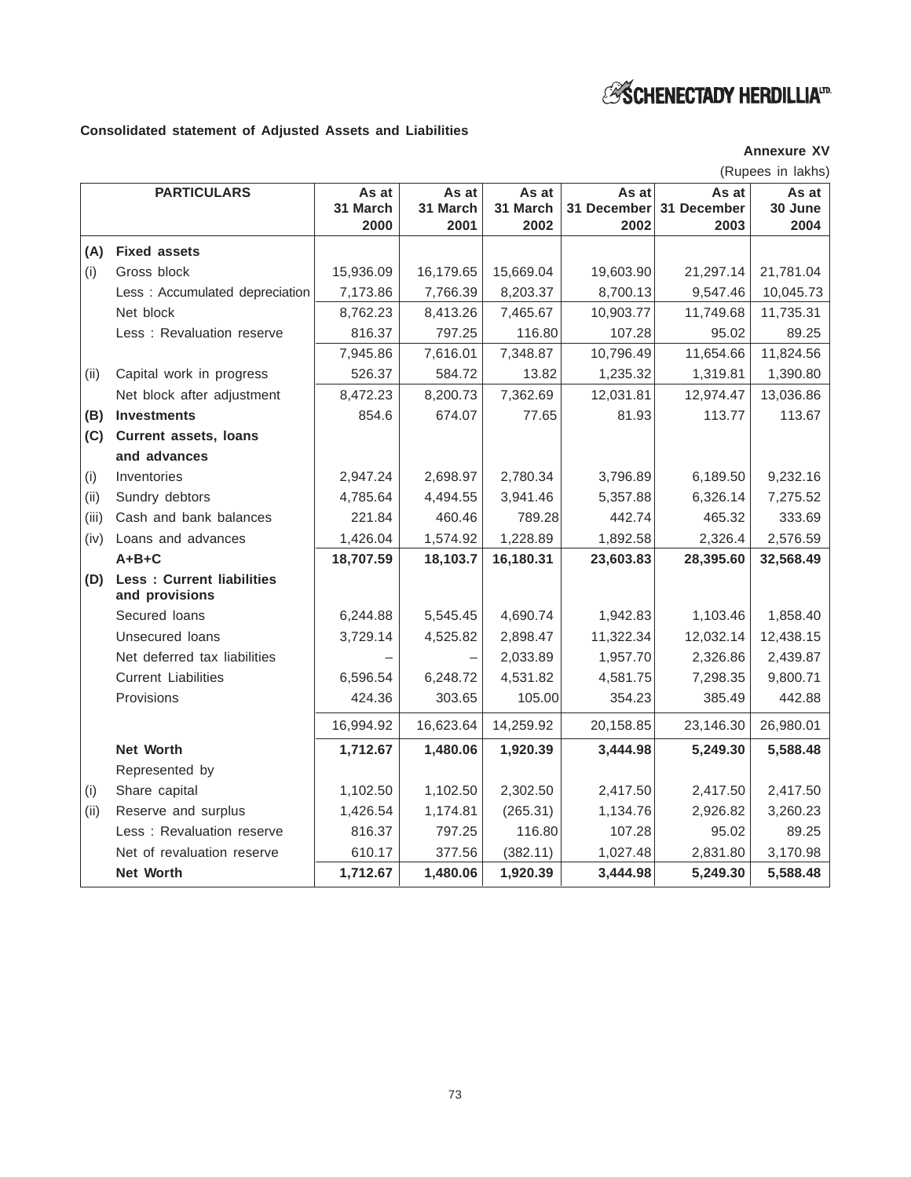# *S* **SCHENECTADY HERDILLIA**<sup>17</sup>

# **Consolidated statement of Adjusted Assets and Liabilities**

**Annexure XV**

|       |                                                    |           |           |           |             |             | (Rupees in lakhs) |
|-------|----------------------------------------------------|-----------|-----------|-----------|-------------|-------------|-------------------|
|       | <b>PARTICULARS</b>                                 | As at     | As at     | As at     | As at       | As at       | As at             |
|       |                                                    | 31 March  | 31 March  | 31 March  | 31 December | 31 December | 30 June           |
|       |                                                    | 2000      | 2001      | 2002      | 2002        | 2003        | 2004              |
| (A)   | <b>Fixed assets</b>                                |           |           |           |             |             |                   |
| (i)   | Gross block                                        | 15,936.09 | 16,179.65 | 15,669.04 | 19,603.90   | 21,297.14   | 21,781.04         |
|       | Less : Accumulated depreciation                    | 7,173.86  | 7,766.39  | 8,203.37  | 8,700.13    | 9,547.46    | 10,045.73         |
|       | Net block                                          | 8,762.23  | 8,413.26  | 7,465.67  | 10,903.77   | 11,749.68   | 11,735.31         |
|       | Less: Revaluation reserve                          | 816.37    | 797.25    | 116.80    | 107.28      | 95.02       | 89.25             |
|       |                                                    | 7,945.86  | 7,616.01  | 7,348.87  | 10,796.49   | 11,654.66   | 11,824.56         |
| (ii)  | Capital work in progress                           | 526.37    | 584.72    | 13.82     | 1,235.32    | 1,319.81    | 1,390.80          |
|       | Net block after adjustment                         | 8,472.23  | 8,200.73  | 7,362.69  | 12,031.81   | 12,974.47   | 13,036.86         |
| (B)   | <b>Investments</b>                                 | 854.6     | 674.07    | 77.65     | 81.93       | 113.77      | 113.67            |
| (C)   | <b>Current assets, loans</b>                       |           |           |           |             |             |                   |
|       | and advances                                       |           |           |           |             |             |                   |
| (i)   | Inventories                                        | 2,947.24  | 2,698.97  | 2,780.34  | 3,796.89    | 6,189.50    | 9,232.16          |
| (ii)  | Sundry debtors                                     | 4,785.64  | 4,494.55  | 3,941.46  | 5,357.88    | 6,326.14    | 7,275.52          |
| (iii) | Cash and bank balances                             | 221.84    | 460.46    | 789.28    | 442.74      | 465.32      | 333.69            |
| (iv)  | Loans and advances                                 | 1,426.04  | 1,574.92  | 1,228.89  | 1,892.58    | 2,326.4     | 2,576.59          |
|       | $A + B + C$                                        | 18,707.59 | 18,103.7  | 16,180.31 | 23,603.83   | 28,395.60   | 32,568.49         |
| (D)   | <b>Less: Current liabilities</b><br>and provisions |           |           |           |             |             |                   |
|       | Secured Ioans                                      | 6,244.88  | 5,545.45  | 4,690.74  | 1,942.83    | 1,103.46    | 1,858.40          |
|       | Unsecured loans                                    | 3,729.14  | 4,525.82  | 2,898.47  | 11,322.34   | 12,032.14   | 12,438.15         |
|       | Net deferred tax liabilities                       |           |           | 2,033.89  | 1,957.70    | 2,326.86    | 2,439.87          |
|       | <b>Current Liabilities</b>                         | 6,596.54  | 6,248.72  | 4,531.82  | 4,581.75    | 7,298.35    | 9,800.71          |
|       | Provisions                                         | 424.36    | 303.65    | 105.00    | 354.23      | 385.49      | 442.88            |
|       |                                                    | 16,994.92 | 16,623.64 | 14,259.92 | 20,158.85   | 23,146.30   | 26,980.01         |
|       | <b>Net Worth</b>                                   | 1,712.67  | 1,480.06  | 1,920.39  | 3,444.98    | 5,249.30    | 5,588.48          |
|       | Represented by                                     |           |           |           |             |             |                   |
| (i)   | Share capital                                      | 1,102.50  | 1,102.50  | 2,302.50  | 2,417.50    | 2,417.50    | 2,417.50          |
| (ii)  | Reserve and surplus                                | 1,426.54  | 1,174.81  | (265.31)  | 1,134.76    | 2,926.82    | 3,260.23          |
|       | Less: Revaluation reserve                          | 816.37    | 797.25    | 116.80    | 107.28      | 95.02       | 89.25             |
|       | Net of revaluation reserve                         | 610.17    | 377.56    | (382.11)  | 1,027.48    | 2,831.80    | 3,170.98          |
|       | <b>Net Worth</b>                                   | 1,712.67  | 1,480.06  | 1,920.39  | 3,444.98    | 5,249.30    | 5,588.48          |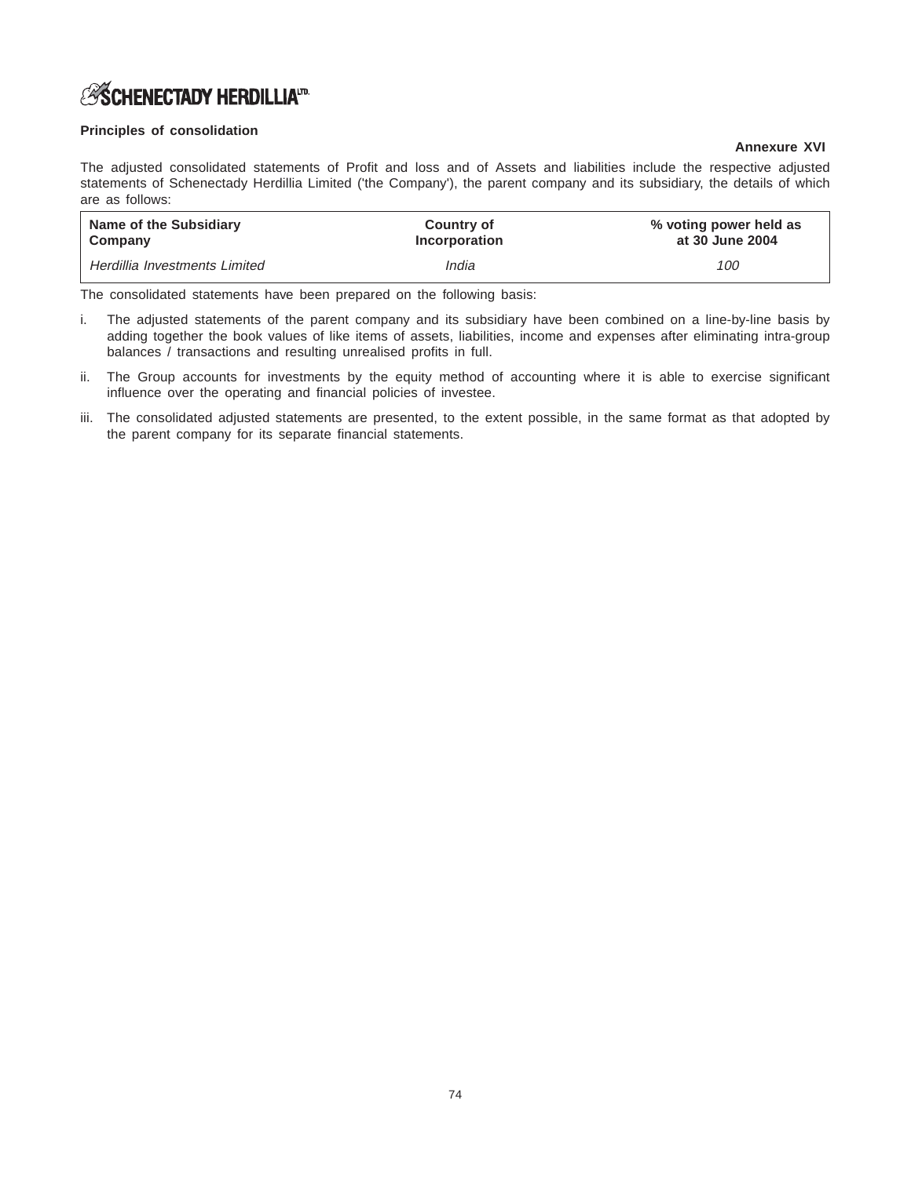# *S***SCHENECTADY HERDILLIA**<sup>ID</sup>

# **Principles of consolidation**

# **Annexure XVI**

The adjusted consolidated statements of Profit and loss and of Assets and liabilities include the respective adjusted statements of Schenectady Herdillia Limited ('the Company'), the parent company and its subsidiary, the details of which are as follows:

| Name of the Subsidiary        | Country of           | % voting power held as |
|-------------------------------|----------------------|------------------------|
| Company                       | <b>Incorporation</b> | at 30 June 2004        |
| Herdillia Investments Limited | India                | 100                    |

The consolidated statements have been prepared on the following basis:

- i. The adjusted statements of the parent company and its subsidiary have been combined on a line-by-line basis by adding together the book values of like items of assets, liabilities, income and expenses after eliminating intra-group balances / transactions and resulting unrealised profits in full.
- ii. The Group accounts for investments by the equity method of accounting where it is able to exercise significant influence over the operating and financial policies of investee.
- iii. The consolidated adjusted statements are presented, to the extent possible, in the same format as that adopted by the parent company for its separate financial statements.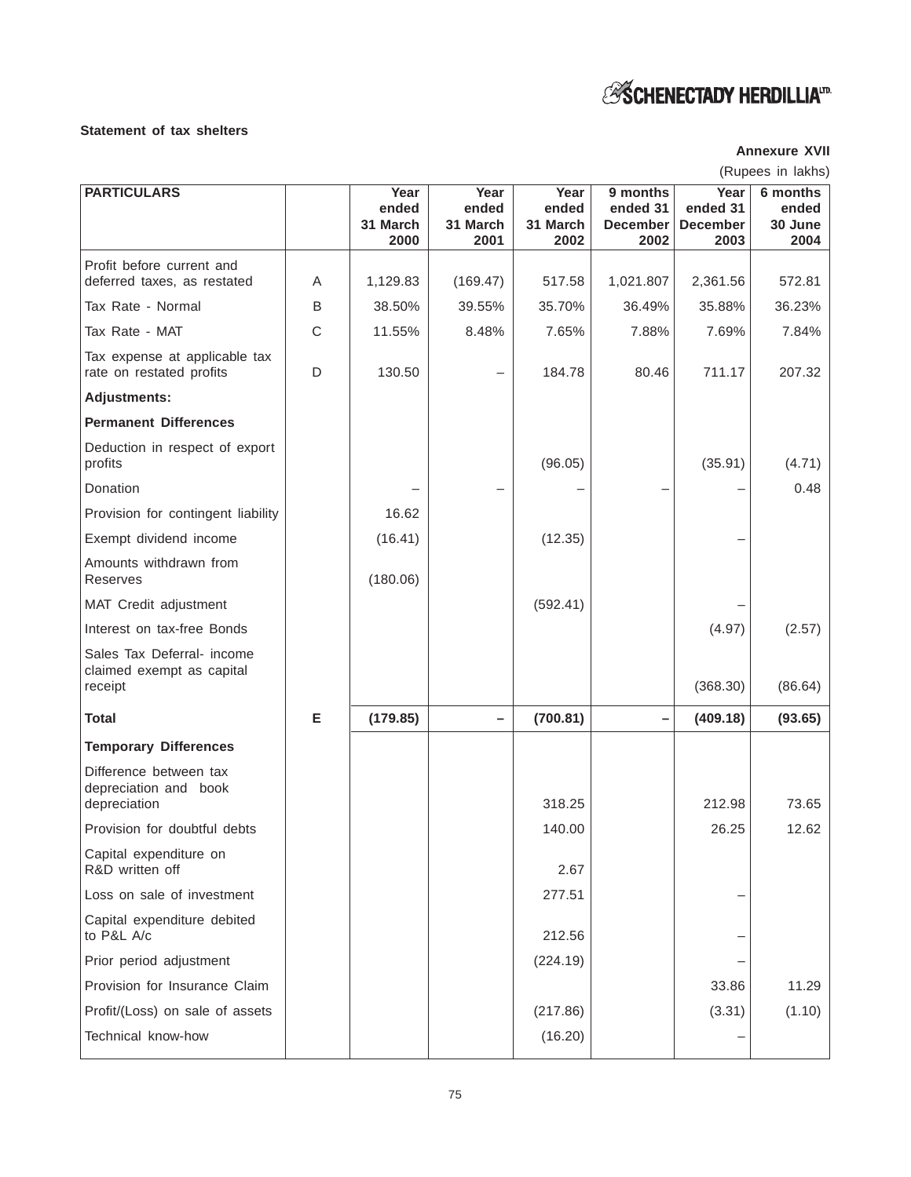# *ESCHENECTADY HERDILLIA<sup>ID</sup>*

# **Statement of tax shelters**

# **Annexure XVII**

| (Rupees in lakhs) |  |
|-------------------|--|
|                   |  |

| <b>PARTICULARS</b>                                                 |   | Year<br>ended    | Year<br>ended    | Year<br>ended    | 9 months<br>ended 31    | Year<br>ended 31        | 6 months<br>ended |
|--------------------------------------------------------------------|---|------------------|------------------|------------------|-------------------------|-------------------------|-------------------|
|                                                                    |   | 31 March<br>2000 | 31 March<br>2001 | 31 March<br>2002 | <b>December</b><br>2002 | <b>December</b><br>2003 | 30 June<br>2004   |
| Profit before current and                                          |   |                  |                  |                  |                         |                         |                   |
| deferred taxes, as restated                                        | A | 1,129.83         | (169.47)         | 517.58           | 1,021.807               | 2,361.56                | 572.81            |
| Tax Rate - Normal                                                  | B | 38.50%           | 39.55%           | 35.70%           | 36.49%                  | 35.88%                  | 36.23%            |
| Tax Rate - MAT                                                     | C | 11.55%           | 8.48%            | 7.65%            | 7.88%                   | 7.69%                   | 7.84%             |
| Tax expense at applicable tax<br>rate on restated profits          | D | 130.50           |                  | 184.78           | 80.46                   | 711.17                  | 207.32            |
| <b>Adjustments:</b>                                                |   |                  |                  |                  |                         |                         |                   |
| <b>Permanent Differences</b>                                       |   |                  |                  |                  |                         |                         |                   |
| Deduction in respect of export<br>profits                          |   |                  |                  | (96.05)          |                         | (35.91)                 | (4.71)            |
| Donation                                                           |   |                  |                  |                  |                         |                         | 0.48              |
| Provision for contingent liability                                 |   | 16.62            |                  |                  |                         |                         |                   |
| Exempt dividend income                                             |   | (16.41)          |                  | (12.35)          |                         |                         |                   |
| Amounts withdrawn from<br>Reserves                                 |   | (180.06)         |                  |                  |                         |                         |                   |
| MAT Credit adjustment                                              |   |                  |                  | (592.41)         |                         |                         |                   |
| Interest on tax-free Bonds                                         |   |                  |                  |                  |                         | (4.97)                  | (2.57)            |
| Sales Tax Deferral- income<br>claimed exempt as capital<br>receipt |   |                  |                  |                  |                         | (368.30)                | (86.64)           |
|                                                                    |   |                  |                  |                  |                         |                         |                   |
| <b>Total</b>                                                       | E | (179.85)         |                  | (700.81)         |                         | (409.18)                | (93.65)           |
| <b>Temporary Differences</b>                                       |   |                  |                  |                  |                         |                         |                   |
| Difference between tax<br>depreciation and book<br>depreciation    |   |                  |                  | 318.25           |                         | 212.98                  | 73.65             |
| Provision for doubtful debts                                       |   |                  |                  | 140.00           |                         | 26.25                   | 12.62             |
| Capital expenditure on<br>R&D written off                          |   |                  |                  | 2.67             |                         |                         |                   |
| Loss on sale of investment                                         |   |                  |                  | 277.51           |                         |                         |                   |
| Capital expenditure debited                                        |   |                  |                  |                  |                         |                         |                   |
| to P&L A/c                                                         |   |                  |                  | 212.56           |                         |                         |                   |
| Prior period adjustment                                            |   |                  |                  | (224.19)         |                         |                         |                   |
| Provision for Insurance Claim                                      |   |                  |                  |                  |                         | 33.86                   | 11.29             |
| Profit/(Loss) on sale of assets                                    |   |                  |                  | (217.86)         |                         | (3.31)                  | (1.10)            |
| Technical know-how                                                 |   |                  |                  | (16.20)          |                         |                         |                   |
|                                                                    |   |                  |                  |                  |                         |                         |                   |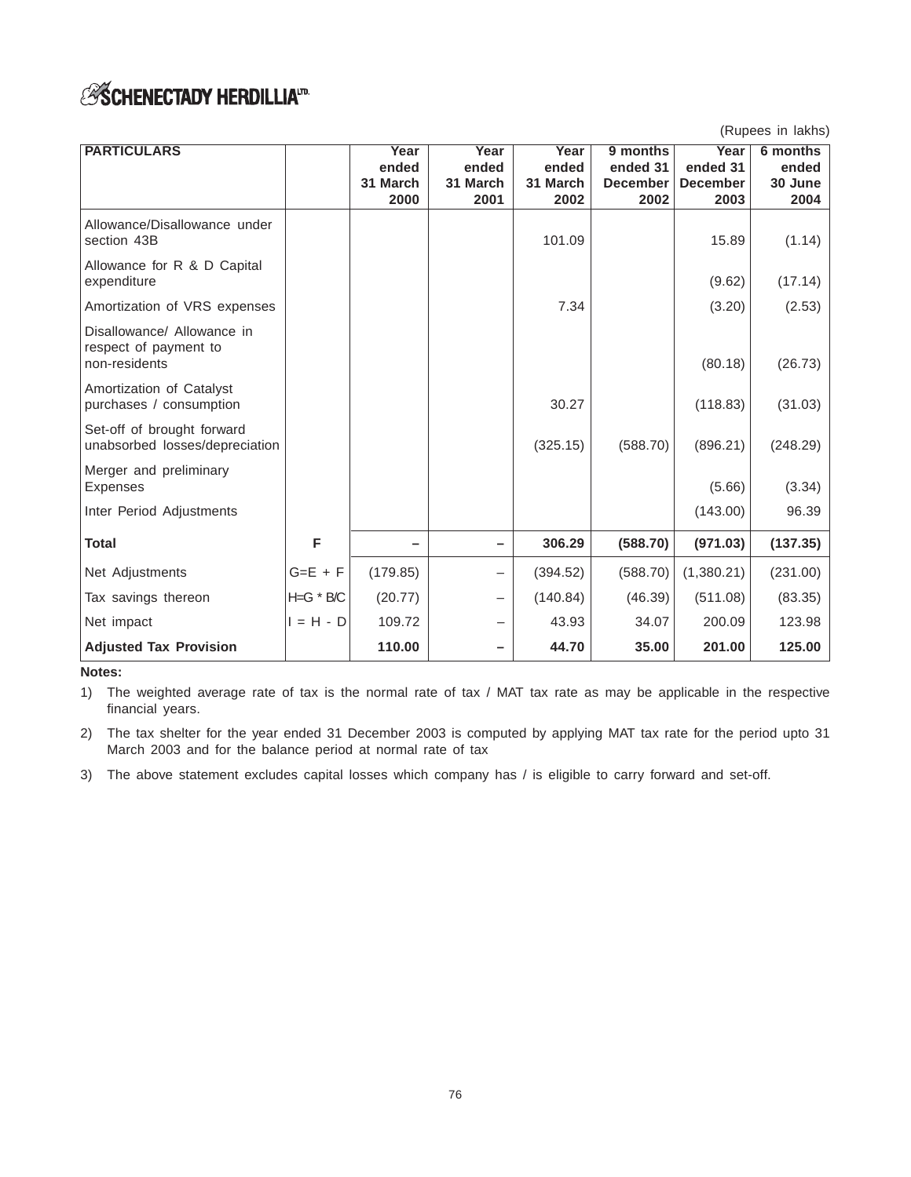# **ESCHENECTADY HERDILLIAID**

(Rupees in lakhs)

| <b>PARTICULARS</b>                                                   |           | Year     | Year     | Year     | 9 months        | Year            | 6 months |
|----------------------------------------------------------------------|-----------|----------|----------|----------|-----------------|-----------------|----------|
|                                                                      |           | ended    | ended    | ended    | ended 31        | ended 31        | ended    |
|                                                                      |           | 31 March | 31 March | 31 March | <b>December</b> | <b>December</b> | 30 June  |
|                                                                      |           | 2000     | 2001     | 2002     | 2002            | 2003            | 2004     |
| Allowance/Disallowance under<br>section 43B                          |           |          |          | 101.09   |                 | 15.89           | (1.14)   |
| Allowance for R & D Capital<br>expenditure                           |           |          |          |          |                 | (9.62)          | (17.14)  |
| Amortization of VRS expenses                                         |           |          |          | 7.34     |                 | (3.20)          | (2.53)   |
| Disallowance/ Allowance in<br>respect of payment to<br>non-residents |           |          |          |          |                 | (80.18)         | (26.73)  |
| Amortization of Catalyst<br>purchases / consumption                  |           |          |          | 30.27    |                 | (118.83)        | (31.03)  |
| Set-off of brought forward<br>unabsorbed losses/depreciation         |           |          |          | (325.15) | (588.70)        | (896.21)        | (248.29) |
| Merger and preliminary<br>Expenses                                   |           |          |          |          |                 | (5.66)          | (3.34)   |
| Inter Period Adjustments                                             |           |          |          |          |                 | (143.00)        | 96.39    |
| <b>Total</b>                                                         | F         |          | -        | 306.29   | (588.70)        | (971.03)        | (137.35) |
| Net Adjustments                                                      | $G=E + F$ | (179.85) | —        | (394.52) | (588.70)        | (1,380.21)      | (231.00) |
| Tax savings thereon                                                  | H=G * B/C | (20.77)  | —        | (140.84) | (46.39)         | (511.08)        | (83.35)  |
| Net impact                                                           | 1 = H - D | 109.72   | —        | 43.93    | 34.07           | 200.09          | 123.98   |
| <b>Adjusted Tax Provision</b>                                        |           | 110.00   |          | 44.70    | 35.00           | 201.00          | 125.00   |

#### **Notes:**

1) The weighted average rate of tax is the normal rate of tax / MAT tax rate as may be applicable in the respective financial years.

2) The tax shelter for the year ended 31 December 2003 is computed by applying MAT tax rate for the period upto 31 March 2003 and for the balance period at normal rate of tax

3) The above statement excludes capital losses which company has / is eligible to carry forward and set-off.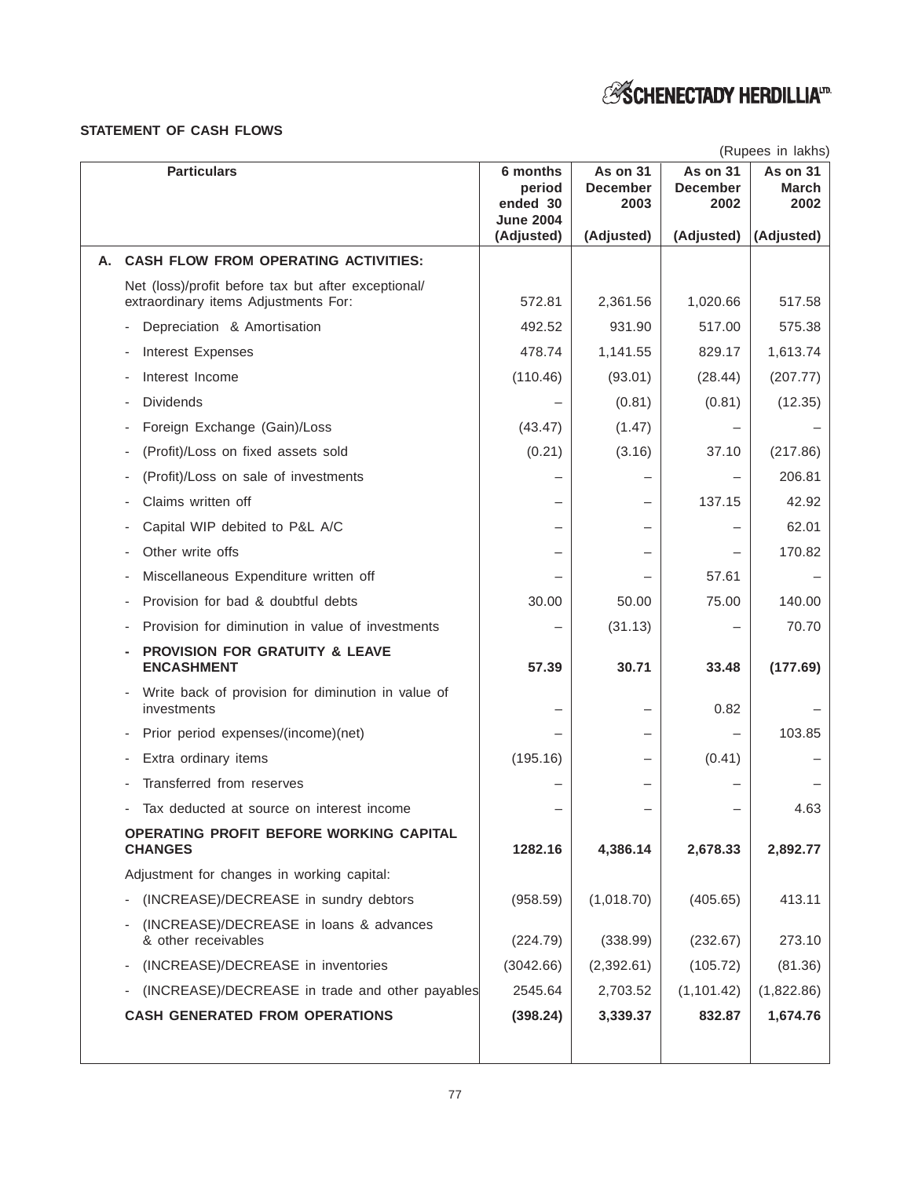# *ESCHENECTADY HERDILLIA<sup>ID</sup>*

### **STATEMENT OF CASH FLOWS**

|                                                                                             |                                                    |                                     |                                            | (Rupees in lakhs)                |
|---------------------------------------------------------------------------------------------|----------------------------------------------------|-------------------------------------|--------------------------------------------|----------------------------------|
| <b>Particulars</b>                                                                          | 6 months<br>period<br>ended 30<br><b>June 2004</b> | As on 31<br><b>December</b><br>2003 | <b>As on 31</b><br><b>December</b><br>2002 | As on 31<br><b>March</b><br>2002 |
|                                                                                             | (Adjusted)                                         | (Adjusted)                          | (Adjusted)                                 | (Adjusted)                       |
| <b>CASH FLOW FROM OPERATING ACTIVITIES:</b>                                                 |                                                    |                                     |                                            |                                  |
| Net (loss)/profit before tax but after exceptional/<br>extraordinary items Adjustments For: | 572.81                                             | 2,361.56                            | 1,020.66                                   | 517.58                           |
| Depreciation & Amortisation                                                                 | 492.52                                             | 931.90                              | 517.00                                     | 575.38                           |
| Interest Expenses                                                                           | 478.74                                             | 1,141.55                            | 829.17                                     | 1,613.74                         |
| Interest Income                                                                             | (110.46)                                           | (93.01)                             | (28.44)                                    | (207.77)                         |
| <b>Dividends</b>                                                                            |                                                    | (0.81)                              | (0.81)                                     | (12.35)                          |
| Foreign Exchange (Gain)/Loss                                                                | (43.47)                                            | (1.47)                              |                                            |                                  |
| (Profit)/Loss on fixed assets sold                                                          | (0.21)                                             | (3.16)                              | 37.10                                      | (217.86)                         |
| (Profit)/Loss on sale of investments                                                        |                                                    |                                     |                                            | 206.81                           |
| Claims written off                                                                          |                                                    |                                     | 137.15                                     | 42.92                            |
| Capital WIP debited to P&L A/C                                                              |                                                    |                                     |                                            | 62.01                            |
| Other write offs                                                                            |                                                    |                                     |                                            | 170.82                           |
| Miscellaneous Expenditure written off                                                       |                                                    |                                     | 57.61                                      |                                  |
| Provision for bad & doubtful debts                                                          | 30.00                                              | 50.00                               | 75.00                                      | 140.00                           |
| Provision for diminution in value of investments                                            |                                                    | (31.13)                             |                                            | 70.70                            |
| PROVISION FOR GRATUITY & LEAVE<br><b>ENCASHMENT</b>                                         | 57.39                                              | 30.71                               | 33.48                                      | (177.69)                         |
| Write back of provision for diminution in value of<br>investments                           |                                                    |                                     | 0.82                                       |                                  |
| Prior period expenses/(income)(net)                                                         |                                                    |                                     |                                            | 103.85                           |
| Extra ordinary items                                                                        | (195.16)                                           |                                     | (0.41)                                     |                                  |
| Transferred from reserves                                                                   |                                                    |                                     |                                            |                                  |
| Tax deducted at source on interest income                                                   |                                                    |                                     |                                            | 4.63                             |
| OPERATING PROFIT BEFORE WORKING CAPITAL<br><b>CHANGES</b>                                   | 1282.16                                            | 4,386.14                            | 2,678.33                                   | 2,892.77                         |
| Adjustment for changes in working capital:                                                  |                                                    |                                     |                                            |                                  |
| (INCREASE)/DECREASE in sundry debtors                                                       | (958.59)                                           | (1,018.70)                          | (405.65)                                   | 413.11                           |
| (INCREASE)/DECREASE in loans & advances<br>& other receivables                              | (224.79)                                           | (338.99)                            | (232.67)                                   | 273.10                           |
| (INCREASE)/DECREASE in inventories                                                          | (3042.66)                                          | (2,392.61)                          | (105.72)                                   | (81.36)                          |
| (INCREASE)/DECREASE in trade and other payables                                             | 2545.64                                            | 2,703.52                            | (1, 101.42)                                | (1,822.86)                       |
| <b>CASH GENERATED FROM OPERATIONS</b>                                                       | (398.24)                                           | 3,339.37                            | 832.87                                     | 1,674.76                         |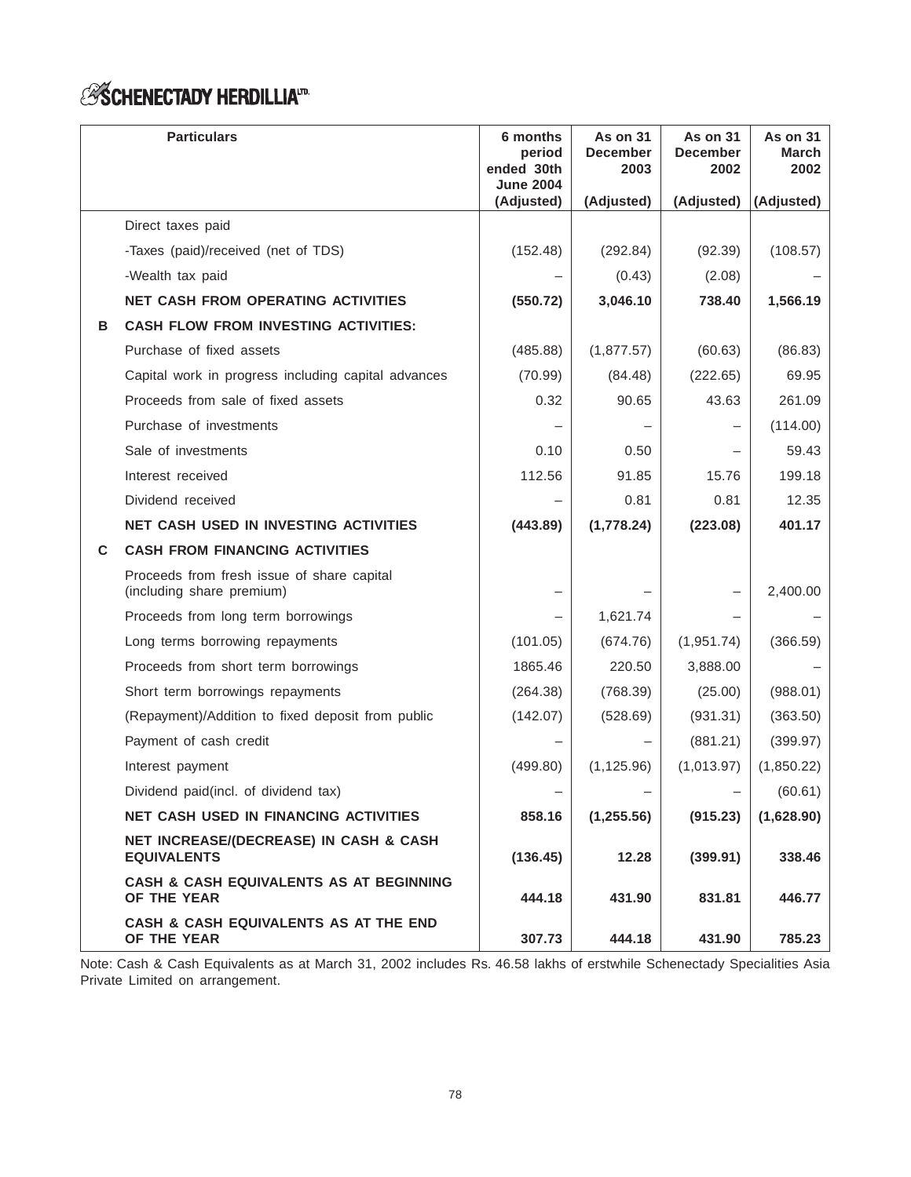# *ESCHENECTADY HERDILLIA<sup>ID</sup>*

|   | <b>Particulars</b>                                                      | 6 months<br>period<br>ended 30th<br><b>June 2004</b> | As on 31<br><b>December</b><br>2003 | As on 31<br><b>December</b><br>2002 | <b>As on 31</b><br><b>March</b><br>2002 |
|---|-------------------------------------------------------------------------|------------------------------------------------------|-------------------------------------|-------------------------------------|-----------------------------------------|
|   |                                                                         | (Adjusted)                                           | (Adjusted)                          | (Adjusted)                          | (Adjusted)                              |
|   | Direct taxes paid                                                       |                                                      |                                     |                                     |                                         |
|   | -Taxes (paid)/received (net of TDS)                                     | (152.48)                                             | (292.84)                            | (92.39)                             | (108.57)                                |
|   | -Wealth tax paid                                                        |                                                      | (0.43)                              | (2.08)                              |                                         |
|   | <b>NET CASH FROM OPERATING ACTIVITIES</b>                               | (550.72)                                             | 3,046.10                            | 738.40                              | 1,566.19                                |
| в | <b>CASH FLOW FROM INVESTING ACTIVITIES:</b>                             |                                                      |                                     |                                     |                                         |
|   | Purchase of fixed assets                                                | (485.88)                                             | (1,877.57)                          | (60.63)                             | (86.83)                                 |
|   | Capital work in progress including capital advances                     | (70.99)                                              | (84.48)                             | (222.65)                            | 69.95                                   |
|   | Proceeds from sale of fixed assets                                      | 0.32                                                 | 90.65                               | 43.63                               | 261.09                                  |
|   | Purchase of investments                                                 |                                                      |                                     |                                     | (114.00)                                |
|   | Sale of investments                                                     | 0.10                                                 | 0.50                                |                                     | 59.43                                   |
|   | Interest received                                                       | 112.56                                               | 91.85                               | 15.76                               | 199.18                                  |
|   | Dividend received                                                       |                                                      | 0.81                                | 0.81                                | 12.35                                   |
|   | <b>NET CASH USED IN INVESTING ACTIVITIES</b>                            | (443.89)                                             | (1,778.24)                          | (223.08)                            | 401.17                                  |
| C | <b>CASH FROM FINANCING ACTIVITIES</b>                                   |                                                      |                                     |                                     |                                         |
|   | Proceeds from fresh issue of share capital<br>(including share premium) |                                                      |                                     |                                     | 2,400.00                                |
|   | Proceeds from long term borrowings                                      |                                                      | 1,621.74                            |                                     |                                         |
|   | Long terms borrowing repayments                                         | (101.05)                                             | (674.76)                            | (1,951.74)                          | (366.59)                                |
|   | Proceeds from short term borrowings                                     | 1865.46                                              | 220.50                              | 3,888.00                            |                                         |
|   | Short term borrowings repayments                                        | (264.38)                                             | (768.39)                            | (25.00)                             | (988.01)                                |
|   | (Repayment)/Addition to fixed deposit from public                       | (142.07)                                             | (528.69)                            | (931.31)                            | (363.50)                                |
|   | Payment of cash credit                                                  |                                                      |                                     | (881.21)                            | (399.97)                                |
|   | Interest payment                                                        | (499.80)                                             | (1, 125.96)                         | (1,013.97)                          | (1,850.22)                              |
|   | Dividend paid(incl. of dividend tax)                                    |                                                      |                                     |                                     | (60.61)                                 |
|   | <b>NET CASH USED IN FINANCING ACTIVITIES</b>                            | 858.16                                               | (1, 255.56)                         | (915.23)                            | (1,628.90)                              |
|   | NET INCREASE/(DECREASE) IN CASH & CASH<br><b>EQUIVALENTS</b>            | (136.45)                                             | 12.28                               | (399.91)                            | 338.46                                  |
|   | <b>CASH &amp; CASH EQUIVALENTS AS AT BEGINNING</b><br>OF THE YEAR       | 444.18                                               | 431.90                              | 831.81                              | 446.77                                  |
|   | CASH & CASH EQUIVALENTS AS AT THE END<br>OF THE YEAR                    | 307.73                                               | 444.18                              | 431.90                              | 785.23                                  |

Note: Cash & Cash Equivalents as at March 31, 2002 includes Rs. 46.58 lakhs of erstwhile Schenectady Specialities Asia Private Limited on arrangement.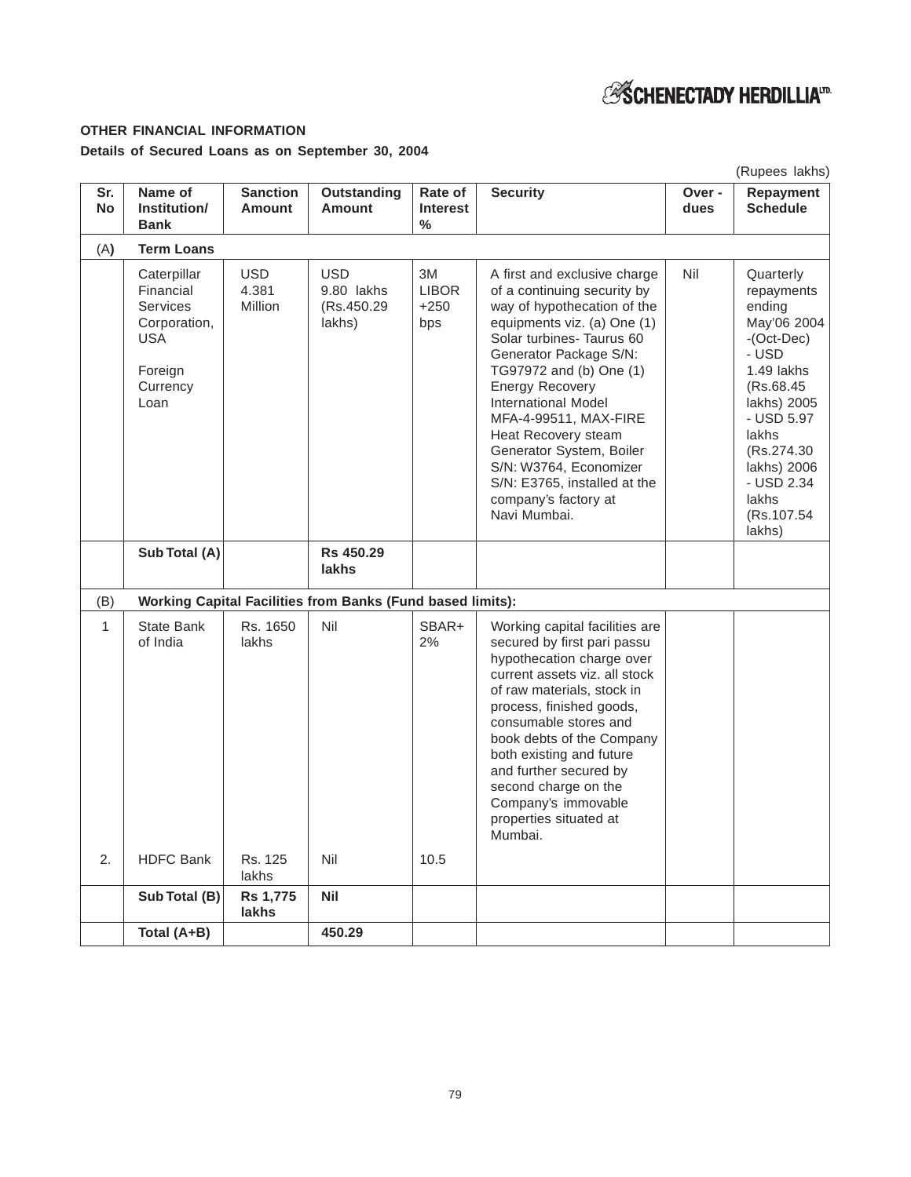# **ESCHENECTADY HERDILLIATD**

# **OTHER FINANCIAL INFORMATION**

# **Details of Secured Loans as on September 30, 2004**

|                  |                                                                                                          |                                  |                                                                   |                                             |                                                                                                                                                                                                                                                                                                                                                                                                                                                   |               | (Rupees lakhs)                                                                                                                                                                                                           |
|------------------|----------------------------------------------------------------------------------------------------------|----------------------------------|-------------------------------------------------------------------|---------------------------------------------|---------------------------------------------------------------------------------------------------------------------------------------------------------------------------------------------------------------------------------------------------------------------------------------------------------------------------------------------------------------------------------------------------------------------------------------------------|---------------|--------------------------------------------------------------------------------------------------------------------------------------------------------------------------------------------------------------------------|
| Sr.<br><b>No</b> | Name of<br>Institution/<br><b>Bank</b>                                                                   | <b>Sanction</b><br><b>Amount</b> | <b>Outstanding</b><br><b>Amount</b>                               | Rate of<br><b>Interest</b><br>$\frac{0}{0}$ | <b>Security</b>                                                                                                                                                                                                                                                                                                                                                                                                                                   | Over-<br>dues | Repayment<br><b>Schedule</b>                                                                                                                                                                                             |
| (A)              | <b>Term Loans</b>                                                                                        |                                  |                                                                   |                                             |                                                                                                                                                                                                                                                                                                                                                                                                                                                   |               |                                                                                                                                                                                                                          |
|                  | Caterpillar<br>Financial<br><b>Services</b><br>Corporation,<br><b>USA</b><br>Foreign<br>Currency<br>Loan | USD.<br>4.381<br><b>Million</b>  | <b>USD</b><br>9.80 lakhs<br>(Rs.450.29)<br>lakhs)                 | 3M<br><b>LIBOR</b><br>$+250$<br>bps         | A first and exclusive charge<br>of a continuing security by<br>way of hypothecation of the<br>equipments viz. (a) One (1)<br>Solar turbines- Taurus 60<br>Generator Package S/N:<br>TG97972 and (b) One (1)<br><b>Energy Recovery</b><br><b>International Model</b><br>MFA-4-99511, MAX-FIRE<br>Heat Recovery steam<br>Generator System, Boiler<br>S/N: W3764, Economizer<br>S/N: E3765, installed at the<br>company's factory at<br>Navi Mumbai. | Nil           | Quarterly<br>repayments<br>ending<br>May'06 2004<br>$-(Oct-Dec)$<br>- USD<br>1.49 lakhs<br>(Rs.68.45)<br>lakhs) 2005<br>- USD 5.97<br>lakhs<br>(Rs.274.30)<br>lakhs) 2006<br>- USD 2.34<br>lakhs<br>(Rs.107.54<br>lakhs) |
|                  | Sub Total (A)                                                                                            |                                  | <b>Rs 450.29</b><br>lakhs                                         |                                             |                                                                                                                                                                                                                                                                                                                                                                                                                                                   |               |                                                                                                                                                                                                                          |
| (B)              |                                                                                                          |                                  | <b>Working Capital Facilities from Banks (Fund based limits):</b> |                                             |                                                                                                                                                                                                                                                                                                                                                                                                                                                   |               |                                                                                                                                                                                                                          |
| 1                | <b>State Bank</b><br>of India                                                                            | Rs. 1650<br>lakhs                | Nil                                                               | SBAR+<br>2%                                 | Working capital facilities are<br>secured by first pari passu<br>hypothecation charge over<br>current assets viz. all stock<br>of raw materials, stock in<br>process, finished goods,<br>consumable stores and<br>book debts of the Company<br>both existing and future<br>and further secured by<br>second charge on the<br>Company's immovable<br>properties situated at<br>Mumbai.                                                             |               |                                                                                                                                                                                                                          |
| 2.               | <b>HDFC Bank</b>                                                                                         | Rs. 125<br>lakhs                 | Nil                                                               | 10.5                                        |                                                                                                                                                                                                                                                                                                                                                                                                                                                   |               |                                                                                                                                                                                                                          |
|                  | Sub Total (B)                                                                                            | <b>Rs 1,775</b><br>lakhs         | <b>Nil</b>                                                        |                                             |                                                                                                                                                                                                                                                                                                                                                                                                                                                   |               |                                                                                                                                                                                                                          |
|                  | Total (A+B)                                                                                              |                                  | 450.29                                                            |                                             |                                                                                                                                                                                                                                                                                                                                                                                                                                                   |               |                                                                                                                                                                                                                          |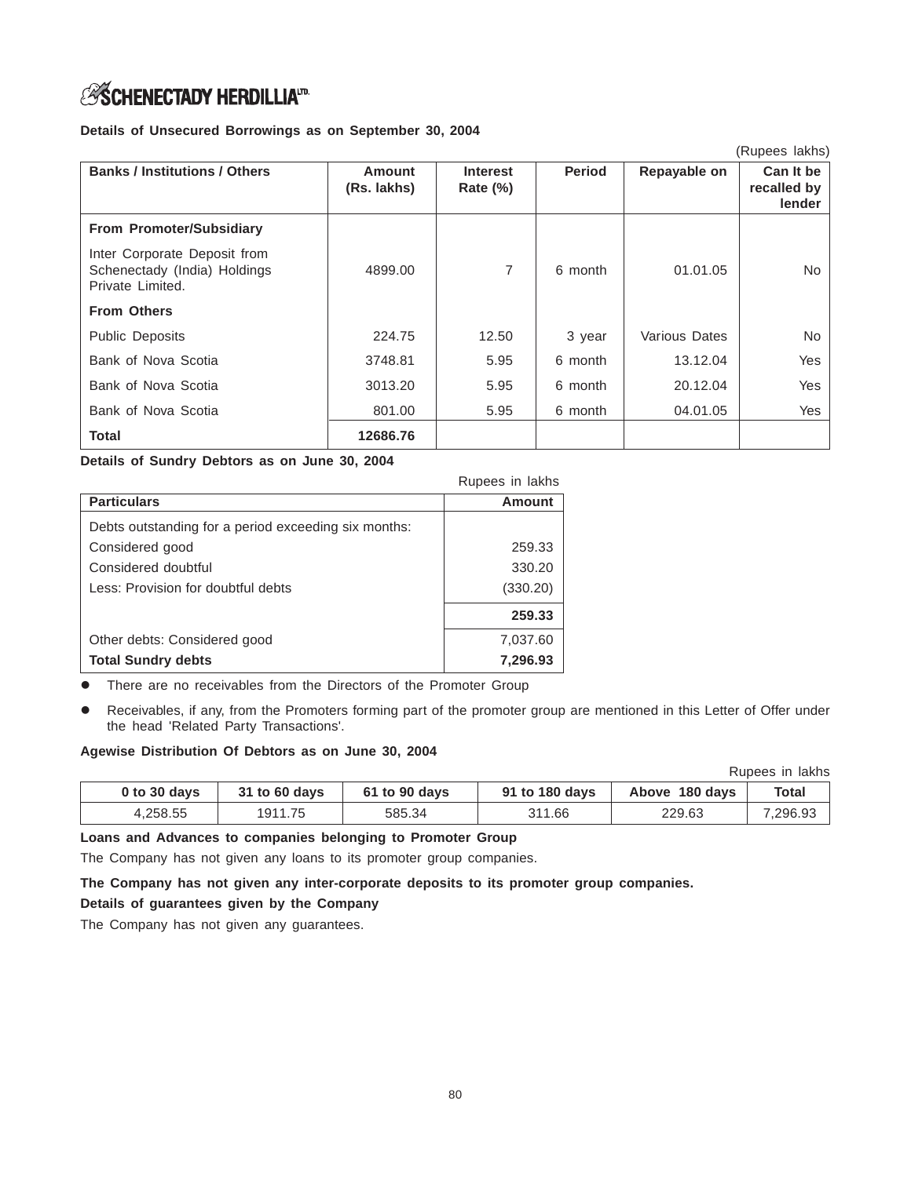# **ESCHENECTADY HERDILLIAID**

### **Details of Unsecured Borrowings as on September 30, 2004**

|                                                                                  |                              |                                |               |               | (Rupees lakhs)                     |
|----------------------------------------------------------------------------------|------------------------------|--------------------------------|---------------|---------------|------------------------------------|
| <b>Banks / Institutions / Others</b>                                             | <b>Amount</b><br>(Rs. lakhs) | <b>Interest</b><br>Rate $(\%)$ | <b>Period</b> | Repayable on  | Can It be<br>recalled by<br>lender |
| <b>From Promoter/Subsidiary</b>                                                  |                              |                                |               |               |                                    |
| Inter Corporate Deposit from<br>Schenectady (India) Holdings<br>Private Limited. | 4899.00                      | 7                              | 6 month       | 01.01.05      | No.                                |
| <b>From Others</b>                                                               |                              |                                |               |               |                                    |
| <b>Public Deposits</b>                                                           | 224.75                       | 12.50                          | 3 year        | Various Dates | No                                 |
| Bank of Nova Scotia                                                              | 3748.81                      | 5.95                           | 6 month       | 13.12.04      | Yes                                |
| Bank of Nova Scotia                                                              | 3013.20                      | 5.95                           | 6 month       | 20.12.04      | Yes                                |
| Bank of Nova Scotia                                                              | 801.00                       | 5.95                           | 6 month       | 04.01.05      | Yes                                |
| <b>Total</b>                                                                     | 12686.76                     |                                |               |               |                                    |

**Details of Sundry Debtors as on June 30, 2004**

|                                                      | Rupees in lakhs |
|------------------------------------------------------|-----------------|
| <b>Particulars</b>                                   | Amount          |
| Debts outstanding for a period exceeding six months: |                 |
| Considered good                                      | 259.33          |
| Considered doubtful                                  | 330.20          |
| Less: Provision for doubtful debts                   | (330.20)        |
|                                                      | 259.33          |
| Other debts: Considered good                         | 7,037.60        |
| <b>Total Sundry debts</b>                            | 7,296.93        |

There are no receivables from the Directors of the Promoter Group

 Receivables, if any, from the Promoters forming part of the promoter group are mentioned in this Letter of Offer under the head 'Related Party Transactions'.

# **Agewise Distribution Of Debtors as on June 30, 2004**

|              |               |               |                |                | Rupees in lakhs |
|--------------|---------------|---------------|----------------|----------------|-----------------|
| 0 to 30 days | 31 to 60 days | 61 to 90 days | 91 to 180 days | Above 180 days | Total           |
| 4,258.55     | 1911.75       | 585.34        | 311.66         | 229.63         | 7,296.93        |

# **Loans and Advances to companies belonging to Promoter Group**

The Company has not given any loans to its promoter group companies.

**The Company has not given any inter-corporate deposits to its promoter group companies.**

**Details of guarantees given by the Company**

The Company has not given any guarantees.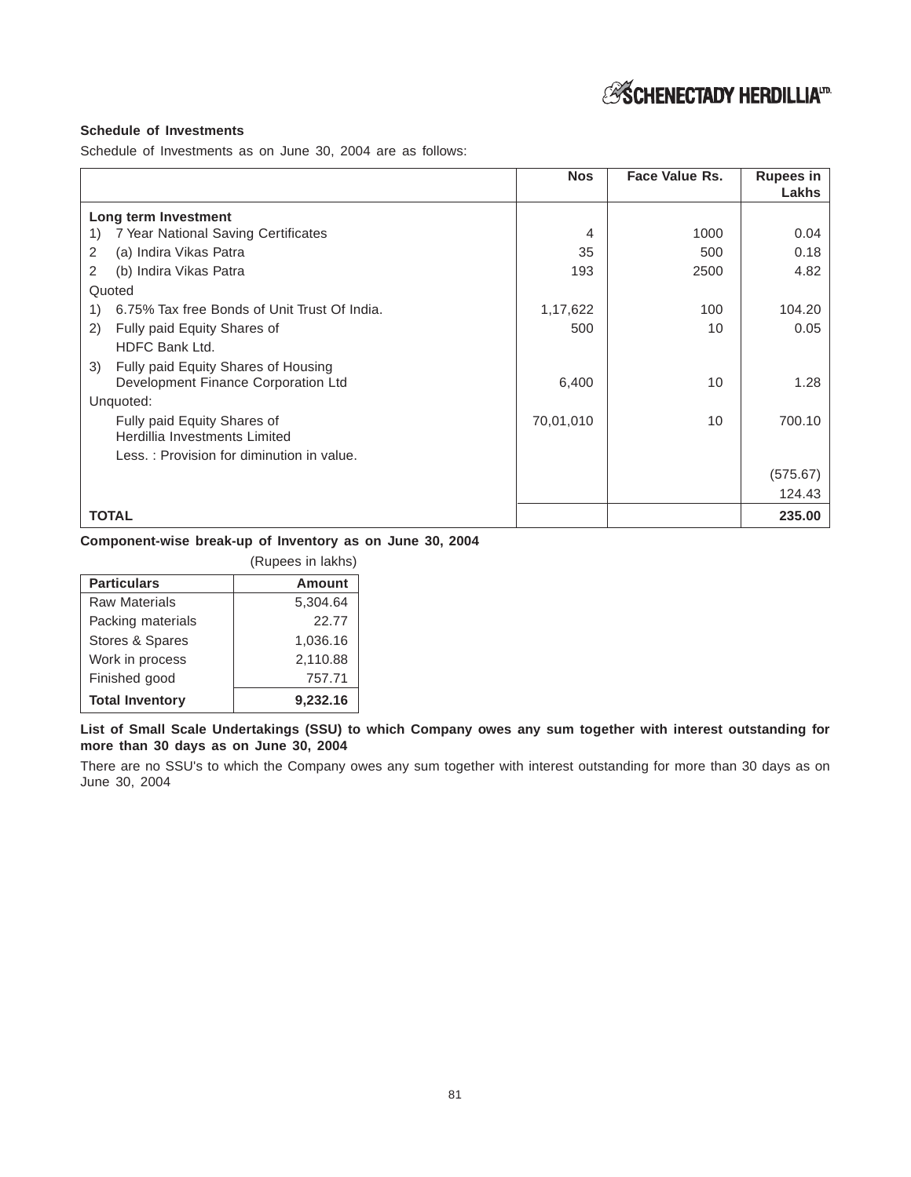# *ASCHENECTADY HERDILLIA*<sup>17</sup>

# **Schedule of Investments**

Schedule of Investments as on June 30, 2004 are as follows:

|     |                                              | <b>Nos</b> | Face Value Rs. | Rupees in<br>Lakhs |
|-----|----------------------------------------------|------------|----------------|--------------------|
|     | Long term Investment                         |            |                |                    |
| 1)  | 7 Year National Saving Certificates          | 4          | 1000           | 0.04               |
| 2   | (a) Indira Vikas Patra                       | 35         | 500            | 0.18               |
| 2   | (b) Indira Vikas Patra                       | 193        | 2500           | 4.82               |
|     | Quoted                                       |            |                |                    |
| 1)  | 6.75% Tax free Bonds of Unit Trust Of India. | 1,17,622   | 100            | 104.20             |
| (2) | Fully paid Equity Shares of                  | 500        | 10             | 0.05               |
|     | HDFC Bank Ltd.                               |            |                |                    |
| 3)  | Fully paid Equity Shares of Housing          |            |                |                    |
|     | Development Finance Corporation Ltd          | 6,400      | 10             | 1.28               |
|     | Unquoted:                                    |            |                |                    |
|     | Fully paid Equity Shares of                  | 70,01,010  | 10             | 700.10             |
|     | Herdillia Investments Limited                |            |                |                    |
|     | Less.: Provision for diminution in value.    |            |                |                    |
|     |                                              |            |                | (575.67)           |
|     |                                              |            |                | 124.43             |
|     | <b>TOTAL</b>                                 |            |                | 235.00             |

# **Component-wise break-up of Inventory as on June 30, 2004**

|                        | (Rupees in lakhs) |
|------------------------|-------------------|
| <b>Particulars</b>     | <b>Amount</b>     |
| Raw Materials          | 5,304.64          |
| Packing materials      | 22.77             |
| Stores & Spares        | 1,036.16          |
| Work in process        | 2,110.88          |
| Finished good          | 757.71            |
| <b>Total Inventory</b> | 9,232.16          |

**List of Small Scale Undertakings (SSU) to which Company owes any sum together with interest outstanding for more than 30 days as on June 30, 2004**

There are no SSU's to which the Company owes any sum together with interest outstanding for more than 30 days as on June 30, 2004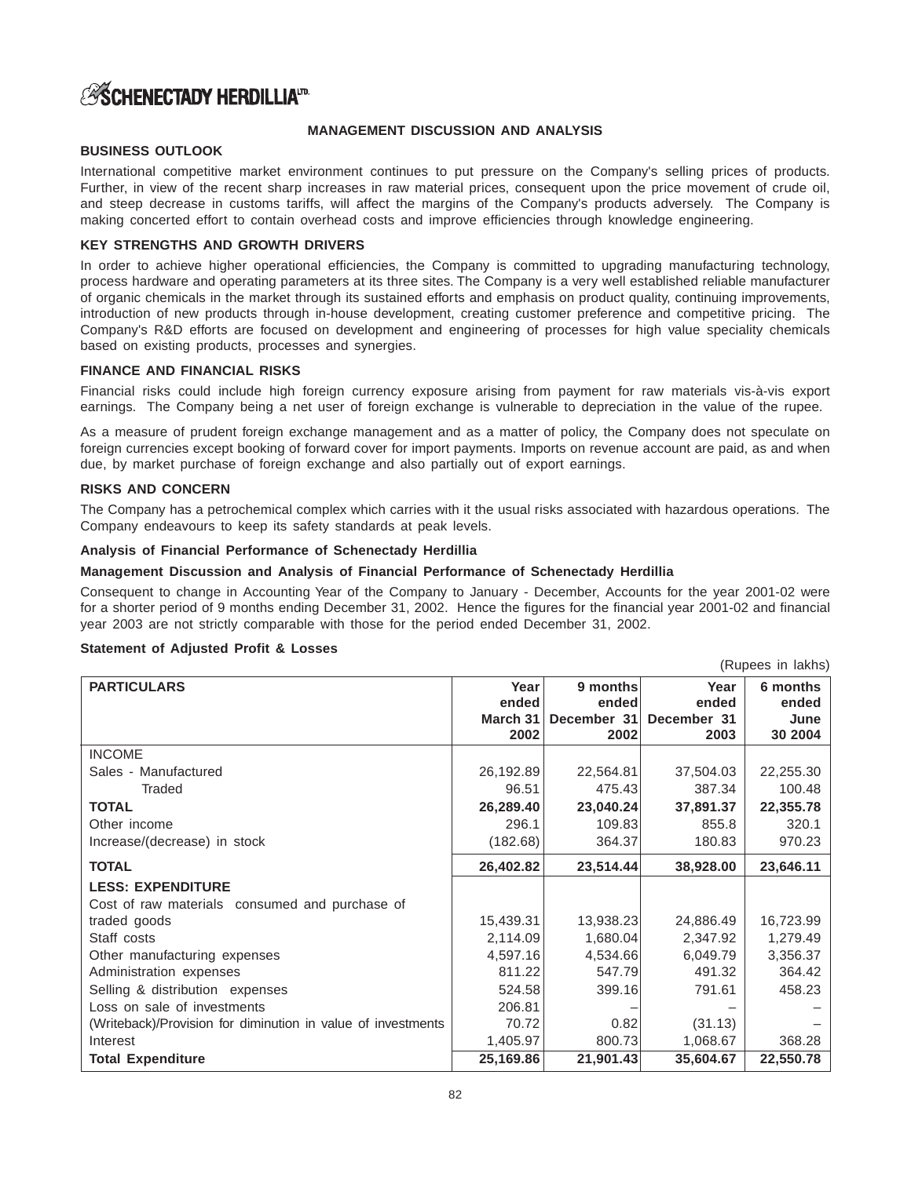# **ASCHENECTADY HERDILLIAID.**

### **MANAGEMENT DISCUSSION AND ANALYSIS**

# **BUSINESS OUTLOOK**

International competitive market environment continues to put pressure on the Company's selling prices of products. Further, in view of the recent sharp increases in raw material prices, consequent upon the price movement of crude oil, and steep decrease in customs tariffs, will affect the margins of the Company's products adversely. The Company is making concerted effort to contain overhead costs and improve efficiencies through knowledge engineering.

# **KEY STRENGTHS AND GROWTH DRIVERS**

In order to achieve higher operational efficiencies, the Company is committed to upgrading manufacturing technology, process hardware and operating parameters at its three sites. The Company is a very well established reliable manufacturer of organic chemicals in the market through its sustained efforts and emphasis on product quality, continuing improvements, introduction of new products through in-house development, creating customer preference and competitive pricing. The Company's R&D efforts are focused on development and engineering of processes for high value speciality chemicals based on existing products, processes and synergies.

### **FINANCE AND FINANCIAL RISKS**

Financial risks could include high foreign currency exposure arising from payment for raw materials vis-à-vis export earnings. The Company being a net user of foreign exchange is vulnerable to depreciation in the value of the rupee.

As a measure of prudent foreign exchange management and as a matter of policy, the Company does not speculate on foreign currencies except booking of forward cover for import payments. Imports on revenue account are paid, as and when due, by market purchase of foreign exchange and also partially out of export earnings.

### **RISKS AND CONCERN**

The Company has a petrochemical complex which carries with it the usual risks associated with hazardous operations. The Company endeavours to keep its safety standards at peak levels.

#### **Analysis of Financial Performance of Schenectady Herdillia**

#### **Management Discussion and Analysis of Financial Performance of Schenectady Herdillia**

Consequent to change in Accounting Year of the Company to January - December, Accounts for the year 2001-02 were for a shorter period of 9 months ending December 31, 2002. Hence the figures for the financial year 2001-02 and financial year 2003 are not strictly comparable with those for the period ended December 31, 2002.

(Rupees in lakhs)

#### **Statement of Adjusted Profit & Losses**

|                                                              |               |                   |               | (110)             |
|--------------------------------------------------------------|---------------|-------------------|---------------|-------------------|
| <b>PARTICULARS</b>                                           | Year<br>ended | 9 months<br>ended | Year<br>ended | 6 months<br>ended |
|                                                              | March 31      | December 31       | December 31   | June              |
|                                                              | 2002          | 2002              | 2003          | 30 2004           |
| <b>INCOME</b>                                                |               |                   |               |                   |
| Sales - Manufactured                                         | 26,192.89     | 22,564.81         | 37,504.03     | 22,255.30         |
| <b>Traded</b>                                                | 96.51         | 475.43            | 387.34        | 100.48            |
| <b>TOTAL</b>                                                 | 26,289.40     | 23,040.24         | 37,891.37     | 22,355.78         |
| Other income                                                 | 296.1         | 109.83            | 855.8         | 320.1             |
| Increase/(decrease) in stock                                 | (182.68)      | 364.37            | 180.83        | 970.23            |
| <b>TOTAL</b>                                                 | 26,402.82     | 23,514.44         | 38,928.00     | 23,646.11         |
| <b>LESS: EXPENDITURE</b>                                     |               |                   |               |                   |
| Cost of raw materials consumed and purchase of               |               |                   |               |                   |
| traded goods                                                 | 15,439.31     | 13,938.23         | 24,886.49     | 16,723.99         |
| Staff costs                                                  | 2,114.09      | 1,680.04          | 2,347.92      | 1,279.49          |
| Other manufacturing expenses                                 | 4,597.16      | 4,534.66          | 6,049.79      | 3,356.37          |
| Administration expenses                                      | 811.22        | 547.79            | 491.32        | 364.42            |
| Selling & distribution expenses                              | 524.58        | 399.16            | 791.61        | 458.23            |
| Loss on sale of investments                                  | 206.81        |                   |               |                   |
| (Writeback)/Provision for diminution in value of investments | 70.72         | 0.82              | (31.13)       |                   |
| Interest                                                     | 1,405.97      | 800.73            | 1,068.67      | 368.28            |
| <b>Total Expenditure</b>                                     | 25,169.86     | 21,901.43         | 35,604.67     | 22,550.78         |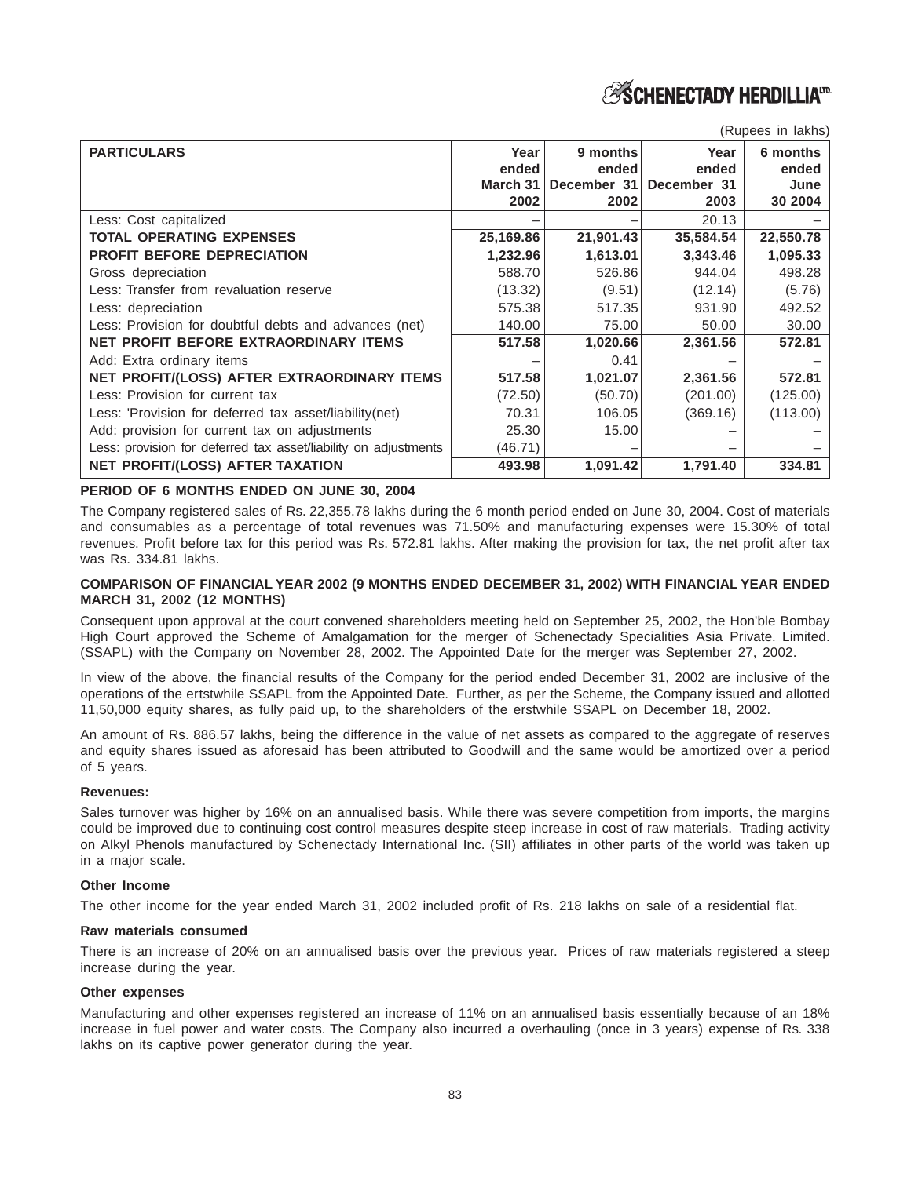**ASCHENECTADY HERDILLIATE** 

| (Rupees in lakhs) |  |
|-------------------|--|
|                   |  |

| <b>PARTICULARS</b>                                              | Year<br>ended<br>March 31<br>2002 | 9 months<br>ended<br>December 31<br>2002 | Year<br>ended<br>December 31<br>2003 | 6 months<br>ended<br>June<br>30 2004 |
|-----------------------------------------------------------------|-----------------------------------|------------------------------------------|--------------------------------------|--------------------------------------|
| Less: Cost capitalized                                          |                                   |                                          | 20.13                                |                                      |
| <b>TOTAL OPERATING EXPENSES</b>                                 | 25,169.86                         | 21,901.43                                | 35,584.54                            | 22,550.78                            |
| <b>PROFIT BEFORE DEPRECIATION</b>                               | 1,232.96                          | 1,613.01                                 | 3,343.46                             | 1,095.33                             |
| Gross depreciation                                              | 588.70                            | 526.86                                   | 944.04                               | 498.28                               |
| Less: Transfer from revaluation reserve                         | (13.32)                           | (9.51)                                   | (12.14)                              | (5.76)                               |
| Less: depreciation                                              | 575.38                            | 517.35                                   | 931.90                               | 492.52                               |
| Less: Provision for doubtful debts and advances (net)           | 140.00                            | 75.00                                    | 50.00                                | 30.00                                |
| <b>NET PROFIT BEFORE EXTRAORDINARY ITEMS</b>                    | 517.58                            | 1,020.66                                 | 2,361.56                             | 572.81                               |
| Add: Extra ordinary items                                       |                                   | 0.41                                     |                                      |                                      |
| NET PROFIT/(LOSS) AFTER EXTRAORDINARY ITEMS                     | 517.58                            | 1,021.07                                 | 2,361.56                             | 572.81                               |
| Less: Provision for current tax                                 | (72.50)                           | (50.70)                                  | (201.00)                             | (125.00)                             |
| Less: 'Provision for deferred tax asset/liability(net)          | 70.31                             | 106.05                                   | (369.16)                             | (113.00)                             |
| Add: provision for current tax on adjustments                   | 25.30                             | 15.00                                    |                                      |                                      |
| Less: provision for deferred tax asset/liability on adjustments | (46.71)                           |                                          |                                      |                                      |
| <b>NET PROFIT/(LOSS) AFTER TAXATION</b>                         | 493.98                            | 1,091.42                                 | 1,791.40                             | 334.81                               |

**PERIOD OF 6 MONTHS ENDED ON JUNE 30, 2004**

The Company registered sales of Rs. 22,355.78 lakhs during the 6 month period ended on June 30, 2004. Cost of materials and consumables as a percentage of total revenues was 71.50% and manufacturing expenses were 15.30% of total revenues. Profit before tax for this period was Rs. 572.81 lakhs. After making the provision for tax, the net profit after tax was Rs. 334.81 lakhs.

#### **COMPARISON OF FINANCIAL YEAR 2002 (9 MONTHS ENDED DECEMBER 31, 2002) WITH FINANCIAL YEAR ENDED MARCH 31, 2002 (12 MONTHS)**

Consequent upon approval at the court convened shareholders meeting held on September 25, 2002, the Hon'ble Bombay High Court approved the Scheme of Amalgamation for the merger of Schenectady Specialities Asia Private. Limited. (SSAPL) with the Company on November 28, 2002. The Appointed Date for the merger was September 27, 2002.

In view of the above, the financial results of the Company for the period ended December 31, 2002 are inclusive of the operations of the ertstwhile SSAPL from the Appointed Date. Further, as per the Scheme, the Company issued and allotted 11,50,000 equity shares, as fully paid up, to the shareholders of the erstwhile SSAPL on December 18, 2002.

An amount of Rs. 886.57 lakhs, being the difference in the value of net assets as compared to the aggregate of reserves and equity shares issued as aforesaid has been attributed to Goodwill and the same would be amortized over a period of 5 years.

#### **Revenues:**

Sales turnover was higher by 16% on an annualised basis. While there was severe competition from imports, the margins could be improved due to continuing cost control measures despite steep increase in cost of raw materials. Trading activity on Alkyl Phenols manufactured by Schenectady International Inc. (SII) affiliates in other parts of the world was taken up in a major scale.

#### **Other Income**

The other income for the year ended March 31, 2002 included profit of Rs. 218 lakhs on sale of a residential flat.

#### **Raw materials consumed**

There is an increase of 20% on an annualised basis over the previous year. Prices of raw materials registered a steep increase during the year.

#### **Other expenses**

Manufacturing and other expenses registered an increase of 11% on an annualised basis essentially because of an 18% increase in fuel power and water costs. The Company also incurred a overhauling (once in 3 years) expense of Rs. 338 lakhs on its captive power generator during the year.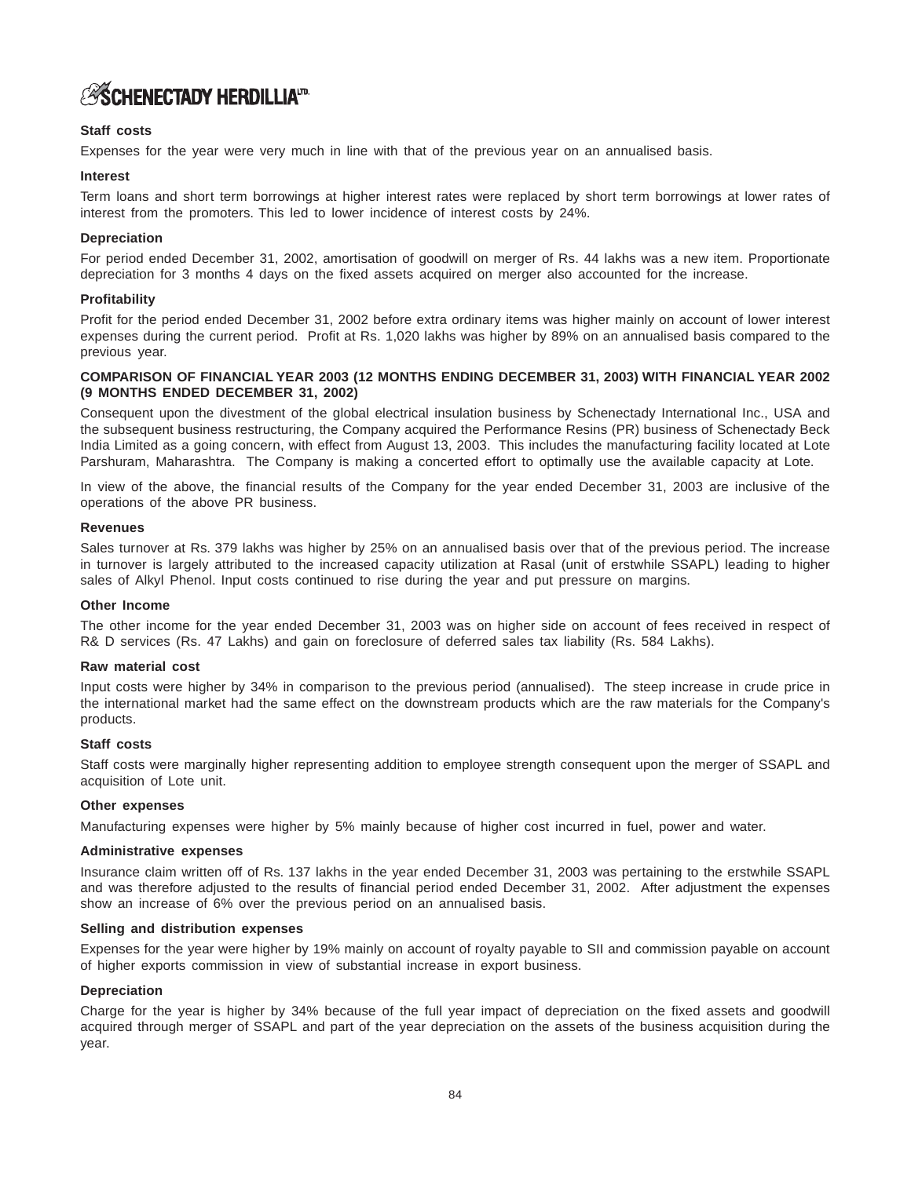# **ASCHENECTADY HERDILLIATD.**

### **Staff costs**

Expenses for the year were very much in line with that of the previous year on an annualised basis.

#### **Interest**

Term loans and short term borrowings at higher interest rates were replaced by short term borrowings at lower rates of interest from the promoters. This led to lower incidence of interest costs by 24%.

#### **Depreciation**

For period ended December 31, 2002, amortisation of goodwill on merger of Rs. 44 lakhs was a new item. Proportionate depreciation for 3 months 4 days on the fixed assets acquired on merger also accounted for the increase.

#### **Profitability**

Profit for the period ended December 31, 2002 before extra ordinary items was higher mainly on account of lower interest expenses during the current period. Profit at Rs. 1,020 lakhs was higher by 89% on an annualised basis compared to the previous year.

#### **COMPARISON OF FINANCIAL YEAR 2003 (12 MONTHS ENDING DECEMBER 31, 2003) WITH FINANCIAL YEAR 2002 (9 MONTHS ENDED DECEMBER 31, 2002)**

Consequent upon the divestment of the global electrical insulation business by Schenectady International Inc., USA and the subsequent business restructuring, the Company acquired the Performance Resins (PR) business of Schenectady Beck India Limited as a going concern, with effect from August 13, 2003. This includes the manufacturing facility located at Lote Parshuram, Maharashtra. The Company is making a concerted effort to optimally use the available capacity at Lote.

In view of the above, the financial results of the Company for the year ended December 31, 2003 are inclusive of the operations of the above PR business.

#### **Revenues**

Sales turnover at Rs. 379 lakhs was higher by 25% on an annualised basis over that of the previous period. The increase in turnover is largely attributed to the increased capacity utilization at Rasal (unit of erstwhile SSAPL) leading to higher sales of Alkyl Phenol. Input costs continued to rise during the year and put pressure on margins.

#### **Other Income**

The other income for the year ended December 31, 2003 was on higher side on account of fees received in respect of R& D services (Rs. 47 Lakhs) and gain on foreclosure of deferred sales tax liability (Rs. 584 Lakhs).

#### **Raw material cost**

Input costs were higher by 34% in comparison to the previous period (annualised). The steep increase in crude price in the international market had the same effect on the downstream products which are the raw materials for the Company's products.

#### **Staff costs**

Staff costs were marginally higher representing addition to employee strength consequent upon the merger of SSAPL and acquisition of Lote unit.

#### **Other expenses**

Manufacturing expenses were higher by 5% mainly because of higher cost incurred in fuel, power and water.

#### **Administrative expenses**

Insurance claim written off of Rs. 137 lakhs in the year ended December 31, 2003 was pertaining to the erstwhile SSAPL and was therefore adjusted to the results of financial period ended December 31, 2002. After adjustment the expenses show an increase of 6% over the previous period on an annualised basis.

#### **Selling and distribution expenses**

Expenses for the year were higher by 19% mainly on account of royalty payable to SII and commission payable on account of higher exports commission in view of substantial increase in export business.

#### **Depreciation**

Charge for the year is higher by 34% because of the full year impact of depreciation on the fixed assets and goodwill acquired through merger of SSAPL and part of the year depreciation on the assets of the business acquisition during the year.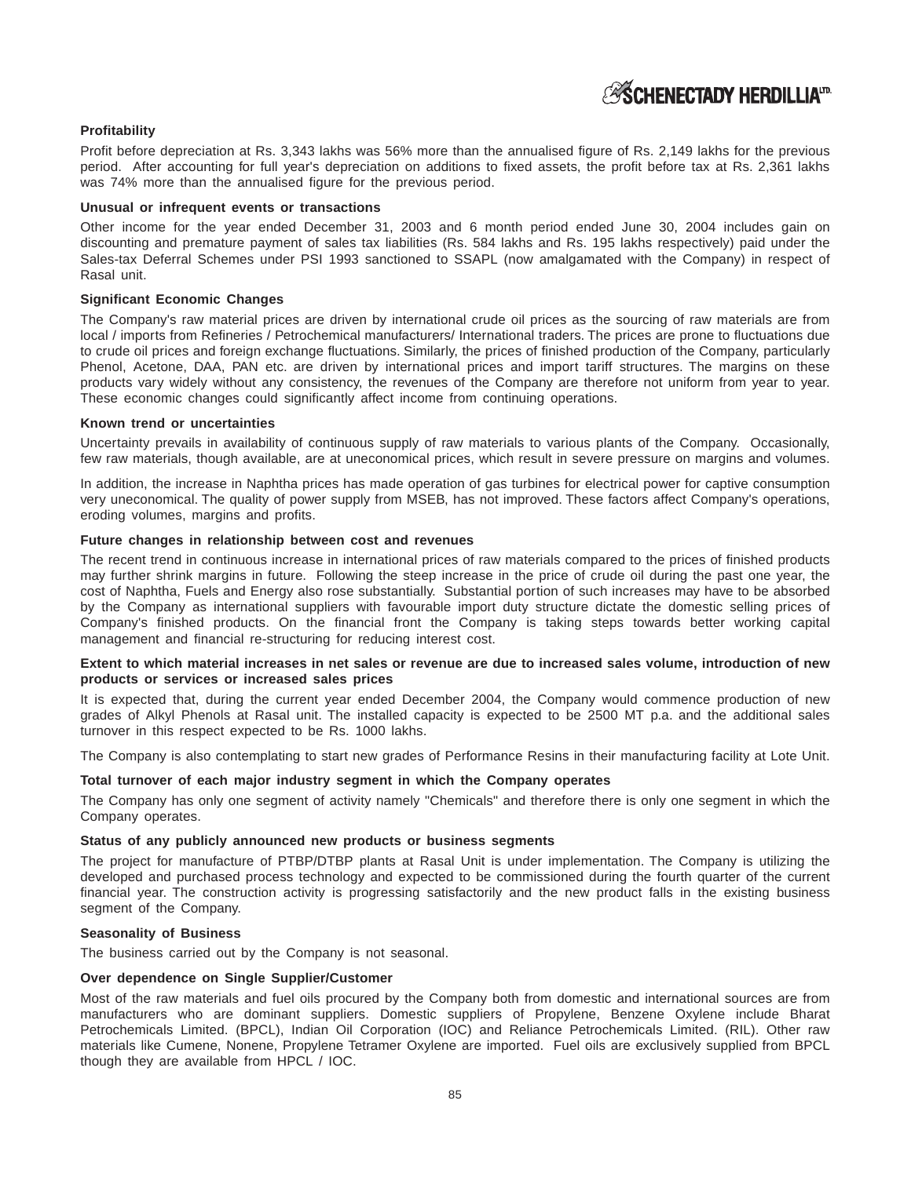# **ASCHENECTADY HERDILLIATD**

#### **Profitability**

Profit before depreciation at Rs. 3,343 lakhs was 56% more than the annualised figure of Rs. 2,149 lakhs for the previous period. After accounting for full year's depreciation on additions to fixed assets, the profit before tax at Rs. 2,361 lakhs was 74% more than the annualised figure for the previous period.

#### **Unusual or infrequent events or transactions**

Other income for the year ended December 31, 2003 and 6 month period ended June 30, 2004 includes gain on discounting and premature payment of sales tax liabilities (Rs. 584 lakhs and Rs. 195 lakhs respectively) paid under the Sales-tax Deferral Schemes under PSI 1993 sanctioned to SSAPL (now amalgamated with the Company) in respect of Rasal unit.

#### **Significant Economic Changes**

The Company's raw material prices are driven by international crude oil prices as the sourcing of raw materials are from local / imports from Refineries / Petrochemical manufacturers/ International traders. The prices are prone to fluctuations due to crude oil prices and foreign exchange fluctuations. Similarly, the prices of finished production of the Company, particularly Phenol, Acetone, DAA, PAN etc. are driven by international prices and import tariff structures. The margins on these products vary widely without any consistency, the revenues of the Company are therefore not uniform from year to year. These economic changes could significantly affect income from continuing operations.

#### **Known trend or uncertainties**

Uncertainty prevails in availability of continuous supply of raw materials to various plants of the Company. Occasionally, few raw materials, though available, are at uneconomical prices, which result in severe pressure on margins and volumes.

In addition, the increase in Naphtha prices has made operation of gas turbines for electrical power for captive consumption very uneconomical. The quality of power supply from MSEB, has not improved. These factors affect Company's operations, eroding volumes, margins and profits.

#### **Future changes in relationship between cost and revenues**

The recent trend in continuous increase in international prices of raw materials compared to the prices of finished products may further shrink margins in future. Following the steep increase in the price of crude oil during the past one year, the cost of Naphtha, Fuels and Energy also rose substantially. Substantial portion of such increases may have to be absorbed by the Company as international suppliers with favourable import duty structure dictate the domestic selling prices of Company's finished products. On the financial front the Company is taking steps towards better working capital management and financial re-structuring for reducing interest cost.

#### **Extent to which material increases in net sales or revenue are due to increased sales volume, introduction of new products or services or increased sales prices**

It is expected that, during the current year ended December 2004, the Company would commence production of new grades of Alkyl Phenols at Rasal unit. The installed capacity is expected to be 2500 MT p.a. and the additional sales turnover in this respect expected to be Rs. 1000 lakhs.

The Company is also contemplating to start new grades of Performance Resins in their manufacturing facility at Lote Unit.

#### **Total turnover of each major industry segment in which the Company operates**

The Company has only one segment of activity namely "Chemicals" and therefore there is only one segment in which the Company operates.

#### **Status of any publicly announced new products or business segments**

The project for manufacture of PTBP/DTBP plants at Rasal Unit is under implementation. The Company is utilizing the developed and purchased process technology and expected to be commissioned during the fourth quarter of the current financial year. The construction activity is progressing satisfactorily and the new product falls in the existing business segment of the Company.

#### **Seasonality of Business**

The business carried out by the Company is not seasonal.

### **Over dependence on Single Supplier/Customer**

Most of the raw materials and fuel oils procured by the Company both from domestic and international sources are from manufacturers who are dominant suppliers. Domestic suppliers of Propylene, Benzene Oxylene include Bharat Petrochemicals Limited. (BPCL), Indian Oil Corporation (IOC) and Reliance Petrochemicals Limited. (RIL). Other raw materials like Cumene, Nonene, Propylene Tetramer Oxylene are imported. Fuel oils are exclusively supplied from BPCL though they are available from HPCL / IOC.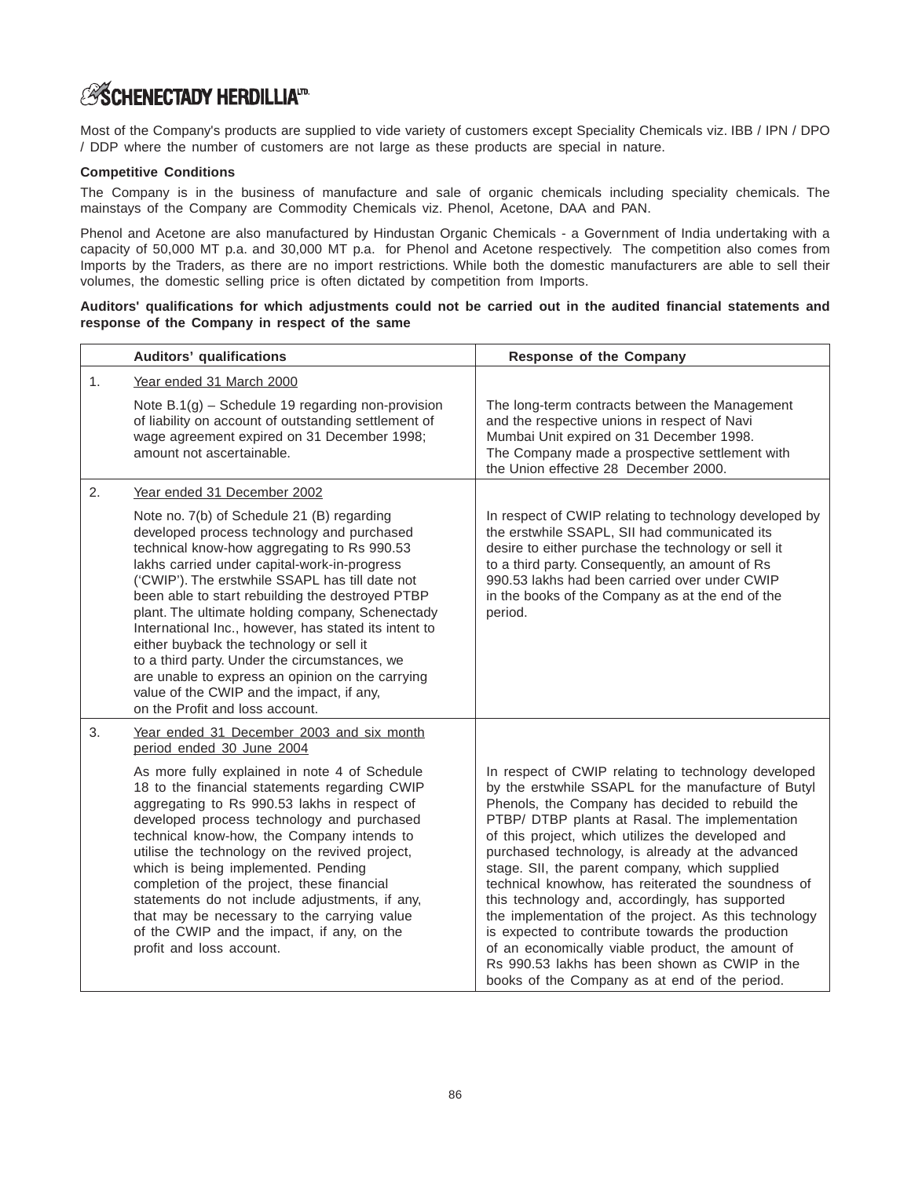# **ASCHENECTADY HERDILLIATD.**

Most of the Company's products are supplied to vide variety of customers except Speciality Chemicals viz. IBB / IPN / DPO / DDP where the number of customers are not large as these products are special in nature.

### **Competitive Conditions**

The Company is in the business of manufacture and sale of organic chemicals including speciality chemicals. The mainstays of the Company are Commodity Chemicals viz. Phenol, Acetone, DAA and PAN.

Phenol and Acetone are also manufactured by Hindustan Organic Chemicals - a Government of India undertaking with a capacity of 50,000 MT p.a. and 30,000 MT p.a. for Phenol and Acetone respectively. The competition also comes from Imports by the Traders, as there are no import restrictions. While both the domestic manufacturers are able to sell their volumes, the domestic selling price is often dictated by competition from Imports.

### **Auditors' qualifications for which adjustments could not be carried out in the audited financial statements and response of the Company in respect of the same**

|    | <b>Auditors' qualifications</b>                                                                                                                                                                                                                                                                                                                                                                                                                                                                                                                                                                                                              | <b>Response of the Company</b>                                                                                                                                                                                                                                                                                                                                                                                                                                                                                                                                                                                                                                                                                                                         |
|----|----------------------------------------------------------------------------------------------------------------------------------------------------------------------------------------------------------------------------------------------------------------------------------------------------------------------------------------------------------------------------------------------------------------------------------------------------------------------------------------------------------------------------------------------------------------------------------------------------------------------------------------------|--------------------------------------------------------------------------------------------------------------------------------------------------------------------------------------------------------------------------------------------------------------------------------------------------------------------------------------------------------------------------------------------------------------------------------------------------------------------------------------------------------------------------------------------------------------------------------------------------------------------------------------------------------------------------------------------------------------------------------------------------------|
| 1. | Year ended 31 March 2000                                                                                                                                                                                                                                                                                                                                                                                                                                                                                                                                                                                                                     |                                                                                                                                                                                                                                                                                                                                                                                                                                                                                                                                                                                                                                                                                                                                                        |
|    | Note $B.1(g)$ – Schedule 19 regarding non-provision<br>of liability on account of outstanding settlement of<br>wage agreement expired on 31 December 1998;<br>amount not ascertainable.                                                                                                                                                                                                                                                                                                                                                                                                                                                      | The long-term contracts between the Management<br>and the respective unions in respect of Navi<br>Mumbai Unit expired on 31 December 1998.<br>The Company made a prospective settlement with<br>the Union effective 28 December 2000.                                                                                                                                                                                                                                                                                                                                                                                                                                                                                                                  |
| 2. | Year ended 31 December 2002                                                                                                                                                                                                                                                                                                                                                                                                                                                                                                                                                                                                                  |                                                                                                                                                                                                                                                                                                                                                                                                                                                                                                                                                                                                                                                                                                                                                        |
|    | Note no. 7(b) of Schedule 21 (B) regarding<br>developed process technology and purchased<br>technical know-how aggregating to Rs 990.53<br>lakhs carried under capital-work-in-progress<br>('CWIP'). The erstwhile SSAPL has till date not<br>been able to start rebuilding the destroyed PTBP<br>plant. The ultimate holding company, Schenectady<br>International Inc., however, has stated its intent to<br>either buyback the technology or sell it<br>to a third party. Under the circumstances, we<br>are unable to express an opinion on the carrying<br>value of the CWIP and the impact, if any,<br>on the Profit and loss account. | In respect of CWIP relating to technology developed by<br>the erstwhile SSAPL, SII had communicated its<br>desire to either purchase the technology or sell it<br>to a third party. Consequently, an amount of Rs<br>990.53 lakhs had been carried over under CWIP<br>in the books of the Company as at the end of the<br>period.                                                                                                                                                                                                                                                                                                                                                                                                                      |
| 3. | Year ended 31 December 2003 and six month<br>period ended 30 June 2004                                                                                                                                                                                                                                                                                                                                                                                                                                                                                                                                                                       |                                                                                                                                                                                                                                                                                                                                                                                                                                                                                                                                                                                                                                                                                                                                                        |
|    | As more fully explained in note 4 of Schedule<br>18 to the financial statements regarding CWIP<br>aggregating to Rs 990.53 lakhs in respect of<br>developed process technology and purchased<br>technical know-how, the Company intends to<br>utilise the technology on the revived project,<br>which is being implemented. Pending<br>completion of the project, these financial<br>statements do not include adjustments, if any,<br>that may be necessary to the carrying value<br>of the CWIP and the impact, if any, on the<br>profit and loss account.                                                                                 | In respect of CWIP relating to technology developed<br>by the erstwhile SSAPL for the manufacture of Butyl<br>Phenols, the Company has decided to rebuild the<br>PTBP/ DTBP plants at Rasal. The implementation<br>of this project, which utilizes the developed and<br>purchased technology, is already at the advanced<br>stage. SII, the parent company, which supplied<br>technical knowhow, has reiterated the soundness of<br>this technology and, accordingly, has supported<br>the implementation of the project. As this technology<br>is expected to contribute towards the production<br>of an economically viable product, the amount of<br>Rs 990.53 lakhs has been shown as CWIP in the<br>books of the Company as at end of the period. |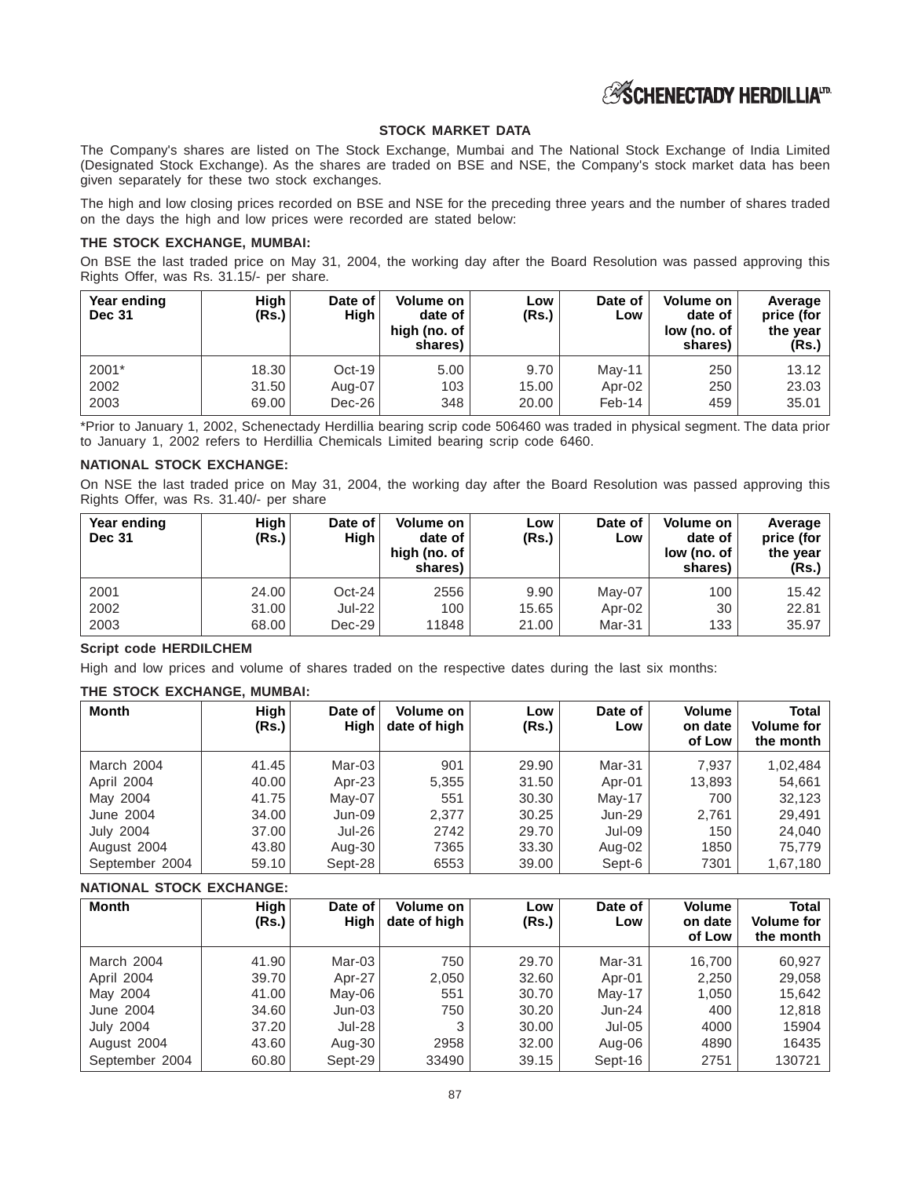

### **STOCK MARKET DATA**

The Company's shares are listed on The Stock Exchange, Mumbai and The National Stock Exchange of India Limited (Designated Stock Exchange). As the shares are traded on BSE and NSE, the Company's stock market data has been given separately for these two stock exchanges.

The high and low closing prices recorded on BSE and NSE for the preceding three years and the number of shares traded on the days the high and low prices were recorded are stated below:

#### **THE STOCK EXCHANGE, MUMBAI:**

On BSE the last traded price on May 31, 2004, the working day after the Board Resolution was passed approving this Rights Offer, was Rs. 31.15/- per share.

| Year ending<br><b>Dec 31</b> | High<br>(Rs.) | Date of<br>High | Volume on<br>date of<br>high (no. of<br>shares) | LOW<br>(Rs.) | Date of<br>Low | Volume on<br>date of<br>low (no. of<br>shares) | Average<br>price (for<br>the year<br>(Rs.) |
|------------------------------|---------------|-----------------|-------------------------------------------------|--------------|----------------|------------------------------------------------|--------------------------------------------|
| 2001*                        | 18.30         | Oct-19          | 5.00                                            | 9.70         | Mav-11         | 250                                            | 13.12                                      |
| 2002                         | 31.50         | Aug-07          | 103                                             | 15.00        | Apr-02         | 250                                            | 23.03                                      |
| 2003                         | 69.00         | $Dec-26$        | 348                                             | 20.00        | $Feb-14$       | 459                                            | 35.01                                      |

\*Prior to January 1, 2002, Schenectady Herdillia bearing scrip code 506460 was traded in physical segment. The data prior to January 1, 2002 refers to Herdillia Chemicals Limited bearing scrip code 6460.

### **NATIONAL STOCK EXCHANGE:**

On NSE the last traded price on May 31, 2004, the working day after the Board Resolution was passed approving this Rights Offer, was Rs. 31.40/- per share

| Year ending<br><b>Dec 31</b> | High<br>(Rs.) | Date of<br>High | Volume on<br>date of<br>high (no. of<br>shares) | LOW<br>(Rs.) | Date of<br>Low | Volume on<br>date of<br>low (no. of<br>shares) | Average<br>price (for<br>the year<br>(Rs.) |
|------------------------------|---------------|-----------------|-------------------------------------------------|--------------|----------------|------------------------------------------------|--------------------------------------------|
| 2001                         | 24.00         | Oct-24          | 2556                                            | 9.90         | Mav-07         | 100                                            | 15.42                                      |
| 2002                         | 31.00         | Jul-22          | 100                                             | 15.65        | Apr-02         | 30                                             | 22.81                                      |
| 2003                         | 68.00         | $Dec-29$        | 11848                                           | 21.00        | Mar-31         | 133                                            | 35.97                                      |

#### **Script code HERDILCHEM**

High and low prices and volume of shares traded on the respective dates during the last six months:

#### **THE STOCK EXCHANGE, MUMBAI:**

| Month            | High<br>(Rs.) | Date of<br>High | Volume on<br>date of high | LOW<br>(Rs.) | Date of<br>Low | Volume<br>on date<br>of Low | Total<br><b>Volume for</b><br>the month $ $ |
|------------------|---------------|-----------------|---------------------------|--------------|----------------|-----------------------------|---------------------------------------------|
| March 2004       | 41.45         | Mar-03          | 901                       | 29.90        | Mar-31         | 7,937                       | 1,02,484                                    |
| April 2004       | 40.00         | Apr-23          | 5,355                     | 31.50        | Apr-01         | 13.893                      | 54,661                                      |
| May 2004         | 41.75         | May-07          | 551                       | 30.30        | $Mav-17$       | 700                         | 32,123                                      |
| June 2004        | 34.00         | Jun-09          | 2.377                     | 30.25        | Jun-29         | 2,761                       | 29,491                                      |
| <b>July 2004</b> | 37.00         | Jul-26          | 2742                      | 29.70        | Jul-09         | 150                         | 24,040                                      |
| August 2004      | 43.80         | Aug-30          | 7365                      | 33.30        | Aug-02         | 1850                        | 75,779                                      |
| September 2004   | 59.10         | Sept-28         | 6553                      | 39.00        | Sept-6         | 7301                        | 1,67,180                                    |

#### **NATIONAL STOCK EXCHANGE:**

| Month            | High<br>(Rs.) | Date of<br>High | Volume on<br>date of high | Low<br>(Rs.) | Date of<br>Low | Volume<br>on date<br>of Low | Total<br><b>Volume for</b><br>the month |
|------------------|---------------|-----------------|---------------------------|--------------|----------------|-----------------------------|-----------------------------------------|
| March 2004       | 41.90         | $Mar-03$        | 750                       | 29.70        | Mar-31         | 16.700                      | 60,927                                  |
| April 2004       | 39.70         | Apr-27          | 2,050                     | 32.60        | Apr-01         | 2,250                       | 29,058                                  |
| May 2004         | 41.00         | $Mav-06$        | 551                       | 30.70        | May-17         | 1,050                       | 15,642                                  |
| June 2004        | 34.60         | $Jun-03$        | 750                       | 30.20        | Jun-24         | 400                         | 12,818                                  |
| <b>July 2004</b> | 37.20         | $Jul-28$        | 3                         | 30.00        | Jul-05         | 4000                        | 15904                                   |
| August 2004      | 43.60         | Aug-30          | 2958                      | 32.00        | Aug-06         | 4890                        | 16435                                   |
| September 2004   | 60.80         | Sept-29         | 33490                     | 39.15        | Sept-16        | 2751                        | 130721                                  |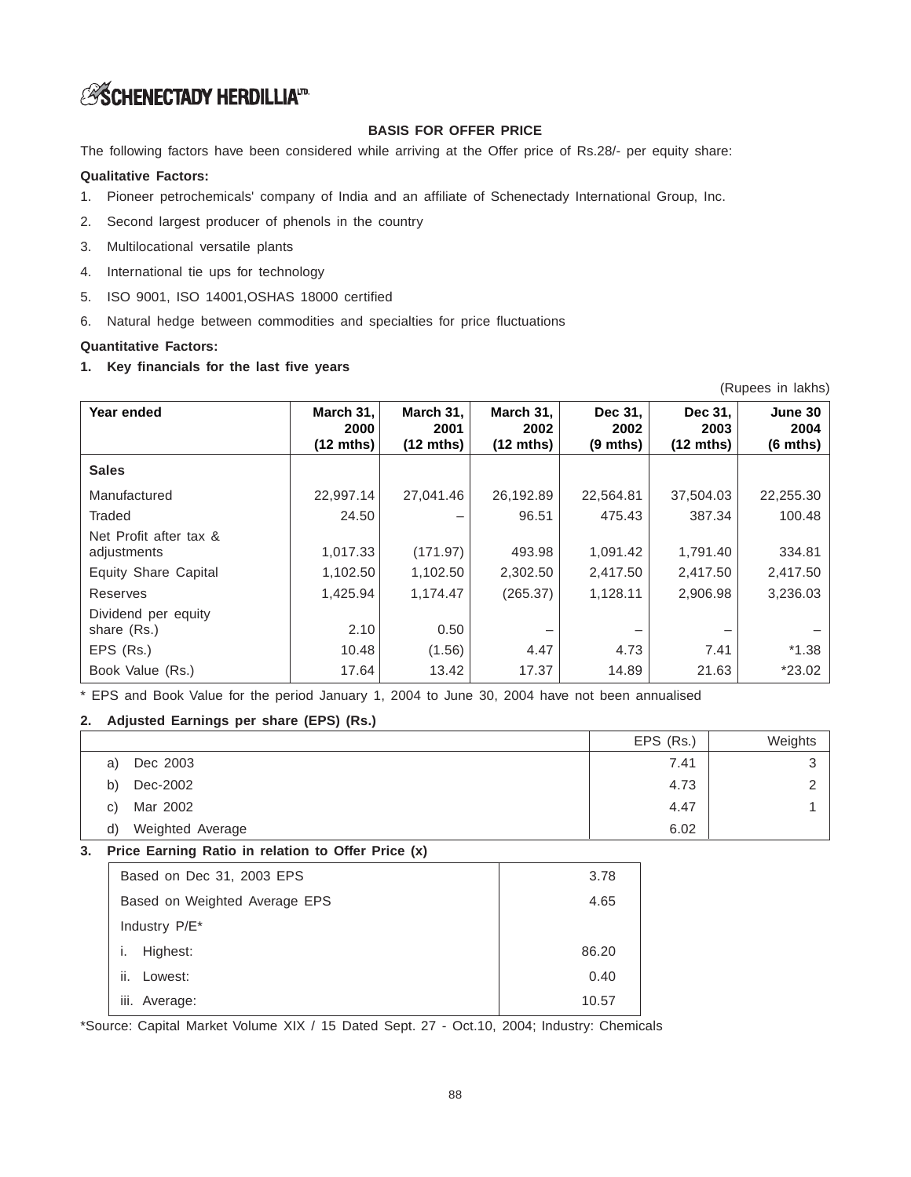# **ESCHENECTADY HERDILLIAID**

# **BASIS FOR OFFER PRICE**

The following factors have been considered while arriving at the Offer price of Rs.28/- per equity share:

### **Qualitative Factors:**

- 1. Pioneer petrochemicals' company of India and an affiliate of Schenectady International Group, Inc.
- 2. Second largest producer of phenols in the country
- 3. Multilocational versatile plants
- 4. International tie ups for technology
- 5. ISO 9001, ISO 14001,OSHAS 18000 certified
- 6. Natural hedge between commodities and specialties for price fluctuations

### **Quantitative Factors:**

**1. Key financials for the last five years**

| Year ended                            | March 31,<br>2000<br>$(12 \text{ mths})$ | March 31,<br>2001<br>$(12 \text{ mths})$ | March 31,<br>2002<br>$(12 \text{ mths})$ | Dec 31,<br>2002<br>$(9 \text{ mths})$ | Dec 31,<br>2003<br>$(12 \text{ mths})$ | June 30<br>2004<br>$(6 \text{ mths})$ |
|---------------------------------------|------------------------------------------|------------------------------------------|------------------------------------------|---------------------------------------|----------------------------------------|---------------------------------------|
| <b>Sales</b>                          |                                          |                                          |                                          |                                       |                                        |                                       |
| Manufactured                          | 22,997.14                                | 27,041.46                                | 26,192.89                                | 22,564.81                             | 37,504.03                              | 22,255.30                             |
| Traded                                | 24.50                                    |                                          | 96.51                                    | 475.43                                | 387.34                                 | 100.48                                |
| Net Profit after tax &<br>adjustments | 1,017.33                                 | (171.97)                                 | 493.98                                   | 1,091.42                              | 1,791.40                               | 334.81                                |
| Equity Share Capital                  | 1,102.50                                 | 1,102.50                                 | 2,302.50                                 | 2,417.50                              | 2,417.50                               | 2,417.50                              |
| Reserves                              | 1,425.94                                 | 1,174.47                                 | (265.37)                                 | 1,128.11                              | 2,906.98                               | 3,236.03                              |
| Dividend per equity<br>share (Rs.)    | 2.10                                     | 0.50                                     |                                          |                                       |                                        |                                       |
| EPS (Rs.)                             | 10.48                                    | (1.56)                                   | 4.47                                     | 4.73                                  | 7.41                                   | $*1.38$                               |
| Book Value (Rs.)                      | 17.64                                    | 13.42                                    | 17.37                                    | 14.89                                 | 21.63                                  | $*23.02$                              |

(Rupees in lakhs)

\* EPS and Book Value for the period January 1, 2004 to June 30, 2004 have not been annualised

# **2. Adjusted Earnings per share (EPS) (Rs.)**

|    |                  | EPS (Rs.) | Weights |
|----|------------------|-----------|---------|
| a) | Dec 2003         | 7.41      |         |
| b) | Dec-2002         | 4.73      |         |
| C) | Mar 2002         | 4.47      |         |
| d) | Weighted Average | 6.02      |         |

# **3. Price Earning Ratio in relation to Offer Price (x)**

| Based on Dec 31, 2003 EPS     | 3.78  |
|-------------------------------|-------|
| Based on Weighted Average EPS | 4.65  |
| Industry P/E <sup>*</sup>     |       |
| Highest:                      | 86.20 |
| ii.<br>Lowest:                | 0.40  |
| iii. Average:                 | 10.57 |

\*Source: Capital Market Volume XIX / 15 Dated Sept. 27 - Oct.10, 2004; Industry: Chemicals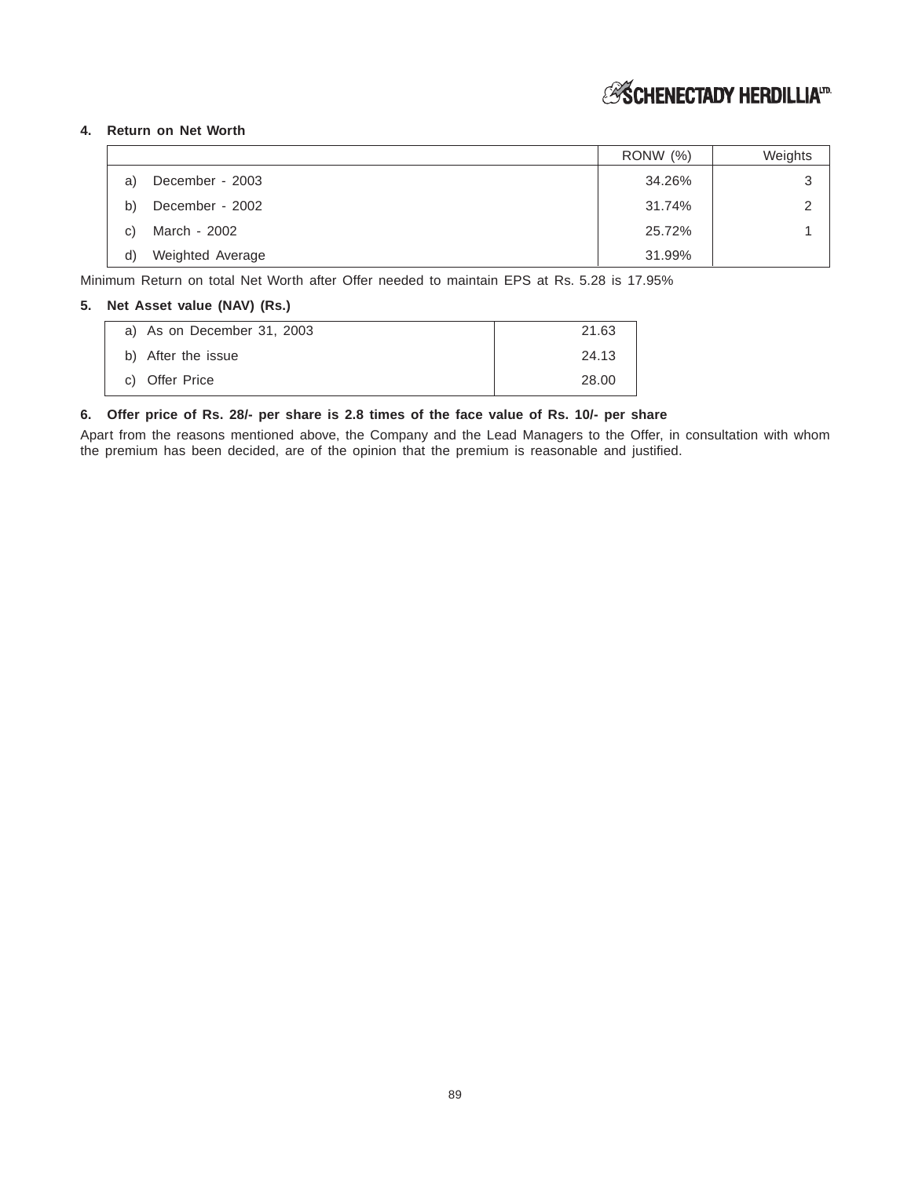# *S***SCHENECTADY HERDILLIA**<sup>ID</sup>

# **4. Return on Net Worth**

|    |                  | <b>RONW</b> (%) | Weights |
|----|------------------|-----------------|---------|
| a) | December - 2003  | 34.26%          | 3       |
| b) | December - 2002  | 31.74%          | っ       |
| C) | March - 2002     | 25.72%          |         |
| d) | Weighted Average | 31.99%          |         |

Minimum Return on total Net Worth after Offer needed to maintain EPS at Rs. 5.28 is 17.95%

### **5. Net Asset value (NAV) (Rs.)**

| a) As on December 31, 2003 | 21.63 |
|----------------------------|-------|
| b) After the issue         | 24.13 |
| c) Offer Price             | 28.00 |

#### **6. Offer price of Rs. 28/- per share is 2.8 times of the face value of Rs. 10/- per share**

Apart from the reasons mentioned above, the Company and the Lead Managers to the Offer, in consultation with whom the premium has been decided, are of the opinion that the premium is reasonable and justified.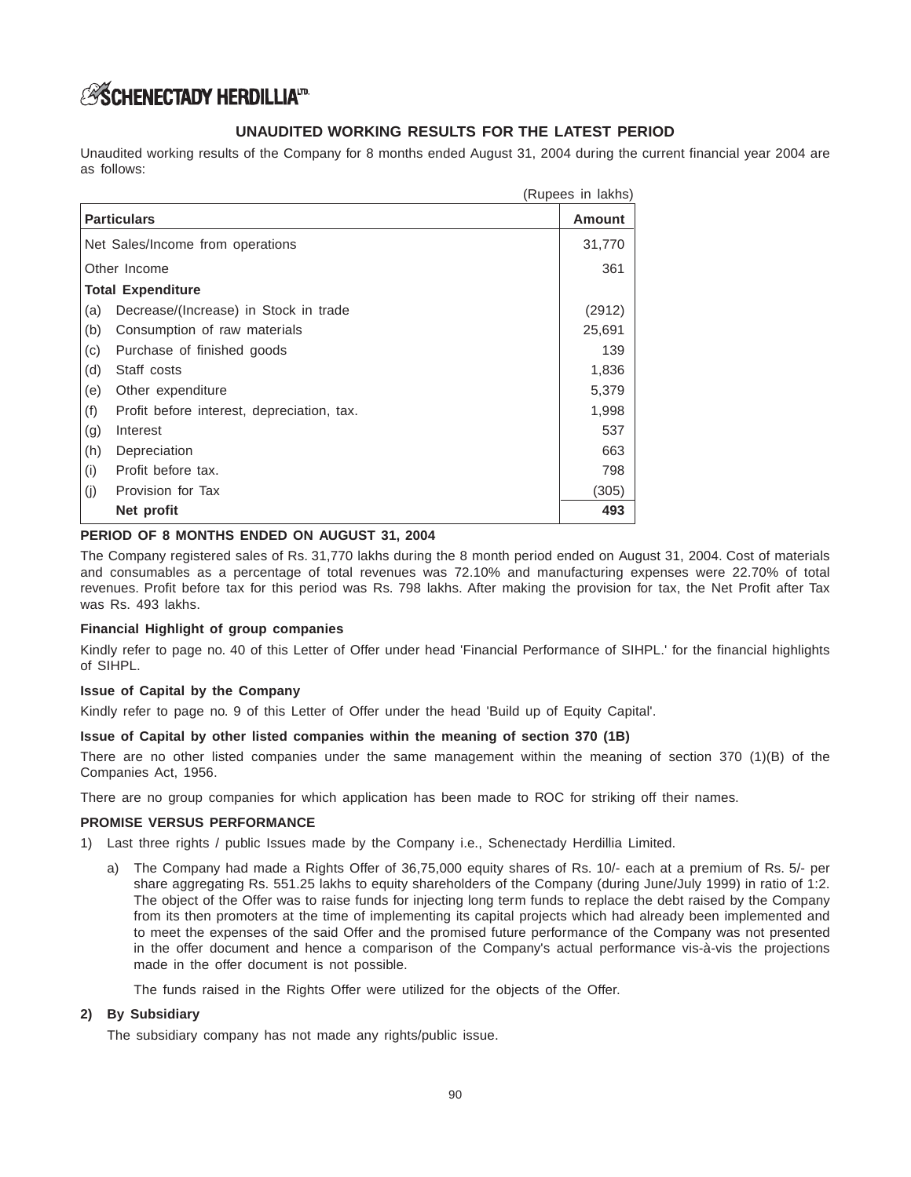# **ASCHENECTADY HERDILLIATD.**

# **UNAUDITED WORKING RESULTS FOR THE LATEST PERIOD**

Unaudited working results of the Company for 8 months ended August 31, 2004 during the current financial year 2004 are as follows:

|                                                   | (Rupees in lakhs) |
|---------------------------------------------------|-------------------|
| <b>Particulars</b>                                | <b>Amount</b>     |
| Net Sales/Income from operations                  | 31,770            |
| Other Income                                      | 361               |
| <b>Total Expenditure</b>                          |                   |
| Decrease/(Increase) in Stock in trade<br>(a)      | (2912)            |
| (b)<br>Consumption of raw materials               | 25,691            |
| (c)<br>Purchase of finished goods                 | 139               |
| (d)<br>Staff costs                                | 1,836             |
| (e)<br>Other expenditure                          | 5,379             |
| (f)<br>Profit before interest, depreciation, tax. | 1,998             |
| (g)<br>Interest                                   | 537               |
| (h)<br>Depreciation                               | 663               |
| (i)<br>Profit before tax.                         | 798               |
| (i)<br>Provision for Tax                          | (305)             |
| Net profit                                        | 493               |

# **PERIOD OF 8 MONTHS ENDED ON AUGUST 31, 2004**

The Company registered sales of Rs. 31,770 lakhs during the 8 month period ended on August 31, 2004. Cost of materials and consumables as a percentage of total revenues was 72.10% and manufacturing expenses were 22.70% of total revenues. Profit before tax for this period was Rs. 798 lakhs. After making the provision for tax, the Net Profit after Tax was Rs. 493 lakhs.

# **Financial Highlight of group companies**

Kindly refer to page no. 40 of this Letter of Offer under head 'Financial Performance of SIHPL.' for the financial highlights of SIHPL.

# **Issue of Capital by the Company**

Kindly refer to page no. 9 of this Letter of Offer under the head 'Build up of Equity Capital'.

# **Issue of Capital by other listed companies within the meaning of section 370 (1B)**

There are no other listed companies under the same management within the meaning of section 370 (1)(B) of the Companies Act, 1956.

There are no group companies for which application has been made to ROC for striking off their names.

#### **PROMISE VERSUS PERFORMANCE**

- 1) Last three rights / public Issues made by the Company i.e., Schenectady Herdillia Limited.
	- a) The Company had made a Rights Offer of 36,75,000 equity shares of Rs. 10/- each at a premium of Rs. 5/- per share aggregating Rs. 551.25 lakhs to equity shareholders of the Company (during June/July 1999) in ratio of 1:2. The object of the Offer was to raise funds for injecting long term funds to replace the debt raised by the Company from its then promoters at the time of implementing its capital projects which had already been implemented and to meet the expenses of the said Offer and the promised future performance of the Company was not presented in the offer document and hence a comparison of the Company's actual performance vis-à-vis the projections made in the offer document is not possible.

The funds raised in the Rights Offer were utilized for the objects of the Offer.

#### **2) By Subsidiary**

The subsidiary company has not made any rights/public issue.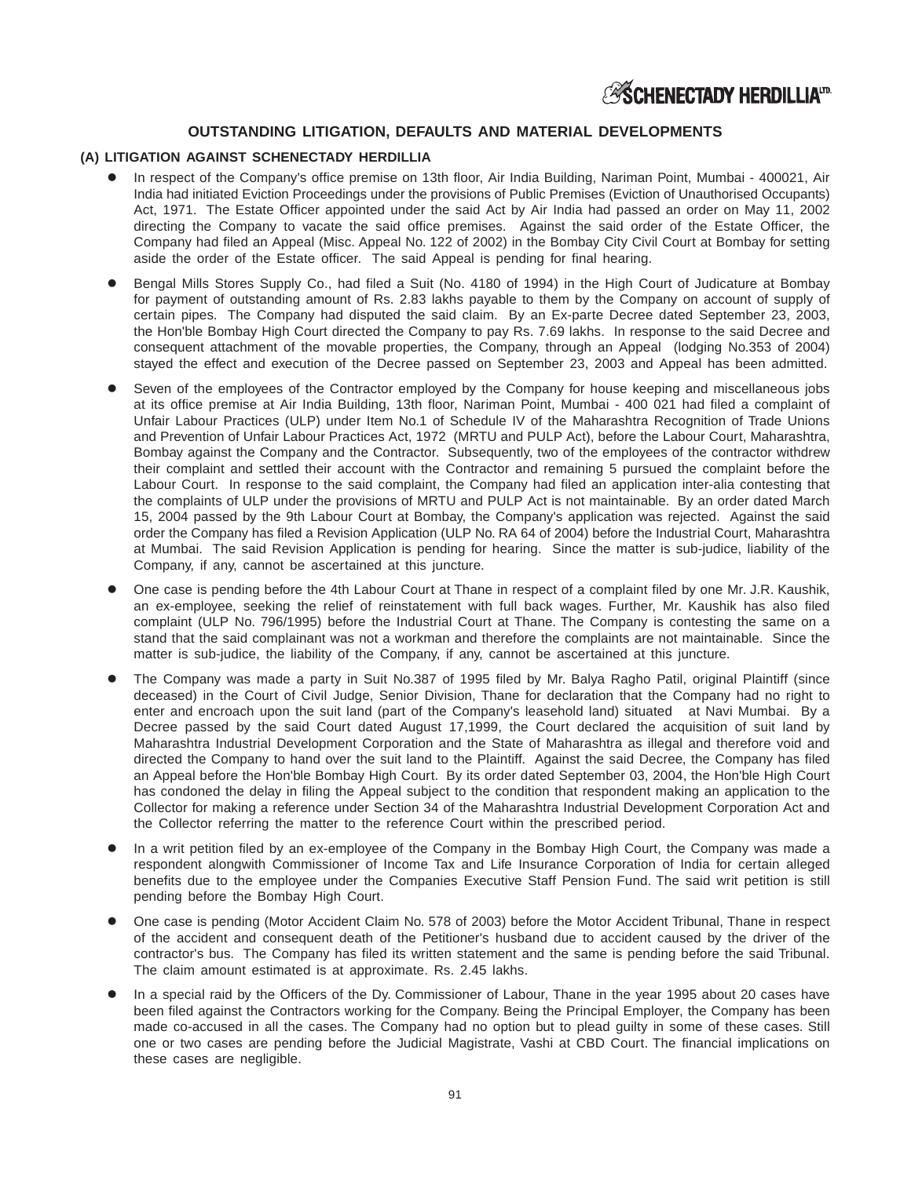# **OUTSTANDING LITIGATION, DEFAULTS AND MATERIAL DEVELOPMENTS**

### **(A) LITIGATION AGAINST SCHENECTADY HERDILLIA**

- In respect of the Company's office premise on 13th floor, Air India Building, Nariman Point, Mumbai 400021, Air India had initiated Eviction Proceedings under the provisions of Public Premises (Eviction of Unauthorised Occupants) Act, 1971. The Estate Officer appointed under the said Act by Air India had passed an order on May 11, 2002 directing the Company to vacate the said office premises. Against the said order of the Estate Officer, the Company had filed an Appeal (Misc. Appeal No. 122 of 2002) in the Bombay City Civil Court at Bombay for setting aside the order of the Estate officer. The said Appeal is pending for final hearing.
- Bengal Mills Stores Supply Co., had filed a Suit (No. 4180 of 1994) in the High Court of Judicature at Bombay for payment of outstanding amount of Rs. 2.83 lakhs payable to them by the Company on account of supply of certain pipes. The Company had disputed the said claim. By an Ex-parte Decree dated September 23, 2003, the Hon'ble Bombay High Court directed the Company to pay Rs. 7.69 lakhs. In response to the said Decree and consequent attachment of the movable properties, the Company, through an Appeal (lodging No.353 of 2004) stayed the effect and execution of the Decree passed on September 23, 2003 and Appeal has been admitted.
- Seven of the employees of the Contractor employed by the Company for house keeping and miscellaneous jobs at its office premise at Air India Building, 13th floor, Nariman Point, Mumbai - 400 021 had filed a complaint of Unfair Labour Practices (ULP) under Item No.1 of Schedule IV of the Maharashtra Recognition of Trade Unions and Prevention of Unfair Labour Practices Act, 1972 (MRTU and PULP Act), before the Labour Court, Maharashtra, Bombay against the Company and the Contractor. Subsequently, two of the employees of the contractor withdrew their complaint and settled their account with the Contractor and remaining 5 pursued the complaint before the Labour Court. In response to the said complaint, the Company had filed an application inter-alia contesting that the complaints of ULP under the provisions of MRTU and PULP Act is not maintainable. By an order dated March 15, 2004 passed by the 9th Labour Court at Bombay, the Company's application was rejected. Against the said order the Company has filed a Revision Application (ULP No. RA 64 of 2004) before the Industrial Court, Maharashtra at Mumbai. The said Revision Application is pending for hearing. Since the matter is sub-judice, liability of the Company, if any, cannot be ascertained at this juncture.
- One case is pending before the 4th Labour Court at Thane in respect of a complaint filed by one Mr. J.R. Kaushik, an ex-employee, seeking the relief of reinstatement with full back wages. Further, Mr. Kaushik has also filed complaint (ULP No. 796/1995) before the Industrial Court at Thane. The Company is contesting the same on a stand that the said complainant was not a workman and therefore the complaints are not maintainable. Since the matter is sub-judice, the liability of the Company, if any, cannot be ascertained at this juncture.
- The Company was made a party in Suit No.387 of 1995 filed by Mr. Balya Ragho Patil, original Plaintiff (since deceased) in the Court of Civil Judge, Senior Division, Thane for declaration that the Company had no right to enter and encroach upon the suit land (part of the Company's leasehold land) situated at Navi Mumbai. By a Decree passed by the said Court dated August 17,1999, the Court declared the acquisition of suit land by Maharashtra Industrial Development Corporation and the State of Maharashtra as illegal and therefore void and directed the Company to hand over the suit land to the Plaintiff. Against the said Decree, the Company has filed an Appeal before the Hon'ble Bombay High Court. By its order dated September 03, 2004, the Hon'ble High Court has condoned the delay in filing the Appeal subject to the condition that respondent making an application to the Collector for making a reference under Section 34 of the Maharashtra Industrial Development Corporation Act and the Collector referring the matter to the reference Court within the prescribed period.
- In a writ petition filed by an ex-employee of the Company in the Bombay High Court, the Company was made a respondent alongwith Commissioner of Income Tax and Life Insurance Corporation of India for certain alleged benefits due to the employee under the Companies Executive Staff Pension Fund. The said writ petition is still pending before the Bombay High Court.
- One case is pending (Motor Accident Claim No. 578 of 2003) before the Motor Accident Tribunal, Thane in respect of the accident and consequent death of the Petitioner's husband due to accident caused by the driver of the contractor's bus. The Company has filed its written statement and the same is pending before the said Tribunal. The claim amount estimated is at approximate. Rs. 2.45 lakhs.
- In a special raid by the Officers of the Dy. Commissioner of Labour, Thane in the year 1995 about 20 cases have been filed against the Contractors working for the Company. Being the Principal Employer, the Company has been made co-accused in all the cases. The Company had no option but to plead guilty in some of these cases. Still one or two cases are pending before the Judicial Magistrate, Vashi at CBD Court. The financial implications on these cases are negligible.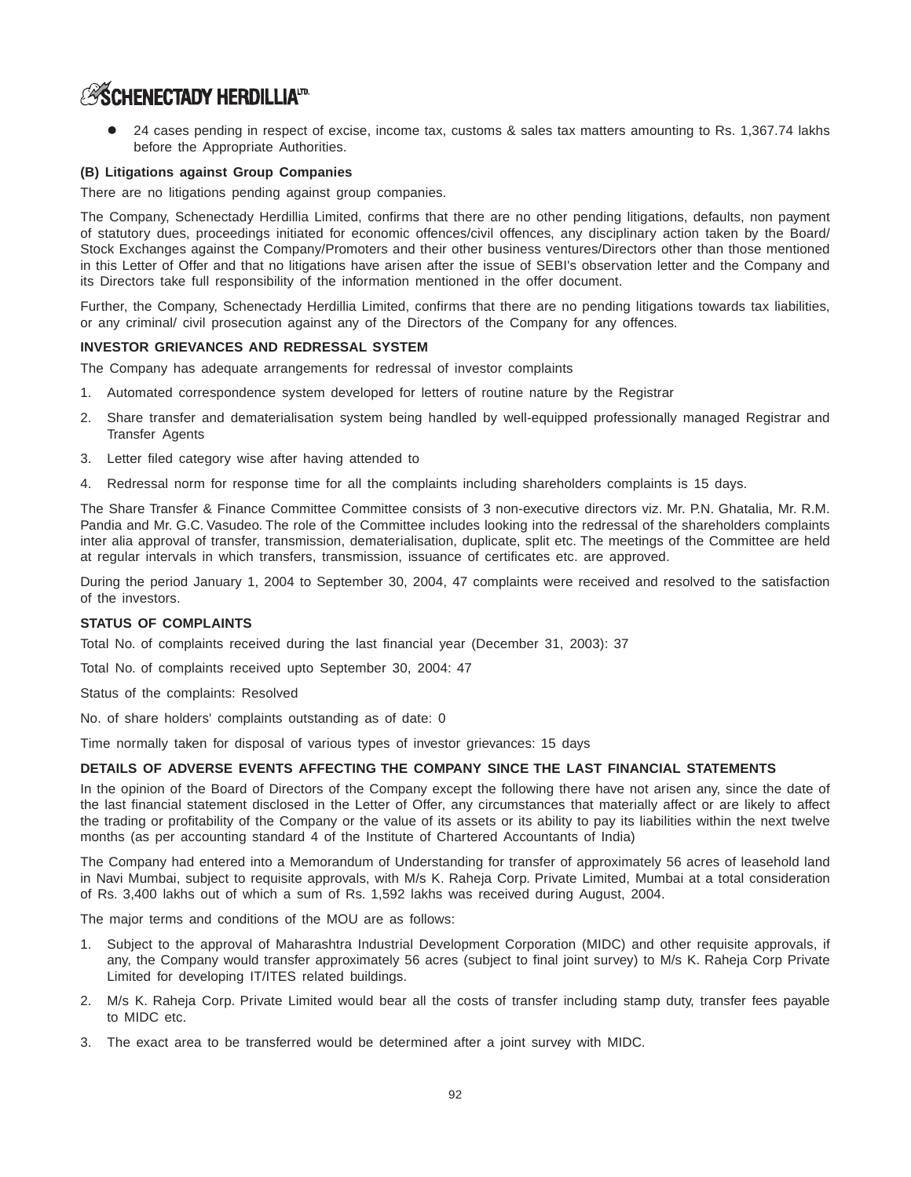# **ESCHENECTADY HERDILLIAID**

 24 cases pending in respect of excise, income tax, customs & sales tax matters amounting to Rs. 1,367.74 lakhs before the Appropriate Authorities.

### **(B) Litigations against Group Companies**

There are no litigations pending against group companies.

The Company, Schenectady Herdillia Limited, confirms that there are no other pending litigations, defaults, non payment of statutory dues, proceedings initiated for economic offences/civil offences, any disciplinary action taken by the Board/ Stock Exchanges against the Company/Promoters and their other business ventures/Directors other than those mentioned in this Letter of Offer and that no litigations have arisen after the issue of SEBI's observation letter and the Company and its Directors take full responsibility of the information mentioned in the offer document.

Further, the Company, Schenectady Herdillia Limited, confirms that there are no pending litigations towards tax liabilities, or any criminal/ civil prosecution against any of the Directors of the Company for any offences.

#### **INVESTOR GRIEVANCES AND REDRESSAL SYSTEM**

The Company has adequate arrangements for redressal of investor complaints

- 1. Automated correspondence system developed for letters of routine nature by the Registrar
- 2. Share transfer and dematerialisation system being handled by well-equipped professionally managed Registrar and Transfer Agents
- 3. Letter filed category wise after having attended to
- 4. Redressal norm for response time for all the complaints including shareholders complaints is 15 days.

The Share Transfer & Finance Committee Committee consists of 3 non-executive directors viz. Mr. P.N. Ghatalia, Mr. R.M. Pandia and Mr. G.C. Vasudeo. The role of the Committee includes looking into the redressal of the shareholders complaints inter alia approval of transfer, transmission, dematerialisation, duplicate, split etc. The meetings of the Committee are held at regular intervals in which transfers, transmission, issuance of certificates etc. are approved.

During the period January 1, 2004 to September 30, 2004, 47 complaints were received and resolved to the satisfaction of the investors.

#### **STATUS OF COMPLAINTS**

Total No. of complaints received during the last financial year (December 31, 2003): 37

Total No. of complaints received upto September 30, 2004: 47

Status of the complaints: Resolved

No. of share holders' complaints outstanding as of date: 0

Time normally taken for disposal of various types of investor grievances: 15 days

#### **DETAILS OF ADVERSE EVENTS AFFECTING THE COMPANY SINCE THE LAST FINANCIAL STATEMENTS**

In the opinion of the Board of Directors of the Company except the following there have not arisen any, since the date of the last financial statement disclosed in the Letter of Offer, any circumstances that materially affect or are likely to affect the trading or profitability of the Company or the value of its assets or its ability to pay its liabilities within the next twelve months (as per accounting standard 4 of the Institute of Chartered Accountants of India)

The Company had entered into a Memorandum of Understanding for transfer of approximately 56 acres of leasehold land in Navi Mumbai, subject to requisite approvals, with M/s K. Raheja Corp. Private Limited, Mumbai at a total consideration of Rs. 3,400 lakhs out of which a sum of Rs. 1,592 lakhs was received during August, 2004.

The major terms and conditions of the MOU are as follows:

- 1. Subject to the approval of Maharashtra Industrial Development Corporation (MIDC) and other requisite approvals, if any, the Company would transfer approximately 56 acres (subject to final joint survey) to M/s K. Raheja Corp Private Limited for developing IT/ITES related buildings.
- 2. M/s K. Raheja Corp. Private Limited would bear all the costs of transfer including stamp duty, transfer fees payable to MIDC etc.
- 3. The exact area to be transferred would be determined after a joint survey with MIDC.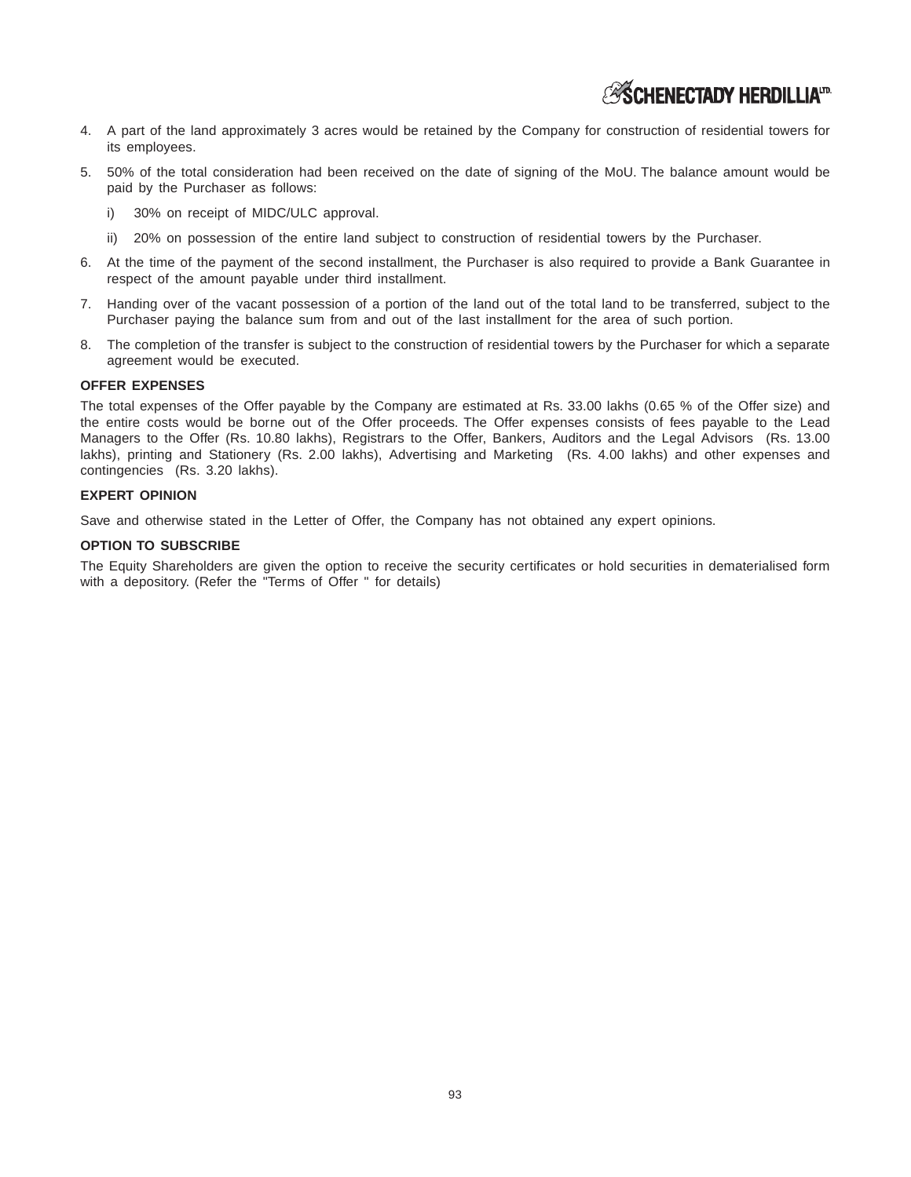- 4. A part of the land approximately 3 acres would be retained by the Company for construction of residential towers for its employees.
- 5. 50% of the total consideration had been received on the date of signing of the MoU. The balance amount would be paid by the Purchaser as follows:
	- i) 30% on receipt of MIDC/ULC approval.
	- ii) 20% on possession of the entire land subject to construction of residential towers by the Purchaser.
- 6. At the time of the payment of the second installment, the Purchaser is also required to provide a Bank Guarantee in respect of the amount payable under third installment.
- 7. Handing over of the vacant possession of a portion of the land out of the total land to be transferred, subject to the Purchaser paying the balance sum from and out of the last installment for the area of such portion.
- 8. The completion of the transfer is subject to the construction of residential towers by the Purchaser for which a separate agreement would be executed.

#### **OFFER EXPENSES**

The total expenses of the Offer payable by the Company are estimated at Rs. 33.00 lakhs (0.65 % of the Offer size) and the entire costs would be borne out of the Offer proceeds. The Offer expenses consists of fees payable to the Lead Managers to the Offer (Rs. 10.80 lakhs), Registrars to the Offer, Bankers, Auditors and the Legal Advisors (Rs. 13.00 lakhs), printing and Stationery (Rs. 2.00 lakhs), Advertising and Marketing (Rs. 4.00 lakhs) and other expenses and contingencies (Rs. 3.20 lakhs).

#### **EXPERT OPINION**

Save and otherwise stated in the Letter of Offer, the Company has not obtained any expert opinions.

#### **OPTION TO SUBSCRIBE**

The Equity Shareholders are given the option to receive the security certificates or hold securities in dematerialised form with a depository. (Refer the "Terms of Offer " for details)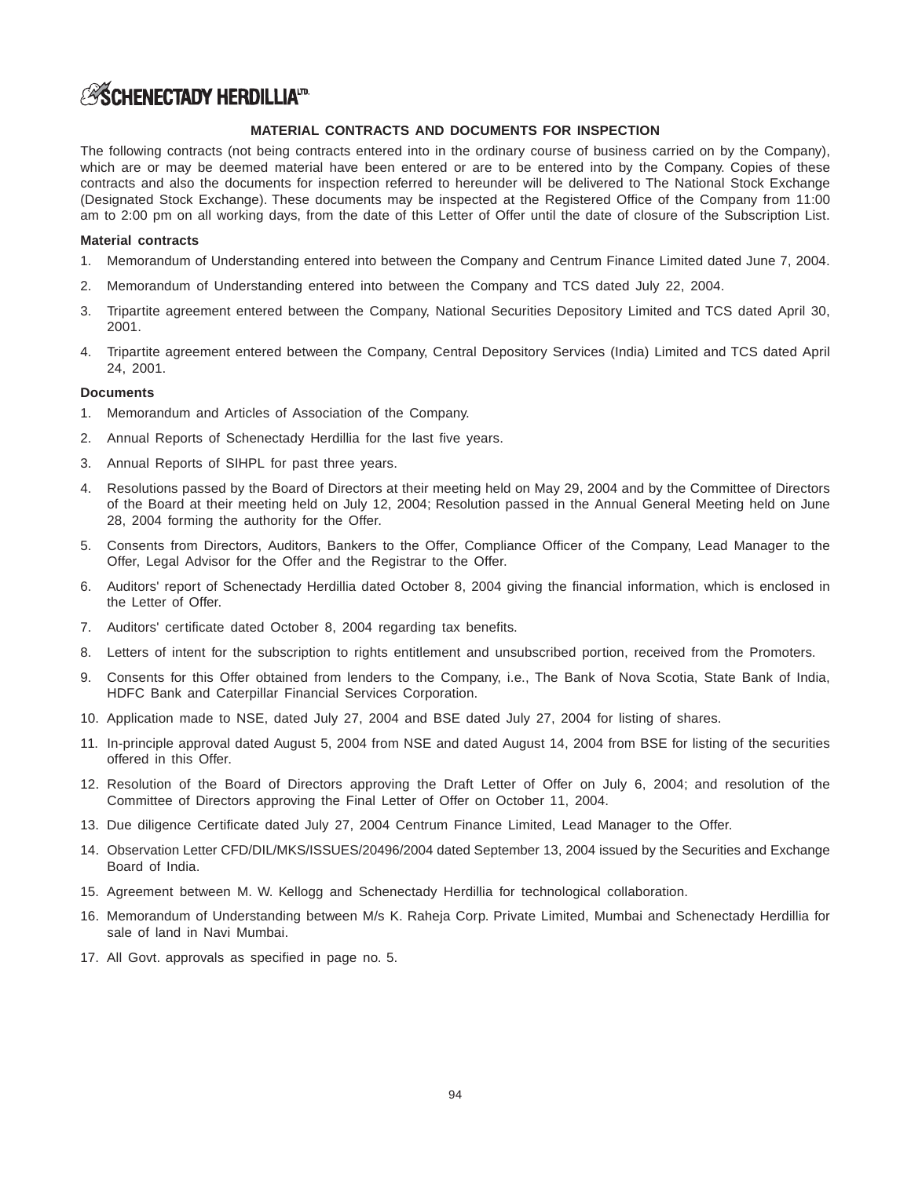# **ASCHENECTADY HERDILLIATD.**

### **MATERIAL CONTRACTS AND DOCUMENTS FOR INSPECTION**

The following contracts (not being contracts entered into in the ordinary course of business carried on by the Company), which are or may be deemed material have been entered or are to be entered into by the Company. Copies of these contracts and also the documents for inspection referred to hereunder will be delivered to The National Stock Exchange (Designated Stock Exchange). These documents may be inspected at the Registered Office of the Company from 11:00 am to 2:00 pm on all working days, from the date of this Letter of Offer until the date of closure of the Subscription List.

#### **Material contracts**

- 1. Memorandum of Understanding entered into between the Company and Centrum Finance Limited dated June 7, 2004.
- 2. Memorandum of Understanding entered into between the Company and TCS dated July 22, 2004.
- 3. Tripartite agreement entered between the Company, National Securities Depository Limited and TCS dated April 30, 2001.
- 4. Tripartite agreement entered between the Company, Central Depository Services (India) Limited and TCS dated April 24, 2001.

#### **Documents**

- 1. Memorandum and Articles of Association of the Company.
- 2. Annual Reports of Schenectady Herdillia for the last five years.
- 3. Annual Reports of SIHPL for past three years.
- 4. Resolutions passed by the Board of Directors at their meeting held on May 29, 2004 and by the Committee of Directors of the Board at their meeting held on July 12, 2004; Resolution passed in the Annual General Meeting held on June 28, 2004 forming the authority for the Offer.
- 5. Consents from Directors, Auditors, Bankers to the Offer, Compliance Officer of the Company, Lead Manager to the Offer, Legal Advisor for the Offer and the Registrar to the Offer.
- 6. Auditors' report of Schenectady Herdillia dated October 8, 2004 giving the financial information, which is enclosed in the Letter of Offer.
- 7. Auditors' certificate dated October 8, 2004 regarding tax benefits.
- 8. Letters of intent for the subscription to rights entitlement and unsubscribed portion, received from the Promoters.
- 9. Consents for this Offer obtained from lenders to the Company, i.e., The Bank of Nova Scotia, State Bank of India, HDFC Bank and Caterpillar Financial Services Corporation.
- 10. Application made to NSE, dated July 27, 2004 and BSE dated July 27, 2004 for listing of shares.
- 11. In-principle approval dated August 5, 2004 from NSE and dated August 14, 2004 from BSE for listing of the securities offered in this Offer.
- 12. Resolution of the Board of Directors approving the Draft Letter of Offer on July 6, 2004; and resolution of the Committee of Directors approving the Final Letter of Offer on October 11, 2004.
- 13. Due diligence Certificate dated July 27, 2004 Centrum Finance Limited, Lead Manager to the Offer.
- 14. Observation Letter CFD/DIL/MKS/ISSUES/20496/2004 dated September 13, 2004 issued by the Securities and Exchange Board of India.
- 15. Agreement between M. W. Kellogg and Schenectady Herdillia for technological collaboration.
- 16. Memorandum of Understanding between M/s K. Raheja Corp. Private Limited, Mumbai and Schenectady Herdillia for sale of land in Navi Mumbai.
- 17. All Govt. approvals as specified in page no. 5.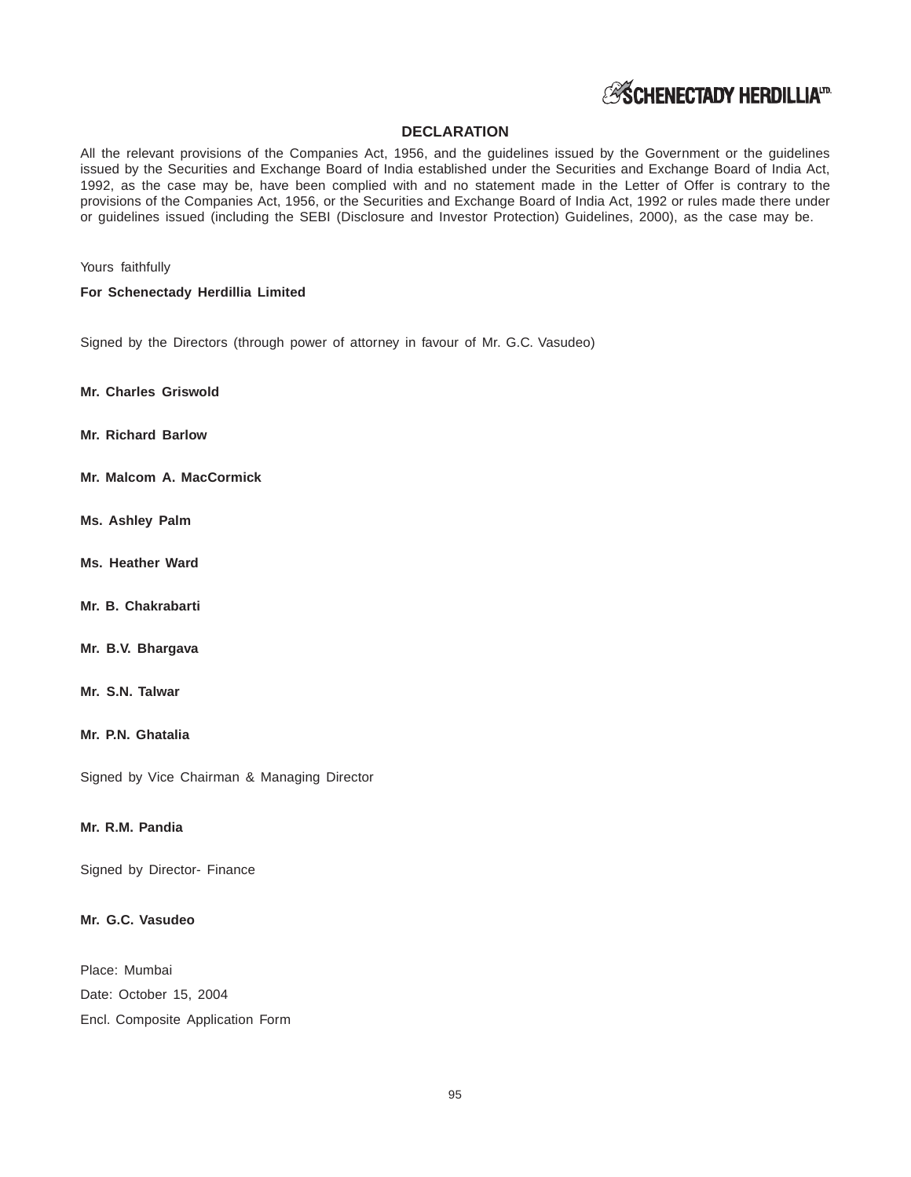

## **DECLARATION**

All the relevant provisions of the Companies Act, 1956, and the guidelines issued by the Government or the guidelines issued by the Securities and Exchange Board of India established under the Securities and Exchange Board of India Act, 1992, as the case may be, have been complied with and no statement made in the Letter of Offer is contrary to the provisions of the Companies Act, 1956, or the Securities and Exchange Board of India Act, 1992 or rules made there under or guidelines issued (including the SEBI (Disclosure and Investor Protection) Guidelines, 2000), as the case may be.

Yours faithfully

**For Schenectady Herdillia Limited**

Signed by the Directors (through power of attorney in favour of Mr. G.C. Vasudeo)

**Mr. Charles Griswold**

- **Mr. Richard Barlow**
- **Mr. Malcom A. MacCormick**
- **Ms. Ashley Palm**
- **Ms. Heather Ward**
- **Mr. B. Chakrabarti**
- **Mr. B.V. Bhargava**
- **Mr. S.N. Talwar**

**Mr. P.N. Ghatalia**

Signed by Vice Chairman & Managing Director

## **Mr. R.M. Pandia**

Signed by Director- Finance

## **Mr. G.C. Vasudeo**

Place: Mumbai Date: October 15, 2004 Encl. Composite Application Form